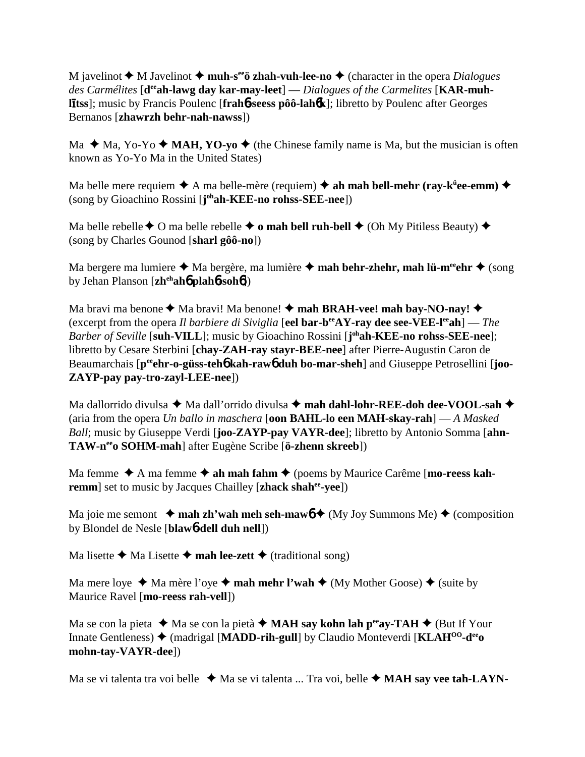M javelinot  $\blacklozenge$  M Javelinot  $\blacklozenge$  **muh-s<sup>ee</sup>ö zhah-vuh-lee-no**  $\blacklozenge$  (character in the opera *Dialogues* des Carmélites [d<sup>ee</sup>ah-lawg day kar-may-leet] — *Dialogues of the Carmelites* [KAR-muh**ltss**]; music by Francis Poulenc [**frah**6**-seess pôô-lah**6**k**]; libretto by Poulenc after Georges Bernanos [**zhawrzh behr-nah-nawss**])

Ma  $\triangle$  Ma, Yo-Yo  $\triangle$  **MAH, YO-yo**  $\triangle$  (the Chinese family name is Ma, but the musician is often known as Yo-Yo Ma in the United States)

Ma belle mere requiem  $\blacklozenge$  A ma belle-mère (requiem)  $\blacklozenge$  ah mah bell-mehr (ray-k<sup>ü</sup>ee-emm)  $\blacklozenge$ (song by Gioachino Rossini [**j ohah-KEE-no rohss-SEE-nee**])

Ma belle rebelle  $\triangle$  O ma belle rebelle  $\triangle$  o mah bell ruh-bell  $\triangle$  (Oh My Pitiless Beauty)  $\triangle$ (song by Charles Gounod [**sharl gôô-no**])

Ma bergere ma lumiere ◆ Ma bergère, ma lumière ◆ **mah behr-zhehr, mah lü-m<sup>ee</sup>ehr ◆** (song by Jehan Planson [**zhehah**6 **plah**6**-soh**6])

Ma bravi ma benone  $\blacklozenge$  Ma bravi! Ma benone!  $\blacklozenge$  **mah BRAH-vee! mah bay-NO-nay!**  $\blacklozenge$ (excerpt from the opera *Il barbiere di Siviglia* [**eel bar-beeAY-ray dee see-VEE-leeah**] — *The Barber of Seville* [**suh-VILL**]; music by Gioachino Rossini [**j ohah-KEE-no rohss-SEE-nee**]; libretto by Cesare Sterbini [**chay-ZAH-ray stayr-BEE-nee**] after Pierre-Augustin Caron de Beaumarchais [p<sup>ee</sup>ehr-o-güss-teh**6** kah-raw**6** duh bo-mar-sheh] and Giuseppe Petrosellini [joo-**ZAYP-pay pay-tro-zayl-LEE-nee**])

Ma dallorrido divulsa ◆ Ma dall'orrido divulsa ◆ mah dahl-lohr-REE-doh dee-VOOL-sah ◆ (aria from the opera *Un ballo in maschera* [**oon BAHL-lo een MAH-skay-rah**] — *A Masked Ball*; music by Giuseppe Verdi [**joo-ZAYP-pay VAYR-dee**]; libretto by Antonio Somma [**ahn-TAW-neeo SOHM-mah**] after Eugène Scribe [**ö-zhenn skreeb**])

Ma femme  $\triangle$  A ma femme  $\triangle$  ah mah fahm  $\triangle$  (poems by Maurice Carême [**mo-reess kahremm**] set to music by Jacques Chailley [**zhack shah<sup>ee</sup>-yee**])

Ma joie me semont  $\rightarrow$  mah zh'wah meh seh-mawb  $\rightarrow$  (My Joy Summons Me)  $\rightarrow$  (composition by Blondel de Nesle [**blaw**6**-dell duh nell**])

Ma lisette  $\triangleleft$  Ma Lisette  $\triangleleft$  mah lee-zett  $\triangleleft$  (traditional song)

Ma mere loye  $\triangleleft$  Ma mère l'oye  $\triangleleft$  **mah mehr l'wah**  $\triangleleft$  (My Mother Goose)  $\triangleleft$  (suite by Maurice Ravel [**mo-reess rah-vell**])

Ma se con la pieta  $\triangleleft$  Ma se con la pietà  $\triangleleft$  **MAH say kohn lah p<sup>ee</sup>ay-TAH**  $\triangleleft$  (But If Your Innate Gentleness) ♦ (madrigal [MADD-rih-gull] by Claudio Monteverdi [KLAH<sup>00</sup>-d<sup>ee</sup>o **mohn-tay-VAYR-dee**])

Ma se vi talenta tra voi belle  $\triangleleft$  Ma se vi talenta ... Tra voi, belle  $\triangleleft$  **MAH say vee tah-LAYN**-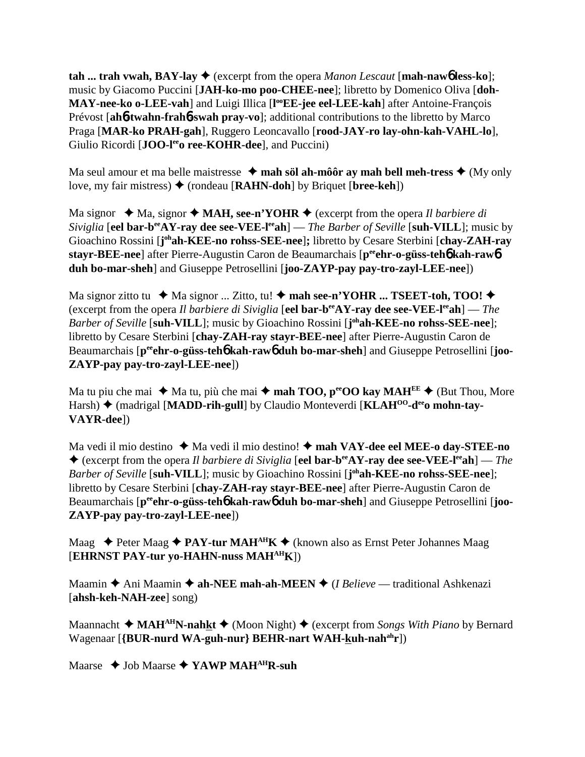**tah ... trah vwah, BAY-lay**  $\blacklozenge$  **(excerpt from the opera** *Manon Lescaut* **[mah-naw6 less-ko];** music by Giacomo Puccini [**JAH-ko-mo poo-CHEE-nee**]; libretto by Domenico Oliva [**doh-**MAY-nee-ko o-LEE-vah] and Luigi Illica [l<sup>oo</sup>EE-jee eel-LEE-kah] after Antoine-François Prévost [**ah**6**-twahn-frah**6**-swah pray-vo**]; additional contributions to the libretto by Marco Praga [**MAR-ko PRAH-gah**], Ruggero Leoncavallo [**rood-JAY-ro lay-ohn-kah-VAHL-lo**], Giulio Ricordi [**JOO-l<sup>ee</sup>o ree-KOHR-dee**], and Puccini)

Ma seul amour et ma belle maistresse  $\triangleleft$  mah söl ah-môôr ay mah bell meh-tress  $\triangleleft$  (My only love, my fair mistress) (rondeau [**RAHN-doh**] by Briquet [**bree-keh**])

Ma signor  $\triangleleft$  Ma, signor  $\triangleleft$  **MAH, see-n'YOHR**  $\triangleleft$  (excerpt from the opera *Il barbiere di Siviglia* [**eel bar-b<sup>ee</sup>AY-ray dee see-VEE-l<sup>ee</sup>ah**] — *The Barber of Seville* [**suh-VILL**]; music by Gioachino Rossini [j<sup>oh</sup>ah-KEE-no rohss-SEE-nee]; libretto by Cesare Sterbini [chay-ZAH-ray **stayr-BEE-nee**] after Pierre-Augustin Caron de Beaumarchais [p<sup>ee</sup>ehr-o-güss-teho kah-rawo **duh bo-mar-sheh**] and Giuseppe Petrosellini [**joo-ZAYP-pay pay-tro-zayl-LEE-nee**])

Ma signor zitto tu  $\blacklozenge$  Ma signor ... Zitto, tu!  $\blacklozenge$  mah see-n'YOHR ... TSEET-toh, TOO!  $\blacklozenge$ (excerpt from the opera *Il barbiere di Siviglia* [**eel bar-beeAY-ray dee see-VEE-leeah**] — *The Barber of Seville* [**suh-VILL**]; music by Gioachino Rossini [**j ohah-KEE-no rohss-SEE-nee**]; libretto by Cesare Sterbini [**chay-ZAH-ray stayr-BEE-nee**] after Pierre-Augustin Caron de Beaumarchais [p<sup>ee</sup>ehr-o-güss-teh**6** kah-rawb duh bo-mar-sheh] and Giuseppe Petrosellini [joo-**ZAYP-pay pay-tro-zayl-LEE-nee**])

Ma tu piu che mai  $\triangleq$  Ma tu, più che mai  $\triangleq$  **mah TOO, p<sup>ee</sup>OO kay MAH<sup>EE</sup>**  $\triangleq$  (But Thou, More Harsh) ♦ (madrigal [MADD-rih-gull] by Claudio Monteverdi [KLAH<sup>00</sup>-d<sup>ee</sup>o mohn-tay-**VAYR-dee**])

Ma vedi il mio destino ◆ Ma vedi il mio destino! ◆ **mah VAY-dee eel MEE-o day-STEE-no**  (excerpt from the opera *Il barbiere di Siviglia* [**eel bar-beeAY-ray dee see-VEE-leeah**] — *The Barber of Seville* [**suh-VILL**]; music by Gioachino Rossini [**j ohah-KEE-no rohss-SEE-nee**]; libretto by Cesare Sterbini [**chay-ZAH-ray stayr-BEE-nee**] after Pierre-Augustin Caron de Beaumarchais  $[p^{ee}$ **chr-o-güss-teh6** kah-raw**6** duh bo-mar-sheh and Giuseppe Petrosellini [joo-**ZAYP-pay pay-tro-zayl-LEE-nee**])

Maag  $\rightarrow$  Peter Maag  $\rightarrow$  **PAY-tur MAH<sup>AH</sup>K**  $\rightarrow$  (known also as Ernst Peter Johannes Maag [**EHRNST PAY-tur yo-HAHN-nuss MAHAHK**])

Maamin **→** Ani Maamin **→ ah-NEE mah-ah-MEEN** → (*I Believe* — traditional Ashkenazi [**ahsh-keh-NAH-zee**] song)

Maannacht  $\triangleleft \text{MAH}^{\text{AH}}$ N-nahkt  $\triangleleft$  (Moon Night)  $\triangleleft$  (excerpt from *Songs With Piano* by Bernard Wagenaar [{BUR-nurd WA-guh-nur} BEHR-nart WAH-kuh-nah<sup>ah</sup>r])

Maarse  $\rightarrow$  Job Maarse  $\rightarrow$  YAWP MAH<sup>AH</sup>R-suh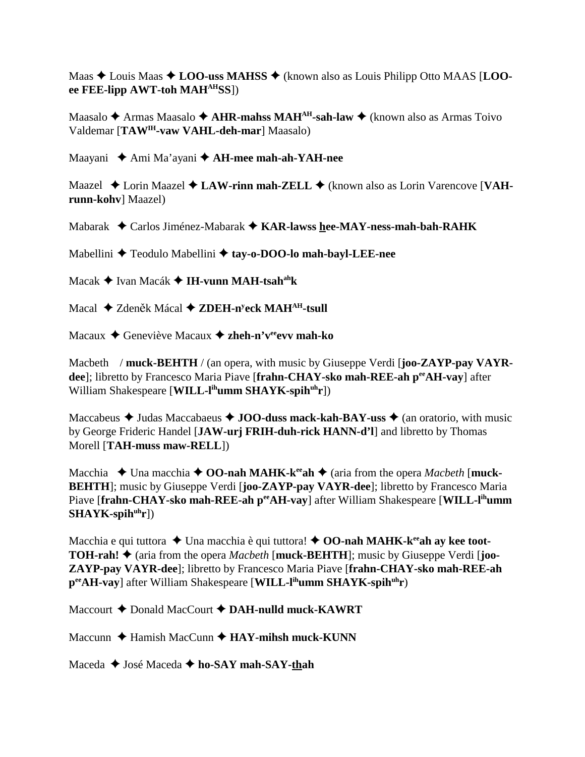Maas  $\triangle$  Louis Maas  $\triangle$  **LOO-uss MAHSS**  $\triangle$  (known also as Louis Philipp Otto MAAS [**LOOee FEE-lipp AWT-toh MAHAHSS**])

Maasalo **◆** Armas Maasalo ◆ **AHR-mahss MAH<sup>AH</sup>-sah-law** ◆ (known also as Armas Toivo Valdemar [**TAWIH-vaw VAHL-deh-mar**] Maasalo)

Maayani Ami Ma'ayani **AH-mee mah-ah-YAH-nee**

Maazel ◆ Lorin Maazel ◆ LAW-rinn mah-ZELL ◆ (known also as Lorin Varencove [VAH**runn-kohv**] Maazel)

Mabarak Carlos Jiménez-Mabarak **KAR-lawss hee-MAY-ness-mah-bah-RAHK**

Mabellini **→** Teodulo Mabellini → tay-o-DOO-lo mah-bayl-LEE-nee

Macak Ivan Macák **IH-vunn MAH-tsahahk**

Macal ◆ Zdeněk Mácal ◆ ZDEH-n<sup>y</sup>eck MAH<sup>AH</sup>-tsull

Macaux **→** Geneviève Macaux **→ zheh-n'v<sup>ee</sup>evv mah-ko** 

Macbeth / **muck-BEHTH** / (an opera, with music by Giuseppe Verdi [**joo-ZAYP-pay VAYRdee**]; libretto by Francesco Maria Piave [frahn-CHAY-sko mah-REE-ah peeAH-vay] after William Shakespeare [**WILL-l<sup>ih</sup>umm SHAYK-spih<sup>uh</sup>r**])

Maccabeus  $\triangle$  Judas Maccabaeus  $\triangle$  **JOO-duss mack-kah-BAY-uss**  $\triangle$  (an oratorio, with music by George Frideric Handel [**JAW-urj FRIH-duh-rick HANN-d'l**] and libretto by Thomas Morell [**TAH-muss maw-RELL**])

Macchia  $\blacklozenge$  Una macchia  $\blacklozenge$  **OO-nah MAHK-k<sup>ee</sup>ah**  $\blacklozenge$  (aria from the opera *Macbeth* [muck-**BEHTH**]; music by Giuseppe Verdi [**joo-ZAYP-pay VAYR-dee**]; libretto by Francesco Maria Piave [frahn-CHAY-sko mah-REE-ah p<sup>ee</sup>AH-vay] after William Shakespeare [WILL-l<sup>ih</sup>umm] SHAYK-spih<sup>uh</sup>r])

Macchia e qui tuttora **→** Una macchia è qui tuttora! ◆ **OO-nah MAHK-k<sup>ee</sup>ah ay kee toot-TOH-rah!**  $\triangle$  (aria from the opera *Macbeth* [muck-BEHTH]; music by Giuseppe Verdi [**joo-ZAYP-pay VAYR-dee**]; libretto by Francesco Maria Piave [**frahn-CHAY-sko mah-REE-ah peeAH-vay**] after William Shakespeare [**WILL-lihumm SHAYK-spihuhr**)

Maccourt **→** Donald MacCourt **→ DAH-nulld muck-KAWRT** 

Maccunn **→** Hamish MacCunn → **HAY-mihsh muck-KUNN** 

Maceda **→** José Maceda **→ ho-SAY mah-SAY-thah**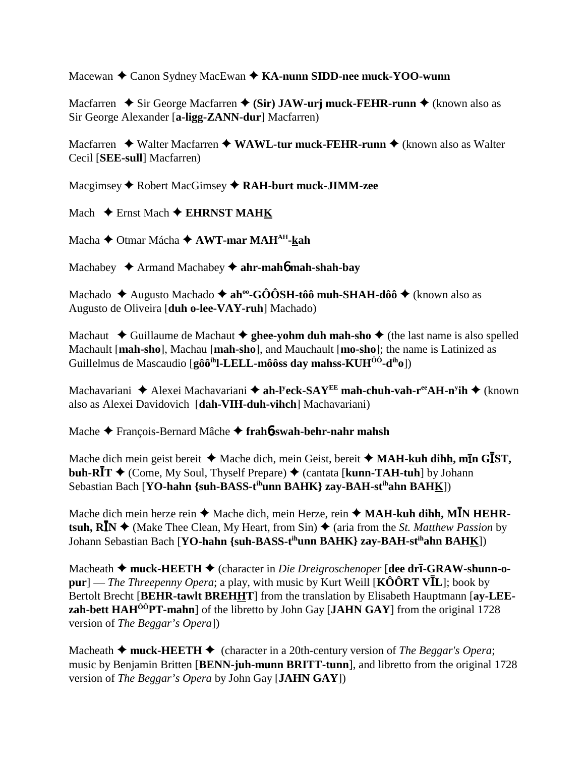Macewan **→** Canon Sydney MacEwan ◆ **KA-nunn SIDD-nee muck-YOO-wunn** 

Macfarren  $\blacklozenge$  Sir George Macfarren  $\blacklozenge$  (Sir) JAW-urj muck-FEHR-runn  $\blacklozenge$  (known also as Sir George Alexander [**a-ligg-ZANN-dur**] Macfarren)

Macfarren ◆ Walter Macfarren ◆ WAWL-tur muck-FEHR-runn ◆ (known also as Walter Cecil [**SEE-sull**] Macfarren)

Macgimsey Robert MacGimsey **RAH-burt muck-JIMM-zee**

Mach  $\triangle$  Ernst Mach  $\triangle$  **EHRNST MAHK** 

Macha Otmar Mácha **AWT-mar MAHAH-kah**

Machabey Armand Machabey **ahr-mah**6 **mah-shah-bay**

Machado  $\triangle$  Augusto Machado  $\triangle$  ah<sup>oo</sup>-GÔÔSH-tôô muh-SHAH-dôô  $\triangle$  (known also as Augusto de Oliveira [**duh o-lee-VAY-ruh**] Machado)

Machaut  $\triangle$  Guillaume de Machaut  $\triangle$  ghee-yohm duh mah-sho  $\triangle$  (the last name is also spelled Machault [**mah-sho**], Machau [**mah-sho**], and Mauchault [**mo-sho**]; the name is Latinized as Guillelmus de Mascaudio [**gôôihl-LELL-môôss day mahss-KUHÔÔ-diho**])

Machavariani ◆ Alexei Machavariani ◆ ah-l<sup>y</sup>eck-SAY<sup>EE</sup> mah-chuh-vah-r<sup>ee</sup>AH-n<sup>y</sup>ih ◆ (known also as Alexei Davidovich [**dah-VIH-duh-vihch**] Machavariani)

Mache François-Bernard Mâche **frah**6**-swah-behr-nahr mahsh**

Mache dich mein geist bereit  $\blacklozenge$  Mache dich, mein Geist, bereit  $\blacklozenge$  MAH-**kuh dihh, mīn G**IST, **buh-RĪT →** (Come, My Soul, Thyself Prepare) ◆ (cantata [kunn-TAH-tuh] by Johann Sebastian Bach [**YO-hahn {suh-BASS-tihunn BAHK} zay-BAH-stihahn BAHK**])

Mache dich mein herze rein ◆ Mache dich, mein Herze, rein ◆ MA**H-<u>k</u>uh dih<u>h,</u> MĪN HEHRtsuh, R<sup>I</sup>N**  $\blacklozenge$  (Make Thee Clean, My Heart, from Sin)  $\blacklozenge$  (aria from the *St. Matthew Passion* by Johann Sebastian Bach [**YO-hahn** {suh-BASS-t<sup>ih</sup>unn BAHK} zay-BAH-st<sup>ih</sup>ahn BAH<u>K</u>])

Macheath **→ muck-HEETH** → (character in *Die Dreigroschenoper* [**dee drī-GRAW-shunn-o-** $\mathbf{p}\mathbf{u}\mathbf{r}$ ] — *The Threepenny Opera*; a play, with music by Kurt Weill [KÔÔRT VĪL]; book by Bertolt Brecht [**BEHR-tawlt BREHHT**] from the translation by Elisabeth Hauptmann [**ay-LEEzah-bett HAH<sup>ôô</sup>PT-mahn**] of the libretto by John Gay [JAHN GAY] from the original 1728 version of *The Beggar's Opera*])

Macheath  $\triangle$  muck-HEETH  $\triangle$  (character in a 20th-century version of *The Beggar's Opera*; music by Benjamin Britten [**BENN-juh-munn BRITT-tunn**], and libretto from the original 1728 version of *The Beggar's Opera* by John Gay [**JAHN GAY**])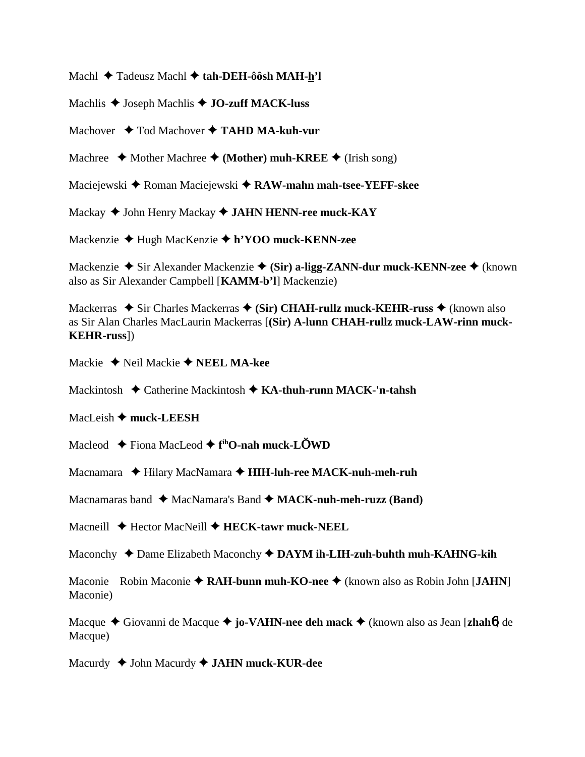Machl Tadeusz Machl **tah-DEH-ôôsh MAH-h'l**

Machlis **↓** Joseph Machlis **◆ JO-zuff MACK-luss** 

Machover **→** Tod Machover → TAHD MA-kuh-vur

Machree  $\triangle$  Mother Machree  $\triangle$  (Mother) muh-KREE  $\triangle$  (Irish song)

Maciejewski ◆ Roman Maciejewski ◆ RAW-mahn mah-tsee-YEFF-skee

Mackay John Henry Mackay **JAHN HENN-ree muck-KAY**

Mackenzie Hugh MacKenzie **h'YOO muck-KENN-zee**

Mackenzie **→** Sir Alexander Mackenzie ◆ (Sir) a-ligg-ZANN-dur muck-KENN-zee ◆ (known also as Sir Alexander Campbell [**KAMM-b'l**] Mackenzie)

Mackerras ◆ Sir Charles Mackerras ◆ (Sir) CHAH-rullz muck-KEHR-russ ◆ (known also as Sir Alan Charles MacLaurin Mackerras [**(Sir) A-lunn CHAH-rullz muck-LAW-rinn muck-KEHR-russ**])

Mackie **→** Neil Mackie **→ NEEL MA-kee** 

Mackintosh Catherine Mackintosh **KA-thuh-runn MACK-'n-tahsh**

MacLeish  $\triangle$  muck-LEESH

Macleod Fiona MacLeod **f ihO-nah muck-LWD**

Macnamara ◆ Hilary MacNamara ◆ **HIH-luh-ree MACK-nuh-meh-ruh** 

Macnamaras band  $\triangleleft$  MacNamara's Band  $\triangleleft$  MACK-nuh-meh-ruzz (Band)

Macneill **→** Hector MacNeill **→ HECK-tawr muck-NEEL** 

Maconchy  $\triangle$  Dame Elizabeth Maconchy  $\triangle$  DAYM ih-LIH-zuh-buhth muh-KAHNG-kih

Maconie Robin Maconie **RAH-bunn muh-KO-nee** (known also as Robin John [**JAHN**] Maconie)

Macque Giovanni de Macque **jo-VAHN-nee deh mack** (known also as Jean [**zhah**6] de Macque)

Macurdy John Macurdy **JAHN muck-KUR-dee**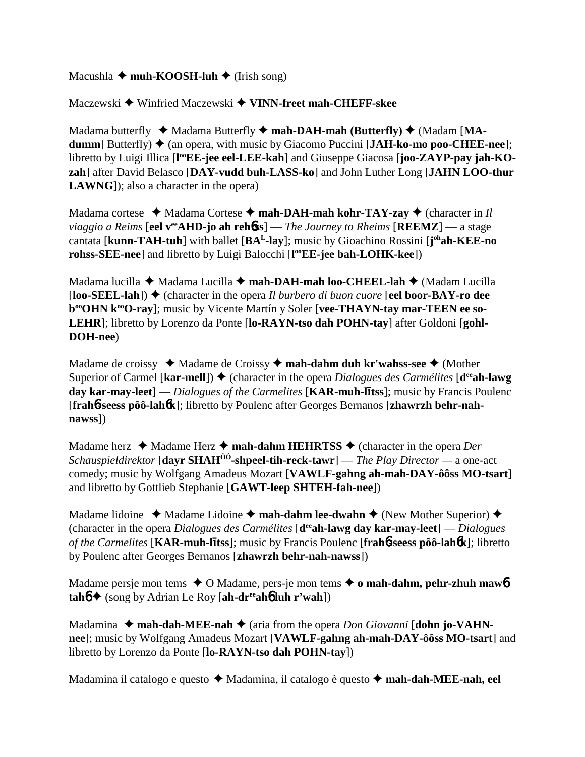## Macushla  $\triangle$  muh-KOOSH-luh  $\triangle$  (Irish song)

Maczewski ◆ Winfried Maczewski ◆ VINN-freet mah-CHEFF-skee

Madama butterfly  $\blacklozenge$  Madama Butterfly  $\blacklozenge$  mah-DAH-mah (Butterfly)  $\blacklozenge$  (Madam [MA**dumm**] Butterfly)  $\triangle$  (an opera, with music by Giacomo Puccini [**JAH-ko-mo poo-CHEE-nee**]; libretto by Luigi Illica [l<sup>oo</sup>EE-jee eel-LEE-kah] and Giuseppe Giacosa [joo-ZAYP-pay jah-KO**zah**] after David Belasco [**DAY-vudd buh-LASS-ko**] and John Luther Long [**JAHN LOO-thur LAWNG**]); also a character in the opera)

Madama cortese  $\triangleleft$  Madama Cortese  $\triangleleft$  mah-DAH-mah kohr-TAY-zay  $\triangleleft$  (character in *Il viaggio a Reims* [**eel v<sup>ee</sup>AHD-jo ah reh6ss**] — *The Journey to Rheims* [**REEMZ**] — a stage cantata [**kunn-TAH-tuh**] with ballet [**BAL-lay**]; music by Gioachino Rossini [**j ohah-KEE-no rohss-SEE-nee**] and libretto by Luigi Balocchi [**l ooEE-jee bah-LOHK-kee**])

Madama lucilla ◆ Madama Lucilla ◆ mah-DAH-mah loo-CHEEL-lah ◆ (Madam Lucilla [**loo-SEEL-lah**]) (character in the opera *Il burbero di buon cuore* [**eel boor-BAY-ro dee b<sup>oo</sup>OHN k<sup>oo</sup>O-ray**]; music by Vicente Martín y Soler [vee-THAYN-tay mar-TEEN ee so-**LEHR**]; libretto by Lorenzo da Ponte [**lo-RAYN-tso dah POHN-tay**] after Goldoni [**gohl-DOH-nee**)

Madame de croissy ◆ Madame de Croissy ◆ mah-dahm duh kr'wahss-see ◆ (Mother Superior of Carmel [kar-mell])  $\blacklozenge$  (character in the opera *Dialogues des Carmélites* [d<sup>ee</sup>ah-lawg] **day kar-may-leet**] — *Dialogues of the Carmelites* [**KAR-muh-ltss**]; music by Francis Poulenc [**frah**6**-seess pôô-lah**6**k**]; libretto by Poulenc after Georges Bernanos [**zhawrzh behr-nahnawss**])

Madame herz **→** Madame Herz **→ mah-dahm HEHRTSS** → (character in the opera *Der Schauspieldirektor* [**dayr SHAHÔÔ-shpeel-tih-reck-tawr**] — *The Play Director —* a one-act comedy; music by Wolfgang Amadeus Mozart [**VAWLF-gahng ah-mah-DAY-ôôss MO-tsart**] and libretto by Gottlieb Stephanie [**GAWT-leep SHTEH-fah-nee**])

Madame lidoine  $\triangle$  Madame Lidoine  $\triangle$  mah-dahm lee-dwahn  $\triangle$  (New Mother Superior)  $\triangle$ (character in the opera *Dialogues des Carmélites* [**deeah-lawg day kar-may-leet**] — *Dialogues of the Carmelites* [**KAR-muh-ltss**]; music by Francis Poulenc [**frah**6**-seess pôô-lah**6**k**]; libretto by Poulenc after Georges Bernanos [**zhawrzh behr-nah-nawss**])

Madame persje mon tems  $\triangle$  O Madame, pers-je mon tems  $\triangle$  o mah-dahm, pehr-zhuh mawb  $tanh \triangleq$  (song by Adrian Le Roy [ah-dr<sup>ee</sup>ah**6** luh r'wah])

Madamina  $\triangle$  mah-dah-MEE-nah  $\triangle$  (aria from the opera *Don Giovanni* [dohn jo-VAHN**nee**]; music by Wolfgang Amadeus Mozart [**VAWLF-gahng ah-mah-DAY-ôôss MO-tsart**] and libretto by Lorenzo da Ponte [**lo-RAYN-tso dah POHN-tay**])

Madamina il catalogo e questo ◆ Madamina, il catalogo è questo ◆ mah-dah-MEE-nah, eel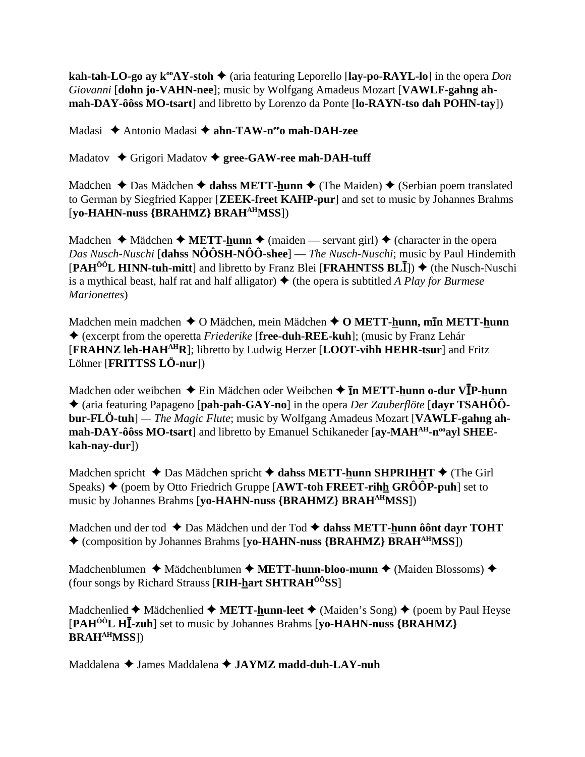**kah-tah-LO-go ay k<sup>oo</sup>AY-stoh**  $\blacklozenge$  (aria featuring Leporello [lay-po-RAYL-lo] in the opera *Don Giovanni* [**dohn jo-VAHN-nee**]; music by Wolfgang Amadeus Mozart [**VAWLF-gahng ahmah-DAY-ôôss MO-tsart**] and libretto by Lorenzo da Ponte [**lo-RAYN-tso dah POHN-tay**])

Madasi **→** Antonio Madasi → ahn-TAW-n<sup>ee</sup>o mah-DAH-zee

Madatov **→** Grigori Madatov ◆ gree-GAW-ree mah-DAH-tuff

Madchen  $\triangle$  Das Mädchen  $\triangle$  dahss METT-hunn  $\triangle$  (The Maiden)  $\triangle$  (Serbian poem translated to German by Siegfried Kapper [**ZEEK-freet KAHP-pur**] and set to music by Johannes Brahms [**yo-HAHN-nuss {BRAHMZ} BRAHAHMSS**])

Madchen  $\triangle$  Mädchen  $\triangle$  **METT-hunn**  $\triangle$  (maiden — servant girl)  $\triangle$  (character in the opera *Das Nusch-Nuschi* [**dahss NÔÔSH-NÔÔ-shee**] — *The Nusch-Nuschi*; music by Paul Hindemith [PAH<sup>ôô</sup>L HINN-tuh-mitt] and libretto by Franz Blei [FRAHNTSS BLII]) ♦ (the Nusch-Nuschi is a mythical beast, half rat and half alligator)  $\blacklozenge$  (the opera is subtitled *A Play for Burmese*) *Marionettes*)

Madchen mein madchen **→** O Mädchen, mein Mädchen ◆ O METT-hunn, m**in METT-hunn**  (excerpt from the operetta *Friederike* [**free-duh-REE-kuh**]; (music by Franz Lehár [**FRAHNZ leh-HAHAHR**]; libretto by Ludwig Herzer [**LOOT-vihh HEHR-tsur**] and Fritz Löhner [**FRITTSS LÖ-nur**])

Madchen oder weibchen ♦ Ein Mädchen oder Weibchen ♦ **īn METT-<u>h</u>unn o-dur VĪP-<u>h</u>unn**  (aria featuring Papageno [**pah-pah-GAY-no**] in the opera *Der Zauberflöte* [**dayr TSAHÔÔbur-FLÖ-tuh**] *— The Magic Flute*; music by Wolfgang Amadeus Mozart [**VAWLF-gahng ah**mah-DAY-ôôss MO-tsart] and libretto by Emanuel Schikaneder [ay-MAH<sup>AH</sup>-n<sup>oo</sup>ayl SHEE**kah-nay-dur**])

Madchen spricht  $\triangle$  Das Mädchen spricht  $\triangle$  dahss METT-hunn SHPRIHHT  $\triangle$  (The Girl Speaks)  $\triangle$  (poem by Otto Friedrich Gruppe [AWT-toh FREET-rihh GRÔÔP-puh] set to music by Johannes Brahms [**yo-HAHN-nuss {BRAHMZ} BRAHAHMSS**])

Madchen und der tod  $\triangle$  Das Mädchen und der Tod  $\triangle$  dahss METT-hunn ôônt dayr TOHT (composition by Johannes Brahms [**yo-HAHN-nuss {BRAHMZ} BRAHAHMSS**])

Madchenblumen ◆ Mädchenblumen ◆ METT-hunn-bloo-munn ◆ (Maiden Blossoms) ◆ (four songs by Richard Strauss [**RIH-hart SHTRAHÔÔSS**]

Madchenlied  $\blacklozenge$  Mädchenlied  $\blacklozenge$  **METT-<u>h</u>unn-leet**  $\blacklozenge$  (Maiden's Song)  $\blacklozenge$  (poem by Paul Heyse [**PAHÔÔL H**-**-zuh**] set to music by Johannes Brahms [**yo-HAHN-nuss {BRAHMZ} BRAHAHMSS**])

Maddalena James Maddalena **JAYMZ madd-duh-LAY-nuh**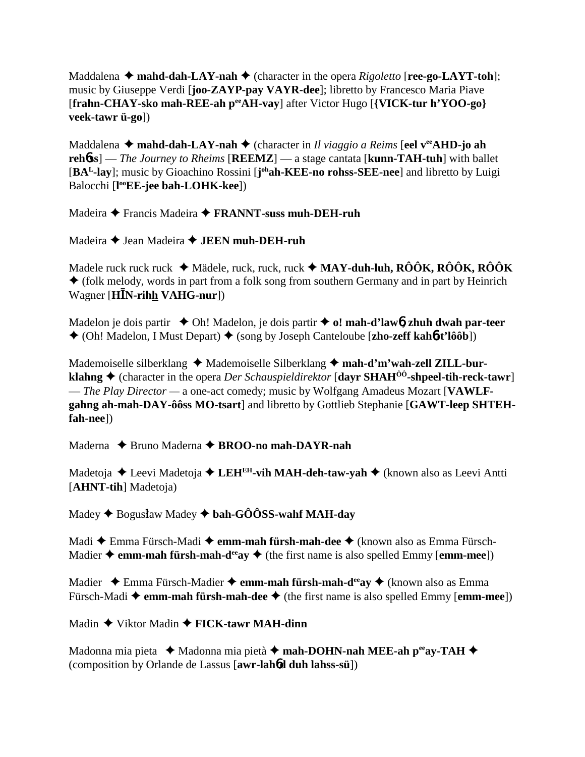Maddalena  $\triangle$  mahd-dah-LAY-nah  $\triangle$  (character in the opera *Rigoletto* [**ree-go-LAYT-toh**]; music by Giuseppe Verdi [**joo-ZAYP-pay VAYR-dee**]; libretto by Francesco Maria Piave [**frahn-CHAY-sko mah-REE-ah peeAH-vay**] after Victor Hugo [**{VICK-tur h'YOO-go} veek-tawr ü-go**])

Maddalena **↓ mahd-dah-LAY-nah ◆** (character in *Il viaggio a Reims* [eel v<sup>ee</sup>AHD-jo ah **reh**6**ss**] — *The Journey to Rheims* [**REEMZ**] — a stage cantata [**kunn-TAH-tuh**] with ballet [BA<sup>L</sup>-lay]; music by Gioachino Rossini [j<sup>oh</sup>ah-KEE-no rohss-SEE-nee] and libretto by Luigi Balocchi [**l ooEE-jee bah-LOHK-kee**])

Madeira Francis Madeira **FRANNT-suss muh-DEH-ruh**

Madeira **→** Jean Madeira **→ JEEN muh-DEH-ruh** 

Madele ruck ruck ruck Mädele, ruck, ruck, ruck **MAY-duh-luh, RÔÔK, RÔÔK, RÔÔK**  $\triangle$  (folk melody, words in part from a folk song from southern Germany and in part by Heinrich Wagner [HIN-rihh VAHG-nur])

Madelon je dois partir  $\triangle$  Oh! Madelon, je dois partir  $\triangle$  o! mah-d'law**6**, zhuh dwah par-teer (Oh! Madelon, I Must Depart) (song by Joseph Canteloube [**zho-zeff kah**6**-t'lôôb**])

Mademoiselle silberklang  $\triangleleft$  Mademoiselle Silberklang  $\triangleleft$  mah-d'm'wah-zell ZILL-bur**klahng ♦** (character in the opera *Der Schauspieldirektor* [**dayr SHAH<sup>ôô</sup>-shpeel-tih-reck-tawr**] — *The Play Director —* a one-act comedy; music by Wolfgang Amadeus Mozart [**VAWLFgahng ah-mah-DAY-ôôss MO-tsart**] and libretto by Gottlieb Stephanie [**GAWT-leep SHTEHfah-nee**])

Maderna **→** Bruno Maderna → **BROO-no mah-DAYR-nah** 

Madetoja **←** Leevi Madetoja ← LEH<sup>EH</sup>-vih MAH-deh-taw-vah ← (known also as Leevi Antti [**AHNT-tih**] Madetoja)

Madey ♦ Bogusław Madey ♦ **bah-GÔÔSS-wahf MAH-day** 

Madi **←** Emma Fürsch-Madi ← emm-mah fürsh-mah-dee ← (known also as Emma Fürsch-Madier  $\triangle$  **emm-mah fürsh-mah-d<sup>ee</sup>ay**  $\triangle$  (the first name is also spelled Emmy [**emm-mee**])

Madier **→** Emma Fürsch-Madier → **emm-mah fürsh-mah-d<sup>ee</sup>ay** → (known also as Emma Fürsch-Madi  $\triangleq$  **emm-mah fürsh-mah-dee**  $\triangleq$  (the first name is also spelled Emmy [**emm-mee**])

Madin Viktor Madin **FICK-tawr MAH-dinn**

Madonna mia pieta  **→** Madonna mia pietà → mah-DOHN-nah MEE-ah peeay-TAH → (composition by Orlande de Lassus [**awr-lah**6**d duh lahss-sü**])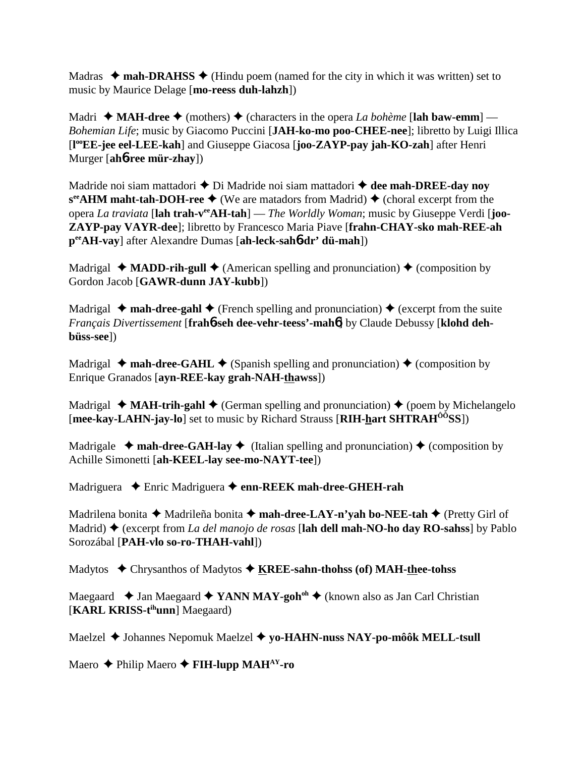Madras  $\triangleleft$  mah-DRAHSS  $\triangleleft$  (Hindu poem (named for the city in which it was written) set to music by Maurice Delage [**mo-reess duh-lahzh**])

Madri  $\triangleleft$  **MAH-dree**  $\triangleleft$  (mothers)  $\triangleleft$  (characters in the opera *La bohème* [lah baw-emm] — *Bohemian Life*; music by Giacomo Puccini [**JAH-ko-mo poo-CHEE-nee**]; libretto by Luigi Illica [**l ooEE-jee eel-LEE-kah**] and Giuseppe Giacosa [**joo-ZAYP-pay jah-KO-zah**] after Henri Murger [**ah**6**-ree mür-zhay**])

Madride noi siam mattadori **◆** Di Madride noi siam mattadori **◆ dee mah-DREE-day noy**  $s^{ee}$ **AHM maht-tah-DOH-ree**  $\blacklozenge$  (We are matadors from Madrid)  $\blacklozenge$  (choral excerpt from the opera *La traviata* [**lah trah-veeAH-tah**] — *The Worldly Woman*; music by Giuseppe Verdi [**joo-ZAYP-pay VAYR-dee**]; libretto by Francesco Maria Piave [**frahn-CHAY-sko mah-REE-ah peeAH-vay**] after Alexandre Dumas [**ah-leck-sah**6**-dr' dü-mah**])

Madrigal  $\triangleq$  **MADD-rih-gull**  $\triangleq$  (American spelling and pronunciation)  $\triangleq$  (composition by Gordon Jacob [**GAWR-dunn JAY-kubb**])

Madrigal  $\triangleq$  **mah-dree-gahl**  $\triangleq$  (French spelling and pronunciation)  $\triangleq$  (excerpt from the suite *Français Divertissement* [**frah**6**-seh dee-vehr-teess'-mah**6] by Claude Debussy [**klohd dehbüss-see**])

Madrigal  $\triangleleft$  mah-dree-GAHL  $\triangleleft$  (Spanish spelling and pronunciation)  $\triangleleft$  (composition by Enrique Granados [**ayn-REE-kay grah-NAH-thawss**])

Madrigal  $\triangleleft$  **MAH-trih-gahl**  $\triangleleft$  (German spelling and pronunciation)  $\triangleleft$  (poem by Michelangelo [**mee-kay-LAHN-jay-lo**] set to music by Richard Strauss [**RIH-hart SHTRAHÔÔSS**])

Madrigale  $\triangleleft$  mah-dree-GAH-lay  $\triangleleft$  (Italian spelling and pronunciation)  $\triangleleft$  (composition by Achille Simonetti [**ah-KEEL-lay see-mo-NAYT-tee**])

Madriguera Enric Madriguera **enn-REEK mah-dree-GHEH-rah**

Madrilena bonita **→** Madrileña bonita → mah-dree-LAY-n'yah bo-NEE-tah → (Pretty Girl of Madrid) (excerpt from *La del manojo de rosas* [**lah dell mah-NO-ho day RO-sahss**] by Pablo Sorozábal [**PAH-vlo so-ro-THAH-vahl**])

Madytos Chrysanthos of Madytos **KREE-sahn-thohss (of) MAH-thee-tohss**

Maegaard **→ Jan Maegaard → YANN MAY-goh<sup>oh</sup> →** (known also as Jan Carl Christian [**KARL KRISS-tihunn**] Maegaard)

Maelzel ◆ Johannes Nepomuk Maelzel ◆ yo-HAHN-nuss NAY-po-môôk MELL-tsull

Maero **← Philip Maero ← FIH-lupp MAH<sup>AY</sup>-ro**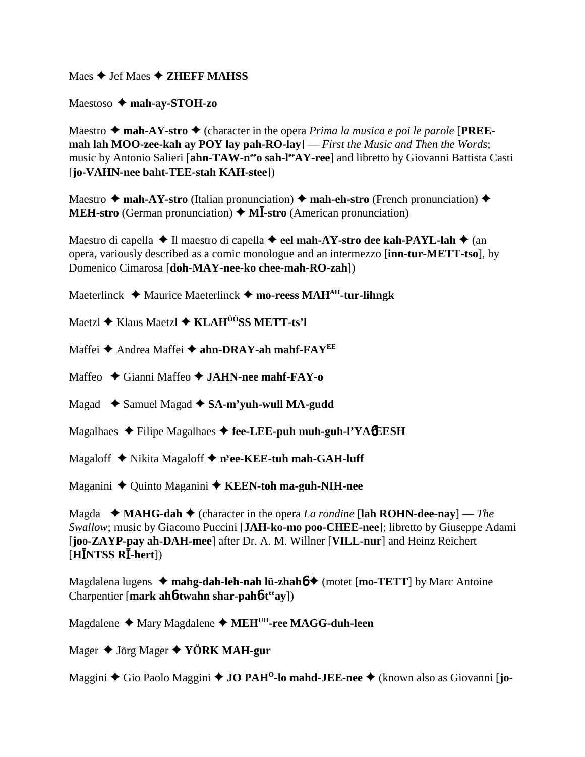Maes  $\triangle$  Jef Maes  $\triangle$  **ZHEFF MAHSS** 

Maestoso **mah-ay-STOH-zo**

Maestro  $\triangle$  mah-AY-stro  $\triangle$  (character in the opera *Prima la musica e poi le parole* [PREE**mah lah MOO-zee-kah ay POY lay pah-RO-lay**] — *First the Music and Then the Words*; music by Antonio Salieri [ahn-TAW-n<sup>ee</sup>o sah-lee<sub>AY-ree</sub>] and libretto by Giovanni Battista Casti [**jo-VAHN-nee baht-TEE-stah KAH-stee**])

Maestro  $\triangle$  mah-AY-stro (Italian pronunciation)  $\triangle$  mah-eh-stro (French pronunciation)  $\triangle$ **MEH-stro** (German pronunciation) ◆ MI-stro (American pronunciation)

Maestro di capella **→ Il maestro di capella → eel mah-AY-stro dee kah-PAYL-lah →** (an opera, variously described as a comic monologue and an intermezzo [**inn-tur-METT-tso**], by Domenico Cimarosa [**doh-MAY-nee-ko chee-mah-RO-zah**])

Maeterlinck **→** Maurice Maeterlinck → mo-reess MAH<sup>AH</sup>-tur-lihngk

Maetzl **→** Klaus Maetzl **→ KLAH<sup>ÔÔ</sup>SS METT-ts'l** 

Maffei ◆ Andrea Maffei ◆ ahn-DRAY-ah mahf-FAY<sup>EE</sup>

Maffeo Gianni Maffeo **JAHN-nee mahf-FAY-o**

Magad  **→** Samuel Magad **→ SA-m'yuh-wull MA-gudd** 

Magalhaes Filipe Magalhaes **fee-LEE-puh muh-guh-l'YA**6**EESH**

Magaloff **→** Nikita Magaloff ◆ n<sup>y</sup>ee-KEE-tuh mah-GAH-luff

Maganini ◆ Quinto Maganini ◆ KEEN-toh ma-guh-NIH-nee

Magda  $\blacklozenge$  **MAHG-dah**  $\blacklozenge$  (character in the opera *La rondine* [lah ROHN-dee-nay] — *The Swallow*; music by Giacomo Puccini [**JAH-ko-mo poo-CHEE-nee**]; libretto by Giuseppe Adami [**joo-ZAYP-pay ah-DAH-mee**] after Dr. A. M. Willner [**VILL-nur**] and Heinz Reichert  $\tilde{H}$ INTSS RĪ-<u>h</u>ert])

Magdalena lugens  $\triangleleft$  mahg-dah-leh-nah lü-zhah $\triangleleft$  (motet [mo-TETT] by Marc Antoine Charpentier [**mark ah**6**-twahn shar-pah**6**-teeay**])

Magdalene ◆ Mary Magdalene ◆ MEH<sup>UH</sup>-ree MAGG-duh-leen

Mager Jörg Mager **YÖRK MAH-gur**

Maggini ◆ Gio Paolo Maggini ◆ **JO PAH<sup>O</sup>-lo mahd-JEE-nee** ◆ (known also as Giovanni [**jo-**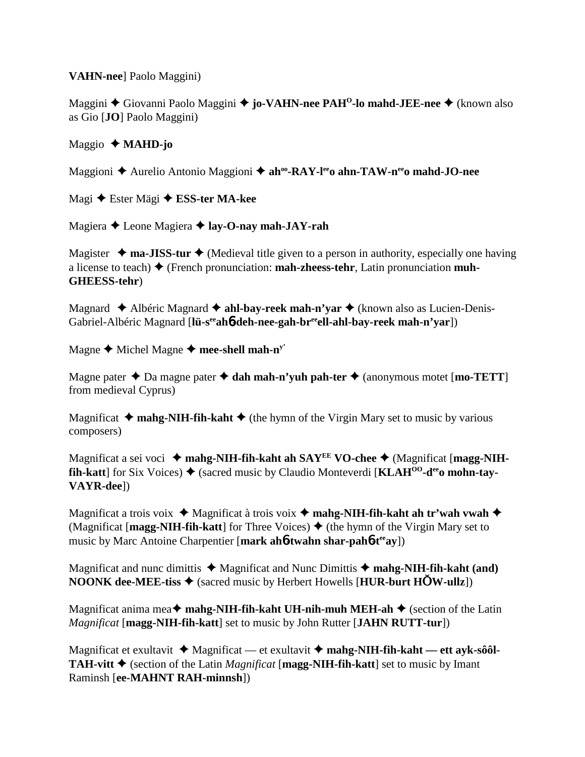**VAHN-nee**] Paolo Maggini)

Maggini **←** Giovanni Paolo Maggini ← jo-VAHN-nee PAH<sup>O</sup>-lo mahd-JEE-nee ← (known also as Gio [**JO**] Paolo Maggini)

# Maggio **MAHD-jo**

Maggioni ◆ Aurelio Antonio Maggioni ◆ ah<sup>oo</sup>-RAY-l<sup>ee</sup>o ahn-TAW-n<sup>ee</sup>o mahd-JO-nee

Magi Ester Mägi **ESS-ter MA-kee**

Magiera Leone Magiera **lay-O-nay mah-JAY-rah**

Magister  $\triangleq$  **ma-JISS-tur**  $\triangleq$  (Medieval title given to a person in authority, especially one having a license to teach) (French pronunciation: **mah-zheess-tehr**, Latin pronunciation **muh-GHEESS-tehr**)

Magnard **←** Albéric Magnard ← ahl-bay-reek mah-n'yar ← (known also as Lucien-Denis-Gabriel-Albéric Magnard [l**ü-s<sup>ee</sup>ah6-deh-nee-gah-br<sup>ee</sup>ell-ahl-bay-reek mah-n'yar**])

Magne  $\triangle$  Michel Magne  $\triangle$  mee-shell mah-n<sup>y'</sup>

Magne pater  $\triangle$  Da magne pater  $\triangle$  dah mah-n'yuh pah-ter  $\triangle$  (anonymous motet [mo-TETT] from medieval Cyprus)

Magnificat  $\triangleleft$  mahg-NIH-fih-kaht  $\triangleleft$  (the hymn of the Virgin Mary set to music by various composers)

Magnificat a sei voci  $\triangle$  mahg-NIH-fih-kaht ah SAY<sup>EE</sup> VO-chee  $\triangle$  (Magnificat [magg-NIH**fih-katt** for Six Voices)  $\triangle$  (sacred music by Claudio Monteverdi [KLAH<sup>00</sup>-d<sup>ee</sup>o mohn-tay-**VAYR-dee**])

Magnificat a trois voix ◆ Magnificat à trois voix ◆ mahg-NIH-fih-kaht ah tr'wah vwah ◆ (Magnificat [**magg-NIH-fih-katt**] for Three Voices)  $\triangle$  (the hymn of the Virgin Mary set to music by Marc Antoine Charpentier [mark ah**6-twahn shar-pah6-t<sup>ee</sup>ay**])

Magnificat and nunc dimittis  $\triangle$  Magnificat and Nunc Dimittis  $\triangle$  mahg-NIH-fih-kaht (and) **NOONK dee-MEE-tiss**  $\triangleleft$  (sacred music by Herbert Howells [**HUR-burt HOW-ullz**])

Magnificat anima mea  $\blacklozenge$  mahg-NIH-fih-kaht UH-nih-muh MEH-ah  $\blacklozenge$  (section of the Latin *Magnificat* [**magg-NIH-fih-katt**] set to music by John Rutter [**JAHN RUTT-tur**])

Magnificat et exultavit ◆ Magnificat — et exultavit ◆ mahg-NIH-fih-kaht — ett ayk-sôôl-**TAH-vitt**  $\triangle$  (section of the Latin *Magnificat* [**magg-NIH-fih-katt**] set to music by Imant Raminsh [**ee-MAHNT RAH-minnsh**])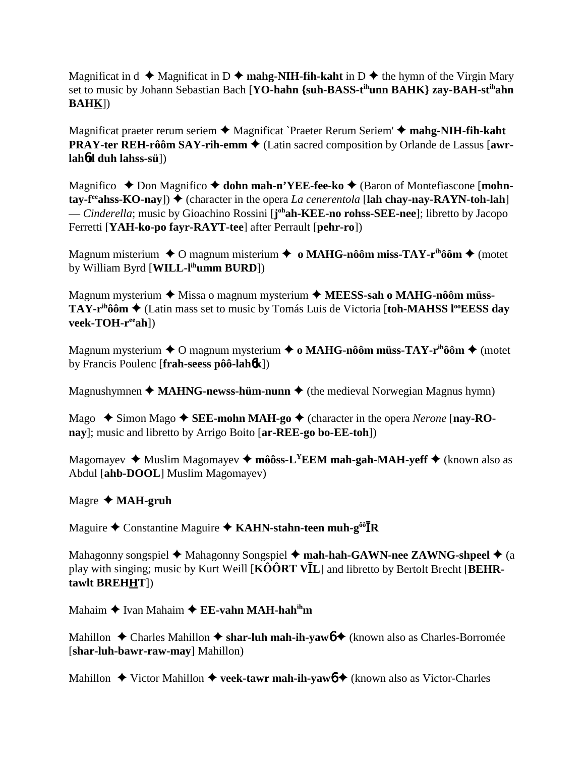Magnificat in  $d \rightarrow M$ agnificat in D  $\rightarrow$  mahg-NIH-fih-kaht in D  $\rightarrow$  the hymn of the Virgin Mary set to music by Johann Sebastian Bach [**YO-hahn {suh-BASS-tihunn BAHK} zay-BAH-stihahn BAHK**])

Magnificat praeter rerum seriem **→** Magnificat `Praeter Rerum Seriem' → mahg-NIH-fih-kaht **PRAY-ter REH-rôôm SAY-rih-emm**  $\triangle$  (Latin sacred composition by Orlande de Lassus [awr**lah**6**d duh lahss-sü**])

Magnifico **→** Don Magnifico **→ dohn mah-n'YEE-fee-ko →** (Baron of Montefiascone [**mohntay-f<sup>ee</sup>ahss-KO-nay**]) ♦ (character in the opera *La cenerentola* [lah chay-nay-RAYN-toh-lah] — *Cinderella*; music by Gioachino Rossini [**j ohah-KEE-no rohss-SEE-nee**]; libretto by Jacopo Ferretti [**YAH-ko-po fayr-RAYT-tee**] after Perrault [**pehr-ro**])

Magnum misterium ◆ O magnum misterium ◆ **o MAHG-nôôm miss-TAY-r<sup>ih</sup>ôôm ◆** (motet by William Byrd [**WILL-lihumm BURD**])

Magnum mysterium ◆ Missa o magnum mysterium ◆ MEESS-sah o MAHG-nôôm müss-**TAY-r<sup>ih</sup>ôôm ♦ (Latin mass set to music by Tomás Luis de Victoria [toh-MAHSS l<sup>oo</sup>EESS day veek-TOH-reeah**])

Magnum mysterium **→** O magnum mysterium → o MAHG-nôôm müss-TAY-r<sup>ih</sup>ôôm → (motet by Francis Poulenc [**frah-seess pôô-lah**6**k**])

Magnushymnen  $\triangleleft$  **MAHNG-newss-hüm-nunn**  $\triangleleft$  (the medieval Norwegian Magnus hymn)

Mago  $\rightarrow$  Simon Mago  $\rightarrow$  **SEE-mohn MAH-go**  $\rightarrow$  (character in the opera *Nerone* [**nay-ROnay**]; music and libretto by Arrigo Boito [**ar-REE-go bo-EE-toh**])

Magomayev  $\triangleq$  Muslim Magomayev  $\triangleq$  môôss-L<sup>Y</sup>EEM mah-gah-MAH-yeff  $\triangleq$  (known also as Abdul [**ahb-DOOL**] Muslim Magomayev)

## Magre **MAH-gruh**

Maguire ◆ Constantine Maguire ◆ KAHN-stahn-teen muh-g<sup>ôô</sup><sup>T</sup>R

Mahagonny songspiel **→** Mahagonny Songspiel → mah-hah-GAWN-nee ZAWNG-shpeel → (a play with singing; music by Kurt Weill [KOORT VIL] and libretto by Bertolt Brecht [BEHR**tawlt BREHHT**])

Mahaim ◆ Ivan Mahaim ◆ **EE-vahn MAH-hah<sup>ih</sup>m** 

Mahillon ◆ Charles Mahillon ◆ shar-luh mah-ih-yaw6 ◆ (known also as Charles-Borromée [**shar-luh-bawr-raw-may**] Mahillon)

Mahillon  $\triangle$  Victor Mahillon  $\triangle$  **veek-tawr mah-ih-yaw6**  $\triangle$  (known also as Victor-Charles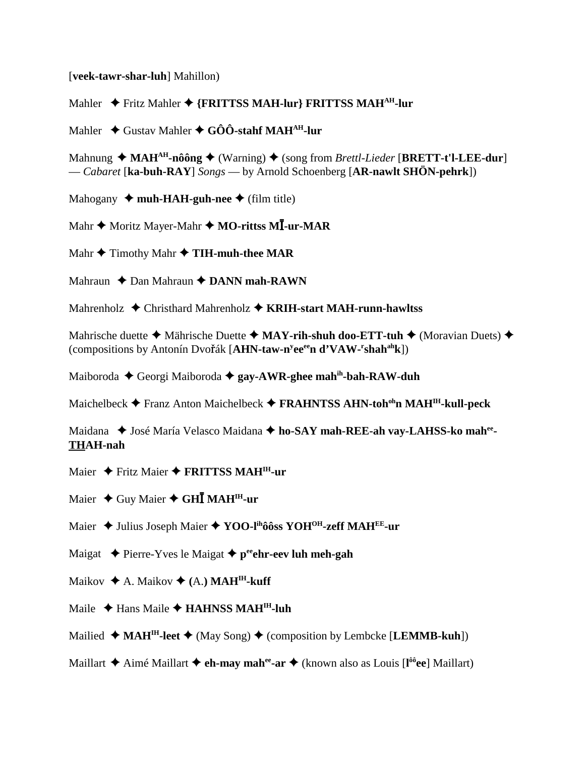[**veek-tawr-shar-luh**] Mahillon)

Mahler  $\rightarrow$  Fritz Mahler  $\rightarrow$  {FRITTSS MAH-lur} FRITTSS MAH<sup>AH</sup>-lur

Mahler **→** Gustav Mahler ◆ GÔÔ-stahf MAH<sup>AH</sup>-lur

Mahnung  $\triangleleft \text{MAH}^{\text{AH}}$ -nôông  $\triangleleft \text{ (Warning)} \triangleleft \text{ (song from *Brett-Lieder* [BRETT-t'l-LEE-dur] )}$ — *Cabaret* [**ka-buh-RAY**] *Songs* — by Arnold Schoenberg [**AR-nawlt SHÖN-pehrk**])

Mahogany  $\triangleleft$  muh-HAH-guh-nee  $\triangleleft$  (film title)

 $\mathbf{M}$ ahr ◆ Moritz Mayer-Mahr ◆ M**O-rittss MĪ-ur-MAR** 

 $\mathbf{M}$ ahr  $\blacklozenge$  Timothy Mahr  $\blacklozenge$  **TIH-muh-thee MAR** 

Mahraun **←** Dan Mahraun **← DANN mah-RAWN** 

Mahrenholz Christhard Mahrenholz **KRIH-start MAH-runn-hawltss**

Mahrische duette **→** Mährische Duette **→ MAY-rih-shuh doo-ETT-tuh →** (Moravian Duets) ◆ (compositions by Antonín Dvořák [AHN-taw-n<sup>y</sup>ee<sup>ee</sup>n d'VAW-<sup>r</sup>shah<sup>ah</sup>k])

Maiboroda Georgi Maiboroda **gay-AWR-ghee mahih-bah-RAW-duh**

Maichelbeck **←** Franz Anton Maichelbeck ← FRAHNTSS AHN-toh<sup>oh</sup>n MAH<sup>IH</sup>-kull-peck

Maidana  $\blacklozenge$  José María Velasco Maidana  $\blacklozenge$  ho-SAY mah-REE-ah vay-LAHSS-ko mah<sup>ee</sup>-**THAH-nah**

Maier ◆ Fritz Maier ◆ FRITTSS MAH<sup>IH</sup>-ur

Maier ◆ Guy Maier ◆ GH**Ī MAH<sup>IH</sup>-ur** 

Maier  $\triangle$  Julius Joseph Maier  $\triangle$  YOO-l<sup>ih</sup>ôôss YOH<sup>OH</sup>-zeff MAH<sup>EE</sup>-ur

Maigat  $\triangle$  Pierre-Yves le Maigat  $\triangle$  p<sup>ee</sup>ehr-eev luh meh-gah

Maikov  $\triangle$  A. Maikov  $\triangle$  (A.) **MAH<sup>IH</sup>-kuff** 

Maile **↓** Hans Maile **◆ HAHNSS MAH<sup>IH</sup>-luh** 

Mailied  $\triangleleft \text{MAH}^H$ -leet  $\triangleleft \text{ (May Song)} \triangleleft \text{ (composition by Lembedke [LEMMB-kuh])}$ 

Maillart Aimé Maillart **eh-may mahee-ar** (known also as Louis [**l ôôee**] Maillart)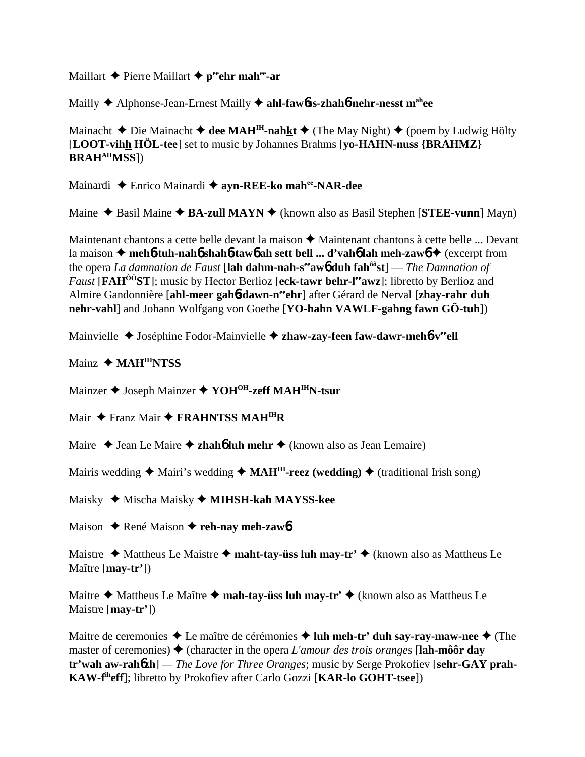### Maillart  $\triangle$  Pierre Maillart  $\triangle$  **p**eehr mahee-ar

Mailly Alphonse-Jean-Ernest Mailly **ahl-faw**6**ss-zhah**6**-nehr-nesst mahee**

Mainacht  $\triangle$  Die Mainacht  $\triangle$  dee MAH<sup>IH</sup>-nahkt  $\triangle$  (The May Night)  $\triangle$  (poem by Ludwig Hölty [**LOOT-vihh HÖL-tee**] set to music by Johannes Brahms [**yo-HAHN-nuss {BRAHMZ} BRAHAHMSS**])

Mainardi Enrico Mainardi **ayn-REE-ko mahee-NAR-dee**

Maine ◆ Basil Maine ◆ **BA-zull MAYN** ◆ (known also as Basil Stephen [**STEE-vunn**] Mayn)

Maintenant chantons a cette belle devant la maison  $\triangle$  Maintenant chantons à cette belle ... Devant la maison **meh**6**-tuh-nah**6 **shah**6**-taw**6 **ah sett bell ... d'vah**6 **lah meh-zaw**6 (excerpt from the opera *La damnation de Faust* [**lah dahm-nah-seeaw**6 **duh fahôôst**] — *The Damnation of Faust* [**FAH<sup>ôô</sup>ST**]; music by Hector Berlioz [eck-tawr behr-l<sup>ee</sup>awz]; libretto by Berlioz and Almire Gandonnière [**ahl-meer gah**6**-dawn-neeehr**] after Gérard de Nerval [**zhay-rahr duh nehr-vahl**] and Johann Wolfgang von Goethe [**YO-hahn VAWLF-gahng fawn GÖ-tuh**])

Mainvielle ◆ Joséphine Fodor-Mainvielle ◆ zhaw-zay-feen faw-dawr-meh**6**-v<sup>ee</sup>ell

Mainz  $\triangle$  **MAH<sup>IH</sup>NTSS** 

Mainzer ◆ Joseph Mainzer ◆ YOH<sup>OH</sup>-zeff MAH<sup>IH</sup>N-tsur

Mair ◆ Franz Mair ◆ **FRAHNTSS MAH<sup>IH</sup>R** 

Maire  $\triangle$  Jean Le Maire  $\triangle$  **zhahó luh mehr**  $\triangle$  (known also as Jean Lemaire)

Mairis wedding  $\triangleq$  Mairi's wedding  $\triangleq$  **MAH<sup>IH</sup>-reez** (wedding)  $\triangleq$  (traditional Irish song)

Maisky Mischa Maisky **MIHSH-kah MAYSS-kee**

Maison **→** René Maison → reh-nay meh-zaw6

Maistre  $\triangle$  Mattheus Le Maistre  $\triangle$  maht-tay-üss luh may-tr'  $\triangle$  (known also as Mattheus Le Maître [**may-tr'**])

Maitre  $\triangle$  Mattheus Le Maître  $\triangle$  mah-tay-üss luh may-tr'  $\triangle$  (known also as Mattheus Le Maistre [**may-tr'**])

Maitre de ceremonies  $\triangle$  Le maître de cérémonies  $\triangle$  luh meh-tr' duh say-ray-maw-nee  $\triangle$  (The master of ceremonies) (character in the opera *L'amour des trois oranges* [**lah-môôr day tr'wah aw-rah**6**zh**] *— The Love for Three Oranges*; music by Serge Prokofiev [**sehr-GAY prah-KAW-fiheff**]; libretto by Prokofiev after Carlo Gozzi [**KAR-lo GOHT-tsee**])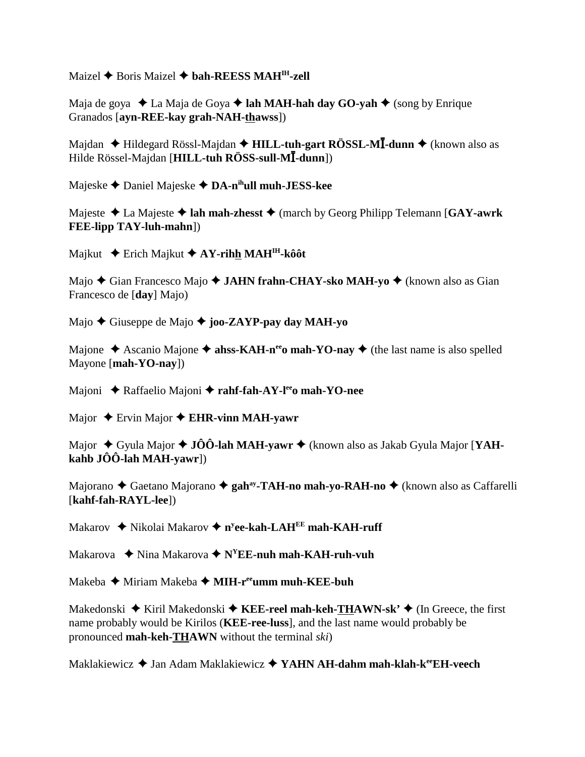Maizel **→** Boris Maizel **→ bah-REESS MAH<sup>IH</sup>-zell** 

Maja de goya ◆ La Maja de Goya ◆ lah MAH-hah day GO-yah ◆ (song by Enrique Granados [**ayn-REE-kay grah-NAH-thawss**])

Majdan ♦ Hildegard Rössl-Majdan ♦ **HILL-tuh-gart RÖSSL-MĪ-dunn ♦** (known also as Hilde Rössel-Majdan [**HILL-tuh RÖSS-sull-MĪ-dunn**])

Majeske Daniel Majeske **DA-nihull muh-JESS-kee**

Majeste **→** La Majeste **→ lah mah-zhesst** → (march by Georg Philipp Telemann [GAY-awrk] **FEE-lipp TAY-luh-mahn**])

Majkut **←** Erich Majkut **← AY-rihh MAH<sup>IH</sup>-kôôt** 

Majo **←** Gian Francesco Majo ← JAHN frahn-CHAY-sko MAH-yo ← (known also as Gian Francesco de [**day**] Majo)

Majo Giuseppe de Majo **joo-ZAYP-pay day MAH-yo**

Majone  $\triangle$  Ascanio Majone  $\triangle$  ahss-KAH-n<sup>ee</sup>o mah-YO-nay  $\triangle$  (the last name is also spelled Mayone [**mah-YO-nay**])

Majoni ◆ Raffaelio Majoni ◆ rahf-fah-AY-l<sup>ee</sup>o mah-YO-nee

Major **→** Ervin Major **→ EHR-vinn MAH-yawr** 

Major ◆ Gyula Major ◆ **JÔÔ-lah MAH-yawr** ◆ (known also as Jakab Gyula Major [**YAHkahb JÔÔ-lah MAH-yawr**])

Majorano ◆ Gaetano Majorano ◆ gah<sup>ay</sup>-TAH-no mah-yo-RAH-no ◆ (known also as Caffarelli [**kahf-fah-RAYL-lee**])

Makarov ◆ Nikolai Makarov ◆ n<sup>y</sup>**ee-kah-LAH<sup>EE</sup> mah-KAH-ruff** 

Makarova ◆ Nina Makarova ◆ N<sup>Y</sup>EE-nuh mah-KAH-ruh-vuh

Makeba Miriam Makeba  **MIH-reeumm muh-KEE-buh**

Makedonski ◆ Kiril Makedonski ◆ KEE-reel mah-keh-THAWN-sk' ◆ (In Greece, the first name probably would be Kirilos (**KEE-ree-luss**], and the last name would probably be pronounced **mah-keh-THAWN** without the terminal *ski*)

Maklakiewicz **→** Jan Adam Maklakiewicz → YAHN AH-dahm mah-klah-k<sup>ee</sup>EH-veech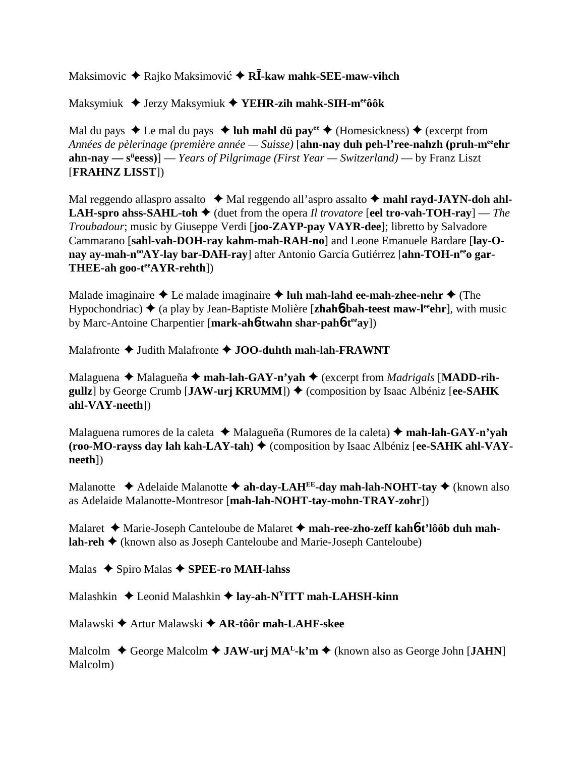Maksimovic ◆ Rajko Maksimović ◆ R**Ī-kaw mahk-SEE-maw-vihch** 

Maksymiuk Jerzy Maksymiuk **YEHR-zih mahk-SIH-meeôôk**

Mal du pays  $\triangle$  Le mal du pays  $\triangle$  luh mahl dü pay<sup>ee</sup>  $\triangle$  (Homesickness)  $\triangle$  (excerpt from *Années de pèlerinage (première année — Suisse)* [**ahn-nay duh peh-l'ree-nahzh (pruh-meeehr ahn-nay** — s<sup>ü</sup>eess)] — *Years of Pilgrimage (First Year* — Switzerland) — by Franz Liszt [**FRAHNZ LISST**])

Mal reggendo allaspro assalto  $\triangleleft$  Mal reggendo all'aspro assalto  $\triangleleft$  mahl rayd-JAYN-doh ahl-**LAH-spro ahss-SAHL-toh**  $\blacklozenge$  (duet from the opera *Il trovatore* [**eel tro-vah-TOH-ray**] — *The Troubadour*; music by Giuseppe Verdi [**joo-ZAYP-pay VAYR-dee**]; libretto by Salvadore Cammarano [**sahl-vah-DOH-ray kahm-mah-RAH-no**] and Leone Emanuele Bardare [**lay-O**nay ay-mah-n<sup>oo</sup>AY-lay bar-DAH-ray] after Antonio García Gutiérrez [ahn-TOH-n<sup>ee</sup>o gar-**THEE-ah goo-teeAYR-rehth**])

Malade imaginaire  $\triangle$  Le malade imaginaire  $\triangle$  luh mah-lahd ee-mah-zhee-nehr  $\triangle$  (The Hypochondriac) ♦ (a play by Jean-Baptiste Molière [**zhah6-bah-teest maw-l<sup>ee</sup>ehr**], with music by Marc-Antoine Charpentier [**mark-ah**6**-twahn shar-pah**6**-teeay**])

Malafronte  $\triangle$  Judith Malafronte  $\triangle$  **JOO-duhth mah-lah-FRAWNT** 

Malaguena ◆ Malagueña ◆ mah-lah-GAY-n'yah ◆ (excerpt from *Madrigals* [MADD-rih**gullz**] by George Crumb [JAW-ur**j KRUMM**]) ♦ (composition by Isaac Albéniz [ee-SAHK **ahl-VAY-neeth**])

Malaguena rumores de la caleta **→** Malagueña (Rumores de la caleta) → mah-lah-GAY-n'vah **(roo-MO-rayss day lah kah-LAY-tah) ♦ (composition by Isaac Albéniz [ee-SAHK ahl-VAYneeth**])

Malanotte  $\triangle$  Adelaide Malanotte  $\triangle$  ah-day-LAH<sup>EE</sup>-day mah-lah-NOHT-tay  $\triangle$  (known also as Adelaide Malanotte-Montresor [**mah-lah-NOHT-tay-mohn-TRAY-zohr**])

Malaret Marie-Joseph Canteloube de Malaret **mah-ree-zho-zeff kah**6**-t'lôôb duh mahlah-reh ♦** (known also as Joseph Canteloube and Marie-Joseph Canteloube)

Malas **→** Spiro Malas **→ SPEE-ro MAH-lahss** 

Malashkin **→** Leonid Malashkin → lay-ah-N<sup>Y</sup>ITT mah-LAHSH-kinn

Malawski Artur Malawski **AR-tôôr mah-LAHF-skee**

Malcolm **→** George Malcolm ◆ **JAW-urj MA<sup>L</sup>-k'm ◆** (known also as George John [**JAHN**] Malcolm)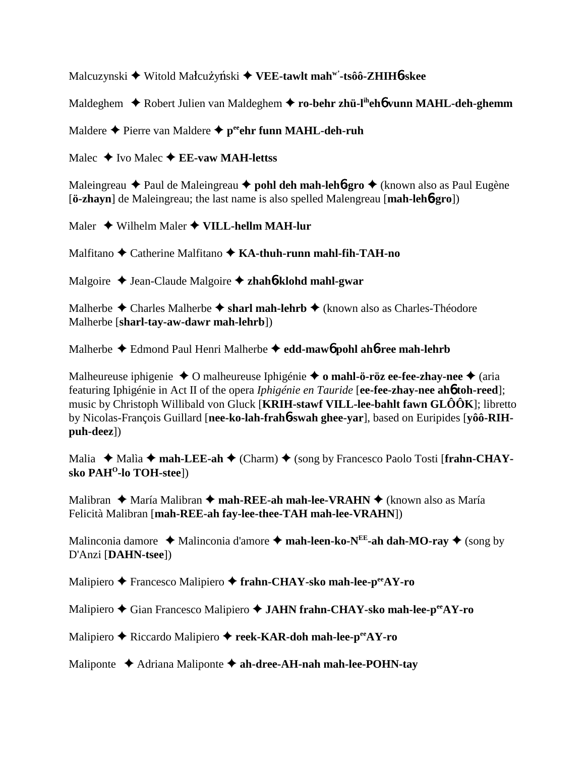Malcuzynski ◆ Witold Małcużyński ◆ VEE-t**awlt mah<sup>w'</sup>-tsôô-ZHIH6-skee** 

Maldeghem Robert Julien van Maldeghem **ro-behr zhü-liheh**6 **vunn MAHL-deh-ghemm**

Maldere **←** Pierre van Maldere ← peehr funn MAHL-deh-ruh

Malec  $\triangle$  Ivo Malec  $\triangle$  **EE-vaw MAH-lettss** 

Maleingreau  **→** Paul de Maleingreau **→ pohl deh mah-leh6-gro** → (known also as Paul Eugène [**ö-zhayn**] de Maleingreau; the last name is also spelled Malengreau [**mah-leh**6**-gro**])

Maler Wilhelm Maler **VILL-hellm MAH-lur**

Malfitano Catherine Malfitano **KA-thuh-runn mahl-fih-TAH-no**

Malgoire Jean-Claude Malgoire **zhah**6**-klohd mahl-gwar**

Malherbe  $\triangle$  Charles Malherbe  $\triangle$  sharl mah-lehrb  $\triangle$  (known also as Charles-Théodore Malherbe [**sharl-tay-aw-dawr mah-lehrb**])

Malherbe Edmond Paul Henri Malherbe **edd-maw**6 **pohl ah**6**-ree mah-lehrb**

Malheureuse iphigenie O malheureuse Iphigénie  **o mahl-ö-röz ee-fee-zhay-nee** (aria featuring Iphigénie in Act II of the opera *Iphigénie en Tauride* [**ee-fee-zhay-nee ah**6 **toh-reed**]; music by Christoph Willibald von Gluck [**KRIH-stawf VILL-lee-bahlt fawn GLÔÔK**]; libretto by Nicolas-François Guillard [**nee-ko-lah-frah**6**-swah ghee-yar**], based on Euripides [**yôô-RIHpuh-deez**])

Malia ◆ Malia ◆ mah-LEE-ah ◆ (Charm) ◆ (song by Francesco Paolo Tosti [frahn-CHAY**sko PAHO-lo TOH-stee**])

Malibran ◆ María Malibran ◆ mah-REE-ah mah-lee-VRAHN ◆ (known also as María Felicità Malibran [**mah-REE-ah fay-lee-thee-TAH mah-lee-VRAHN**])

Malinconia damore  $\triangleleft$  Malinconia d'amore  $\triangleleft$  **mah-leen-ko-N<sup>EE</sup>-ah dah-MO-ray**  $\triangleleft$  (song by D'Anzi [**DAHN-tsee**])

Malipiero Francesco Malipiero **frahn-CHAY-sko mah-lee-peeAY-ro**

Malipiero Gian Francesco Malipiero **JAHN frahn-CHAY-sko mah-lee-peeAY-ro**

Malipiero **→** Riccardo Malipiero → reek-KAR-doh mah-lee-p<sup>ee</sup>AY-ro

Maliponte ◆ Adriana Maliponte ◆ ah-dree-AH-nah mah-lee-POHN-tay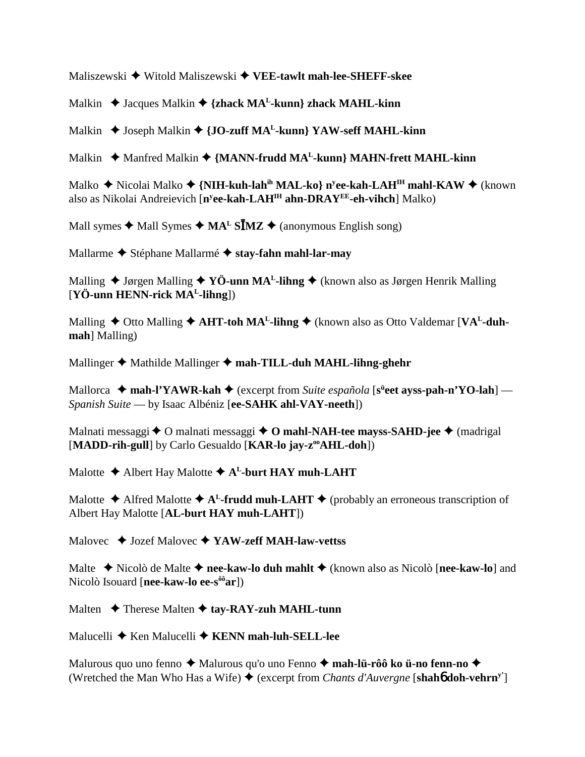Maliszewski Witold Maliszewski **VEE-tawlt mah-lee-SHEFF-skee**

Malkin ◆ Jacques Malkin ◆ {zhack MA<sup>L</sup>-kunn} zhack MAHL-kinn

Malkin **→** Joseph Malkin ◆ {JO-zuff MA<sup>L</sup>-kunn} YAW-seff MAHL-kinn

Malkin ◆ Manfred Malkin ◆ {MANN-frudd MA<sup>L</sup>-kunn} MAHN-frett MAHL-kinn

Malko ♦ Nicolai Malko ♦ {**NIH-kuh-lah<sup>ih</sup> MAL-ko} n<sup>y</sup>ee-kah-LAH<sup>IH</sup> mahl-KAW ♦** (known also as Nikolai Andreievich [**ny ee-kah-LAHIH ahn-DRAYEE-eh-vihch**] Malko)

Mall symes  $\triangleleft$  Mall Symes  $\triangleleft$  MA<sup>L</sup> S**IMZ**  $\triangleleft$  (anonymous English song)

Mallarme Stéphane Mallarmé **stay-fahn mahl-lar-may**

Malling  $\triangleq$  Jørgen Malling  $\triangleq$  YÖ-unn MA<sup>L</sup>-lihng  $\triangleq$  (known also as Jørgen Henrik Malling [**YÖ-unn HENN-rick MAL-lihng**])

Malling  $\triangle$  Otto Malling  $\triangle$  AHT-toh MA<sup>L</sup>-lihng  $\triangle$  (known also as Otto Valdemar [VA<sup>L</sup>-duh**mah**] Malling)

Mallinger **→** Mathilde Mallinger ◆ mah-TILL-duh MAHL-lihng-ghehr

Mallorca ◆ mah-l'YAWR-kah ◆ (excerpt from *Suite española* [s<sup>ü</sup>eet ayss-pah-n'YO-lah] — *Spanish Suite* — by Isaac Albéniz [**ee-SAHK ahl-VAY-neeth**])

Malnati messaggi **→** O malnati messaggi → O mahl-NAH-tee mayss-SAHD-jee → (madrigal [MADD-rih-gull] by Carlo Gesualdo [KAR-lo jay-z<sup>oo</sup>AHL-doh])

Malotte  $\triangle$  Albert Hay Malotte  $\triangle$  A<sup>L</sup>-burt HAY muh-LAHT

Malotte  $\triangle$  Alfred Malotte  $\triangle$  A<sup>L</sup>-frudd muh-LAHT  $\triangle$  (probably an erroneous transcription of Albert Hay Malotte [**AL-burt HAY muh-LAHT**])

Malovec ◆ Jozef Malovec ◆ YAW-zeff MAH-law-vettss

Malte **→** Nicolò de Malte → nee-kaw-lo duh mahlt → (known also as Nicolò [nee-kaw-lo] and Nicolò Isouard [**nee-kaw-lo ee-sôôar**])

Malten **→** Therese Malten **→ tay-RAY-zuh MAHL-tunn** 

Malucelli **→** Ken Malucelli **→ KENN mah-luh-SELL-lee** 

Malurous quo uno fenno  $\triangle$  Malurous qu'o uno Fenno  $\triangle$  mah-lü-rôô ko ü-no fenn-no  $\triangle$ (Wretched the Man Who Has a Wife)  $\triangle$  (excerpt from *Chants d'Auvergne* [shah**6** doh-vehrn<sup>y'</sup>]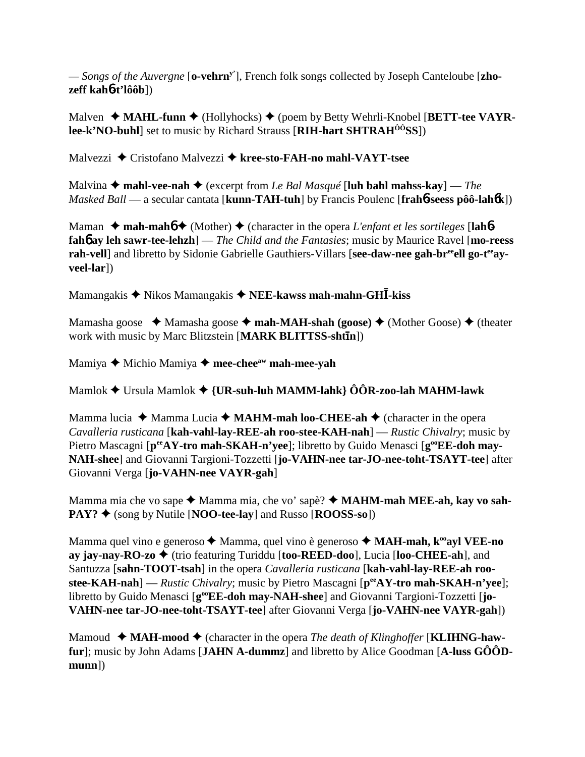*— Songs of the Auvergne* [**o-vehrny'**], French folk songs collected by Joseph Canteloube [**zhozeff kah**6**-t'lôôb**])

Malven ◆ **MAHL-funn ◆** (Hollyhocks) ◆ (poem by Betty Wehrli-Knobel [**BETT-tee VAYRlee-k'NO-buhl**] set to music by Richard Strauss [**RIH-hart SHTRAHÔÔSS**])

Malvezzi **→** Cristofano Malvezzi → kree-sto-FAH-no mahl-VAYT-tsee

Malvina  $\triangle$  mahl-vee-nah  $\triangle$  (excerpt from *Le Bal Masqué* [luh bahl mahss-kay] — *The Masked Ball* — a secular cantata [**kunn-TAH-tuh**] by Francis Poulenc [**frah**6**-seess pôô-lah**6**k**])

Maman  $\triangle$  mah-mah $\triangle$   $\triangle$  (Mother)  $\triangle$  (character in the opera *L'enfant et les sortileges* [lah<sup>6</sup>**fah**6 **ay leh sawr-tee-lehzh**] — *The Child and the Fantasies*; music by Maurice Ravel [**mo-reess** rah-vell] and libretto by Sidonie Gabrielle Gauthiers-Villars [see-daw-nee gah-br<sup>ee</sup>ell go-t<sup>ee</sup>ay**veel-lar**])

Mamangakis ◆ Nikos Mamangakis ◆ NEE-kawss mah-mahn-GH**I**-kiss

Mamasha goose  $\triangleleft$  Mamasha goose  $\triangleleft$  mah-MAH-shah (goose)  $\triangleleft$  (Mother Goose)  $\triangleleft$  (theater work with music by Marc Blitzstein [**MARK BLITTSS-shtn**])

Mamiya **→** Michio Mamiya → mee-chee<sup>aw</sup> mah-mee-yah

Mamlok Ursula Mamlok **{UR-suh-luh MAMM-lahk} ÔÔR-zoo-lah MAHM-lawk**

Mamma lucia  $\triangle$  Mamma Lucia  $\triangle$  **MAHM-mah loo-CHEE-ah**  $\triangle$  (character in the opera *Cavalleria rusticana* [**kah-vahl-lay-REE-ah roo-stee-KAH-nah**] — *Rustic Chivalry*; music by Pietro Mascagni [ $p^{ee}AY$ -tro mah-SKAH-n'vee]; libretto by Guido Menasci [ $g^{oe}EE$ -doh may-**NAH-shee**] and Giovanni Targioni-Tozzetti [**jo-VAHN-nee tar-JO-nee-toht-TSAYT-tee**] after Giovanni Verga [**jo-VAHN-nee VAYR-gah**]

Mamma mia che vo sape ◆ Mamma mia, che vo' sapè? ◆ MAHM-mah MEE-ah, kay vo sah-**PAY? ◆** (song by Nutile [**NOO-tee-lay**] and Russo [**ROOSS-so**])

Mamma quel vino e generoso **→** Mamma, quel vino è generoso **→ MAH-mah, k<sup>oo</sup>ayl VEE-no ay jay-nay-RO-zo**  (trio featuring Turiddu [**too-REED-doo**], Lucia [**loo-CHEE-ah**], and Santuzza [**sahn-TOOT-tsah**] in the opera *Cavalleria rusticana* [**kah-vahl-lay-REE-ah roo**stee-KAH-nah] — *Rustic Chivalry*; music by Pietro Mascagni [ $p^{ee}AY$ -tro mah-SKAH-n'yee]; libretto by Guido Menasci [g<sup>oo</sup>EE-doh may-NAH-shee] and Giovanni Targioni-Tozzetti [jo-**VAHN-nee tar-JO-nee-toht-TSAYT-tee**] after Giovanni Verga [**jo-VAHN-nee VAYR-gah**])

Mamoud  $\blacklozenge$  **MAH-mood**  $\blacklozenge$  (character in the opera *The death of Klinghoffer* [**KLIHNG-hawfur**]; music by John Adams [**JAHN A-dummz**] and libretto by Alice Goodman [**A-luss GÔÔDmunn**])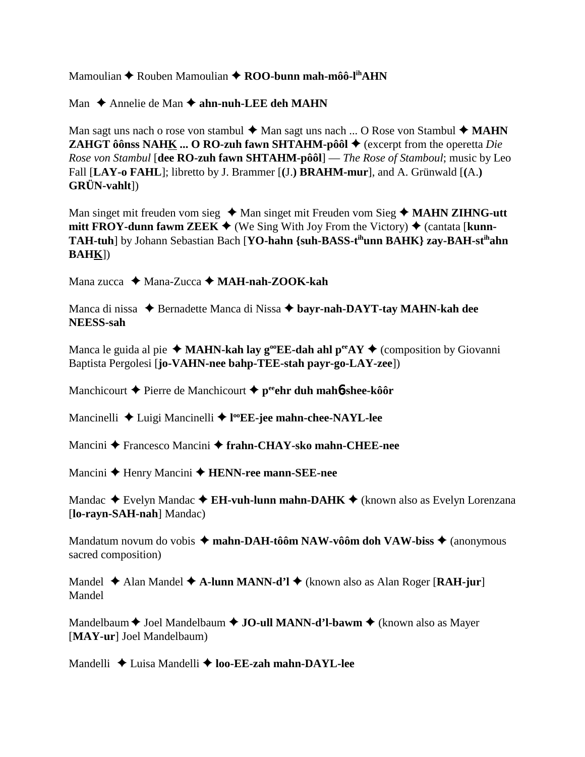Mamoulian ◆ Rouben Mamoulian ◆ ROO-bunn mah-môô-l<sup>ih</sup>AHN

Man **→** Annelie de Man → ahn-nuh-LEE deh MAHN

Man sagt uns nach o rose von stambul  $\blacklozenge$  Man sagt uns nach ... O Rose von Stambul  $\blacklozenge$  MAHN **ZAHGT ôônss NAHK ... O RO-zuh fawn SHTAHM-pôôl**  $\blacklozenge$  **(excerpt from the operetta** *Die Rose von Stambul* [**dee RO-zuh fawn SHTAHM-pôôl**] — *The Rose of Stamboul*; music by Leo Fall [**LAY-o FAHL**]; libretto by J. Brammer [**(**J.**) BRAHM-mur**], and A. Grünwald [**(**A.**) GRÜN-vahlt**])

Man singet mit freuden vom sieg ◆ Man singet mit Freuden vom Sieg ◆ MAHN ZIHNG-utt **mitt FROY-dunn fawm ZEEK**  $\blacklozenge$  (We Sing With Joy From the Victory)  $\blacklozenge$  (cantata [**kunn-TAH-tuh**] by Johann Sebastian Bach [**YO-hahn {suh-BASS-tihunn BAHK} zay-BAH-stihahn BAHK**])

Mana zucca Mana-Zucca **MAH-nah-ZOOK-kah**

Manca di nissa ◆ Bernadette Manca di Nissa ◆ bayr-nah-DAYT-tay MAHN-kah dee **NEESS-sah**

Manca le guida al pie  $\triangleleft$  **MAHN-kah lay g<sup>oo</sup>EE-dah ahl p<sup>ee</sup>AY**  $\triangleleft$  (composition by Giovanni Baptista Pergolesi [**jo-VAHN-nee bahp-TEE-stah payr-go-LAY-zee**])

Manchicourt **→** Pierre de Manchicourt **→ p<sup>ee</sup>ehr duh mah<sup>6</sup>-shee-kôôr** 

Mancinelli Luigi Mancinelli **l ooEE-jee mahn-chee-NAYL-lee**

Mancini Francesco Mancini  **frahn-CHAY-sko mahn-CHEE-nee**

Mancini ◆ Henry Mancini ◆ **HENN-ree mann-SEE-nee** 

Mandac  $\triangle$  Evelyn Mandac  $\triangle$  **EH-vuh-lunn mahn-DAHK**  $\triangle$  (known also as Evelyn Lorenzana [**lo-rayn-SAH-nah**] Mandac)

Mandatum novum do vobis  $\triangleq$  mahn-DAH-tôôm NAW-vôôm doh VAW-biss  $\triangleq$  (anonymous sacred composition)

Mandel **◆** Alan Mandel ◆ **A-lunn MANN-d'l ◆** (known also as Alan Roger [**RAH-jur**] Mandel

Mandelbaum  $\triangle$  Joel Mandelbaum  $\triangle$  **JO-ull MANN-d'l-bawm**  $\triangle$  (known also as Mayer [**MAY-ur**] Joel Mandelbaum)

Mandelli **↓** Luisa Mandelli ◆ **loo-EE-zah mahn-DAYL-lee**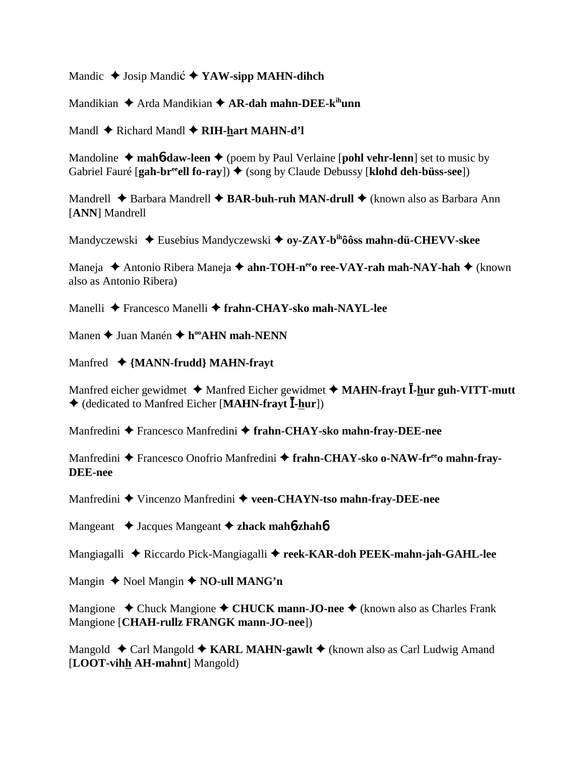Mandic  $\triangle$  Josip Mandic  $\triangle$  YAW-sipp MAHN-dihch

Mandikian ◆ Arda Mandikian ◆ **AR-dah mahn-DEE-k<sup>ih</sup>unn** 

Mandl **→** Richard Mandl **→ RIH-hart MAHN-d'l** 

Mandoline  $\triangle$  mah**6**-daw-leen  $\triangle$  (poem by Paul Verlaine [pohl vehr-lenn] set to music by Gabriel Fauré [gah-br<sup>ee</sup>ell fo-ray])  $\triangleq$  (song by Claude Debussy [klohd deh-büss-see])

Mandrell ◆ Barbara Mandrell ◆ **BAR-buh-ruh MAN-drull** ◆ (known also as Barbara Ann [**ANN**] Mandrell

Mandyczewski ◆ Eusebius Mandyczewski ◆ o**y-ZAY-b<sup>ih</sup>ôôss mahn-dü-CHEVV-skee** 

Maneja ◆ Antonio Ribera Maneja ◆ ahn-TOH-n<sup>ee</sup>o ree-VAY-rah mah-NAY-hah ◆ (known also as Antonio Ribera)

Manelli Francesco Manelli **frahn-CHAY-sko mah-NAYL-lee**

Manen **→** Juan Manén **→ h<sup>oo</sup>AHN mah-NENN** 

Manfred **{MANN-frudd} MAHN-frayt** 

Manfred eicher gewidmet  $\triangleq$  Manfred Eicher gewidmet  $\triangleq$  MAHN-frayt **I**-hur guh-VITT-mutt ◆ (dedicated to Manfred Eicher [MAHN-frayt **I**-hur])

Manfredini ◆ Francesco Manfredini ◆ frahn-CHAY-sko mahn-fray-DEE-nee

Manfredini Francesco Onofrio Manfredini **frahn-CHAY-sko o-NAW-freeo mahn-fray-DEE-nee**

Manfredini ◆ Vincenzo Manfredini ◆ veen-CHAYN-tso mahn-fray-DEE-nee

Mangeant Jacques Mangeant  **zhack mah**6**-zhah**6

Mangiagalli Riccardo Pick-Mangiagalli **reek-KAR-doh PEEK-mahn-jah-GAHL-lee**

Mangin **↓** Noel Mangin **◆ NO-ull MANG'n** 

Mangione ◆ Chuck Mangione ◆ CHUCK mann-JO-nee ◆ (known also as Charles Frank Mangione [**CHAH-rullz FRANGK mann-JO-nee**])

Mangold **↓** Carl Mangold **◆ KARL MAHN-gawlt ◆** (known also as Carl Ludwig Amand [**LOOT-vihh AH-mahnt**] Mangold)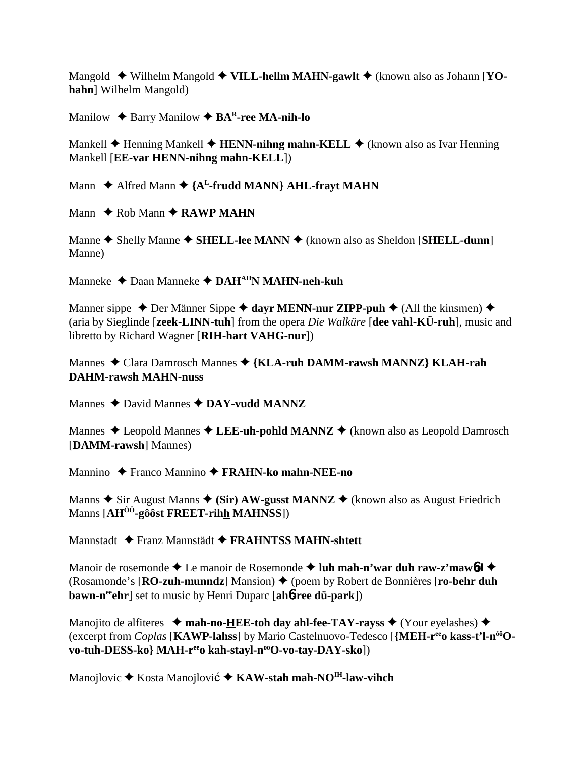Mangold ◆ Wilhelm Mangold ◆ VILL-hellm MAHN-gawlt ◆ (known also as Johann [YO**hahn**] Wilhelm Mangold)

Manilow **↓** Barry Manilow **◆ BA<sup>R</sup>-ree MA-nih-lo** 

Mankell **→** Henning Mankell **→ HENN-nihng mahn-KELL** → (known also as Ivar Henning Mankell [**EE-var HENN-nihng mahn-KELL**])

Mann  $\triangle$  Alfred Mann  $\triangle$  {A<sup>L</sup>-frudd MANN} AHL-frayt MAHN

Mann  $\triangle$  Rob Mann  $\triangle$  RAWP MAHN

Manne ◆ Shelly Manne ◆ SHELL-lee MANN ◆ (known also as Sheldon [SHELL-dunn] Manne)

Manneke Daan Manneke **DAHAHN MAHN-neh-kuh**

Manner sippe  $\triangle$  Der Männer Sippe  $\triangle$  dayr MENN-nur ZIPP-puh  $\triangle$  (All the kinsmen)  $\triangle$ (aria by Sieglinde [**zeek-LINN-tuh**] from the opera *Die Walküre* [**dee vahl-KÜ-ruh**], music and libretto by Richard Wagner [**RIH-hart VAHG-nur**])

Mannes Clara Damrosch Mannes **{KLA-ruh DAMM-rawsh MANNZ} KLAH-rah DAHM-rawsh MAHN-nuss**

Mannes  $\triangle$  David Mannes  $\triangle$  DAY-vudd MANNZ

Mannes  $\triangle$  Leopold Mannes  $\triangle$  LEE-uh-pohld MANNZ  $\triangle$  (known also as Leopold Damrosch [**DAMM-rawsh**] Mannes)

Mannino Franco Mannino **FRAHN-ko mahn-NEE-no**

Manns  $\triangle$  Sir August Manns  $\triangle$  (Sir) AW-gusst MANNZ  $\triangle$  (known also as August Friedrich Manns [**AHÔÔ-gôôst FREET-rihh MAHNSS**])

Mannstadt Franz Mannstädt **FRAHNTSS MAHN-shtett**

Manoir de rosemonde  $\triangle$  Le manoir de Rosemonde  $\triangle$  luh mah-n'war duh raw-z'maw<sup>6</sup>d  $\triangle$ (Rosamonde's [**RO-zuh-munndz**] Mansion) ♦ (poem by Robert de Bonnières [**ro-behr duh bawn-n<sup>ee</sup>chr**] set to music by Henri Duparc [ah**6-ree dü-park**])

Manojito de alfiteres  $\rightarrow$  mah-no-HEE-toh day ahl-fee-TAY-rayss  $\rightarrow$  (Your eyelashes)  $\rightarrow$ (excerpt from *Coplas* [**KAWP-lahss**] by Mario Castelnuovo-Tedesco [**{MEH-reeo kass-t'l-nôôOvo-tuh-DESS-ko} MAH-r<sup>ee</sup>o kah-stayl-n<sup>oo</sup>O-vo-tay-DAY-sko**])

Manojlovic **→** Kosta Manojlović → KAW-stah mah-NO<sup>IH</sup>-law-vihch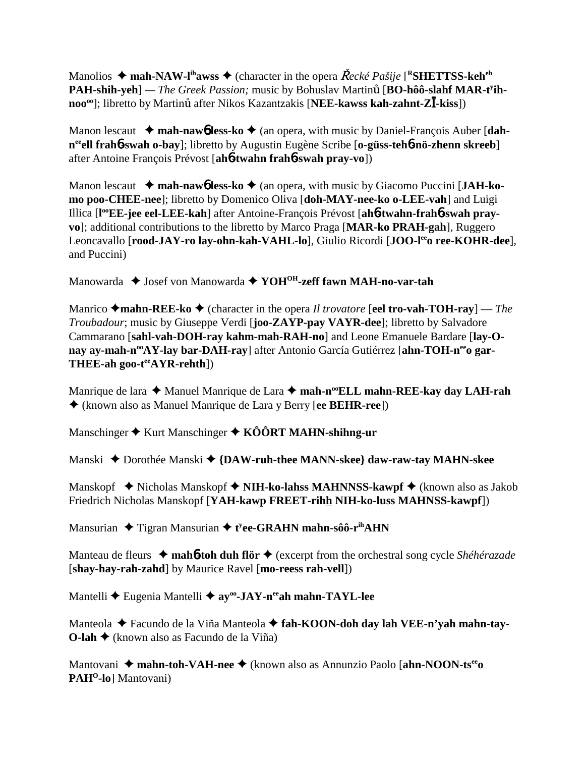Manolios  $\triangle$  mah-NAW-l<sup>ih</sup>awss  $\triangle$  (character in the opera *Recké Pašije* [<sup>R</sup>SHETTSS-keh<sup>eh</sup>] PAH-shih-yeh] — The Greek Passion; music by Bohuslav Martinů [BO-hôô-slahf MAR-t<sup>y</sup>ihnoo<sup>oo</sup>]; libretto by Martinů after Nikos Kazantzakis [NEE-kawss kah-zahnt-ZI-kiss])

Manon lescaut **→ mah-naw<sup>6</sup> less-ko →** (an opera, with music by Daniel-François Auber [dah**neeell frah**6**-swah o-bay**]; libretto by Augustin Eugène Scribe [**o-güss-teh**6**-nö-zhenn skreeb**] after Antoine François Prévost [**ah**6**-twahn frah**6**-swah pray-vo**])

Manon lescaut  $\rightarrow$  mah-nawb less-ko  $\rightarrow$  (an opera, with music by Giacomo Puccini [JAH-ko**mo poo-CHEE-nee**]; libretto by Domenico Oliva [**doh-MAY-nee-ko o-LEE-vah**] and Luigi Illica [**l ooEE-jee eel-LEE-kah**] after Antoine-François Prévost [**ah**6**-twahn-frah**6**-swah prayvo**]; additional contributions to the libretto by Marco Praga [**MAR-ko PRAH-gah**], Ruggero Leoncavallo [rood-JAY-ro lay-ohn-kah-VAHL-lo], Giulio Ricordi [JOO-l<sup>ee</sup>o ree-KOHR-dee], and Puccini)

Manowarda  $\triangle$  Josef von Manowarda  $\triangle$  YOH<sup>OH</sup>-zeff fawn MAH-no-var-tah

Manrico  $\triangle$ **mahn-REE-ko**  $\triangle$  (character in the opera *Il trovatore* [**eel tro-vah-TOH-ray**] — *The Troubadour*; music by Giuseppe Verdi [**joo-ZAYP-pay VAYR-dee**]; libretto by Salvadore Cammarano [**sahl-vah-DOH-ray kahm-mah-RAH-no**] and Leone Emanuele Bardare [**lay-O**nay ay-mah-n<sup>oo</sup>AY-lay bar-DAH-ray] after Antonio García Gutiérrez [ahn-TOH-n<sup>ee</sup>o gar-**THEE-ah goo-teeAYR-rehth**])

Manrique de lara ◆ Manuel Manrique de Lara ◆ mah-n<sup>oo</sup>ELL mahn-REE-kay day LAH-rah (known also as Manuel Manrique de Lara y Berry [**ee BEHR-ree**])

Manschinger **→** Kurt Manschinger ◆ KÔÔRT MAHN-shihng-ur

Manski ◆ Dorothée Manski ◆ {DAW-ruh-thee MANN-skee} daw-raw-tay MAHN-skee

Manskopf **→** Nicholas Manskopf → NIH-ko-lahss MAHNNSS-kawpf → (known also as Jakob Friedrich Nicholas Manskopf [**YAH-kawp FREET-rihh NIH-ko-luss MAHNSS-kawpf**])

Mansurian ◆ Tigran Mansurian ◆ t<sup>y</sup>ee-GRAHN mahn-sôô-r<sup>ih</sup>AHN

Manteau de fleurs **mah**6**-toh duh flör** (excerpt from the orchestral song cycle *Shéhérazade* [**shay-hay-rah-zahd**] by Maurice Ravel [**mo-reess rah-vell**])

Mantelli ◆ Eugenia Mantelli ◆ ay<sup>oo</sup>-JAY-n<sup>ee</sup>ah mahn-TAYL-lee

Manteola Facundo de la Viña Manteola **fah-KOON-doh day lah VEE-n'yah mahn-tay-O-lah →** (known also as Facundo de la Viña)

Mantovani ◆ mahn-toh-VAH-nee ◆ (known also as Annunzio Paolo [ahn-NOON-ts<sup>ee</sup>o PAH<sup>O</sup>-lo] Mantovani)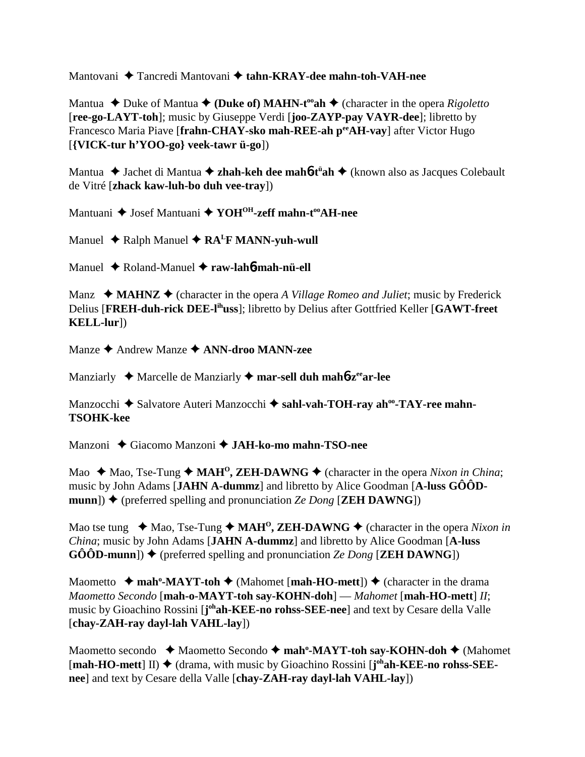Mantovani Tancredi Mantovani **tahn-KRAY-dee mahn-toh-VAH-nee**

Mantua  $\triangle$  Duke of Mantua  $\triangle$  (Duke of) MAHN-t<sup>oo</sup>ah  $\triangle$  (character in the opera *Rigoletto* [**ree-go-LAYT-toh**]; music by Giuseppe Verdi [**joo-ZAYP-pay VAYR-dee**]; libretto by Francesco Maria Piave [**frahn-CHAY-sko mah-REE-ah peeAH-vay**] after Victor Hugo [**{VICK-tur h'YOO-go} veek-tawr ü-go**])

Mantua ◆ Jachet di Mantua ◆ zhah-keh dee mah6-t<sup>ü</sup>ah ◆ (known also as Jacques Colebault de Vitré [**zhack kaw-luh-bo duh vee-tray**])

Mantuani ♦ Josef Mantuani ♦ YOH<sup>OH</sup>-zeff mahn-t<sup>oo</sup>AH-nee

Manuel  $\triangle$  Ralph Manuel  $\triangle$  RA<sup>L</sup>F MANN-yuh-wull

Manuel Roland-Manuel **raw-lah**6**-mah-nü-ell**

Manz  $\triangleleft$  **MAHNZ**  $\triangleleft$  (character in the opera *A Village Romeo and Juliet*; music by Frederick Delius [**FREH-duh-rick DEE-lihuss**]; libretto by Delius after Gottfried Keller [**GAWT-freet KELL-lur**])

Manze Andrew Manze **ANN-droo MANN-zee**

Manziarly ◆ Marcelle de Manziarly ◆ mar-sell duh mah**6-z<sup>ee</sup>ar-lee** 

Manzocchi ◆ Salvatore Auteri Manzocchi ◆ sahl-vah-TOH-ray ah<sup>oo</sup>-TAY-ree mahn-**TSOHK-kee**

Manzoni Giacomo Manzoni **JAH-ko-mo mahn-TSO-nee**

Mao  $\triangle$  Mao, Tse-Tung  $\triangle$  MAH<sup>o</sup>, ZEH-DAWNG  $\triangle$  (character in the opera *Nixon in China*; music by John Adams [**JAHN A-dummz**] and libretto by Alice Goodman [**A-luss GÔÔDmunn**])  $\blacklozenge$  (preferred spelling and pronunciation *Ze Dong* [**ZEH DAWNG**])

Mao tse tung  $\triangleleft$  Mao, Tse-Tung  $\triangleleft$  MAH<sup>O</sup>, ZEH-DAWNG  $\triangleleft$  (character in the opera *Nixon in China*; music by John Adams [**JAHN A-dummz**] and libretto by Alice Goodman [**A-luss**  $\textbf{GÔÔD-mmun}$ )  $\blacklozenge$  (preferred spelling and pronunciation *Ze Dong* [**ZEH DAWNG**])

Maometto  $\rightarrow$  mah<sup>o</sup>-MAYT-toh  $\rightarrow$  (Mahomet [mah-HO-mett])  $\rightarrow$  (character in the drama *Maometto Secondo* [**mah-o-MAYT-toh say-KOHN-doh**] — *Mahomet* [**mah-HO-mett**] *II*; music by Gioachino Rossini [joh**ah-KEE-no rohss-SEE-nee**] and text by Cesare della Valle [**chay-ZAH-ray dayl-lah VAHL-lay**])

Maometto secondo ◆ Maometto Secondo ◆ mah<sup>o</sup>-MAYT-toh say-KOHN-doh ◆ (Mahomet [mah-HO-mett] II) ◆ (drama, with music by Gioachino Rossini [j<sup>oh</sup>ah-KEE-no rohss-SEE**nee**] and text by Cesare della Valle [**chay-ZAH-ray dayl-lah VAHL-lay**])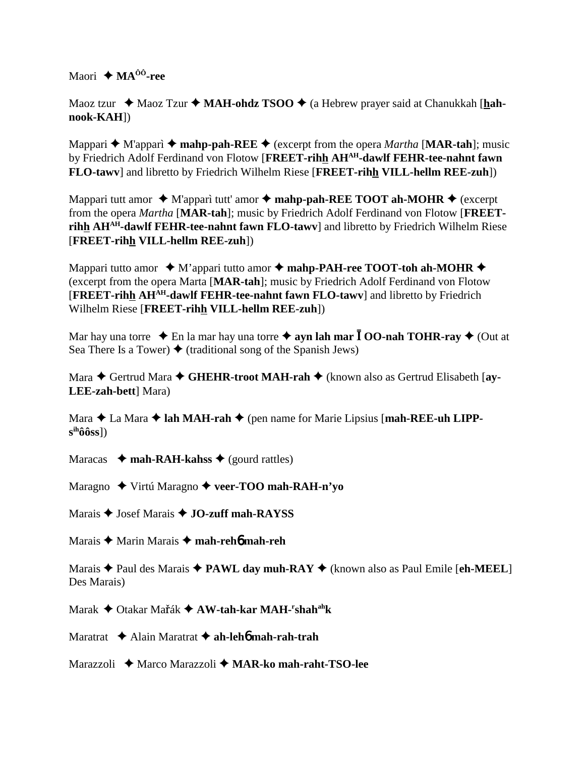Maori  $\triangle$  **MA**<sup>ôô</sup>-ree

Maoz tzur ◆ Maoz Tzur ◆ MAH-ohdz TSOO ◆ (a Hebrew prayer said at Chanukkah [hah**nook-KAH**])

Mappari ◆ M'apparì ◆ mahp-pah-REE ◆ (excerpt from the opera *Martha* [MAR-tah]; music by Friedrich Adolf Ferdinand von Flotow [**FREET-rihh AHAH-dawlf FEHR-tee-nahnt fawn FLO-tawv**] and libretto by Friedrich Wilhelm Riese [**FREET-rihh VILL-hellm REE-zuh**])

Mappari tutt amor  $\triangle$  M'apparì tutt' amor  $\triangle$  **mahp-pah-REE TOOT ah-MOHR**  $\triangle$  (excerpt from the opera *Martha* [**MAR-tah**]; music by Friedrich Adolf Ferdinand von Flotow [**FREETrihh AHAH-dawlf FEHR-tee-nahnt fawn FLO-tawv**] and libretto by Friedrich Wilhelm Riese [**FREET-rihh VILL-hellm REE-zuh**])

Mappari tutto amor  $\rightarrow$  M'appari tutto amor  $\rightarrow$  mahp-PAH-ree TOOT-toh ah-MOHR  $\rightarrow$ (excerpt from the opera Marta [**MAR-tah**]; music by Friedrich Adolf Ferdinand von Flotow [**FREET-rihh AHAH-dawlf FEHR-tee-nahnt fawn FLO-tawv**] and libretto by Friedrich Wilhelm Riese [**FREET-rihh VILL-hellm REE-zuh**])

Mar hay una torre  $\triangle$  En la mar hay una torre  $\triangle$  **ayn lah mar**  $\overline{I}$  **OO-nah TOHR-ray**  $\triangle$  (Out at Sea There Is a Tower)  $\blacklozenge$  (traditional song of the Spanish Jews)

Mara ◆ Gertrud Mara ◆ GHEHR-troot MAH-rah ◆ (known also as Gertrud Elisabeth [ay-**LEE-zah-bett**] Mara)

Mara  $\triangle$  La Mara  $\triangle$  lah MAH-rah  $\triangle$  (pen name for Marie Lipsius [mah-REE-uh LIPP**sihôôss**])

Maracas  $\rightarrow$  **mah-RAH-kahss**  $\rightarrow$  (gourd rattles)

Maragno Virtú Maragno **veer-TOO mah-RAH-n'yo**

Marais **→** Josef Marais **→ JO-zuff mah-RAYSS** 

Marais Marin Marais **mah-reh**6 **mah-reh**

Marais Paul des Marais **PAWL day muh-RAY** (known also as Paul Emile [**eh-MEEL**] Des Marais)

Marak ♦ Otakar Ma<mark>ř</mark>ák ♦ A**W-tah-kar MAH-<sup>r</sup>shah<sup>ah</sup>k** 

Maratrat Alain Maratrat **ah-leh**6 **mah-rah-trah**

Marazzoli Marco Marazzoli **MAR-ko mah-raht-TSO-lee**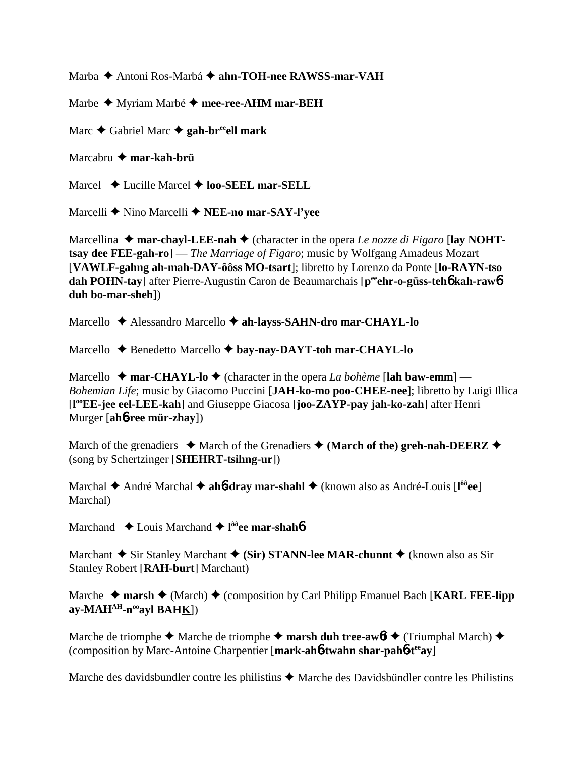Marba Antoni Ros-Marbá **ahn-TOH-nee RAWSS-mar-VAH**

Marbe  $\triangleq$  Myriam Marbé  $\triangleq$  mee-ree-AHM mar-BEH

Marc **→** Gabriel Marc **→ gah-br<sup>ee</sup>ell mark** 

Marcabru **mar-kah-brü**

Marcel **→** Lucille Marcel **→ loo-SEEL mar-SELL** 

Marcelli **◆** Nino Marcelli ◆ **NEE-no mar-SAY-l'vee** 

Marcellina  $\triangle$  mar-chayl-LEE-nah  $\triangle$  (character in the opera *Le nozze di Figaro* [lay NOHT**tsay dee FEE-gah-ro**] — *The Marriage of Figaro*; music by Wolfgang Amadeus Mozart [**VAWLF-gahng ah-mah-DAY-ôôss MO-tsart**]; libretto by Lorenzo da Ponte [**lo-RAYN-tso dah POHN-tay**] after Pierre-Augustin Caron de Beaumarchais [p<sup>ee</sup>ehr-o-güss-teh**6** kah-raw6 **duh bo-mar-sheh**])

Marcello **→** Alessandro Marcello → ah-layss-SAHN-dro mar-CHAYL-lo

Marcello **→** Benedetto Marcello → bay-nay-DAYT-toh mar-CHAYL-lo

Marcello  $\rightarrow$  mar-CHAYL-lo  $\rightarrow$  (character in the opera *La bohème* [lah baw-emm] — *Bohemian Life*; music by Giacomo Puccini [**JAH-ko-mo poo-CHEE-nee**]; libretto by Luigi Illica [**l ooEE-jee eel-LEE-kah**] and Giuseppe Giacosa [**joo-ZAYP-pay jah-ko-zah**] after Henri Murger [**ah**6**-ree mür-zhay**])

March of the grenadiers  $\triangle$  March of the Grenadiers  $\triangle$  (March of the) greh-nah-DEERZ  $\triangle$ (song by Schertzinger [**SHEHRT-tsihng-ur**])

Marchal  $\triangle$  André Marchal  $\triangle$  ah**6-dray mar-shahl**  $\triangle$  (known also as André-Louis [l<sup>ôô</sup>ee] Marchal)

Marchand **↓** Louis Marchand **← l<sup>ôô</sup>ee mar-shah<sup>6</sup>** 

Marchant  $\triangle$  Sir Stanley Marchant  $\triangle$  (Sir) STANN-lee MAR-chunnt  $\triangle$  (known also as Sir Stanley Robert [**RAH-burt**] Marchant)

Marche  $\triangle$  marsh  $\triangle$  (March)  $\triangle$  (composition by Carl Philipp Emanuel Bach [**KARL FEE-lipp ay-MAHAH-nooayl BAHK**])

Marche de triomphe  $\triangle$  Marche de triomphe  $\triangle$  marsh duh tree-awof  $\triangle$  (Triumphal March)  $\triangle$ (composition by Marc-Antoine Charpentier [**mark-ah**6**-twahn shar-pah**6**-teeay**]

Marche des davidsbundler contre les philistins  $\triangle$  Marche des Davidsbündler contre les Philistins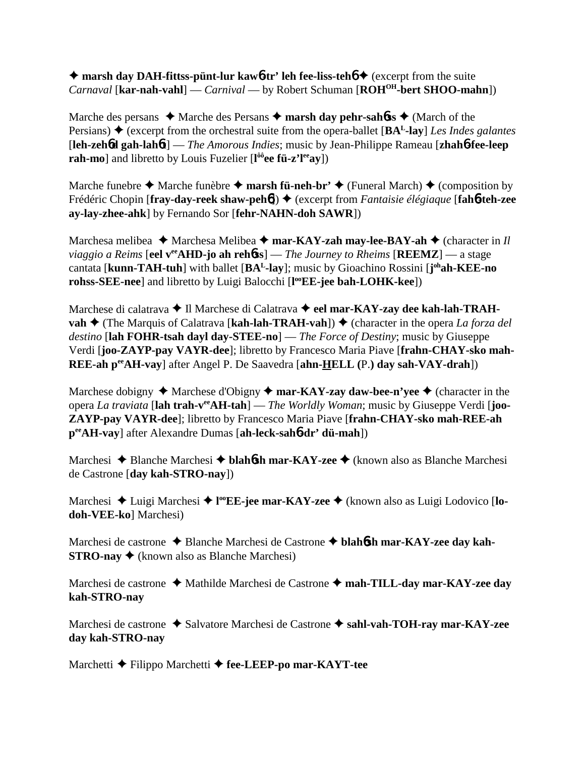**→ marsh day DAH-fittss-pünt-lur kaw6-tr' leh fee-liss-teh** $6 \rightarrow$  **(excerpt from the suite** *Carnaval* [**kar-nah-vahl**] — *Carnival* — by Robert Schuman [**ROHOH-bert SHOO-mahn**])

Marche des persans  $\triangle$  Marche des Persans  $\triangle$  marsh day pehr-sahbos  $\triangle$  (March of the Persians)  $\triangle$  (excerpt from the orchestral suite from the opera-ballet  $[\mathbf{BA}^L$ -lay) *Les Indes galantes* [**leh-zeh**6**d gah-lah**6**t**] — *The Amorous Indies*; music by Jean-Philippe Rameau [**zhah**6**-fee-leep rah-mo**] and libretto by Louis Fuzelier [**l ôôee fü-z'leeay**])

Marche funebre  $\triangle$  Marche funèbre  $\triangle$  **marsh fü-neh-br'**  $\triangle$  (Funeral March)  $\triangle$  (composition by Frédéric Chopin [fray-day-reek shaw-peh**ó**]) ♦ (excerpt from *Fantaisie élégiaque* [fah**ó-teh-zee ay-lay-zhee-ahk**] by Fernando Sor [**fehr-NAHN-doh SAWR**])

Marchesa melibea ◆ Marchesa Melibea ◆ mar-KAY-zah may-lee-BAY-ah ◆ (character in *Il viaggio a Reims* [eel v<sup>ee</sup>AHD-jo ah rehoss] — *The Journey to Rheims* [REEMZ] — a stage cantata [**kunn-TAH-tuh**] with ballet [**BAL-lay**]; music by Gioachino Rossini [**j ohah-KEE-no rohss-SEE-nee**] and libretto by Luigi Balocchi [**l ooEE-jee bah-LOHK-kee**])

Marchese di calatrava **→** Il Marchese di Calatrava ◆ eel mar-KAY-zay dee kah-lah-TRAH**vah ♦** (The Marquis of Calatrava [**kah-lah-TRAH-vah**]) ♦ (character in the opera *La forza del destino* [**lah FOHR-tsah dayl day-STEE-no**] — *The Force of Destiny*; music by Giuseppe Verdi [**joo-ZAYP-pay VAYR-dee**]; libretto by Francesco Maria Piave [**frahn-CHAY-sko mah-REE-ah peeAH-vay**] after Angel P. De Saavedra [**ahn-HELL (**P.**) day sah-VAY-drah**])

Marchese dobigny  $\triangle$  Marchese d'Obigny  $\triangle$  mar-KAY-zay daw-bee-n'yee  $\triangle$  (character in the opera *La traviata* [**lah trah-veeAH-tah**] — *The Worldly Woman*; music by Giuseppe Verdi [**joo-ZAYP-pay VAYR-dee**]; libretto by Francesco Maria Piave [**frahn-CHAY-sko mah-REE-ah peeAH-vay**] after Alexandre Dumas [**ah-leck-sah**6**-dr' dü-mah**])

Marchesi **→** Blanche Marchesi → blah**6sh mar-KAY-zee** → (known also as Blanche Marchesi de Castrone [**day kah-STRO-nay**])

Marchesi ◆ Luigi Marchesi ◆ l<sup>oo</sup>EE-jee mar-KAY-zee ◆ (known also as Luigi Lodovico [lo**doh-VEE-ko**] Marchesi)

Marchesi de castrone Blanche Marchesi de Castrone **blah**6**sh mar-KAY-zee day kah-STRO-nay ♦** (known also as Blanche Marchesi)

Marchesi de castrone **→** Mathilde Marchesi de Castrone → mah-TILL-day mar-KAY-zee day **kah-STRO-nay**

Marchesi de castrone ◆ Salvatore Marchesi de Castrone ◆ sahl-vah-TOH-ray mar-KAY-zee **day kah-STRO-nay**

Marchetti **←** Filippo Marchetti ← fee-LEEP-po mar-KAYT-tee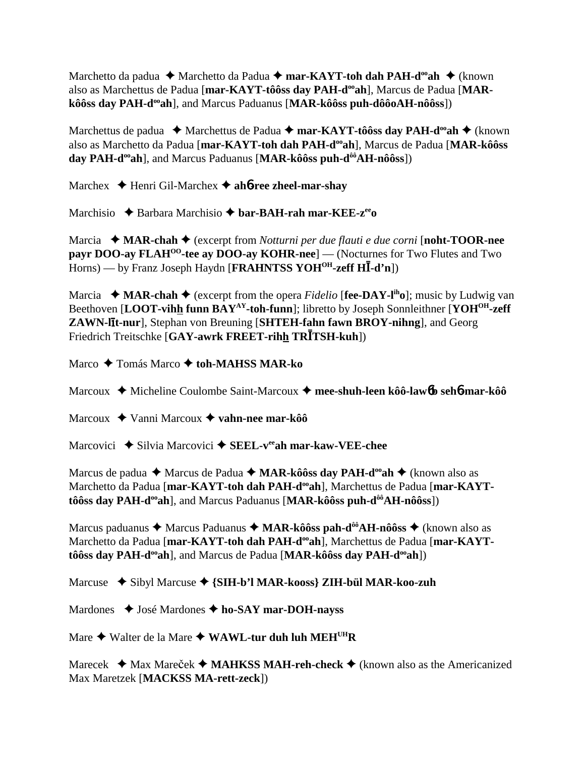Marchetto da padua  **←** Marchetto da Padua ← mar-KAYT-toh dah PAH-d<sup>oo</sup>ah ← (known also as Marchettus de Padua [mar-KAYT-tôôss day PAH-d<sup>oo</sup>ah], Marcus de Padua [MAR**kôôss day PAH-d<sup>oo</sup>ah**], and Marcus Paduanus [MAR-kôôss puh-dôôoAH-nôôss])

Marchettus de padua ◆ Marchettus de Padua ◆ mar-KAYT-tôôss day PAH-d<sup>oo</sup>ah ◆ (known also as Marchetto da Padua [mar-KAYT-toh dah PAH-d<sup>oo</sup>ah], Marcus de Padua [MAR-kôôss day PAH-d<sup>oo</sup>ah], and Marcus Paduanus [MAR-kôôss puh-d<sup>ôô</sup>AH-nôôss])

Marchex Henri Gil-Marchex **ah**6**-ree zheel-mar-shay**

Marchisio **→** Barbara Marchisio → **bar-BAH-rah mar-KEE-z<sup>ee</sup>o** 

Marcia **MAR-chah** (excerpt from *Notturni per due flauti e due corni* [**noht-TOOR-nee payr DOO-ay FLAH<sup>00</sup>-tee ay DOO-ay KOHR-nee**] — (Nocturnes for Two Flutes and Two Horns) — by Franz Joseph Haydn [FRAHNTSS YOH<sup>OH</sup>-zeff HI-d'n])

Marcia  $\rightarrow$  **MAR-chah**  $\rightarrow$  (excerpt from the opera *Fidelio* [**fee-DAY-l<sup>ih</sup>o**]; music by Ludwig van Beethoven [LOOT-vihh funn BAY<sup>AY</sup>-toh-funn]; libretto by Joseph Sonnleithner [YOH<sup>OH</sup>-zeff] **ZAWN-lt-nur**], Stephan von Breuning [**SHTEH-fahn fawn BROY-nihng**], and Georg Friedrich Treitschke [GAY-awrk FREET-rihh TRITSH-kuh])

Marco Tomás Marco **toh-MAHSS MAR-ko**

Marcoux Micheline Coulombe Saint-Marcoux **mee-shuh-leen kôô-law**6**b seh**6**-mar-kôô**

Marcoux Vanni Marcoux **vahn-nee mar-kôô**

Marcovici **→** Silvia Marcovici → SEEL-v<sup>ee</sup>ah mar-kaw-VEE-chee

Marcus de padua **→** Marcus de Padua → MAR-kôôss day PAH-d<sup>oo</sup>ah → (known also as Marchetto da Padua [mar-KAYT-toh dah PAH-d<sup>oo</sup>ah], Marchettus de Padua [mar-KAYT**tôôss day PAH-d<sup>oo</sup>ah**], and Marcus Paduanus [MAR-kôôss puh-d<sup>ôô</sup>AH-nôôss])

Marcus paduanus ◆ Marcus Paduanus ◆ MAR-kôôss pah-d<sup>ôô</sup>AH-nôôss ◆ (known also as Marchetto da Padua [mar-KAYT-toh dah PAH-d<sup>oo</sup>ah], Marchettus de Padua [mar-KAYTtôôss day PAH-d<sup>oo</sup>ah], and Marcus de Padua [MAR-kôôss day PAH-d<sup>oo</sup>ah])

Marcuse Sibyl Marcuse **{SIH-b'l MAR-kooss} ZIH-bül MAR-koo-zuh**

Mardones ◆ José Mardones ◆ ho-SAY mar-DOH-nayss

Mare  $\triangle$  Walter de la Mare  $\triangle$  WAWL-tur duh luh MEH<sup>UH</sup>R

Marecek  $\triangleleft$  Max Mareček  $\triangleleft$  **MAHKSS MAH-reh-check**  $\triangleleft$  (known also as the Americanized Max Maretzek [**MACKSS MA-rett-zeck**])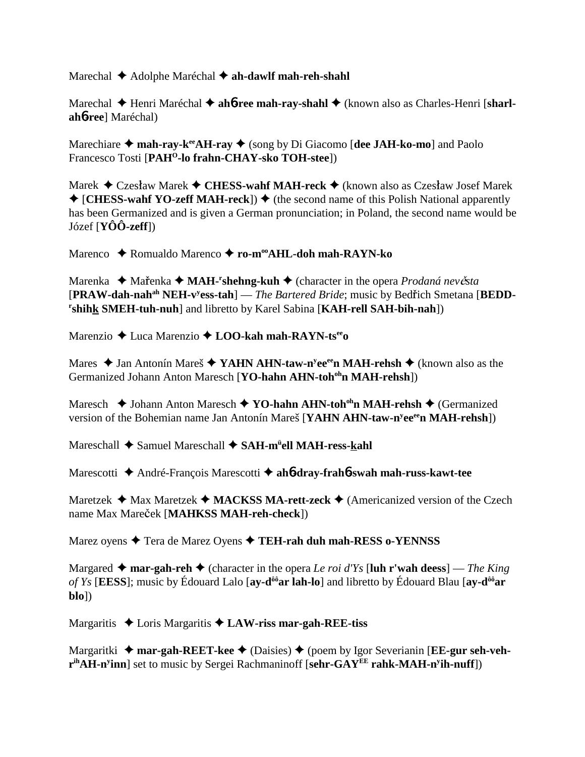Marechal **→** Adolphe Maréchal **→ ah-dawlf mah-reh-shahl** 

Marechal  $\blacklozenge$  Henri Maréchal  $\blacklozenge$  ah**6**-ree mah-ray-shahl  $\blacklozenge$  (known also as Charles-Henri [sharl**ah**6**-ree**] Maréchal)

Marechiare **→ mah-ray-k<sup>ee</sup>AH-ray →** (song by Di Giacomo [dee JAH-ko-mo] and Paolo Francesco Tosti [PAH<sup>O</sup>-lo frahn-CHAY-sko TOH-stee])

Marek ◆ Czesław Marek ◆ CHESS-wahf MAH-reck ◆ (known also as Czesław Josef Marek  $\triangleq$  [**CHESS-wahf YO-zeff MAH-reck**])  $\triangleq$  (the second name of this Polish National apparently has been Germanized and is given a German pronunciation; in Poland, the second name would be Józef [**YÔÔ-zeff**])

Marenco Romualdo Marenco **ro-mooAHL-doh mah-RAYN-ko**

Marenka ◆ Mařenka ◆ MAH-<sup>r</sup>shehng-kuh ◆ (character in the opera *Prodaná nevěsta* [PRAW-dah-nah<sup>ah</sup> NEH-v<sup>y</sup>ess-tah] — *The Bartered Bride*; music by Bedřich Smetana [BEDD**r shihk SMEH-tuh-nuh**] and libretto by Karel Sabina [**KAH-rell SAH-bih-nah**])

Marenzio Luca Marenzio  **LOO-kah mah-RAYN-tseeo**

Mares ◆ Jan Antonín Mareš ◆ YA**HN AHN-taw-n<sup>y</sup>ee<sup>ee</sup>n MAH-rehsh ◆** (known also as the Germanized Johann Anton Maresch [YO-hahn AHN-toh<sup>oh</sup>n MAH-rehsh])

Maresch **→** Johann Anton Maresch ◆ **YO-hahn AHN-toh<sup>oh</sup>n MAH-rehsh ◆** (Germanized version of the Bohemian name Jan Antonín Mareš [YAHN AHN-taw-n<sup>y</sup>ee<sup>ee</sup>n MAH-rehsh])

Mareschall ♦ Samuel Mareschall ♦ SAH-m<sup>ü</sup>ell MAH-ress-<u>k</u>ahl

Marescotti André-François Marescotti **ah**6**-dray-frah**6**-swah mah-russ-kawt-tee**

Maretzek  $\triangleleft$  Max Maretzek  $\triangleleft$  **MACKSS MA-rett-zeck**  $\triangleleft$  (Americanized version of the Czech name Max Mareček [MAHKSS MAH-reh-check])

Marez oyens **→** Tera de Marez Oyens **→ TEH-rah duh mah-RESS o-YENNSS** 

Margared  $\triangle$  mar-gah-reh  $\triangle$  (character in the opera *Le roi d'Ys* [luh r'wah deess] — *The King of Ys* [**EESS**]; music by Édouard Lalo [**ay-dôôar lah-lo**] and libretto by Édouard Blau [**ay-dôôar blo**])

Margaritis Loris Margaritis **LAW-riss mar-gah-REE-tiss**

Margaritki **→ mar-gah-REET-kee →** (Daisies) → (poem by Igor Severianin [**EE-gur seh-vehrihAH-ny inn**] set to music by Sergei Rachmaninoff [**sehr-GAYEE rahk-MAH-ny ih-nuff**])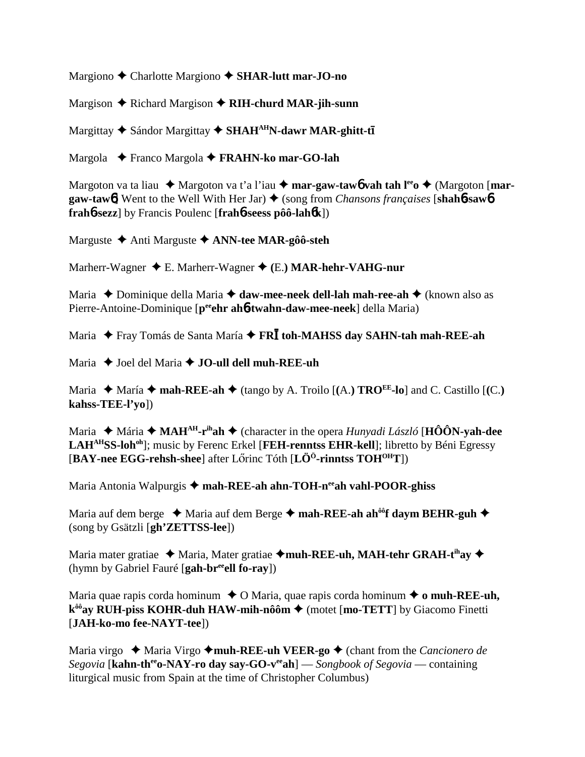Margiono Charlotte Margiono **SHAR-lutt mar-JO-no**

Margison **←** Richard Margison ← RIH-churd MAR-jih-sunn

Margittay ◆ Sándor Margittay ◆ SHAH<sup>AH</sup>N-dawr MAR-ghitt-tī

Margola Franco Margola **FRAHN-ko mar-GO-lah**

Margoton va ta liau  $\triangle$  Margoton va t'a l'iau  $\triangle$  **mar-gaw-taw6** vah tah l<sup>ee</sup>o  $\triangle$  (Margoton [**margaw-taw6**] Went to the Well With Her Jar) ♦ (song from *Chansons françaises* [shah6-saw6] **frah**6**-sezz**] by Francis Poulenc [**frah**6**-seess pôô-lah**6**k**])

Marguste Anti Marguste **ANN-tee MAR-gôô-steh**

Marherr-Wagner E. Marherr-Wagner **(**E.**) MAR-hehr-VAHG-nur**

Maria **→** Dominique della Maria **→ daw-mee-neek dell-lah mah-ree-ah →** (known also as Pierre-Antoine-Dominique [p<sup>ee</sup>ehr ah**6-twahn-daw-mee-neek**] della Maria)

Maria ◆ Fray Tomás de Santa María ◆ FR**Ī toh-MAHSS day SAHN-tah mah-REE-ah** 

Maria **→** Joel del Maria **→ JO-ull dell muh-REE-uh** 

Maria  $\blacklozenge$  María  $\blacklozenge$  mah-REE-ah  $\blacklozenge$  (tango by A. Troilo  $[(A.)$  TRO<sup>EE</sup>-lo] and C. Castillo  $[(C.)$ **kahss-TEE-l'yo**])

Maria ◆ Mária ◆ MAH<sup>AH</sup>-r<sup>ih</sup>ah ◆ (character in the opera *Hunyadi László* [HÔÔN-yah-dee LAH<sup>AH</sup>SS-loh<sup>oh</sup>]; music by Ferenc Erkel [FEH-renntss EHR-kell]; libretto by Béni Egressy [**BAY-nee EGG-rehsh-shee**] after Lőrinc Tóth [**LÖ<sup>ö</sup>-rinntss TOH<sup>OH</sup>T**])

Maria Antonia Walpurgis ◆ mah-REE-ah ahn-TOH-neeah vahl-POOR-ghiss

Maria auf dem berge ◆ Maria auf dem Berge ◆ **mah-REE-ah ah<sup>ôô</sup>f daym BEHR-guh ◆** (song by Gsätzli [**gh'ZETTSS-lee**])

Maria mater gratiae  $\triangleleft$  Maria, Mater gratiae  $\triangleleft$ muh-REE-uh, MAH-tehr GRAH-t<sup>ih</sup>ay  $\triangleleft$ (hymn by Gabriel Fauré [**gah-breeell fo-ray**])

Maria quae rapis corda hominum  $\triangle$  O Maria, quae rapis corda hominum  $\triangle$  o muh-REE-uh, **k<sup>ôô</sup>ay RUH-piss KOHR-duh HAW-mih-nôôm ♦** (motet [mo-TETT] by Giacomo Finetti [**JAH-ko-mo fee-NAYT-tee**])

Maria virgo ◆ Maria Virgo ◆ **muh-REE-uh VEER-go** ◆ (chant from the *Cancionero de Segovia* [**kahn-theeo-NAY-ro day say-GO-veeah**] — *Songbook of Segovia* — containing liturgical music from Spain at the time of Christopher Columbus)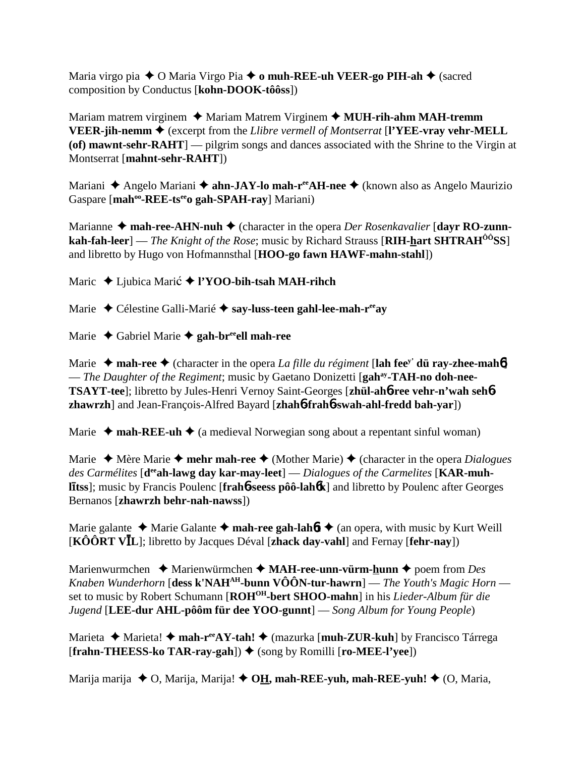Maria virgo pia O Maria Virgo Pia **o muh-REE-uh VEER-go PIH-ah** (sacred composition by Conductus [**kohn-DOOK-tôôss**])

Mariam matrem virginem ◆ Mariam Matrem Virginem ◆ MUH-rih-ahm MAH-tremm **VEER-jih-nemm** (excerpt from the *Llibre vermell of Montserrat* [**l'YEE-vray vehr-MELL (of) mawnt-sehr-RAHT**] — pilgrim songs and dances associated with the Shrine to the Virgin at Montserrat [**mahnt-sehr-RAHT**])

Mariani ◆ Angelo Mariani ◆ **ahn-JAY-lo mah-r<sup>ee</sup>AH-nee** ◆ (known also as Angelo Maurizio Gaspare [mah<sup>oo</sup>-REE-ts<sup>ee</sup>o gah-SPAH-ray] Mariani)

Marianne ◆ mah-ree-AHN-nuh ◆ (character in the opera *Der Rosenkavalier* [dayr RO-zunn**kah-fah-leer**] — *The Knight of the Rose*; music by Richard Strauss [RIH-**hart SHTRAH<sup>ôô</sup>SS**] and libretto by Hugo von Hofmannsthal [**HOO-go fawn HAWF-mahn-stahl**])

Maric ◆ Ljubica Marić ◆ l'YOO-bih-tsah MAH-rihch

Marie Célestine Galli-Marié **say-luss-teen gahl-lee-mah-reeay**

Marie ◆ Gabriel Marie **◆ gah-br<sup>ee</sup>ell mah-ree** 

Marie  $\rightarrow$  mah-ree  $\rightarrow$  (character in the opera *La fille du régiment* [lah fee<sup>y'</sup> dü ray-zhee-mah**6**] — *The Daughter of the Regiment*; music by Gaetano Donizetti [**gahay-TAH-no doh-nee-TSAYT-tee**]; libretto by Jules-Henri Vernoy Saint-Georges [**zhül-ah**6**-ree vehr-n'wah seh**6 **zhawrzh**] and Jean-François-Alfred Bayard [**zhah**6**-frah**6**-swah-ahl-fredd bah-yar**])

Marie  $\triangle$  mah-REE-uh  $\triangle$  (a medieval Norwegian song about a repentant sinful woman)

Marie  $\triangle$  Mère Marie  $\triangle$  **mehr mah-ree**  $\triangle$  (Mother Marie)  $\triangle$  (character in the opera *Dialogues* des Carmélites [d<sup>ee</sup>ah-lawg day kar-may-leet] — *Dialogues of the Carmelites* [KAR-muh**lItss**]; music by Francis Poulenc [**frah6**-seess pôô-lah**6k**] and libretto by Poulenc after Georges Bernanos [**zhawrzh behr-nah-nawss**])

Marie galante  $\triangle$  Marie Galante  $\triangle$  mah-ree gah-lah*f*  $\triangle$  (an opera, with music by Kurt Weill [KÔÔRT VIL]; libretto by Jacques Déval [zhack day-vahl] and Fernay [fehr-nay])

Marienwurmchen  $\triangle$  Marienwürmchen  $\triangle$  **MAH-ree-unn-vürm-hunn**  $\triangle$  poem from *Des Knaben Wunderhorn* [**dess k'NAHAH-bunn VÔÔN-tur-hawrn**] — *The Youth's Magic Horn* set to music by Robert Schumann [**ROHOH-bert SHOO-mahn**] in his *Lieder-Album für die Jugend* [**LEE-dur AHL-pôôm für dee YOO-gunnt**] — *Song Album for Young People*)

Marieta **→** Marieta! → mah-r<sup>ee</sup>AY-tah! → (mazurka [muh-ZUR-kuh] by Francisco Tárrega **[frahn-THEESS-ko TAR-ray-gah]) ♦ (song by Romilli [ro-MEE-l'yee])** 

Marija marija ◆ O, Marija, Marija! ◆ OH, mah-REE-yuh, mah-REE-yuh! ◆ (O, Maria,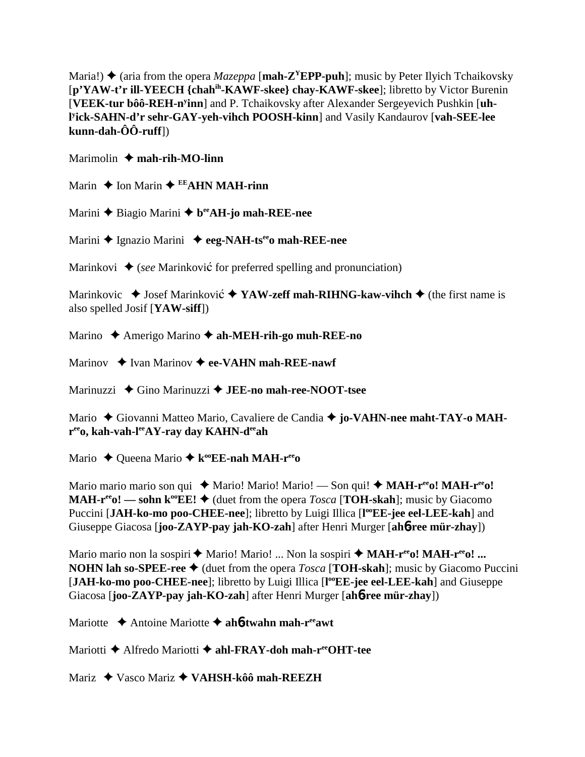Maria!)  $\triangle$  (aria from the opera *Mazeppa* [**mah-Z<sup>Y</sup>EPP-puh**]; music by Peter Ilyich Tchaikovsky [**p'YAW-t'r ill-YEECH {chahih-KAWF-skee} chay-KAWF-skee**]; libretto by Victor Burenin [VEEK-tur bôô-REH-n<sup>y</sup>inn] and P. Tchaikovsky after Alexander Sergeyevich Pushkin [uh**l y ick-SAHN-d'r sehr-GAY-yeh-vihch POOSH-kinn**] and Vasily Kandaurov [**vah-SEE-lee kunn-dah-ÔÔ-ruff**])

Marimolin **↓ mah-rih-MO-linn** 

Marin  $\triangle$  Ion Marin  $\triangle$  EEAHN MAH-rinn

Marini **◆** Biagio Marini ◆ b<sup>ee</sup>AH-jo mah-REE-nee

Marini ◆ Ignazio Marini ◆ eeg-NAH-tsee mah-REE-nee

Marinkovi  $\triangleq$  (*see* Marinkovic<sup> $\circ$ </sup> for preferred spelling and pronunciation)

Marinkovic  $\triangle$  Josef Marinković  $\triangle$  YAW-zeff mah-RIHNG-kaw-vihch  $\triangle$  (the first name is also spelled Josif [**YAW-siff**])

Marino Amerigo Marino **ah-MEH-rih-go muh-REE-no**

Marinov  $\rightarrow$  Ivan Marinov  $\rightarrow$  ee-VAHN mah-REE-nawf

Marinuzzi Gino Marinuzzi **JEE-no mah-ree-NOOT-tsee**

Mario ◆ Giovanni Matteo Mario, Cavaliere de Candia ◆ jo-VA**HN-nee maht-TAY-o MAHreeo, kah-vah-leeAY-ray day KAHN-deeah**

Mario ◆ Queena Mario ◆ k<sup>oo</sup>EE-nah MAH-r<sup>ee</sup>o

Mario mario mario son qui  $\triangle$  Mario! Mario! Mario! — Son qui!  $\triangle$  **MAH-r<sup>ee</sup>o! MAH-r<sup>ee</sup>o! MAH-r<sup>ee</sup>o!** — sohn  $\mathbf{k}^{\omega}$ **EE!**  $\blacklozenge$  (duet from the opera *Tosca* [**TOH-skah**]; music by Giacomo Puccini [JAH-ko-mo poo-CHEE-nee]; libretto by Luigi Illica [l<sup>oo</sup>EE-jee eel-LEE-kah] and Giuseppe Giacosa [**joo-ZAYP-pay jah-KO-zah**] after Henri Murger [**ah**6**-ree mür-zhay**])

Mario mario non la sospiri  $\triangleq$  Mario! Mario! ... Non la sospiri  $\triangleq$  **MAH-r<sup>ee</sup>o! MAH-r<sup>ee</sup>o! ... NOHN lah so-SPEE-ree**  $\blacklozenge$  (duet from the opera *Tosca* [**TOH-skah**]; music by Giacomo Puccini [JAH-ko-mo poo-CHEE-nee]; libretto by Luigi Illica [l<sup>oo</sup>EE-jee eel-LEE-kah] and Giuseppe Giacosa [**joo-ZAYP-pay jah-KO-zah**] after Henri Murger [**ah**6**-ree mür-zhay**])

Mariotte **→** Antoine Mariotte → ah**6-twahn mah-r<sup>ee</sup>awt** 

Mariotti **→** Alfredo Mariotti **→ ahl-FRAY-doh mah-r<sup>ee</sup>OHT-tee** 

Mariz Vasco Mariz **VAHSH-kôô mah-REEZH**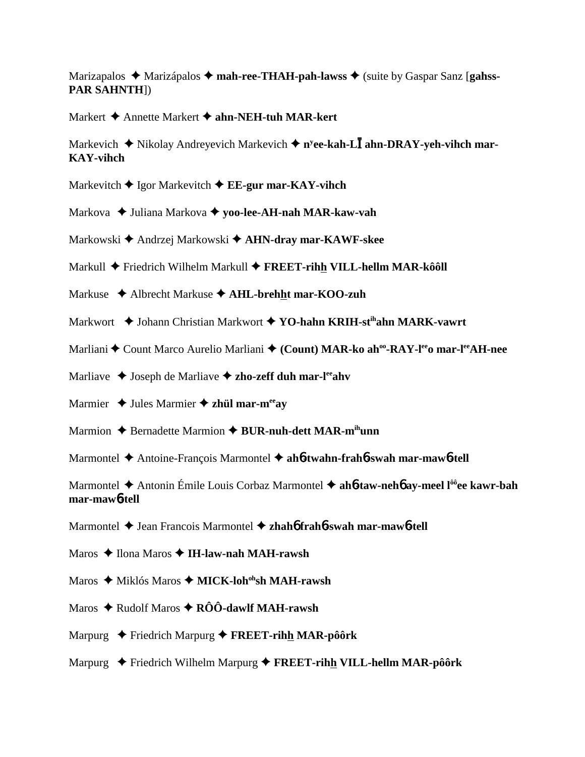Marizapalos ◆ Marizápalos ◆ mah-ree-THAH-pah-lawss ◆ (suite by Gaspar Sanz [gahss-**PAR SAHNTH**])

Markert Annette Markert **ahn-NEH-tuh MAR-kert**

Markevich  $\triangleq$  Nikolay Andreyevich Markevich  $\triangleq$  n<sup>y</sup>ee-kah-L**I** ahn-DRAY-yeh-vihch mar-**KAY-vihch**

- Markevitch **◆** Igor Markevitch ◆ **EE-gur mar-KAY-vihch**
- Markova Juliana Markova **yoo-lee-AH-nah MAR-kaw-vah**
- Markowski Andrzej Markowski **AHN-dray mar-KAWF-skee**
- Markull Friedrich Wilhelm Markull **FREET-rihh VILL-hellm MAR-kôôll**
- Markuse Albrecht Markuse **AHL-brehht mar-KOO-zuh**
- Markwort Johann Christian Markwort **YO-hahn KRIH-stihahn MARK-vawrt**
- Marliani ◆ Count Marco Aurelio Marliani ◆ (Count) MAR-ko ah<sup>oo</sup>-RAY-l<sup>ee</sup>o mar-l<sup>ee</sup>AH-nee
- Marliave  $\triangleq$  Joseph de Marliave  $\triangleq$  zho-zeff duh mar-l<sup>ee</sup>ahv
- Marmier  $\triangleq$  Jules Marmier  $\triangleq$  zhül mar-m<sup>ee</sup>ay
- Marmion **→** Bernadette Marmion **→ BUR-nuh-dett MAR-m<sup>ih</sup>unn**
- Marmontel Antoine-François Marmontel **ah**6**-twahn-frah**6**-swah mar-maw**6**-tell**

Marmontel ◆ Antonin Émile Louis Corbaz Marmontel ◆ ah**6-taw-neh6** ay-meel l<sup>ôô</sup>ee kawr-bah **mar-maw**6**-tell**

Marmontel Jean Francois Marmontel **zhah**6 **frah**6**-swah mar-maw**6**-tell**

- Maros ◆ Ilona Maros ◆ I**H-law-nah MAH-rawsh**
- Maros ◆ Miklós Maros ◆ **MICK-loh<sup>oh</sup>sh MAH-rawsh**
- Maros **→** Rudolf Maros → RÔÔ-dawlf MAH-rawsh
- Marpurg Friedrich Marpurg **FREET-rihh MAR-pôôrk**
- Marpurg Friedrich Wilhelm Marpurg **FREET-rihh VILL-hellm MAR-pôôrk**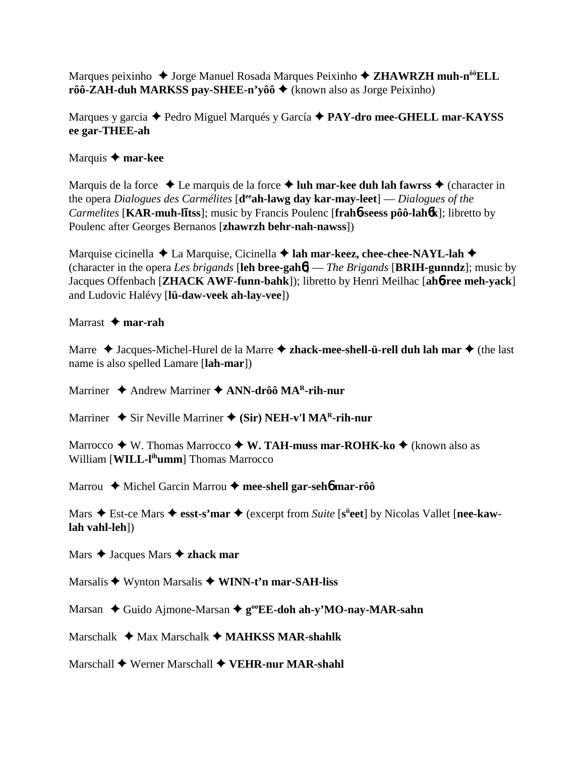Marques peixinho ◆ Jorge Manuel Rosada Marques Peixinho ◆ ZHAWRZH muh-n<sup>ôô</sup>ELL  $r\hat{o}\hat{o}$ -**ZAH-duh MARKSS pay-SHEE-n'y** $\hat{o}\hat{o}$   $\blacklozenge$  (known also as Jorge Peixinho)

Marques y garcia Pedro Miguel Marqués y García **PAY-dro mee-GHELL mar-KAYSS ee gar-THEE-ah**

# Marquis **mar-kee**

Marquis de la force  $\triangle$  Le marquis de la force  $\triangle$  luh mar-kee duh lah fawrss  $\triangle$  (character in the opera *Dialogues des Carmélites* [**deeah-lawg day kar-may-leet**] — *Dialogues of the Carmelites* [**KAR-muh-ltss**]; music by Francis Poulenc [**frah**6**-seess pôô-lah**6**k**]; libretto by Poulenc after Georges Bernanos [**zhawrzh behr-nah-nawss**])

Marquise cicinella **→** La Marquise, Cicinella **→ lah mar-keez, chee-chee-NAYL-lah** → (character in the opera *Les brigands* [**leh bree-gah**6] — *The Brigands* [**BRIH-gunndz**]; music by Jacques Offenbach [**ZHACK AWF-funn-bahk**]); libretto by Henri Meilhac [**ah**6**-ree meh-yack**] and Ludovic Halévy [**lü-daw-veek ah-lay-vee**])

## Marrast **mar-rah**

Marre ◆ Jacques-Michel-Hurel de la Marre ◆ zhack-mee-shell-ü-rell duh lah mar ◆ (the last name is also spelled Lamare [**lah-mar**])

Marriner ◆ Andrew Marriner **◆ ANN-drôô MA<sup>R</sup>-rih-nur** 

Marriner  $\triangle$  Sir Neville Marriner  $\triangle$  (Sir) NEH-v'l MA<sup>R</sup>-rih-nur

Marrocco  $\blacklozenge$  W. Thomas Marrocco  $\blacklozenge$  W. TAH-muss mar-ROHK-ko  $\blacklozenge$  (known also as William [**WILL-l<sup>ih</sup>umm**] Thomas Marrocco

Marrou ◆ Michel Garcin Marrou ◆ mee-shell gar-seh**6** mar-rôô

Mars  $\triangle$  Est-ce Mars  $\triangle$  esst-s'mar  $\triangle$  (excerpt from *Suite* [s<sup>ü</sup>eet] by Nicolas Vallet [nee-kaw**lah vahl-leh**])

Mars  $\triangle$  Jacques Mars  $\triangle$  zhack mar

Marsalis ◆ Wynton Marsalis ◆ WINN-t'n mar-SAH-liss

Marsan ◆ Guido Ajmone-Marsan ◆ g<sup>oo</sup>EE-doh ah-y'MO-nay-MAR-sahn

Marschalk **→** Max Marschalk **→ MAHKSS MAR-shahlk** 

Marschall Werner Marschall **VEHR-nur MAR-shahl**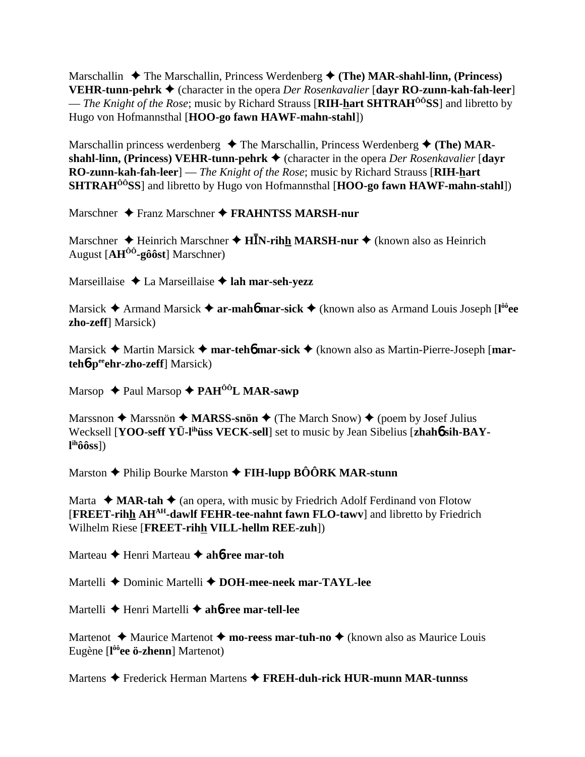Marschallin **↓** The Marschallin, Princess Werdenberg **↓** (The) MAR-shahl-linn, (Princess) **VEHR-tunn-pehrk ♦** (character in the opera *Der Rosenkavalier* [dayr **RO-zunn-kah-fah-leer**] — *The Knight of the Rose*; music by Richard Strauss [**RIH-hart SHTRAHÔÔSS**] and libretto by Hugo von Hofmannsthal [**HOO-go fawn HAWF-mahn-stahl**])

Marschallin princess werdenberg  $\triangle$  The Marschallin, Princess Werdenberg  $\triangle$  (The) MAR**shahl-linn, (Princess) VEHR-tunn-pehrk ♦ (character in the opera** *Der Rosenkavalier* **[davr] RO-zunn-kah-fah-leer**] — *The Knight of the Rose*; music by Richard Strauss [**RIH-hart SHTRAHÔÔSS**] and libretto by Hugo von Hofmannsthal [**HOO-go fawn HAWF-mahn-stahl**])

Marschner Franz Marschner **FRAHNTSS MARSH-nur**

Marschner ◆ Heinrich Marschner ◆ H**IN-rih<u>h</u> MARSH-nur ◆** (known also as Heinrich August [**AHÔÔ-gôôst**] Marschner)

Marseillaise **→** La Marseillaise → lah mar-seh-yezz

Marsick Armand Marsick **ar-mah**6 **mar-sick** (known also as Armand Louis Joseph [**l ôôee zho-zeff**] Marsick)

Marsick **→** Martin Marsick **→ mar-teh<sup>6</sup> mar-sick →** (known also as Martin-Pierre-Joseph [**marteh<sup>6</sup>-p<sup>ee</sup>ehr-zho-zeff**] Marsick)

Marsop **→ Paul Marsop → PAH<sup>ôô</sup>L MAR-sawp** 

Marssnon  $\triangle$  Marssnön  $\triangle$  **MARSS-snön**  $\triangle$  (The March Snow)  $\triangle$  (poem by Josef Julius Wecksell [**YOO-seff YÜ-lihüss VECK-sell**] set to music by Jean Sibelius [**zhah**6 **sih-BAYl ihôôss**])

Marston **→** Philip Bourke Marston **→ FIH-lupp BÔÔRK MAR-stunn** 

Marta  $\triangleleft$  **MAR-tah**  $\triangleleft$  (an opera, with music by Friedrich Adolf Ferdinand von Flotow [**FREET-rihh AHAH-dawlf FEHR-tee-nahnt fawn FLO-tawv**] and libretto by Friedrich Wilhelm Riese [**FREET-rihh VILL-hellm REE-zuh**])

Marteau Henri Marteau **ah**6**-ree mar-toh**

Martelli **→** Dominic Martelli → DOH-mee-neek mar-TAYL-lee

Martelli Henri Martelli **ah**6**-ree mar-tell-lee**

Martenot **→** Maurice Martenot → mo-reess mar-tuh-no → (known also as Maurice Louis Eugène [**l ôôee ö-zhenn**] Martenot)

Martens Frederick Herman Martens **FREH-duh-rick HUR-munn MAR-tunnss**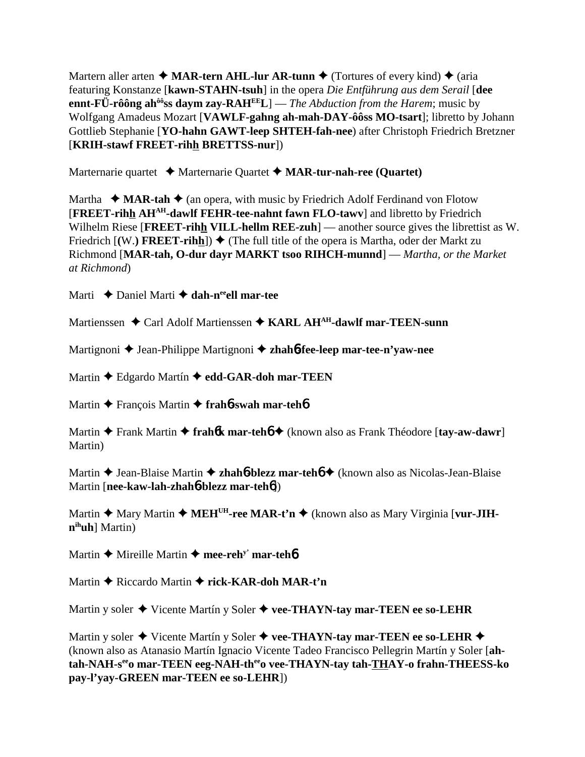Martern aller arten  $\triangle$  **MAR-tern AHL-lur AR-tunn**  $\triangle$  (Tortures of every kind)  $\triangle$  (aria featuring Konstanze [**kawn-STAHN-tsuh**] in the opera *Die Entführung aus dem Serail* [**dee ennt-FÜ-rôông ahôôss daym zay-RAHEEL**] — *The Abduction from the Harem*; music by Wolfgang Amadeus Mozart [**VAWLF-gahng ah-mah-DAY-ôôss MO-tsart**]; libretto by Johann Gottlieb Stephanie [**YO-hahn GAWT-leep SHTEH-fah-nee**) after Christoph Friedrich Bretzner [**KRIH-stawf FREET-rihh BRETTSS-nur**])

Marternarie quartet **→** Marternarie Quartet → MAR-tur-nah-ree (Quartet)

Martha  $\triangleleft$  **MAR-tah**  $\triangleleft$  (an opera, with music by Friedrich Adolf Ferdinand von Flotow [**FREET-rihh AHAH-dawlf FEHR-tee-nahnt fawn FLO-tawv**] and libretto by Friedrich Wilhelm Riese [**FREET-rihh VILL-hellm REE-zuh**] — another source gives the librettist as W. Friedrich  $[(W. )$  FREET-rihh<sup> $]) \triangleq$ </sup> (The full title of the opera is Martha, oder der Markt zu Richmond [**MAR-tah, O-dur dayr MARKT tsoo RIHCH-munnd**] — *Martha, or the Market at Richmond*)

Marti  **→** Daniel Marti **→ dah-n<sup>ee</sup>ell mar-tee** 

Martienssen ◆ Carl Adolf Martienssen ◆ KARL AH<sup>AH</sup>-dawlf mar-TEEN-sunn

Martignoni Jean-Philippe Martignoni **zhah**6**-fee-leep mar-tee-n'yaw-nee**

Martin **←** Edgardo Martín ← edd-GAR-doh mar-TEEN

Martin François Martin **frah**6**-swah mar-teh**6

Martin **→** Frank Martin → frah**6k mar-teh6** → (known also as Frank Théodore [tay-aw-dawr] Martin)

Martin **→** Jean-Blaise Martin **→ zhah6-blezz mar-teh6 →** (known also as Nicolas-Jean-Blaise Martin [**nee-kaw-lah-zhah**6**-blezz mar-teh**6])

Martin **→** Mary Martin ◆ MEH<sup>UH</sup>-ree MAR-t'n ◆ (known also as Mary Virginia [vur-JIH**nihuh**] Martin)

Martin  $\triangle$  Mireille Martin  $\triangle$  mee-reh<sup>y'</sup> mar-teh**6** 

Martin **◆** Riccardo Martin ◆ rick-KAR-doh MAR-t'n

Martin y soler  $\triangle$  Vicente Martín y Soler  $\triangle$  vee-THAYN-tay mar-TEEN ee so-LEHR

Martin y soler  $\blacklozenge$  Vicente Martín y Soler  $\blacklozenge$  vee-THAYN-tay mar-TEEN ee so-LEHR  $\blacklozenge$ (known also as Atanasio Martín Ignacio Vicente Tadeo Francisco Pellegrin Martín y Soler [**ahtah-NAH-seeo mar-TEEN eeg-NAH-theeo vee-THAYN-tay tah-THAY-o frahn-THEESS-ko pay-l'yay-GREEN mar-TEEN ee so-LEHR**])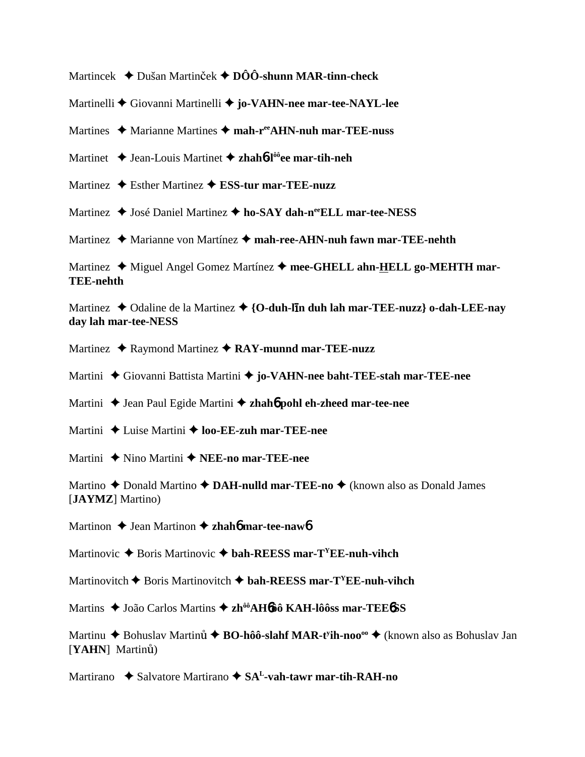Martincek **→** Dušan Martinček → DÔÔ-shunn MAR-tinn-check

Martinelli Giovanni Martinelli **jo-VAHN-nee mar-tee-NAYL-lee**

Martines ◆ Marianne Martines ◆ mah-r<sup>ee</sup>AHN-nuh mar-TEE-nuss

Martinet Jean-Louis Martinet **zhah**6**-lôôee mar-tih-neh**

Martinez ◆ Esther Martinez **◆ ESS-tur mar-TEE-nuzz** 

Martinez  $\triangle$  José Daniel Martinez  $\triangle$  ho-SAY dah-n<sup>ee</sup>ELL mar-tee-NESS

Martinez ◆ Marianne von Martínez ◆ mah-ree-AHN-nuh fawn mar-TEE-nehth

Martinez ◆ Miguel Angel Gomez Martínez ◆ mee-GHELL ahn-HELL go-MEHTH mar-**TEE-nehth**

Martinez **→** Odaline de la Martinez → {O-duh-l**In duh lah mar-TEE-nuzz**} o-dah-LEE-nay **day lah mar-tee-NESS**

Martinez ◆ Raymond Martinez ◆ RAY-munnd mar-TEE-nuzz

Martini Giovanni Battista Martini **jo-VAHN-nee baht-TEE-stah mar-TEE-nee**

Martini ◆ Jean Paul Egide Martini ◆ zhah**6** pohl eh-zheed mar-tee-nee

Martini ◆ Luise Martini ◆ **loo-EE-zuh mar-TEE-nee** 

Martini ◆ Nino Martini ◆ NEE-no mar-TEE-nee

Martino **→** Donald Martino **→ DAH-nulld mar-TEE-no** → (known also as Donald James [**JAYMZ**] Martino)

Martinon ♦ Jean Martinon ♦ zhah**6** mar-tee-naw**6** 

Martinovic **→** Boris Martinovic **→ bah-REESS mar-T<sup>Y</sup>EE-nuh-vihch** 

Martinovitch  $\blacklozenge$  Boris Martinovitch  $\blacklozenge$  bah-REESS mar-T<sup>Y</sup>EE-nuh-vihch

Martins João Carlos Martins **zhôôAH**6**ôô KAH-lôôss mar-TEE**6**SS**

Martinu ◆ Bohuslav Martinů ◆ BO-hôô-slahf MAR-t<sup>y</sup>ih-noo<sup>oo</sup> ◆ (known also as Bohuslav Jan [YAHN] Martinu<sup>ul</sup>]

Martirano ◆ Salvatore Martirano ◆ SA<sup>L</sup>-vah-tawr mar-tih-RAH-no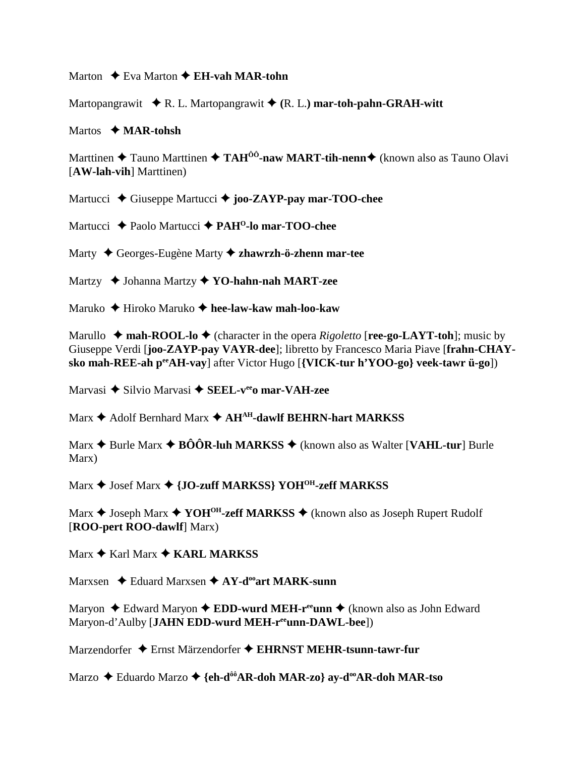### Marton **←** Eva Marton ← **EH-vah MAR-tohn**

Martopangrawit  $\blacklozenge R$ . L. Martopangrawit  $\blacklozenge (R, L)$  mar-toh-pahn-GRAH-witt

### Martos **MAR-tohsh**

Marttinen **→** Tauno Marttinen → TAH<sup>ÔÔ</sup>-naw MART-tih-nenn → (known also as Tauno Olavi [**AW-lah-vih**] Marttinen)

Martucci ◆ Giuseppe Martucci **◆ joo-ZAYP-pay mar-TOO-chee** 

Martucci **→** Paolo Martucci → PAH<sup>O</sup>-lo mar-TOO-chee

Marty Georges-Eugène Marty **zhawrzh-ö-zhenn mar-tee**

Martzy Johanna Martzy **YO-hahn-nah MART-zee**

Maruko Hiroko Maruko **hee-law-kaw mah-loo-kaw**

Marullo  $\rightarrow$  mah-ROOL-lo  $\rightarrow$  (character in the opera *Rigoletto* [**ree-go-LAYT-toh**]; music by Giuseppe Verdi [**joo-ZAYP-pay VAYR-dee**]; libretto by Francesco Maria Piave [**frahn-CHAYsko mah-REE-ah peeAH-vay**] after Victor Hugo [**{VICK-tur h'YOO-go} veek-tawr ü-go**])

Marvasi ◆ Silvio Marvasi ◆ **SEEL-v<sup>ee</sup>o mar-VAH-zee** 

Marx  $\triangle$  Adolf Bernhard Marx  $\triangle$  AH<sup>AH</sup>-dawlf BEHRN-hart MARKSS

Marx  $\triangle$  Burle Marx  $\triangle$  **BÔÔR-luh MARKSS**  $\triangle$  (known also as Walter [**VAHL-tur**] Burle Marx)

Marx  $\triangle$  Josef Marx  $\triangle$  {JO-zuff MARKSS} YOH<sup>OH</sup>-zeff MARKSS

Marx **→** Joseph Marx **→ YOH<sup>OH</sup>-zeff MARKSS** → (known also as Joseph Rupert Rudolf [**ROO-pert ROO-dawlf**] Marx)

Marx **→ Karl Marx → KARL MARKSS** 

Marxsen **→** Eduard Marxsen → AY-d<sup>oo</sup>art MARK-sunn

Maryon ◆ Edward Maryon ◆ **EDD-wurd MEH-r<sup>ee</sup>unn ◆** (known also as John Edward Maryon-d'Aulby [**JAHN EDD-wurd MEH-reeunn-DAWL-bee**])

Marzendorfer ◆ Ernst Märzendorfer ◆ EHRNST MEHR-tsunn-tawr-fur

Marzo **→** Eduardo Marzo → {eh-d<sup>ôô</sup>AR-doh MAR-zo} ay-d<sup>oo</sup>AR-doh MAR-tso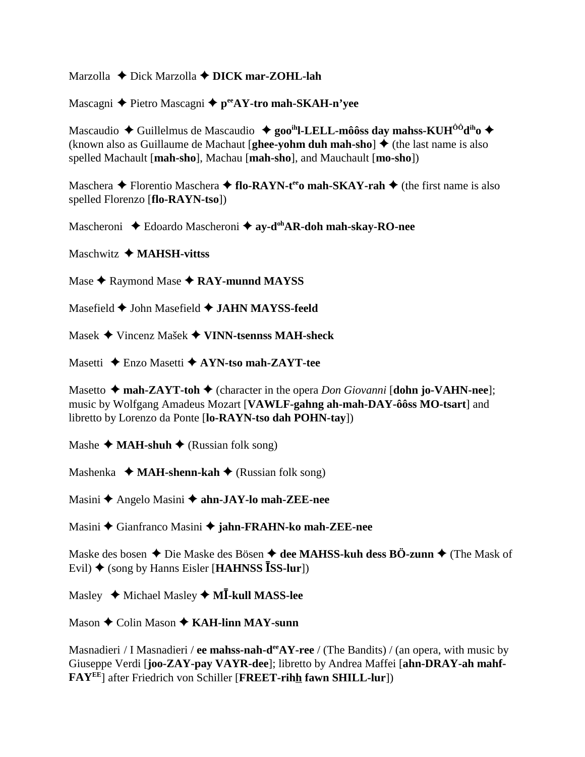Marzolla  $\triangle$  Dick Marzolla  $\triangle$  DICK mar-ZOHL-lah

Mascagni ◆ Pietro Mascagni ◆ pee AY-tro mah-SKAH-n'yee

Mascaudio  $\triangle$  Guillelmus de Mascaudio  $\triangle$  goo<sup>ih</sup>l-LELL-môôss day mahss-KUH<sup>ôô</sup>d<sup>ih</sup>o  $\triangle$ (known also as Guillaume de Machaut [ghee-yohm duh mah-sho]  $\triangle$  (the last name is also spelled Machault [mah-sho], Machau [mah-sho], and Mauchault [mo-sho])

Maschera  $\triangle$  Florentio Maschera  $\triangle$  flo-RAYN-t<sup>ee</sup>o mah-SKAY-rah  $\triangle$  (the first name is also spelled Florenzo [flo-RAYN-tso])

Mascheroni  $\triangle$  Edoardo Mascheroni  $\triangle$  av-d<sup>oh</sup>AR-doh mah-skav-RO-nee

Maschwitz  $\triangleleft$  MAHSH-vittss

Mase  $\bigstar$  Raymond Mase  $\bigstar$  RAY-munnd MAYSS

Masefield ♦ John Masefield ♦ JAHN MAYSS-feeld

Masek ◆ Vincenz Mašek ◆ VINN-tsennss MAH-sheck

Masetti  $\triangle$  Enzo Masetti  $\triangle$  AYN-tso mah-ZAYT-tee

Masetto  $\triangle$  mah-ZAYT-toh  $\triangle$  (character in the opera *Don Giovanni* [dohn jo-VAHN-nee]; music by Wolfgang Amadeus Mozart [VAWLF-gahng ah-mah-DAY-ôôss MO-tsart] and libretto by Lorenzo da Ponte [lo-RAYN-tso dah POHN-tay])

Mashe  $\triangleleft$  MAH-shuh  $\triangleleft$  (Russian folk song)

Mashenka  $\triangleleft$  MAH-shenn-kah  $\triangleleft$  (Russian folk song)

Masini ◆ Angelo Masini ◆ ahn-JAY-lo mah-ZEE-nee

Masini ◆ Gianfranco Masini ◆ jahn-FRAHN-ko mah-ZEE-nee

Maske des bosen  $\triangle$  Die Maske des Bösen  $\triangle$  dee MAHSS-kuh dess BÖ-zunn  $\triangle$  (The Mask of Evil)  $\blacklozenge$  (song by Hanns Eisler [HAHNSS ISS-lur])

Masley  $\triangleleft$  Michael Masley  $\triangleleft$  M**I**-kull MASS-lee

Mason  $\triangle$  Colin Mason  $\triangle$  KAH-linn MAY-sunn

Masnadieri / I Masnadieri / ee mahss-nah-d<sup>ee</sup> AY-ree / (The Bandits) / (an opera, with music by Giuseppe Verdi [joo-ZAY-pay VAYR-dee]; libretto by Andrea Maffei [ahn-DRAY-ah mahf-FAYEE] after Friedrich von Schiller [FREET-rihh fawn SHILL-lur])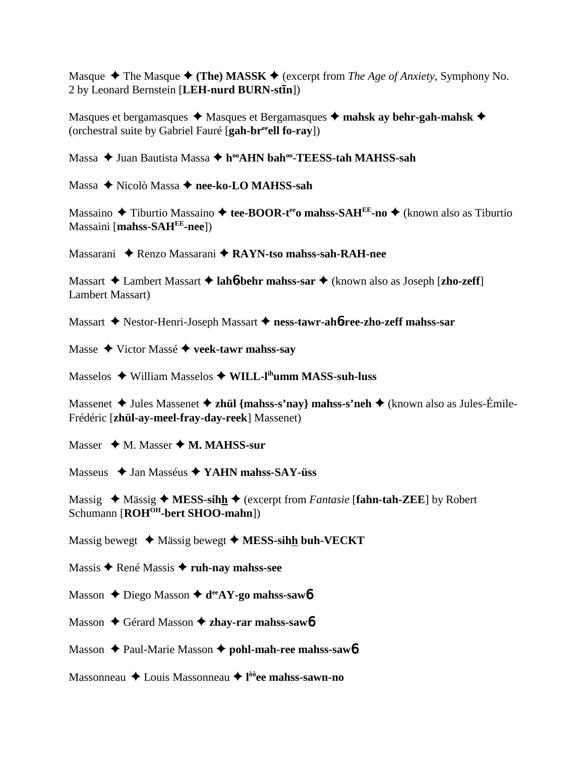Masque  $\blacklozenge$  The Masque  $\blacklozenge$  (The) MASSK  $\blacklozenge$  (excerpt from *The Age of Anxiety*, Symphony No. 2 by Leonard Bernstein [**LEH-nurd BURN-stn**])

Masques et bergamasques  $\triangleq$  Masques et Bergamasques  $\triangleq$  mahsk ay behr-gah-mahsk  $\triangleq$ (orchestral suite by Gabriel Fauré [**gah-breeell fo-ray**])

Massa ◆ Juan Bautista Massa ◆ h<sup>oo</sup>AHN bah<sup>oo</sup>-TEESS-tah MAHSS-sah

Massa ◆ Nicolò Massa **◆ nee-ko-LO MAHSS-sah** 

Massaino **→** Tiburtio Massaino → tee-BOOR-t<sup>ee</sup>o mahss-SAH<sup>EE</sup>-no → (known also as Tiburtio Massaini [**mahss-SAHEE-nee**])

Massarani Renzo Massarani **RAYN-tso mahss-sah-RAH-nee**

Massart **→** Lambert Massart **→ lah<sup>6</sup>-behr mahss-sar** → (known also as Joseph [**zho-zeff**] Lambert Massart)

Massart **→** Nestor-Henri-Joseph Massart → ness-tawr-ah**6-ree-zho-zeff mahss-sar** 

Masse Victor Massé **veek-tawr mahss-say**

Masselos William Masselos **WILL-lihumm MASS-suh-luss**

Massenet  $\triangleleft$  Jules Massenet  $\triangleleft$  **zhül** {mahss-s'nay} mahss-s'neh  $\triangleleft$  (known also as Jules-Émile-Frédéric [**zhül-ay-meel-fray-day-reek**] Massenet)

Masser  $\leftrightarrow$  M. Masser  $\leftrightarrow$  M. MAHSS-sur

Masseus Jan Masséus **YAHN mahss-SAY-üss**

Massig  $\triangle$  Mässig  $\triangle$  MESS-sihh  $\triangle$  (excerpt from *Fantasie* [fahn-tah-ZEE] by Robert Schumann [**ROH<sup>OH</sup>-bert SHOO-mahn**])

Massig bewegt  $\triangle$  Mässig bewegt  $\triangle$  **MESS-sihh buh-VECKT** 

Massis René Massis **ruh-nay mahss-see**

Masson **→** Diego Masson **→ d<sup>ee</sup>AY-go mahss-saw6** 

Masson ♦ Gérard Masson ♦ zhay-rar mahss-saw6

Masson **← Paul-Marie Masson ← pohl-mah-ree mahss-saw6** 

Massonneau Louis Massonneau **l ôôee mahss-sawn-no**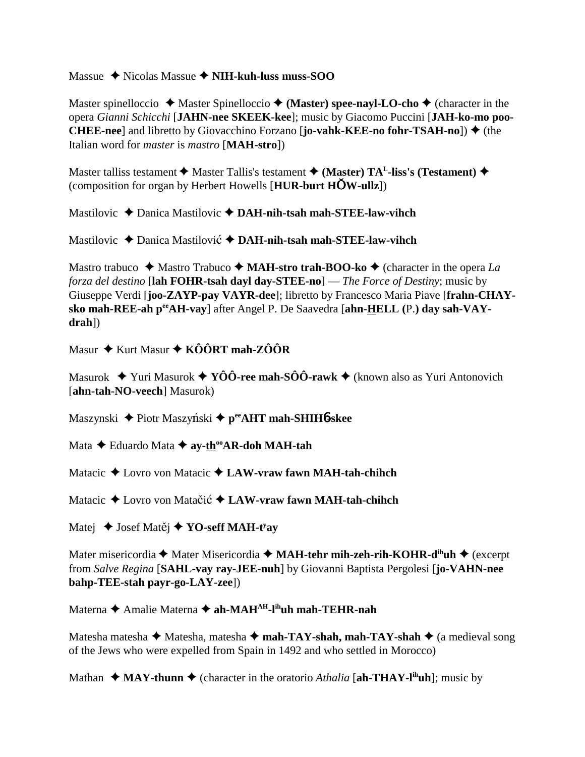Massue Nicolas Massue  **NIH-kuh-luss muss-SOO**

Master spinelloccio  $\triangle$  Master Spinelloccio  $\triangle$  (Master) spee-nayl-LO-cho  $\triangle$  (character in the opera *Gianni Schicchi* [**JAHN-nee SKEEK-kee**]; music by Giacomo Puccini [**JAH-ko-mo poo-CHEE-nee**] and libretto by Giovacchino Forzano [**jo-vahk-KEE-no fohr-TSAH-no**]) (the Italian word for *master* is *mastro* [**MAH-stro**])

Master talliss testament  $\blacklozenge$  Master Tallis's testament  $\blacklozenge$  (Master) TA<sup>L</sup>-liss's (Testament)  $\blacklozenge$ (composition for organ by Herbert Howells [**HUR-burt HW-ullz**])

Mastilovic ◆ Danica Mastilovic ◆ DAH-nih-tsah mah-STEE-law-vihch

Mastilovic **→** Danica Mastilović **→ DAH-nih-tsah mah-STEE-law-vihch** 

Mastro trabuco  $\triangleleft$  Mastro Trabuco  $\triangleleft$  **MAH-stro trah-BOO-ko**  $\triangleleft$  (character in the opera *La forza del destino* [**lah FOHR-tsah dayl day-STEE-no**] — *The Force of Destiny*; music by Giuseppe Verdi [**joo-ZAYP-pay VAYR-dee**]; libretto by Francesco Maria Piave [**frahn-CHAYsko mah-REE-ah peeAH-vay**] after Angel P. De Saavedra [**ahn-HELL (**P.**) day sah-VAYdrah**])

Masur ◆ Kurt Masur ◆ KÔÔRT mah-ZÔÔR

Masurok  $\blacklozenge$  Yuri Masurok  $\blacklozenge$  **YÔÔ-ree mah-SÔÔ-rawk**  $\blacklozenge$  (known also as Yuri Antonovich [**ahn-tah-NO-veech**] Masurok)

Maszynski ◆ Piotr Maszyński ◆ p<sup>ee</sup>AHT mah-SHIH6-skee

Mata **→** Eduardo Mata **→ ay-th<sup>oo</sup>AR-doh MAH-tah** 

Matacic **→** Lovro von Matacic **→ LAW-vraw fawn MAH-tah-chihch** 

Matacic **→** Lovro von Matačić **→ LAW-vraw fawn MAH-tah-chihch** 

Matej ◆ Josef Matěj ◆ **YO-seff MAH-t<sup>y</sup>ay** 

Mater misericordia ◆ Mater Misericordia ◆ MA**H-tehr mih-zeh-rih-KOHR-d<sup>ih</sup>uh ◆** (excerpt from *Salve Regina* [**SAHL-vay ray-JEE-nuh**] by Giovanni Baptista Pergolesi [**jo-VAHN-nee bahp-TEE-stah payr-go-LAY-zee**])

Materna **←** Amalie Materna ← ah-MAH<sup>AH</sup>-l<sup>ih</sup>uh mah-TEHR-nah

Matesha matesha  $\blacklozenge$  Matesha, matesha  $\blacklozenge$  **mah-TAY-shah, mah-TAY-shah**  $\blacklozenge$  (a medieval song of the Jews who were expelled from Spain in 1492 and who settled in Morocco)

Mathan  $\triangleleft$  **MAY-thunn**  $\triangleleft$  (character in the oratorio *Athalia* [ah-THAY-l<sup>ih</sup>uh]; music by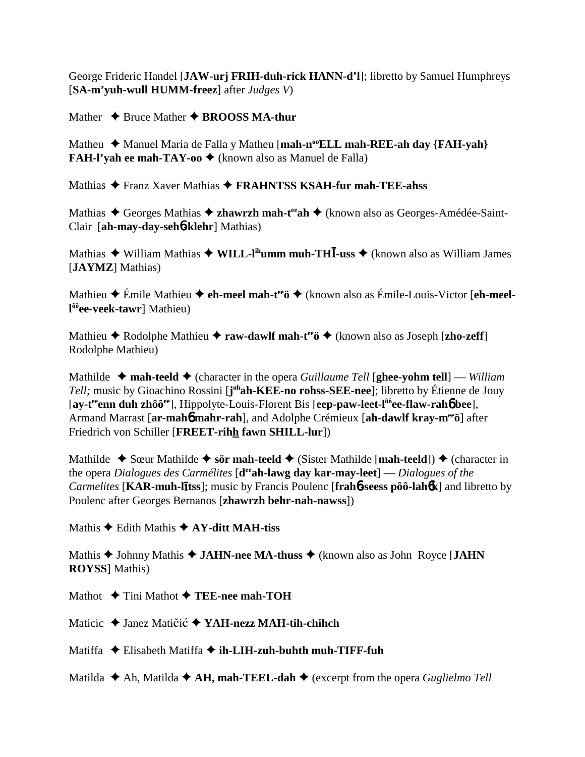George Frideric Handel [**JAW-urj FRIH-duh-rick HANN-d'l**]; libretto by Samuel Humphreys [**SA-m'yuh-wull HUMM-freez**] after *Judges V*)

Mather  $\triangle$  Bruce Mather  $\triangle$  **BROOSS MA-thur** 

Matheu ◆ Manuel Maria de Falla y Matheu [mah-n<sup>oo</sup>ELL mah-REE-ah day {FAH-yah} **FAH-l'yah ee mah-TAY-oo ♦** (known also as Manuel de Falla)

Mathias Franz Xaver Mathias **FRAHNTSS KSAH-fur mah-TEE-ahss**

Mathias ◆ Georges Mathias ◆ zhawrzh mah-t<sup>ee</sup>ah ◆ (known also as Georges-Amédée-Saint-Clair [**ah-may-day-seh**6**-klehr**] Mathias)

Mathias ◆ William Mathias ◆ WILL-l<sup>ih</sup>umm muh-THĪ-uss ◆ (known also as William James [**JAYMZ**] Mathias)

Mathieu ◆ Émile Mathieu ◆ **eh-meel mah-t<sup>ee</sup>ö ◆** (known also as Émile-Louis-Victor [**eh-meell ôôee-veek-tawr**] Mathieu)

Mathieu  $\triangle$  Rodolphe Mathieu  $\triangle$  **raw-dawlf mah-t<sup>ee</sup>ö**  $\triangle$  (known also as Joseph [**zho-zeff**] Rodolphe Mathieu)

Mathilde  $\triangleleft$  mah-teeld  $\triangleleft$  (character in the opera *Guillaume Tell* [ghee-yohm tell] — *William Tell;* music by Gioachino Rossini [**j ohah-KEE-no rohss-SEE-nee**]; libretto by Étienne de Jouy [**ay-teeenn duh zhôôee**], Hippolyte-Louis-Florent Bis [**eep-paw-leet-lôôee-flaw-rah**6 **bee**], Armand Marrast [**ar-mah**6 **mahr-rah**], and Adolphe Crémieux [**ah-dawlf kray-meeö**] after Friedrich von Schiller [**FREET-rihh fawn SHILL-lur**])

Mathilde  $\triangle$  Sœur Mathilde  $\triangle$  sör mah-teeld  $\triangle$  (Sister Mathilde [mah-teeld])  $\triangle$  (character in the opera *Dialogues des Carmélites* [**deeah-lawg day kar-may-leet**] — *Dialogues of the Carmelites* [**KAR-muh-ltss**]; music by Francis Poulenc [**frah**6**-seess pôô-lah**6**k**] and libretto by Poulenc after Georges Bernanos [**zhawrzh behr-nah-nawss**])

Mathis **→** Edith Mathis **→ AY-ditt MAH-tiss** 

Mathis ◆ Johnny Mathis ◆ **JAHN-nee MA-thuss** ◆ (known also as John Royce [**JAHN ROYSS**] Mathis)

Mathot **→ Tini Mathot → TEE-nee mah-TOH** 

Maticic ◆ Janez Matičić ◆ YAH-nezz MAH-tih-chihch

Matiffa **→** Elisabeth Matiffa → **ih-LIH-zuh-buhth muh-TIFF-fuh** 

Matilda  $\triangle$  Ah, Matilda  $\triangle$  A**H**, mah-TEEL-dah  $\triangle$  (excerpt from the opera *Guglielmo Tell*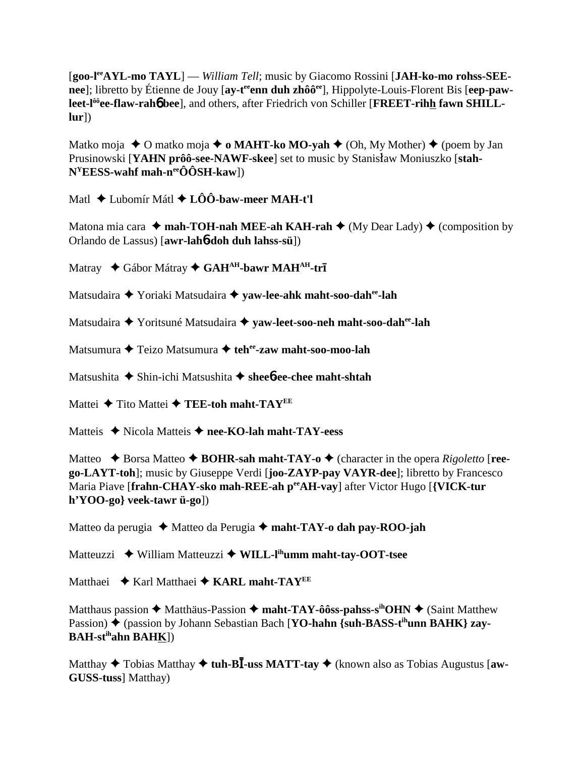[**goo-leeAYL-mo TAYL**] — *William Tell*; music by Giacomo Rossini [**JAH-ko-mo rohss-SEE**nee]; libretto by Étienne de Jouy [ay-t<sup>ee</sup> enn duh zhôô<sup>ee</sup>], Hippolyte-Louis-Florent Bis [eep-paw**leet-lôôee-flaw-rah**6 **bee**], and others, after Friedrich von Schiller [**FREET-rihh fawn SHILLlur**])

Matko moja ◆ O matko moja ◆ **o MAHT-ko MO-yah** ◆ (Oh, My Mother) ◆ (poem by Jan Prusinowski [YAHN prôô-see-NAWF-skee] set to music by Stanisław Moniuszko [stah-**NYEESS-wahf mah-neeÔÔSH-kaw**])

Matl Lubomír Mátl **LÔÔ-baw-meer MAH-t'l**

Matona mia cara  $\triangleleft$  mah-TOH-nah MEE-ah KAH-rah  $\triangleleft$  (My Dear Lady)  $\triangleleft$  (composition by Orlando de Lassus) [**awr-lah**6**-doh duh lahss-sü**])

Matray  $\triangle$  Gábor Mátray  $\triangle$  GAH<sup>AH</sup>-bawr MAH<sup>AH</sup>-trī

Matsudaira Yoriaki Matsudaira **yaw-lee-ahk maht-soo-dahee-lah**

Matsudaira Yoritsuné Matsudaira **yaw-leet-soo-neh maht-soo-dahee-lah**

Matsumura **↓** Teizo Matsumura **↓ teh<sup>ee</sup>-zaw maht-soo-moo-lah** 

Matsushita **→** Shin-ichi Matsushita → shee**6-ee-chee maht-shtah** 

Mattei **←** Tito Mattei ← TEE-toh maht-TAY<sup>EE</sup>

Matteis ◆ Nicola Matteis ◆ nee-KO-lah maht-TAY-eess

Matteo  $\triangle$  Borsa Matteo  $\triangle$  **BOHR-sah maht-TAY-o**  $\triangle$  (character in the opera *Rigoletto* [**reego-LAYT-toh**]; music by Giuseppe Verdi [**joo-ZAYP-pay VAYR-dee**]; libretto by Francesco Maria Piave [**frahn-CHAY-sko mah-REE-ah peeAH-vay**] after Victor Hugo [**{VICK-tur h'YOO-go} veek-tawr ü-go**])

Matteo da perugia Matteo da Perugia **maht-TAY-o dah pay-ROO-jah**

Matteuzzi  **◆ William Matteuzzi ◆ WILL-l<sup>ih</sup>umm maht-tay-OOT-tsee** 

Matthaei ◆ Karl Matthaei ◆ KARL maht-TAY<sup>EE</sup>

Matthaus passion **→** Matthäus-Passion → maht-TAY-ôôss-pahss-s<sup>ih</sup>OHN → (Saint Matthew Passion) ◆ (passion by Johann Sebastian Bach [**YO-hahn {suh-BASS-t<sup>ih</sup>unn BAHK} zay-BAH-stihahn BAHK**])

Matthay  $\triangle$  Tobias Matthay  $\triangle$  tuh-B**I**-uss MATT-tay  $\triangle$  (known also as Tobias Augustus [aw-**GUSS-tuss**] Matthay)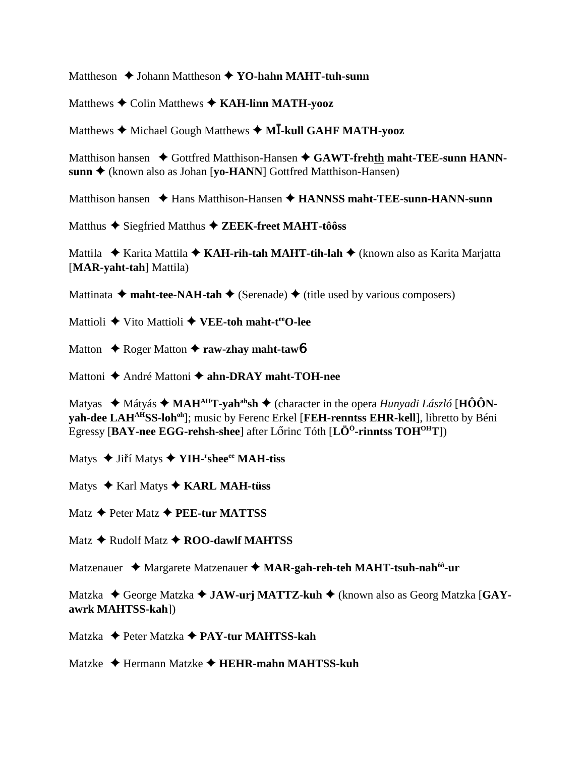Mattheson **→** Johann Mattheson **→ YO-hahn MAHT-tuh-sunn** 

Matthews **↓** Colin Matthews **✦ KAH-linn MATH-yooz** 

Matthews  $\blacklozenge$  Michael Gough Matthews  $\blacklozenge$  M**I**-kull GAHF MATH-yooz

Matthison hansen  $\triangle$  Gottfred Matthison-Hansen  $\triangle$  GAWT-frehth maht-TEE-sunn HANN**sunn ♦** (known also as Johan [**yo-HANN**] Gottfred Matthison-Hansen)

Matthison hansen **→** Hans Matthison-Hansen ◆ HANNSS maht-TEE-sunn-HANN-sunn

Matthus ◆ Siegfried Matthus ◆ ZEEK-freet MAHT-tôôss

Mattila ◆ Karita Mattila ◆ KAH-rih-tah MAHT-tih-lah ◆ (known also as Karita Marjatta [**MAR-yaht-tah**] Mattila)

Mattinata  $\triangleleft$  maht-tee-NAH-tah  $\triangleleft$  (Serenade)  $\triangleleft$  (title used by various composers)

Mattioli ◆ Vito Mattioli **◆ VEE-toh maht-t<sup>ee</sup>O-lee** 

Matton **↓** Roger Matton **✦ raw-zhay maht-taw6** 

Mattoni ◆ André Mattoni ◆ ahn-DRAY maht-TOH-nee

Matyas ◆ Mátyás ◆ MAH<sup>AH</sup>T-yah<sup>ah</sup>sh ◆ (character in the opera *Hunyadi László* [HÔÔNvah-dee LAH<sup>AH</sup>SS-loh<sup>oh</sup>]; music by Ferenc Erkel [FEH-renntss EHR-kell], libretto by Béni Egressy [**BAY-nee EGG-rehsh-shee**] after Lőrinc Tóth [**LÖ<sup>Ö</sup>-rinntss TOH<sup>OH</sup>T**])

Matys ◆ Jiří Matys ◆ **YIH-<sup>r</sup>shee<sup>ee</sup> MAH-tiss** 

Matys ◆ Karl Matys ◆ **KARL MAH-tüss** 

Matz **← Peter Matz ← PEE-tur MATTSS** 

Matz **→** Rudolf Matz **→ ROO-dawlf MAHTSS** 

Matzenauer ◆ Margarete Matzenauer ◆ MAR-gah-reh-teh MAHT-tsuh-nah<sup>ôô</sup>-ur

Matzka ◆ George Matzka ◆ JAW-urj MATTZ-kuh ◆ (known also as Georg Matzka [GAY**awrk MAHTSS-kah**])

Matzka Peter Matzka **PAY-tur MAHTSS-kah**

Matzke Hermann Matzke **HEHR-mahn MAHTSS-kuh**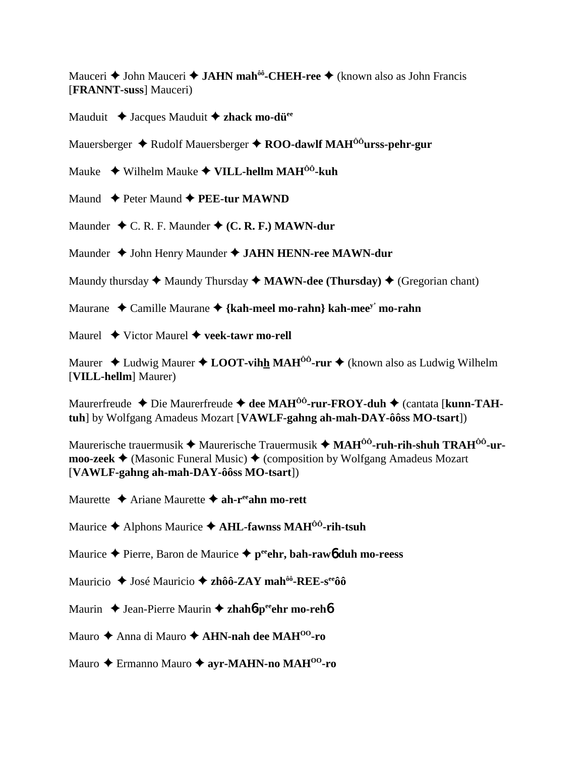Mauceri **◆ John Mauceri ◆ JAHN mah<sup>ôô</sup>-CHEH-ree ◆** (known also as John Francis [**FRANNT-suss**] Mauceri)

Mauduit **↓** Jacques Mauduit **◆ zhack mo-dü**<sup>ee</sup>

Mauersberger **→** Rudolf Mauersberger ◆ **ROO-dawlf MAH<sup>ôô</sup>urss-pehr-gur** 

Mauke Wilhelm Mauke **VILL-hellm MAHÔÔ-kuh**

Maund **← Peter Maund ← PEE-tur MAWND** 

Maunder  $\triangle$  C. R. F. Maunder  $\triangle$  (C. R. F.) MAWN-dur

Maunder ◆ John Henry Maunder ◆ **JAHN HENN-ree MAWN-dur** 

Maundy thursday  $\triangleq$  Maundy Thursday  $\triangleq$  **MAWN-dee (Thursday)**  $\triangleq$  (Gregorian chant)

Maurane Camille Maurane **{kah-meel mo-rahn} kah-meey' mo-rahn**

Maurel Victor Maurel **veek-tawr mo-rell**

Maurer  $\triangleleft$  Ludwig Maurer  $\triangleleft$  **LOOT-vihh MAH<sup>ôô</sup>-rur**  $\triangleleft$  (known also as Ludwig Wilhelm [**VILL-hellm**] Maurer)

Maurerfreude ◆ Die Maurerfreude ◆ dee MAH<sup>ôô</sup>-rur-FROY-duh ◆ (cantata [kunn-TAH**tuh**] by Wolfgang Amadeus Mozart [**VAWLF-gahng ah-mah-DAY-ôôss MO-tsart**])

Maurerische trauermusik **→** Maurerische Trauermusik → MAH<sup>ôô</sup>-ruh-rih-shuh TRAH<sup>ôô</sup>-ur**moo-zeek**  $\triangleleft$  (Masonic Funeral Music)  $\triangleleft$  (composition by Wolfgang Amadeus Mozart [**VAWLF-gahng ah-mah-DAY-ôôss MO-tsart**])

Maurette **→** Ariane Maurette **→ ah-r<sup>ee</sup>ahn mo-rett** 

Maurice Alphons Maurice **AHL-fawnss MAHÔÔ-rih-tsuh**

Maurice Pierre, Baron de Maurice **peeehr, bah-raw**6 **duh mo-reess**

Mauricio ◆ José Mauricio ◆ zhôô-ZAY mah<sup>ôô</sup>-REE-s<sup>ee</sup>ôô

Maurin ◆ Jean-Pierre Maurin ◆ zhah**6**-peehr mo-reh**6** 

Mauro ◆ Anna di Mauro ◆ **AHN-nah dee MAH<sup>00</sup>-ro** 

Mauro Ermanno Mauro **ayr-MAHN-no MAHOO-ro**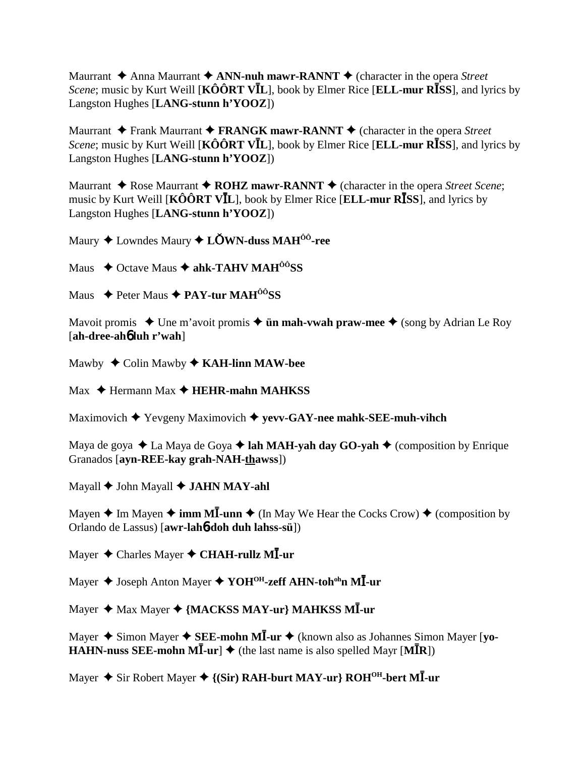Maurrant  $\triangle$  Anna Maurrant  $\triangle$  ANN-nuh mawr-RANNT  $\triangle$  (character in the opera *Street Scene*; music by Kurt Weill [KOORT VIL], book by Elmer Rice [ELL-mur RISS], and lyrics by Langston Hughes [LANG-stunn h'YOOZ])

Maurrant  $\triangle$  Frank Maurrant  $\triangle$  FRANGK mawr-RANNT  $\triangle$  (character in the opera Street *Scene*; music by Kurt Weill [ $\angle K\hat{O} \hat{O} \angle RT$   $\angle V\angle L$ ], book by Elmer Rice [ELL-mur R $\angle TSS$ ], and lyrics by Langston Hughes [LANG-stunn h'YOOZ])

Maurrant  $\triangle$  Rose Maurrant  $\triangle$  ROHZ mawr-RANNT  $\triangle$  (character in the opera *Street Scene*; music by Kurt Weill [ $\angle K\hat{O} \hat{O} R T V \angle I$ ], book by Elmer Rice [ELL-mur R $\angle ISS$ ], and lyrics by Langston Hughes [LANG-stunn h'YOOZ])

Maury  $\triangle$  Lowndes Maury  $\triangle$  LOWN-duss MAH<sup>00</sup>-ree

Maus  $\triangle$  Octave Maus  $\triangle$  ahk-TAHV MAH<sup>00</sup>SS

Maus  $\triangle$  Peter Maus  $\triangle$  PAY-tur MAH<sup> $\angle$ o</sub><sup>o</sup>SS</sup>

Mavoit promis  $\triangle$  Une m'avoit promis  $\triangle$  **ün mah-vwah praw-mee**  $\triangle$  (song by Adrian Le Roy [ah-dree-aho luh r'wah]

Mawby  $\triangle$  Colin Mawby  $\triangle$  KAH-linn MAW-bee

 $Max \triangleleft$  Hermann Max  $\triangleleft$  HEHR-mahn MAHKSS

Maximovich  $\blacklozenge$  Yevgeny Maximovich  $\blacklozenge$  yevv-GAY-nee mahk-SEE-muh-vihch

Maya de goya  $\triangle$  La Maya de Goya  $\triangle$  lah MAH-yah day GO-yah  $\triangle$  (composition by Enrique Granados [ayn-REE-kay grah-NAH-thawss])

Mayall  $\blacklozenge$  John Mayall  $\blacklozenge$  JAHN MAY-ahl

Mayen  $\triangle$  Im Mayen  $\triangle$  imm MI-unn  $\triangle$  (In May We Hear the Cocks Crow)  $\triangle$  (composition by Orlando de Lassus) [awr-lah**6-doh duh lahss-sü**])

Mayer  $\triangle$  Charles Mayer  $\triangle$  CHAH-rullz MI-ur

Mayer ♦ Joseph Anton Mayer ♦ YOH<sup>OH</sup>-zeff AHN-toh<sup>oh</sup>n MĪ-ur

Mayer ♦ Max Mayer ♦ {MACKSS MAY-ur} MAHKSS MI-ur

Mayer  $\triangle$  Simon Mayer  $\triangle$  SEE-mohn MI-ur  $\triangle$  (known also as Johannes Simon Mayer [vo-**HAHN-nuss SEE-mohn MI-ur]**  $\blacklozenge$  (the last name is also spelled Mayr [MIR])

Mayer ◆ Sir Robert Mayer ◆ {(Sir) RAH-burt MAY-ur} ROH<sup>OH</sup>-bert MI-ur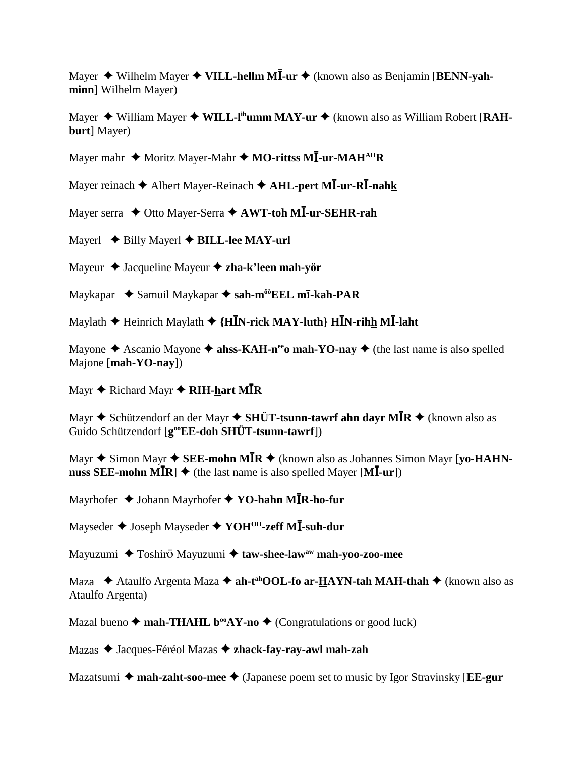Mayer ♦ Wilhelm Mayer ♦ VILL-hellm MĪ-ur ♦ (known also as Benjamin [BENN-yah**minn**] Wilhelm Mayer)

Mayer ◆ William Mayer ◆ WILL-I<sup>ih</sup>umm MAY-ur ◆ (known also as William Robert [RAH**burt**] Mayer)

Mayer mahr  $\triangle$  Moritz Mayer-Mahr  $\triangle$  MO-rittss MI-ur-MAH<sup>AH</sup>R

Mayer reinach  $\blacklozenge$  Albert Mayer-Reinach  $\blacklozenge$  **AHL-pert MĪ-ur-RĪ-nahk** 

Mayer serra  $\triangle$  Otto Mayer-Serra  $\triangle$  AWT-toh MI-ur-SEHR-rah

Mayerl **◆ Billy Mayerl ◆ BILL-lee MAY-url** 

Mayeur Jacqueline Mayeur **zha-k'leen mah-yör**

Maykapar Samuil Maykapar **sah-môôEEL m-kah-PAR**

Maylath ♦ Heinrich Maylath ♦ {HĪN-rick MAY-luth} HĪN-rih<u>h</u> MĪ-laht

Mayone  $\triangle$  Ascanio Mayone  $\triangle$  ahss-KAH-n<sup>ee</sup>o mah-YO-nay  $\triangle$  (the last name is also spelled Majone [**mah-YO-nay**])

Mayr ◆ Richard Mayr ◆ **RIH-<u>h</u>art MĪR** 

Mayr ♦ Schützendorf an der Mayr ♦ SHÜT-tsunn-tawrf ahn dayr MĪR ♦ (known also as Guido Schützendorf [**g**<sup>oo</sup>**EE-doh SHÜT-tsunn-tawrf**])

Mayr  $\blacklozenge$  Simon Mayr  $\blacklozenge$  **SEE-mohn MĪR**  $\blacklozenge$  (known also as Johannes Simon Mayr [yo-HAHN- $\mathbf{m}$ **uss SEE-mohn**  $\mathbf{M}$  $\mathbf{\bar{R}}$  $\mathbf{\rightarrow}$  **(the last name is also spelled Mayer**  $[\mathbf{M}]$ **<b>-ur**])

Mayrhofer  $\triangleq$  Johann Mayrhofer  $\triangleq$  **YO-hahn MIR-ho-fur** 

Mayseder ♦ Joseph Mayseder ♦ YOH<sup>OH</sup>-zeff MĪ-suh-dur

Mayuzumi ◆ Toshirō Mayuzumi **◆ taw-shee-law<sup>aw</sup> mah-yoo-zoo-mee** 

Maza ◆ Ataulfo Argenta Maza ◆ ah-t<sup>ah</sup>OOL-fo ar-**HAYN-tah MAH-thah** ◆ (known also as Ataulfo Argenta)

Mazal bueno  $\triangle$  mah-THAHL b<sup>oo</sup>AY-no  $\triangle$  (Congratulations or good luck)

Mazas Jacques-Féréol Mazas **zhack-fay-ray-awl mah-zah**

Mazatsumi **mah-zaht-soo-mee** (Japanese poem set to music by Igor Stravinsky [**EE-gur**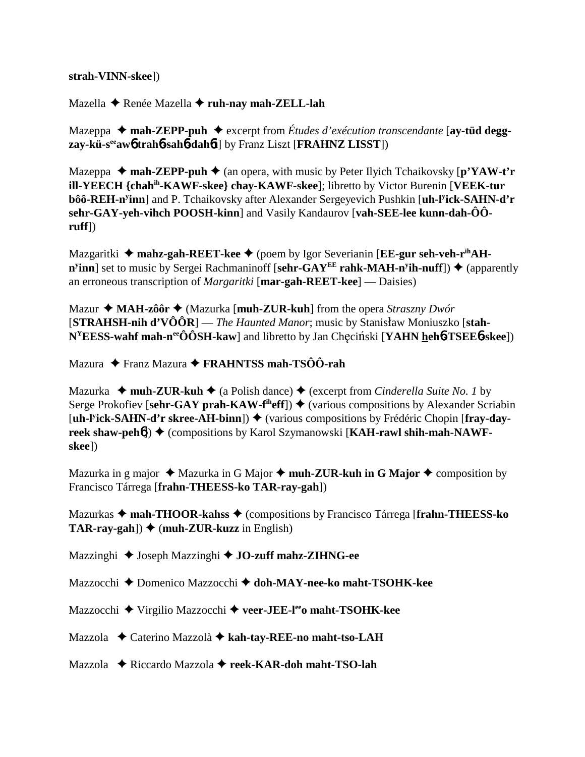## **strah-VINN-skee**])

Mazella Renée Mazella **ruh-nay mah-ZELL-lah**

Mazeppa ◆ mah-ZEPP-puh ◆ excerpt from Études d'exécution transcendante [ay-tüd degg**zay-kü-seeaw**6 **trah**6**-sah**6**-dah**6**t**] by Franz Liszt [**FRAHNZ LISST**])

Mazeppa  $\triangle$  mah-ZEPP-puh  $\triangle$  (an opera, with music by Peter Ilyich Tchaikovsky [p'YAW-t'r **ill-YEECH {chahih-KAWF-skee} chay-KAWF-skee**]; libretto by Victor Burenin [**VEEK-tur bôô-REH-ny inn**] and P. Tchaikovsky after Alexander Sergeyevich Pushkin [**uh-ly ick-SAHN-d'r sehr-GAY-yeh-vihch POOSH-kinn**] and Vasily Kandaurov [**vah-SEE-lee kunn-dah-ÔÔruff**])

Mazgaritki ◆ mahz-gah-REET-kee ◆ (poem by Igor Severianin [EE-gur seh-veh-r<sup>ih</sup>AH**n<sup>y</sup>inn**] set to music by Sergei Rachmaninoff [sehr-GAY<sup>EE</sup> rahk-MAH-n<sup>y</sup>ih-nuff]) ♦ (apparently an erroneous transcription of *Margaritki* [**mar-gah-REET-kee**] — Daisies)

Mazur **MAH-zôôr** (Mazurka [**muh-ZUR-kuh**] from the opera *Straszny Dwór* [STRAHSH-nih d'VÔÔR] — *The Haunted Manor*; music by Stanisław Moniuszko [stah-**N<sup>Y</sup>EESS-wahf mah-n<sup>ee</sup>ÔÔSH-kaw**] and libretto by Jan Chęciński [**YAHN** heh**6-TSEE6-skee**])

Mazura Franz Mazura **FRAHNTSS mah-TSÔÔ-rah**

Mazurka  $\rightarrow$  muh-ZUR-kuh $\rightarrow$  (a Polish dance)  $\rightarrow$  (excerpt from *Cinderella Suite No. 1* by Serge Prokofiev [sehr-GAY prah-KAW-f<sup>th</sup>eff])  $\blacklozenge$  (various compositions by Alexander Scriabin [uh-Pick-SAHN-d'r skree-AH-binn]) ♦ (various compositions by Frédéric Chopin [fray-day**reek shaw-peh<sup>6</sup>) ♦ (compositions by Karol Szymanowski [KAH-rawl shih-mah-NAWFskee**])

Mazurka in g major  $\triangleleft$  Mazurka in G Major  $\triangleleft$  muh-ZUR-kuh in G Major  $\triangleleft$  composition by Francisco Tárrega [**frahn-THEESS-ko TAR-ray-gah**])

Mazurkas **mah-THOOR-kahss** (compositions by Francisco Tárrega [**frahn-THEESS-ko TAR-ray-gah**])  $\blacklozenge$  (muh-ZUR-kuzz in English)

Mazzinghi Joseph Mazzinghi **JO-zuff mahz-ZIHNG-ee**

Mazzocchi Domenico Mazzocchi  **doh-MAY-nee-ko maht-TSOHK-kee**

Mazzocchi Virgilio Mazzocchi **veer-JEE-leeo maht-TSOHK-kee**

Mazzola **→** Caterino Mazzolà → kah-tay-REE-no maht-tso-LAH

Mazzola Riccardo Mazzola **reek-KAR-doh maht-TSO-lah**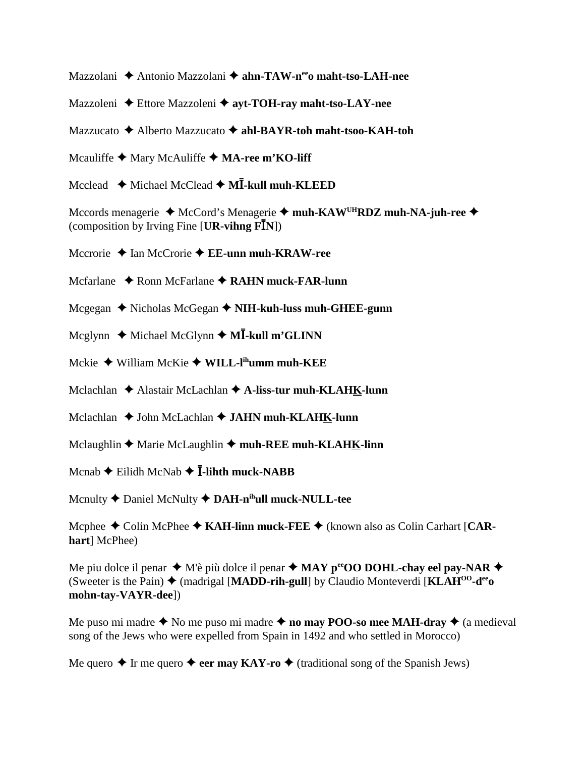Mazzolani ◆ Antonio Mazzolani ◆ ahn-TAW-n<sup>ee</sup>o maht-tso-LAH-nee

Mazzoleni **→** Ettore Mazzoleni → ayt-TOH-ray maht-tso-LAY-nee

Mazzucato Alberto Mazzucato **ahl-BAYR-toh maht-tsoo-KAH-toh**

Mcauliffe  $\triangle$  Mary McAuliffe  $\triangle$  **MA-ree m'KO-liff** 

Mcclead ◆ Michael McClead ◆ M**I-kull muh-KLEED** 

Mccords menagerie ◆ McCord's Menagerie ◆ muh-KAW<sup>UH</sup>RDZ muh-NA-juh-ree ◆ (composition by Irving Fine  $[\textbf{UR-vihng}\ \textbf{F}\textbf{I}\textbf{N}]$ )

Mccrorie ◆ Ian McCrorie **◆ EE-unn muh-KRAW-ree** 

Mcfarlane ◆ Ronn McFarlane ◆ RAHN muck-FAR-lunn

Mcgegan ◆ Nicholas McGegan ◆ NIH-kuh-luss muh-GHEE-gunn

Mcglynn ◆ Michael McGlynn ◆ M**Ī-kull m'GLINN** 

Mckie William McKie **WILL-lihumm muh-KEE**

Mclachlan ◆ Alastair McLachlan **◆ A-liss-tur muh-KLAHK-lunn** 

Mclachlan ◆ John McLachlan **◆ JAHN muh-KLAHK-lunn** 

Mclaughlin  $\triangle$  Marie McLaughlin  $\triangle$  muh-REE muh-KLAHK-linn

Mcnab **→** Eilidh McNab **→ Ī-lihth muck-NABB** 

Mcnulty **←** Daniel McNulty **← DAH-n<sup>ih</sup>ull muck-NULL-tee** 

Mcphee ◆ Colin McPhee ◆ KAH-linn muck-FEE ◆ (known also as Colin Carhart [CAR**hart**] McPhee)

Me piu dolce il penar  $\blacklozenge$  M'è più dolce il penar  $\blacklozenge$  **MAY p<sup>ee</sup>OO DOHL-chay eel pay-NAR**  $\blacklozenge$ (Sweeter is the Pain)  $\triangleq$  (madrigal [**MADD-rih-gull**] by Claudio Monteverdi [**KLAH<sup>00</sup>-d<sup>ee</sup>o**] **mohn-tay-VAYR-dee**])

Me puso mi madre  $\triangle$  No me puso mi madre  $\triangle$  no may POO-so mee MAH-dray  $\triangle$  (a medieval song of the Jews who were expelled from Spain in 1492 and who settled in Morocco)

Me quero  $\triangle$  Ir me quero  $\triangle$  eer may KAY-ro  $\triangle$  (traditional song of the Spanish Jews)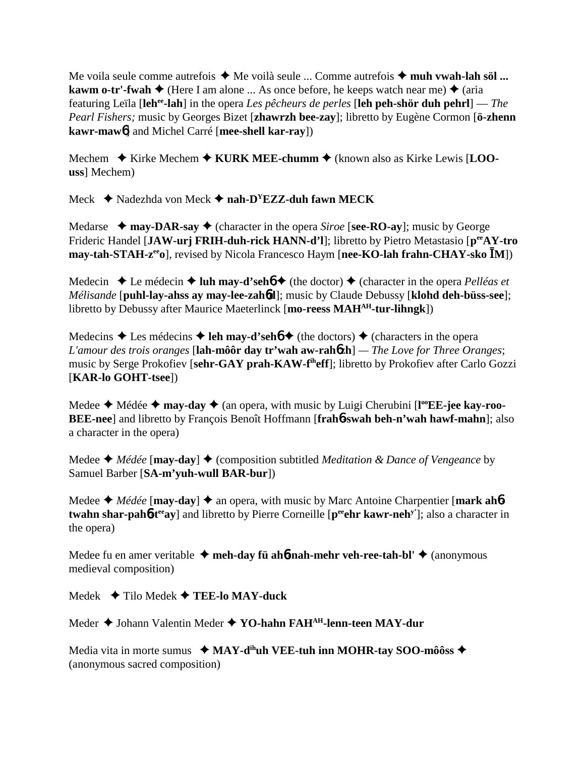Me voila seule comme autrefois **→** Me voilà seule ... Comme autrefois **→ muh vwah-lah söl ... kawm o-tr'-fwah**  $\blacklozenge$  (Here I am alone ... As once before, he keeps watch near me)  $\blacklozenge$  (aria featuring Leïla [**lehee-lah**] in the opera *Les pêcheurs de perles* [**leh peh-shör duh pehrl**] — *The Pearl Fishers;* music by Georges Bizet [**zhawrzh bee-zay**]; libretto by Eugène Cormon [**ö-zhenn kawr-maw**6] and Michel Carré [**mee-shell kar-ray**])

Mechem **→** Kirke Mechem ◆ KURK MEE-chumm ◆ (known also as Kirke Lewis [LOO**uss**] Mechem)

Meck Nadezhda von Meck **nah-DYEZZ-duh fawn MECK**

Medarse  $\rightarrow$  **may-DAR-say**  $\rightarrow$  (character in the opera *Siroe* [**see-RO-ay**]; music by George Frideric Handel [**JAW-urj FRIH-duh-rick HANN-d'l**]; libretto by Pietro Metastasio [**peeAY-tro may-tah-STAH-z<sup>ee</sup>o**], revised by Nicola Francesco Haym [nee-KO-lah frahn-CHAY-sko **I**M])

Medecin  $\triangle$  Le médecin  $\triangle$  luh may-d'seh**6**  $\triangle$  (the doctor)  $\triangle$  (character in the opera *Pelléas et Mélisande* [**puhl-lay-ahss ay may-lee-zah**6**d**]; music by Claude Debussy [**klohd deh-büss-see**]; libretto by Debussy after Maurice Maeterlinck [**mo-reess MAHAH-tur-lihngk**])

Medecins  $\triangle$  Les médecins  $\triangle$  **leh may-d'sehó**  $\triangle$  (the doctors)  $\triangle$  (characters in the opera *L'amour des trois oranges* [**lah-môôr day tr'wah aw-rah**6**zh**] *— The Love for Three Oranges*; music by Serge Prokofiev [**sehr-GAY prah-KAW-fiheff**]; libretto by Prokofiev after Carlo Gozzi [**KAR-lo GOHT-tsee**])

Medee ◆ Médée ◆ may-day ◆ (an opera, with music by Luigi Cherubini [l<sup>oo</sup>EE-jee kay-roo-**BEE-nee**] and libretto by François Benoît Hoffmann [**frah**6**-swah beh-n'wah hawf-mahn**]; also a character in the opera)

Medee  $\triangle$  *Médée* [**may-day**]  $\triangle$  (composition subtitled *Meditation & Dance of Vengeance* by Samuel Barber [**SA-m'yuh-wull BAR-bur**])

Medee  $\triangleleft$  *Médée* [**may-day**]  $\triangleleft$  an opera, with music by Marc Antoine Charpentier [**mark ah**<sup>6</sup> **twahn shar-pah<sup>6</sup>-t<sup>ee</sup>ay**] and libretto by Pierre Corneille [pering kawr-neh<sup>y'</sup>]; also a character in the opera)

Medee fu en amer veritable  $\triangleleft$  meh-day fü ah**6**-nah-mehr veh-ree-tah-bl' $\triangleleft$  (anonymous medieval composition)

Medek Tilo Medek **TEE-lo MAY-duck**

Meder Johann Valentin Meder **YO-hahn FAHAH-lenn-teen MAY-dur**

Media vita in morte sumus **↓ MAY-d<sup>ih</sup>uh VEE-tuh inn MOHR-tay SOO-môôss ◆** (anonymous sacred composition)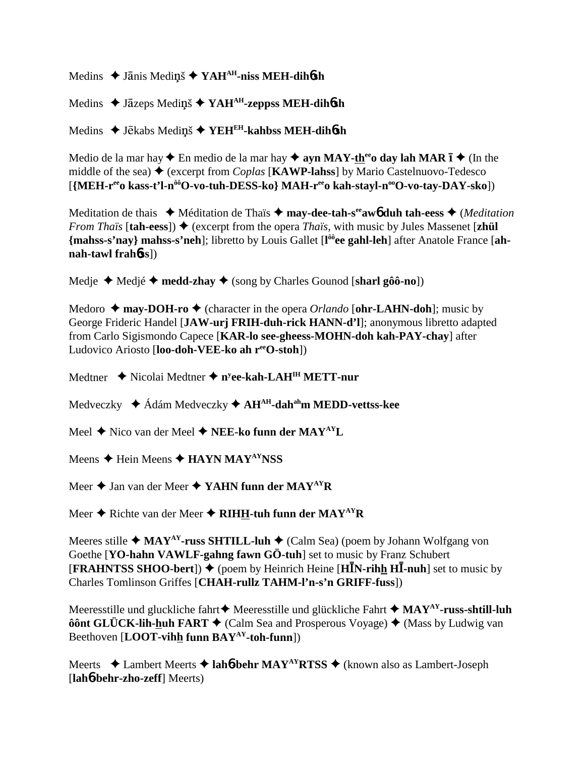Medins ◆ Janis Medins ◆ YAH<sup>AH</sup>-niss MEH-dih6sh

Medins ◆ Jāzeps Mediņš ◆ YAH<sup>AH</sup>-zeppss MEH-dih**ósh** 

Medins ◆ Jēkabs Mediņš ◆ YEH<sup>EH</sup>-kahbss MEH-dih**ó**sh

Medio de la mar hay  $\triangle$  En medio de la mar hay  $\triangle$  ayn MAY-th<sup>ee</sup>o day lah MAR  $\overline{I}$   $\triangle$  (In the middle of the sea)  $\triangle$  (excerpt from *Coplas* [**KAWP-lahss**] by Mario Castelnuovo-Tedesco [{MEH-r<sup>ee</sup>o kass-t'l-n<sup>ôô</sup>O-vo-tuh-DESS-ko} MAH-r<sup>ee</sup>o kah-stayl-n<sup>oo</sup>O-vo-tay-DAY-sko])

Meditation de thais ◆ Méditation de Thaïs ◆ may-dee-tah-s<sup>ee</sup>aw**6** duh tah-eess ◆ (*Meditation From Thaïs* [tah-eess])  $\triangle$  (excerpt from the opera *Thaïs*, with music by Jules Massenet [zhül] **{mahss-s'nay} mahss-s'neh**]; libretto by Louis Gallet [**l ôôee gahl-leh**] after Anatole France [**ahnah-tawl frah**6**ss**])

Medje Medjé **medd-zhay** (song by Charles Gounod [**sharl gôô-no**])

Medoro  $\triangle$  may-DOH-ro  $\triangle$  (character in the opera *Orlando* [ohr-LAHN-doh]; music by George Frideric Handel [**JAW-urj FRIH-duh-rick HANN-d'l**]; anonymous libretto adapted from Carlo Sigismondo Capece [**KAR-lo see-gheess-MOHN-doh kah-PAY-chay**] after Ludovico Ariosto [**loo-doh-VEE-ko ah reeO-stoh**])

Medtner ◆ Nicolai Medtner ◆ n<sup>y</sup>ee-kah-LAH<sup>IH</sup> METT-nur

Medveczky Ádám Medveczky **AHAH-dahahm MEDD-vettss-kee**

Meel ◆ Nico van der Meel ◆ **NEE-ko funn der MAY<sup>AY</sup>L** 

Meens  $\triangle$  Hein Meens  $\triangle$  **HAYN MAY<sup>AY</sup>NSS** 

Meer **→** Jan van der Meer **→ YAHN funn der MAY<sup>AY</sup>R** 

Meer **→** Richte van der Meer **→ RIHH-tuh funn der MAY<sup>AY</sup>R** 

Meeres stille  $\triangleleft$  MAY<sup>AY</sup>-russ SHTILL-luh  $\triangleleft$  (Calm Sea) (poem by Johann Wolfgang von Goethe [**YO-hahn VAWLF-gahng fawn GÖ-tuh**] set to music by Franz Schubert **[FRAHNTSS SHOO-bert]) ♦** (poem by Heinrich Heine [HIN-rihh HI-nuh] set to music by Charles Tomlinson Griffes [**CHAH-rullz TAHM-l'n-s'n GRIFF-fuss**])

Meeresstille und gluckliche fahrt  $\blacklozenge$  Meeresstille und glückliche Fahrt  $\blacklozenge$  MAY<sup>AY</sup>-russ-shtill-luh **ôônt GLÜCK-lih-huh FART ♦** (Calm Sea and Prosperous Voyage) ♦ (Mass by Ludwig van Beethoven [**LOOT-vihh funn BAYAY-toh-funn**])

Meerts **→** Lambert Meerts **→ lah<sub>0</sub><sup>-</sup>behr MAY<sup>AY</sup>RTSS →** (known also as Lambert-Joseph [**lah**6**-behr-zho-zeff**] Meerts)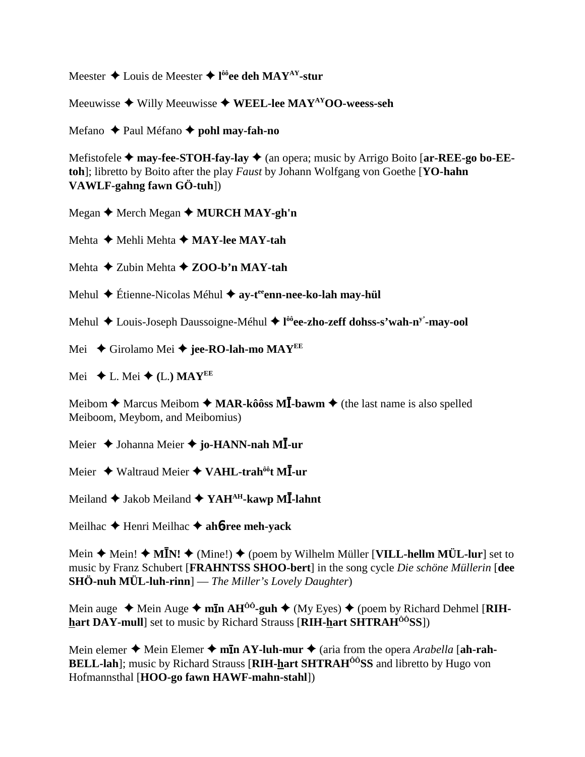Meester Louis de Meester **l ôôee deh MAYAY-stur**

Meeuwisse **→** Willy Meeuwisse ◆ WEEL-lee MAY<sup>AY</sup>OO-weess-seh

Mefano Paul Méfano **pohl may-fah-no**

Mefistofele **→ may-fee-STOH-fay-lay →** (an opera; music by Arrigo Boito [ar-REE-go bo-EE**toh**]; libretto by Boito after the play *Faust* by Johann Wolfgang von Goethe [**YO-hahn VAWLF-gahng fawn GÖ-tuh**])

Megan **←** Merch Megan ← MURCH MAY-gh'n

Mehta **→ Mehli Mehta → MAY-lee MAY-tah** 

Mehta **→ Zubin Mehta → ZOO-b'n MAY-tah** 

Mehul **←** Étienne-Nicolas Méhul ← ay-t<sup>ee</sup>enn-nee-ko-lah may-hül

Mehul Louis-Joseph Daussoigne-Méhul **l ôôee-zho-zeff dohss-s'wah-ny'-may-ool**

Mei ◆ Girolamo Mei ◆ jee-RO-lah-mo MAY<sup>EE</sup>

Mei  $\blacklozenge$  L. Mei  $\blacklozenge$  (L.) MAY<sup>EE</sup>

Meibom **→** Marcus Meibom → MAR-kôôss MĪ-bawm → (the last name is also spelled Meiboom, Meybom, and Meibomius)

Meier ◆ Johanna Meier ◆ **jo-HANN-nah MĪ-ur** 

Meier ◆ Waltraud Meier ◆ VAHL-trah<sup>ôô</sup>t Ml-ur

Meiland ◆ Jakob Meiland ◆ YAH<sup>AH</sup>-kawp MĪ-lahnt

Meilhac **←** Henri Meilhac ← ah**6-ree meh-yack** 

Mein ♦ Mein! ♦ MĪN! ♦ (Mine!) ♦ (poem by Wilhelm Müller [VILL-hellm MÜL-lur] set to music by Franz Schubert [**FRAHNTSS SHOO-bert**] in the song cycle *Die schöne Müllerin* [**dee SHÖ-nuh MÜL-luh-rinn**] — *The Miller's Lovely Daughter*)

Mein auge  $\triangleleft$  Mein Auge  $\triangleleft$  m**In AH<sup>00</sup>-guh**  $\triangleq$  (My Eyes)  $\triangleq$  (poem by Richard Dehmel [**RIHhart DAY-mull**] set to music by Richard Strauss [**RIH-hart SHTRAHÔÔSS**])

Mein elemer  $\triangle$  Mein Elemer  $\triangle$  m**In AY-luh-mur**  $\triangle$  (aria from the opera *Arabella* [ah-rah-**BELL-lah**]; music by Richard Strauss [**RIH-hart SHTRAH<sup>ôô</sup>SS** and libretto by Hugo von Hofmannsthal [**HOO-go fawn HAWF-mahn-stahl**])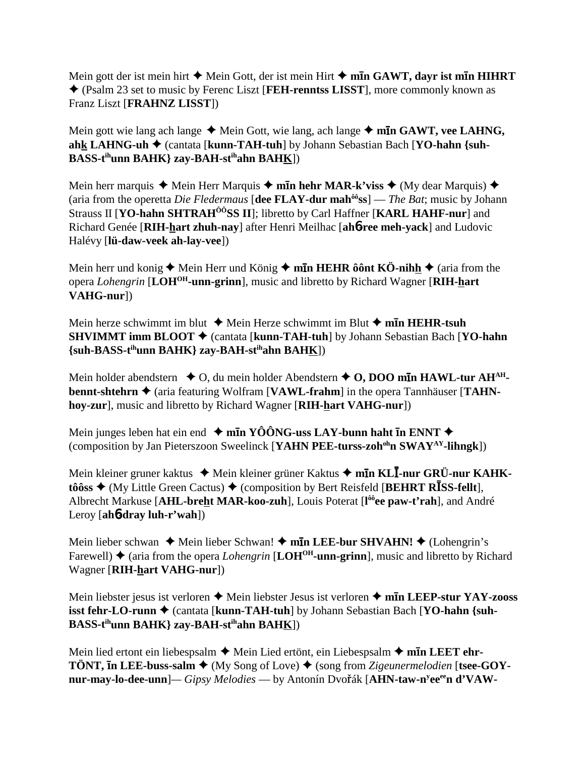Mein gott der ist mein hirt  $\triangle$  Mein Gott, der ist mein Hirt  $\triangle$  m**In GAWT, dayr ist mIn HIHRT**  (Psalm 23 set to music by Ferenc Liszt [**FEH-renntss LISST**], more commonly known as Franz Liszt [**FRAHNZ LISST**])

Mein gott wie lang ach lange ◆ Mein Gott, wie lang, ach lange ◆ m**In GAWT, vee LAHNG, ahk LAHNG-uh** (cantata [**kunn-TAH-tuh**] by Johann Sebastian Bach [**YO-hahn {suh-BASS-tihunn BAHK} zay-BAH-stihahn BAHK**])

Mein herr marquis  $\triangle$  Mein Herr Marquis  $\triangle$  m**In hehr MAR-k'viss**  $\triangle$  (My dear Marquis)  $\triangle$ (aria from the operetta *Die Fledermaus* [**dee FLAY-dur mahôôss**] — *The Bat*; music by Johann Strauss II [YO-hahn SHTRAH<sup>ÔÔ</sup>SS II]; libretto by Carl Haffner [KARL HAHF-nur] and Richard Genée [**RIH-hart zhuh-nay**] after Henri Meilhac [**ah**6**-ree meh-yack**] and Ludovic Halévy [**lü-daw-veek ah-lay-vee**])

Mein herr und konig  $\triangle$  Mein Herr und König  $\triangle$  m**In HEHR ôônt KÖ-nihh**  $\triangle$  (aria from the opera *Lohengrin* [**LOHOH-unn-grinn**], music and libretto by Richard Wagner [**RIH-hart VAHG-nur**])

Mein herze schwimmt im blut **→** Mein Herze schwimmt im Blut **→ mīn HEHR-tsuh SHVIMMT imm BLOOT** ♦ (cantata [**kunn-TAH-tuh**] by Johann Sebastian Bach [**YO-hahn**] **{suh-BASS-tihunn BAHK} zay-BAH-stihahn BAHK**])

Mein holder abendstern  $\bullet$  O, du mein holder Abendstern  $\bullet$  O, DOO m**In HAWL-tur AH<sup>AH</sup>bennt-shtehrn**  $\triangle$  (aria featuring Wolfram [**VAWL-frahm**] in the opera Tannhäuser [TAHN**hoy-zur**], music and libretto by Richard Wagner [**RIH-hart VAHG-nur**])

Mein junges leben hat ein end  $\blacklozenge$  m**I**n YOONG-uss LAY-bunn haht **I**n ENNT  $\blacklozenge$ (composition by Jan Pieterszoon Sweelinck [**YAHN PEE-turss-zohohn SWAYAY-lihngk**])

Mein kleiner gruner kaktus ◆ Mein kleiner grüner Kaktus ◆ m**īn KLĪ-nur GRÜ-nur KAHK-** $\mathbf{t}$ ôôss  $\blacklozenge$  (My Little Green Cactus)  $\blacklozenge$  (composition by Bert Reisfeld [BEHRT RISS-fellt], Albrecht Markuse [**AHL-breht MAR-koo-zuh**], Louis Poterat [**l ôôee paw-t'rah**], and André Leroy [**ah**6**-dray luh-r'wah**])

Mein lieber schwan ◆ Mein lieber Schwan! ◆ m**īn LEE-bur SHVAHN! ◆** (Lohengrin's Farewell)  $\triangle$  (aria from the opera *Lohengrin* [LOH<sup>OH</sup>-unn-grinn], music and libretto by Richard Wagner [**RIH-hart VAHG-nur**])

Mein liebster jesus ist verloren **→** Mein liebster Jesus ist verloren **→ mīn LEEP-stur YAY-zooss isst fehr-LO-runn ♦** (cantata [**kunn-TAH-tuh**] by Johann Sebastian Bach [YO-hahn {suh-**BASS-tihunn BAHK} zay-BAH-stihahn BAHK**])

Mein lied ertont ein liebespsalm **→** Mein Lied ertönt, ein Liebespsalm → m**īn LEET ehr-TÖNT, In LEE-buss-salm**  $\blacklozenge$  **(My Song of Love)**  $\blacklozenge$  **(song from** *Zigeunermelodien* **[tsee-GOYnur-may-lo-dee-unn**]— *Gipsy Melodies* — by Antonín Dvořák [A**HN-taw-n<sup>y</sup>ee<sup>ee</sup>n d'VAW-**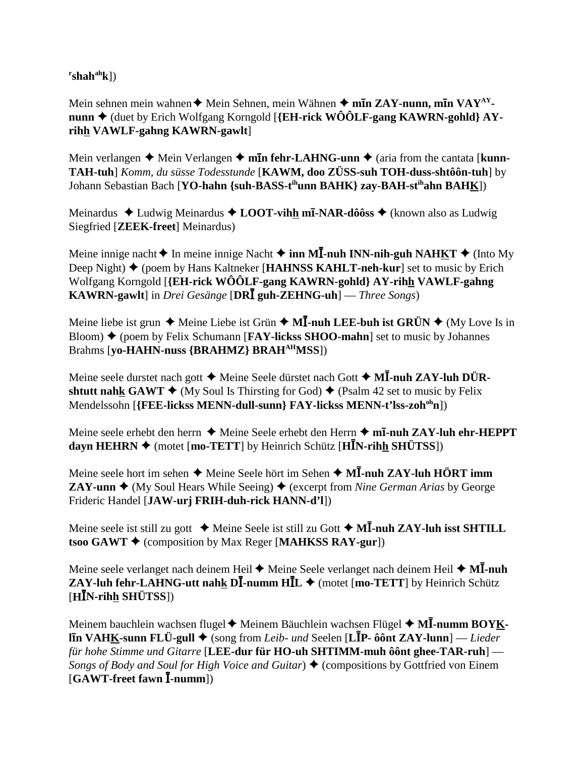**r shahahk**])

Mein sehnen mein wahnen **→** Mein Sehnen, mein Wähnen ◆ m**īn ZAY-nunn, mīn VAY**<sup>AY</sup>**nunn ♦** (duet by Erich Wolfgang Korngold [**{EH-rick WÔÔLF-gang KAWRN-gohld**} **AYrihh VAWLF-gahng KAWRN-gawlt**]

Mein verlangen  $\triangle$  Mein Verlangen  $\triangle$  m**in fehr-LAHNG-unn**  $\triangle$  (aria from the cantata [**kunn**-**TAH-tuh**] *Komm, du süsse Todesstunde* [**KAWM, doo ZÜSS-suh TOH-duss-shtôôn-tuh**] by Johann Sebastian Bach [**YO-hahn {suh-BASS-tihunn BAHK} zay-BAH-stihahn BAHK**])

Meinardus Ludwig Meinardus **LOOT-vihh m-NAR-dôôss** (known also as Ludwig Siegfried [**ZEEK-freet**] Meinardus)

Meine innige nacht ♦ In meine innige Nacht ♦ inn M**I-nuh INN-nih-guh NAHKT** ♦ (Into My Deep Night) ♦ (poem by Hans Kaltneker [**HAHNSS KAHLT-neh-kur**] set to music by Erich Wolfgang Korngold [**{EH-rick WÔÔLF-gang KAWRN-gohld} AY-rihh VAWLF-gahng KAWRN-gawlt**] in *Drei Gesänge* [**DRĪ guh-ZEHNG-uh**] — *Three Songs*)

Meine liebe ist grun  $\triangle$  Meine Liebe ist Grün  $\triangle$  M**I**-nuh LEE-buh ist GRÜN  $\triangle$  (My Love Is in Bloom) ♦ (poem by Felix Schumann [**FAY-lickss SHOO-mahn**] set to music by Johannes Brahms [**yo-HAHN-nuss {BRAHMZ} BRAHAHMSS**])

Meine seele durstet nach gott  $\blacklozenge$  Meine Seele dürstet nach Gott  $\blacklozenge$  **MĪ-nuh ZAY-luh DÜRshtutt nahk GAWT**  $\blacklozenge$  (My Soul Is Thirsting for God)  $\blacklozenge$  (Psalm 42 set to music by Felix Mendelssohn [**{FEE-lickss MENN-dull-sunn} FAY-lickss MENN-t'lss-zohohn**])

Meine seele erhebt den herrn ◆ Meine Seele erhebt den Herrn ◆ m**ī-nuh ZAY-luh ehr-HEPPT dayn HEHRN ♦** (motet [**mo-TETT**] by Heinrich Schütz [HIN-rihh SHÜTSS])

Meine seele hort im sehen ♦ Meine Seele hört im Sehen ♦ MĪ-nuh ZAY-luh HÖRT imm **ZAY-unn**  $\triangleleft$  (My Soul Hears While Seeing)  $\triangleleft$  (excerpt from *Nine German Arias* by George Frideric Handel [**JAW-urj FRIH-duh-rick HANN-d'l**])

Meine seele ist still zu gott ◆ Meine Seele ist still zu Gott ◆ M**I-nuh ZAY-luh isst SHTILL tsoo GAWT ♦** (composition by Max Reger [MAHKSS RAY-gur])

Meine seele verlanget nach deinem Heil  $\blacklozenge$  Meine Seele verlanget nach deinem Heil  $\blacklozenge$  M**I**-nuh **ZAY-luh fehr-LAHNG-utt nahk DI-numm**  $HIL \rightarrow (motet [mot-TETT]$  **by Heinrich Schütz**  $[H\bar{I}N\text{-rih}\underline{h} \text{ SHÜTSS}]\$ 

Meinem bauchlein wachsen flugel◆ Meinem Bäuchlein wachsen Flügel ◆ M**Ī-numm BOY<u>K</u>ln VAHK-sunn FLÜ-gull** (song from *Leib- und* Seelen [**L**-**P- ôônt ZAY-lunn**] — *Lieder für hohe Stimme und Gitarre* [**LEE-dur für HO-uh SHTIMM-muh ôônt ghee-TAR-ruh**] — *Songs of Body and Soul for High Voice and Guitar*)  $\triangle$  (compositions by Gottfried von Einem [GAWT-freet fawn **I**-numm])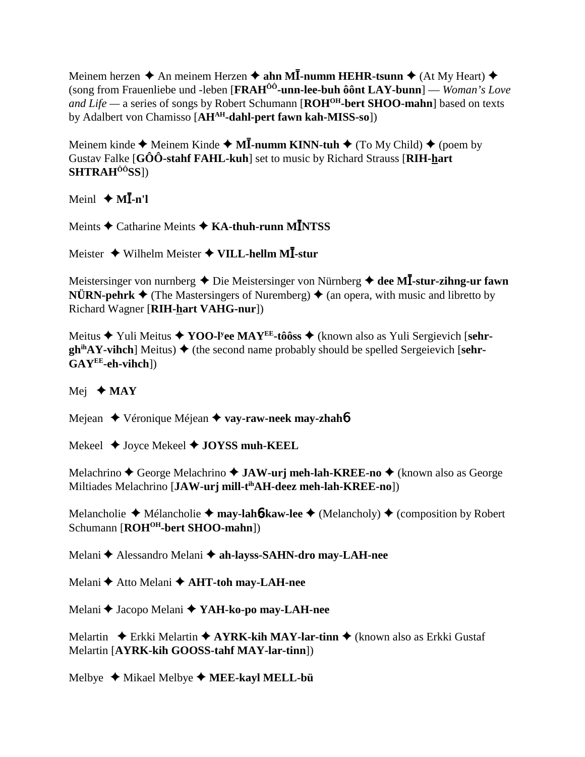Meinem herzen  $\triangle$  An meinem Herzen  $\triangle$  ahn MI-numm HEHR-tsunn  $\triangle$  (At My Heart)  $\triangle$ (song from Frauenliebe und -leben [FRAH<sup>ÔÔ</sup>-unn-lee-buh ôot LAY-bunn] — Woman's Love and Life — a series of songs by Robert Schumann [ $ROH^{OH}$ -bert SHOO-mahn] based on texts by Adalbert von Chamisso [AH<sup>AH</sup>-dahl-pert fawn kah-MISS-so])

Meinem kinde  $\triangle$  Meinem Kinde  $\triangle$  M**I**-numm KINN-tuh  $\triangle$  (To My Child)  $\triangle$  (poem by Gustav Falke [GÔÔ-stahf FAHL-kuh] set to music by Richard Strauss [RIH-hart] SHTRAH<sup>ôô</sup>SS])

Meinl  $\triangleleft$  MI-n'l

Meints  $\triangle$  Catharine Meints  $\triangle$  KA-thuh-runn MINTSS

Meister  $\triangle$  Wilhelm Meister  $\triangle$  VILL-hellm MI-stur

Meistersinger von nurnberg  $\triangle$  Die Meistersinger von Nürnberg  $\triangle$  dee MI-stur-zihng-ur fawn **NÜRN-pehrk**  $\triangleq$  (The Mastersingers of Nuremberg)  $\triangleq$  (an opera, with music and libretto by Richard Wagner [RIH-hart VAHG-nur])

Meitus → Yuli Meitus → YOO-I'ee MAY<sup>EE</sup>-tôôss → (known also as Yuli Sergievich [sehr- $\phi$ <sup>ih</sup>AY-vihch] Meitus)  $\blacklozenge$  (the second name probably should be spelled Sergeievich [sehr- $GAY^{EE}$ -eh-vihch])

Mej  $\triangle$  MAY

Mejean ◆ Véronique Méjean ◆ vay-raw-neek may-zhahó

Mekeel  $\triangle$  Joyce Mekeel  $\triangle$  JOYSS muh-KEEL

Melachrino  $\triangle$  George Melachrino  $\triangle$  JAW-urj meh-lah-KREE-no  $\triangle$  (known also as George Miltiades Melachrino [JAW-urj mill-t<sup>ih</sup>AH-deez meh-lah-KREE-no])

Melancholie  $\triangle$  Mélancholie  $\triangle$  may-lah**6-kaw-lee**  $\triangle$  (Melancholy)  $\triangle$  (composition by Robert Schumann [ROH<sup>OH</sup>-bert SHOO-mahn])

Melani ◆ Alessandro Melani ◆ ah-layss-SAHN-dro may-LAH-nee

Melani ← Atto Melani ← AHT-toh may-LAH-nee

Melani ♦ Jacopo Melani ♦ YAH-ko-po may-LAH-nee

Melartin  $\triangle$  Erkki Melartin  $\triangle$  AYRK-kih MAY-lar-tinn  $\triangle$  (known also as Erkki Gustaf Melartin [AYRK-kih GOOSS-tahf MAY-lar-tinn])

Melbye  $\blacklozenge$  Mikael Melbye  $\blacklozenge$  MEE-kayl MELL-bü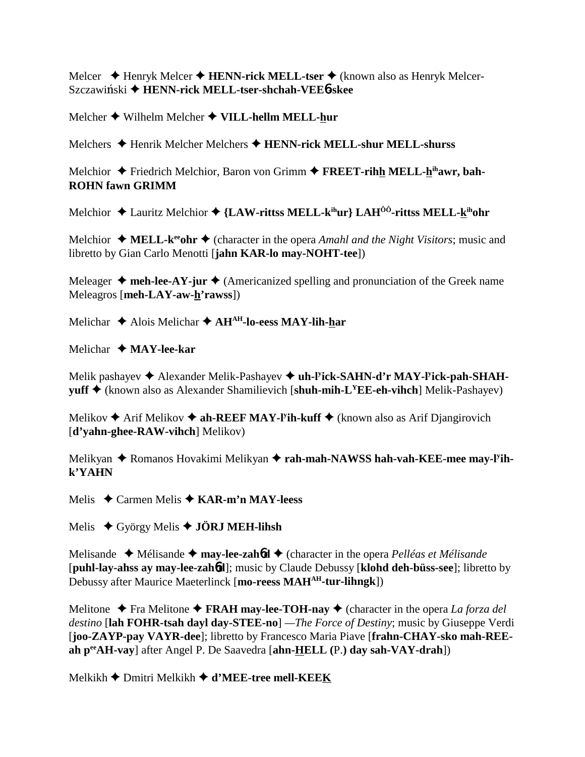Melcer  $\triangleq$  Henryk Melcer  $\triangleq$  HENN-rick MELL-tser  $\triangleq$  (known also as Henryk Melcer-Szczawiński ◆ HENN-rick MELL-tser-shchah-VEE6-skee

Melcher  $\blacklozenge$  Wilhelm Melcher  $\blacklozenge$  VILL-hellm MELL-hur

Melchers ◆ Henrik Melcher Melchers ◆ HENN-rick MELL-shur MELL-shurss

Melchior  $\triangle$  Friedrich Melchior, Baron von Grimm  $\triangle$  FREET-rihh MELL-h<sup>ih</sup>awr, bah-**ROHN fawn GRIMM** 

Melchior  $\triangle$  Lauritz Melchior  $\triangle$  {LAW-ritts MELL-k<sup>ih</sup>ur} LAH<sup>00</sup>-ritts MELL-k<sup>ih</sup>ohr

Melchior  $\triangleleft$  MELL-k<sup>ee</sup> ohr  $\triangleleft$  (character in the opera Amahl and the Night Visitors; music and libretto by Gian Carlo Menotti [jahn KAR-lo may-NOHT-tee])

Meleager  $\triangle$  meh-lee-AY-jur  $\triangle$  (Americanized spelling and pronunciation of the Greek name Meleagros [meh-LAY-aw-h'rawss])

Melichar  $\triangle$  Alois Melichar  $\triangle$  AH<sup>AH</sup>-lo-eess MAY-lih-har

Melichar ◆ MAY-lee-kar

Melik pashayev ◆ Alexander Melik-Pashayev ◆ uh-l<sup>y</sup>ick-SAHN-d'r MAY-l<sup>y</sup>ick-pah-SHAH- $\text{vuff}$   $\blacklozenge$  (known also as Alexander Shamilievich [shuh-mih-L<sup>Y</sup>EE-eh-vihch] Melik-Pashayev)

Melikov  $\triangle$  Arif Melikov  $\triangle$  ah-REEF MAY-l<sup>y</sup>ih-kuff  $\triangle$  (known also as Arif Djangirovich [d'vahn-ghee-RAW-vihch] Melikov)

Melikyan ♦ Romanos Hovakimi Melikyan ♦ rah-mah-NAWSS hah-vah-KEE-mee may-l'ih $k$ <sup> $\gamma$ </sup> $A$ HN

Melis  $\triangle$  Carmen Melis  $\triangle$  KAR-m'n MAY-leess

Melis  $\leftrightarrow$  György Melis  $\leftrightarrow$  JÖRJ MEH-lihsh

Melisande  $\triangleleft$  Mélisande  $\triangleleft$  may-lee-zahod  $\triangleleft$  (character in the opera *Pelléas et Mélisande* [puhl-lay-ahss ay may-lee-zahod]; music by Claude Debussy [klohd deh-büss-see]; libretto by Debussy after Maurice Maeterlinck [mo-reess MAH<sup>AH</sup>-tur-lihngk])

Melitone  $\blacklozenge$  Fra Melitone  $\blacklozenge$  FRAH may-lee-TOH-nay  $\blacklozenge$  (character in the opera *La forza del destino* [lah FOHR-tsah dayl day-STEE-no] —*The Force of Destiny*; music by Giuseppe Verdi [joo-ZAYP-pay VAYR-dee]; libretto by Francesco Maria Piave [frahn-CHAY-sko mah-REEah  $p^{\text{ee}}AH$ -vay] after Angel P. De Saavedra [ahn- $HELL$  (P.) day sah-VAY-drah])

Melkikh ◆ Dmitri Melkikh ◆ d'MEE-tree mell-KEEK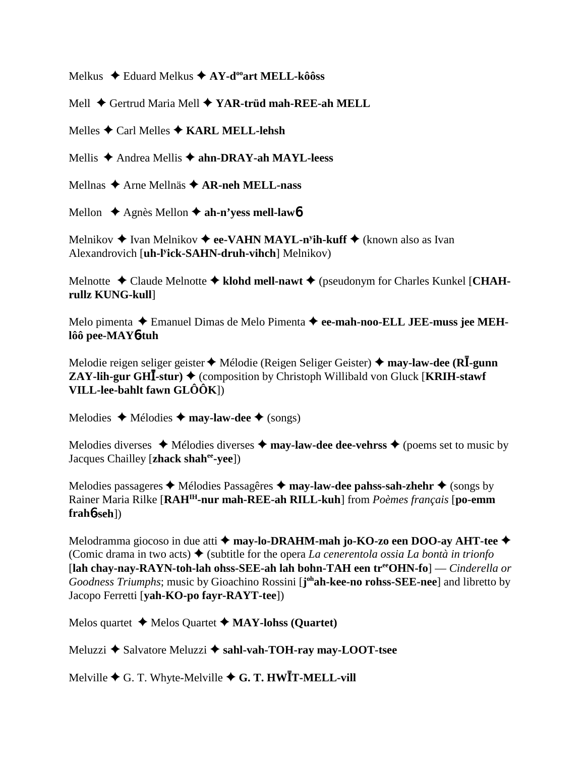Melkus  $\triangle$  Eduard Melkus  $\triangle$  AY-d<sup>oo</sup>art MELL-kôôss

Mell ♦ Gertrud Maria Mell ♦ YAR-trüd mah-REE-ah MELL

Melles  $\bigstar$  Carl Melles  $\bigstar$  KARL MELL-lehsh

Mellis  $\triangle$  Andrea Mellis  $\triangle$  ahn-DRAY-ah MAYL-leess

Mellnas → Arne Mellnäs → AR-neh MELL-nass

Mellon  $\triangle$  Agnès Mellon  $\triangle$  ah-n'vess mell-lawb

Melnikov  $\triangleq$  Ivan Melnikov  $\triangleq$  ee-VAHN MAYL-n<sup>y</sup>ih-kuff  $\triangleq$  (known also as Ivan Alexandrovich [uh-l<sup>y</sup>ick-SAHN-druh-vihch] Melnikov)

Melnotte  $\triangleleft$  Claude Melnotte  $\triangleleft$  klohd mell-nawt  $\triangleleft$  (pseudonym for Charles Kunkel [CHAHrullz KUNG-kull]

Melo pimenta  $\triangle$  Emanuel Dimas de Melo Pimenta  $\triangle$  ee-mah-noo-ELL JEE-muss jee MEHlôô pee-MAY6-tuh

Melodie reigen seliger geister  $\blacklozenge$  Mélodie (Reigen Seliger Geister)  $\blacklozenge$  may-law-dee (RI-gunn **ZAY-lih-gur GHI-stur)**  $\blacklozenge$  (composition by Christoph Willibald von Gluck [KRIH-stawf] VILL-lee-bahlt fawn  $GL\hat{O}(\hat{O}K)$ 

Melodies  $\triangleleft$  Mélodies  $\triangleleft$  may-law-dee  $\triangleleft$  (songs)

Melodies diverses  $\triangleleft$  Mélodies diverses  $\triangleleft$  may-law-dee dee-vehrss  $\triangleleft$  (poems set to music by Jacques Chailley [zhack shah<sup>ee</sup>-yee])

Melodies passageres  $\triangleleft$  Mélodies Passagêres  $\triangleleft$  may-law-dee pahss-sah-zhehr  $\triangleleft$  (songs by Rainer Maria Rilke [RAH<sup>IH</sup>-nur mah-REE-ah RILL-kuh] from *Poèmes francais* [po-emm] **)** 

Melodramma giocoso in due atti  $\triangle$  may-lo-DRAHM-mah jo-KO-zo een DOO-ay AHT-tee  $\triangle$ (Comic drama in two acts)  $\blacklozenge$  (subtitle for the opera La cenerentola ossia La bontà in trionfo [lah chay-nay-RAYN-toh-lah ohss-SEE-ah lah bohn-TAH een tree OHN-fo] — Cinderella or Goodness Triumphs; music by Gioachino Rossini [j<sup>oh</sup>ah-kee-no rohss-SEE-nee] and libretto by Jacopo Ferretti [vah-KO-po favr-RAYT-tee])

Melos quartet  $\blacklozenge$  Melos Quartet  $\blacklozenge$  MAY-lohss (Quartet)

Meluzzi ◆ Salvatore Meluzzi ◆ sahl-vah-TOH-rav mav-LOOT-tsee

Melville  $\blacklozenge$  G. T. Whyte-Melville  $\blacklozenge$  G. T. HWIT-MELL-vill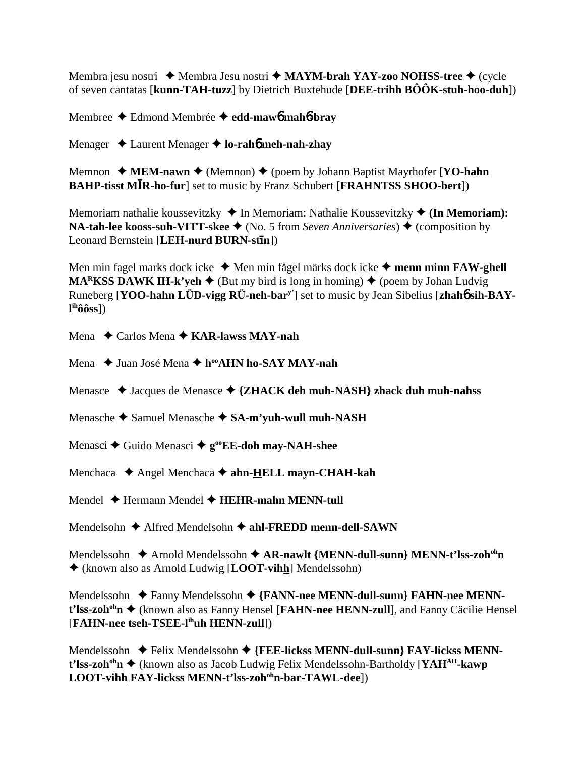Membra jesu nostri **→** Membra Jesu nostri → **MAYM-brah YAY-zoo NOHSS-tree** → (cycle of seven cantatas [**kunn-TAH-tuzz**] by Dietrich Buxtehude [**DEE-trihh BÔÔK-stuh-hoo-duh**])

Membree Edmond Membrée **edd-maw**6 **mah**6**-bray**

Menager Laurent Menager **lo-rah**6 **meh-nah-zhay**

Memnon **→ MEM-nawn →** (Memnon) → (poem by Johann Baptist Mayrhofer [**YO-hahn BAHP-tisst MIR-ho-fur**] set to music by Franz Schubert [FRAHNTSS SHOO-bert])

Memoriam nathalie koussevitzky **→** In Memoriam: Nathalie Koussevitzky ◆ (In Memoriam): **NA-tah-lee kooss-suh-VITT-skee ♦** (No. 5 from *Seven Anniversaries*) ♦ (composition by Leonard Bernstein [**LEH-nurd BURN-stn**])

Men min fagel marks dock icke ◆ Men min fågel märks dock icke ◆ menn minn **FAW-ghell MARKSS DAWK IH-k'yeh**  $\blacklozenge$  (But my bird is long in homing)  $\blacklozenge$  (poem by Johan Ludvig Runeberg [**YOO-hahn LÜD-vigg RÜ-neh-bary'**] set to music by Jean Sibelius [**zhah**6 **sih-BAYl ihôôss**])

Mena Carlos Mena **KAR-lawss MAY-nah**

Mena **→** Juan José Mena **→ h<sup>oo</sup>AHN ho-SAY MAY-nah** 

Menasce ◆ Jacques de Menasce ◆ {ZHACK deh muh-NASH} zhack duh muh-nahss

Menasche ◆ Samuel Menasche ◆ SA-m'vuh-wull muh-NASH

Menasci **→** Guido Menasci →  $g^{\circ}$ **EE-doh may-NAH-shee** 

Menchaca ◆ Angel Menchaca ◆ ahn-**HELL mayn-CHAH-kah** 

Mendel **→** Hermann Mendel **→ HEHR-mahn MENN-tull** 

Mendelsohn **→** Alfred Mendelsohn → ahl-FREDD menn-dell-SAWN

Mendelssohn **→** Arnold Mendelssohn ◆ AR-nawlt {MENN-dull-sunn} MENN-t'lss-zoh<sup>oh</sup>n (known also as Arnold Ludwig [**LOOT-vihh**] Mendelssohn)

Mendelssohn **→** Fanny Mendelssohn → {FANN-nee MENN-dull-sunn} FAHN-nee MENNt'lss-zoh<sup>oh</sup>n ◆ (known also as Fanny Hensel [**FAHN-nee HENN-zull**], and Fanny Cäcilie Hensel [**FAHN-nee tseh-TSEE-lihuh HENN-zull**])

Mendelssohn ◆ Felix Mendelssohn ◆ {FEE-lickss MENN-dull-sunn} FAY-lickss MENNt'lss-zoh<sup>oh</sup>n ♦ (known also as Jacob Ludwig Felix Mendelssohn-Bartholdy [**YAH<sup>AH</sup>-kawp** LOOT-vihh FAY-lickss MENN-t'lss-zoh<sup>oh</sup>n-bar-TAWL-dee])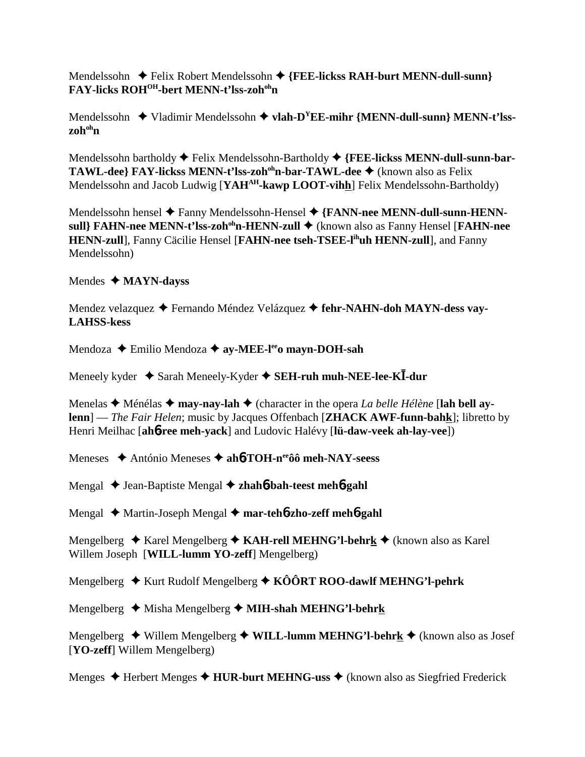Mendelssohn **←** Felix Robert Mendelssohn ← {FEE-lickss RAH-burt MENN-dull-sunn} **FAY-licks ROHOH-bert MENN-t'lss-zohohn**

Mendelssohn **→** Vladimir Mendelssohn → vlah-D<sup>Y</sup>EE-mihr {MENN-dull-sunn} MENN-t'lss**zohohn**

Mendelssohn bartholdy ◆ Felix Mendelssohn-Bartholdy ◆ {FEE-lickss MENN-dull-sunn-bar-**TAWL-dee} FAY-lickss MENN-t'lss-zoh<sup>oh</sup>n-bar-TAWL-dee ♦** (known also as Felix Mendelssohn and Jacob Ludwig [YAH<sup>AH</sup>-kawp LOOT-vihh] Felix Mendelssohn-Bartholdy)

Mendelssohn hensel ◆ Fanny Mendelssohn-Hensel ◆ {FANN-nee MENN-dull-sunn-HENNsull} FAHN-nee MENN-t'lss-zoh<sup>oh</sup>n-HENN-zull ◆ (known also as Fanny Hensel [FAHN-nee **HENN-zull**], Fanny Cäcilie Hensel [**FAHN-nee tseh-TSEE-lihuh HENN-zull**], and Fanny Mendelssohn)

## Mendes **MAYN-dayss**

Mendez velazquez Fernando Méndez Velázquez **fehr-NAHN-doh MAYN-dess vay-LAHSS-kess**

Mendoza ◆ Emilio Mendoza ◆ ay-MEE-l<sup>ee</sup>o mayn-DOH-sah

Meneely kyder  $\triangle$  Sarah Meneely-Kyder  $\triangle$  **SEH-ruh muh-NEE-lee-KI-dur** 

Menelas  $\triangle$  Ménélas  $\triangle$  may-nay-lah  $\triangle$  (character in the opera *La belle Hélène* [lah bell ay**lenn**] — *The Fair Helen*; music by Jacques Offenbach [**ZHACK AWF-funn-bahk**]; libretto by Henri Meilhac [**ah**6**-ree meh-yack**] and Ludovic Halévy [**lü-daw-veek ah-lay-vee**])

Meneses **→** António Meneses → ah**6**-TOH-n<sup>ee</sup>ôô meh-NAY-seess

Mengal Jean-Baptiste Mengal **zhah**6**-bah-teest meh**6**-gahl**

Mengal Martin-Joseph Mengal **mar-teh**6**-zho-zeff meh**6**-gahl**

Mengelberg ◆ Karel Mengelberg ◆ KAH-rell MEHNG'l-behrk ◆ (known also as Karel Willem Joseph [**WILL-lumm YO-zeff**] Mengelberg)

Mengelberg **↓** Kurt Rudolf Mengelberg ◆ KÔÔRT ROO-dawlf MEHNG'l-pehrk

Mengelberg Misha Mengelberg **MIH-shah MEHNG'l-behrk**

Mengelberg ◆ Willem Mengelberg ◆ WILL-lumm MEHNG'l-behrk ◆ (known also as Josef [**YO-zeff**] Willem Mengelberg)

Menges  $\triangle$  Herbert Menges  $\triangle$  **HUR-burt MEHNG-uss**  $\triangle$  (known also as Siegfried Frederick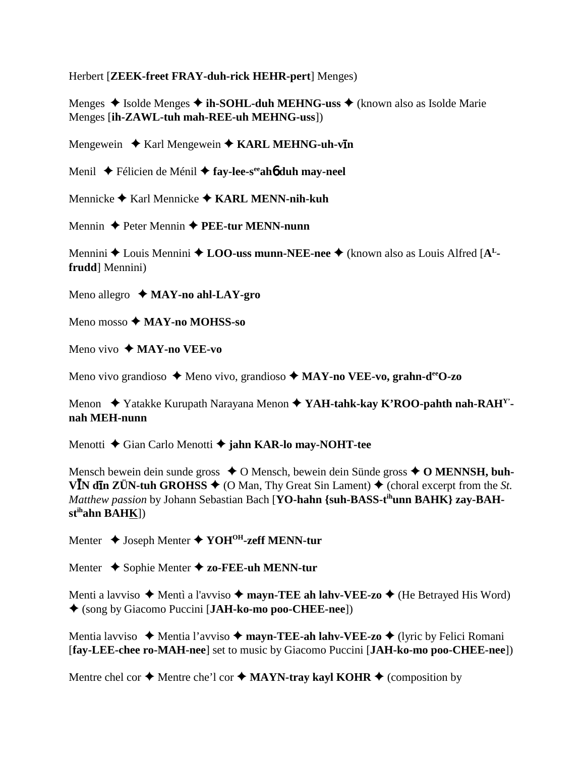Herbert [ZEEK-freet FRAY-duh-rick HEHR-pert] Menges)

Menges  $\triangle$  Isolde Menges  $\triangle$  ih-SOHL-duh MEHNG-uss  $\triangle$  (known also as Isolde Marie Menges [ih-ZAWL-tuh mah-REE-uh MEHNG-uss])

Mengewein  $\triangle$  Karl Mengewein  $\triangle$  KARL MEHNG-uh-vIn

Menil ◆ Félicien de Ménil ◆ fay-lee-s<sup>ee</sup>ah**ó duh may-neel** 

Mennicke  $\blacklozenge$  Karl Mennicke  $\blacklozenge$  KARL MENN-nih-kuh

Mennin  $\triangle$  Peter Mennin  $\triangle$  PEE-tur MENN-nunn

Mennini  $\triangle$  Louis Mennini  $\triangle$  LOO-uss munn-NEE-nee  $\triangle$  (known also as Louis Alfred [A<sup>L</sup>frudd Mennini)

Meno allegro  $\triangleleft$  MAY-no ahl-LAY-gro

Meno mosso  $\bigstar$  MAY-no MOHSS-so

Meno vivo  $\triangle$  MAY-no VEE-vo

Meno vivo grandioso  $\triangle$  Meno vivo, grandioso  $\triangle$  MAY-no VEE-vo, grahn-de<sup>e</sup>O-zo

Menon ◆ Yatakke Kurupath Narayana Menon ◆ YAH-tahk-kay K'ROO-pahth nah-RAH<sup>Y</sup>nah MEH-nunn

Menotti ♦ Gian Carlo Menotti ♦ jahn KAR-lo may-NOHT-tee

Mensch bewein dein sunde gross  $\triangle$  O Mensch, bewein dein Sünde gross  $\triangle$  O MENNSH, buh-V<sup>I</sup>N din ZÜN-tuh GROHSS  $\triangleq$  (O Man, Thy Great Sin Lament)  $\triangleq$  (choral excerpt from the *St*. Matthew passion by Johann Sebastian Bach [YO-hahn {suh-BASS-t<sup>ih</sup>unn BAHK} zay-BAH $st<sup>ih</sup>ahn BAHK$ ])

Menter  $\triangle$  Joseph Menter  $\triangle$  YOH<sup>OH</sup>-zeff MENN-tur

Menter  $\triangle$  Sophie Menter  $\triangle$  zo-FEE-uh MENN-tur

Menti a lavviso  $\triangle$  Menti a l'avviso  $\triangle$  mayn-TEE ah lahv-VEE-zo  $\triangle$  (He Betrayed His Word) ◆ (song by Giacomo Puccini [JAH-ko-mo poo-CHEE-nee])

Mentia lavviso  $\rightarrow$  Mentia l'avviso  $\rightarrow$  mayn-TEE-ah lahv-VEE-zo  $\rightarrow$  (lyric by Felici Romani [fay-LEE-chee ro-MAH-nee] set to music by Giacomo Puccini [JAH-ko-mo poo-CHEE-nee])

Mentre chel cor  $\triangle$  Mentre che'l cor  $\triangle$  MAYN-tray kayl KOHR  $\triangle$  (composition by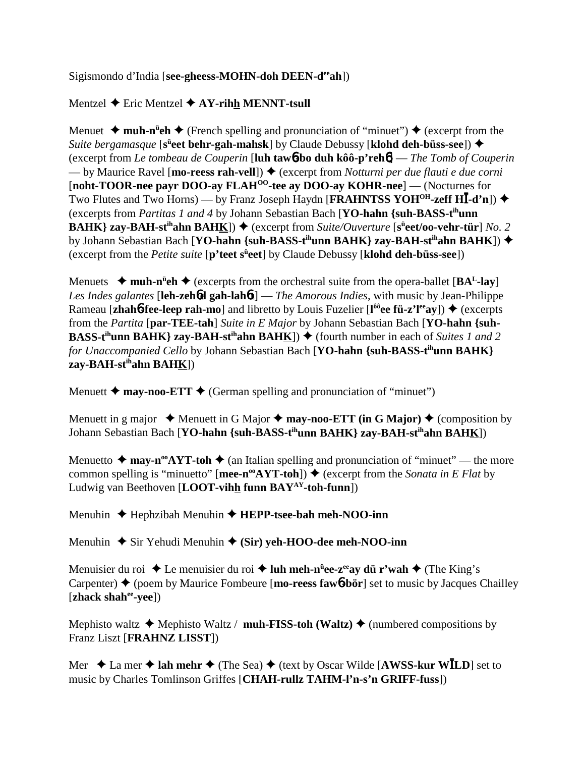Sigismondo d'India [**see-gheess-MOHN-doh DEEN-deeah**])

# Mentzel **←** Eric Mentzel **← AY-rihh MENNT-tsull**

Menuet  $\triangleq$  muh-n<sup>it</sup>eh  $\triangleq$  (French spelling and pronunciation of "minuet")  $\triangleq$  (excerpt from the *Suite bergamasque* [s<sup>ü</sup>eet behr-gah-mahsk] by Claude Debussy [klohd deh-büss-see]) ♦ (excerpt from *Le tombeau de Couperin* [**luh taw**6**-bo duh kôô-p'reh**6] — *The Tomb of Couperin* — by Maurice Ravel [**mo-reess rah-vell**]) ♦ (excerpt from *Notturni per due flauti e due corni* [**noht-TOOR-nee payr DOO-ay FLAHOO-tee ay DOO-ay KOHR-nee**] — (Nocturnes for Two Flutes and Two Horns) — by Franz Joseph Haydn [**FRAHNTSS YOH<sup>OH</sup>-zeff HI-d'n**]) ◆ (excerpts from *Partitas 1 and 4* by Johann Sebastian Bach [**YO-hahn {suh-BASS-tihunn BAHK} zay-BAH-st<sup>ih</sup>ahn BAHK**]) ◆ (excerpt from *Suite/Ouverture* [s<sup>ü</sup>eet/oo-vehr-tür] *No.* 2 by Johann Sebastian Bach [**YO-hahn {suh-BASS-t<sup>ih</sup>unn BAHK} zay-BAH-st<sup>ih</sup>ahn BAHK])**  $\blacklozenge$ (excerpt from the *Petite suite* [p'teet s<sup>ü</sup>eet] by Claude Debussy [klohd deh-büss-see])

Menuets  $\rightarrow$  muh-n<sup>u</sup>eh  $\rightarrow$  (excerpts from the orchestral suite from the opera-ballet [BA<sup>L</sup>-lay] *Les Indes galantes* [**leh-zeh**6**d gah-lah**6**t**] — *The Amorous Indies*, with music by Jean-Philippe Rameau [**zhahó-fee-leep rah-mo**] and libretto by Louis Fuzelier [l<sup>ôô</sup>ee fü-z'l<sup>ee</sup>ay]) ♦ (excerpts from the *Partita* [**par-TEE-tah**] *Suite in E Major* by Johann Sebastian Bach [**YO-hahn {suh-BASS-t<sup>ih</sup>unn BAHK} zay-BAH-st<sup>ih</sup>ahn BAHK**])  $\blacklozenge$  (fourth number in each of *Suites 1 and 2 for Unaccompanied Cello* by Johann Sebastian Bach [**YO-hahn {suh-BASS-tihunn BAHK} zay-BAH-stihahn BAHK**])

Menuett  $\triangle$  may-noo-ETT  $\triangle$  (German spelling and pronunciation of "minuet")

Menuett in g major  $\triangle$  Menuett in G Major  $\triangle$  may-noo-ETT (in G Major)  $\triangle$  (composition by Johann Sebastian Bach [**YO-hahn {suh-BASS-tihunn BAHK} zay-BAH-stihahn BAHK**])

Menuetto  $\triangleq$  may-n<sup>oo</sup>AYT-toh  $\triangleq$  (an Italian spelling and pronunciation of "minuet" — the more common spelling is "minuetto" [**mee-n<sup>oo</sup>AYT-toh**])  $\blacklozenge$  (excerpt from the *Sonata in E Flat* by Ludwig van Beethoven [**LOOT-vihh funn BAYAY-toh-funn**])

Menuhin Hephzibah Menuhin **HEPP-tsee-bah meh-NOO-inn**

Menuhin **→** Sir Yehudi Menuhin ◆ (Sir) yeh-HOO-dee meh-NOO-inn

Menuisier du roi ◆Le menuisier du roi ◆ luh meh-n<sup>ü</sup>ee-z<sup>ee</sup>ay dü r'wah ◆ (The King's Carpenter)  $\triangle$  (poem by Maurice Fombeure [**mo-reess fawb-bör**] set to music by Jacques Chailley [**zhack shahee-yee**])

Mephisto waltz  $\triangle$  Mephisto Waltz / **muh-FISS-toh (Waltz)**  $\triangle$  (numbered compositions by Franz Liszt [**FRAHNZ LISST**])

Mer  $\triangle$  La mer  $\triangle$  lah mehr  $\triangle$  (The Sea)  $\triangle$  (text by Oscar Wilde [AWSS-kur WILD] set to music by Charles Tomlinson Griffes [**CHAH-rullz TAHM-l'n-s'n GRIFF-fuss**])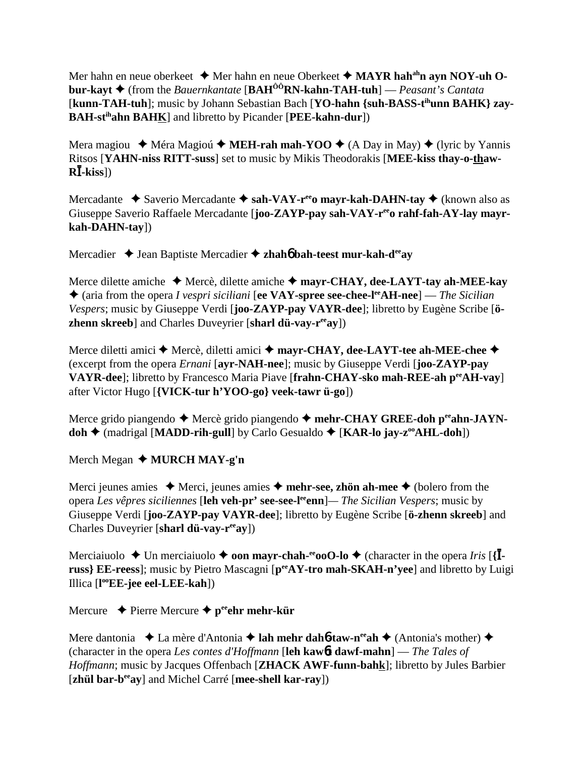Mer hahn en neue oberkeet  $\triangleq$  Mer hahn en neue Oberkeet  $\triangleq$  **MAYR hah<sup>ah</sup>n ayn NOY-uh Obur-kayt** (from the *Bauernkantate* [**BAHÔÔRN-kahn-TAH-tuh**] — *Peasant's Cantata* [kunn-TAH-tuh]; music by Johann Sebastian Bach [YO-hahn {suh-BASS-t<sup>ih</sup>unn BAHK} zay-**BAH-stihahn BAHK**] and libretto by Picander [**PEE-kahn-dur**])

Mera magiou  $\rightarrow$  Méra Magioú  $\rightarrow$  **MEH-rah mah-YOO**  $\rightarrow$  (A Day in May)  $\rightarrow$  (lyric by Yannis Ritsos [**YAHN-niss RITT-suss**] set to music by Mikis Theodorakis [**MEE-kiss thay-o-thaw-R**-**-kiss**])

Mercadante ◆ Saverio Mercadante ◆ sah-VAY-r<sup>ee</sup>o mayr-kah-DAHN-tay ◆ (known also as Giuseppe Saverio Raffaele Mercadante [**joo-ZAYP-pay sah-VAY-r<sup>ee</sup>o rahf-fah-AY-lay mayrkah-DAHN-tay**])

Mercadier **→** Jean Baptiste Mercadier → zhah**6** bah-teest mur-kah-d<sup>ee</sup>ay

Merce dilette amiche **→** Mercè, dilette amiche → mayr-CHAY, dee-LAYT-tay ah-MEE-kay ◆ (aria from the opera *I vespri siciliani* [**ee VAY-spree see-chee-l<sup>ee</sup>AH-nee**] — *The Sicilian Vespers*; music by Giuseppe Verdi [**joo-ZAYP-pay VAYR-dee**]; libretto by Eugène Scribe [**özhenn skreeb**] and Charles Duveyrier [**sharl dü-vay-reeay**])

Merce diletti amici  $\blacklozenge$  Mercè, diletti amici  $\blacklozenge$  mayr-CHAY, dee-LAYT-tee ah-MEE-chee  $\blacklozenge$ (excerpt from the opera *Ernani* [**ayr-NAH-nee**]; music by Giuseppe Verdi [**joo-ZAYP-pay VAYR-dee**]; libretto by Francesco Maria Piave [**frahn-CHAY-sko mah-REE-ah peeAH-vay**] after Victor Hugo [**{VICK-tur h'YOO-go} veek-tawr ü-go**])

Merce grido piangendo ◆ Mercè grido piangendo ◆ mehr-CHAY GREE-doh p<sup>ee</sup>ahn-JAYN**doh ♦** (madrigal [MADD-rih-gull] by Carlo Gesualdo ♦ [KAR-lo jay-z<sup>oo</sup>AHL-doh])

Merch Megan **♦ MURCH MAY-g'n** 

Merci jeunes amies  $\triangle$  Merci, jeunes amies  $\triangle$  **mehr-see, zhön ah-mee**  $\triangle$  (bolero from the opera *Les vêpres siciliennes* [**leh veh-pr' see-see-leeenn**]*— The Sicilian Vespers*; music by Giuseppe Verdi [**joo-ZAYP-pay VAYR-dee**]; libretto by Eugène Scribe [**ö-zhenn skreeb**] and Charles Duveyrier [**sharl dü-vay-reeay**])

Merciaiuolo  $\triangle$  Un merciaiuolo  $\triangle$  **oon mayr-chah-<sup>ee</sup>ooO-lo**  $\triangle$  (character in the opera *Iris* [{**Iruss} EE-reess**]; music by Pietro Mascagni [**peeAY-tro mah-SKAH-n'yee**] and libretto by Luigi Illica [**l ooEE-jee eel-LEE-kah**])

Mercure **↓** Pierre Mercure ♦ peehr mehr-kür

Mere dantonia  $\triangle$  La mère d'Antonia **← lah mehr dah6-taw-n<sup>ee</sup>ah** ◆ (Antonia's mother) ◆ (character in the opera *Les contes d'Hoffmann* [**leh kaw**6**t dawf-mahn**] — *The Tales of Hoffmann*; music by Jacques Offenbach [**ZHACK AWF-funn-bahk**]; libretto by Jules Barbier [**zhül bar-beeay**] and Michel Carré [**mee-shell kar-ray**])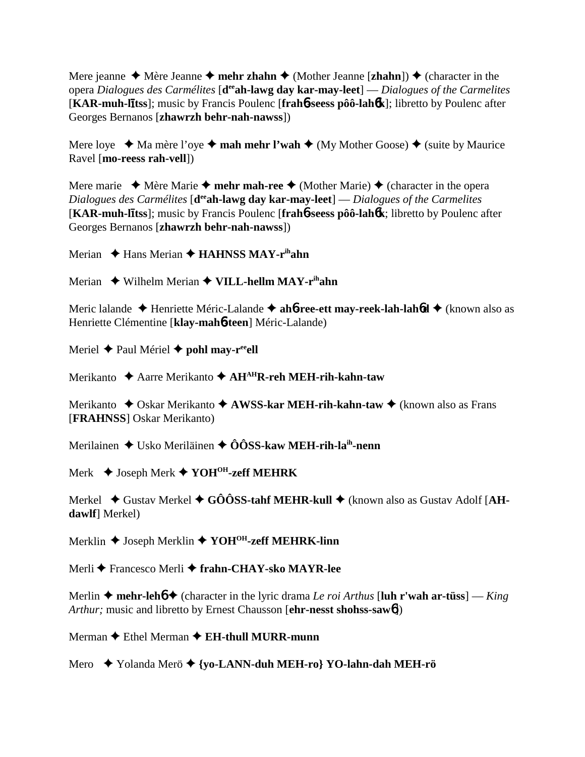Mere jeanne  $\triangle$  Mère Jeanne  $\triangle$  **mehr zhahn**  $\triangle$  (Mother Jeanne [**zhahn**])  $\triangle$  (character in the opera *Dialogues des Carmélites* [**deeah-lawg day kar-may-leet**] — *Dialogues of the Carmelites* [**KAR-muh-ltss**]; music by Francis Poulenc [**frah**6**-seess pôô-lah**6**k**]; libretto by Poulenc after Georges Bernanos [**zhawrzh behr-nah-nawss**])

Mere loye  $\triangleleft$  Ma mère l'oye  $\triangleleft$  **mah mehr l'wah**  $\triangleleft$  (My Mother Goose)  $\triangleleft$  (suite by Maurice Ravel [**mo-reess rah-vell**])

Mere marie  $\triangleleft$  Mère Marie  $\triangleleft$  mehr mah-ree  $\triangleleft$  (Mother Marie)  $\triangleleft$  (character in the opera *Dialogues des Carmélites* [d<sup>ee</sup>ah-lawg day kar-may-leet] — *Dialogues of the Carmelites* [**KAR-muh-ltss**]; music by Francis Poulenc [**frah**6**-seess pôô-lah**6**k**; libretto by Poulenc after Georges Bernanos [**zhawrzh behr-nah-nawss**])

Merian **→ Hans Merian → HAHNSS MAY-r<sup>ih</sup>ahn** 

Merian ◆ Wilhelm Merian ◆ VILL-hellm MAY-r<sup>ih</sup>ahn

Meric lalande ◆ Henriette Méric-Lalande ◆ ah**6-ree-ett may-reek-lah-lah6d** ◆ (known also as Henriette Clémentine [**klay-mah**6**-teen**] Méric-Lalande)

Meriel **→** Paul Mériel **→ pohl may-r<sup>ee</sup>ell** 

Merikanto Aarre Merikanto **AHAHR-reh MEH-rih-kahn-taw**

Merikanto ◆ Oskar Merikanto ◆ AWSS-kar MEH-rih-kahn-taw ◆ (known also as Frans [**FRAHNSS**] Oskar Merikanto)

Merilainen **→** Usko Meriläinen → ÔÔSS-kaw MEH-rih-la<sup>ih</sup>-nenn

Merk Joseph Merk **YOHOH-zeff MEHRK**

Merkel  $\blacklozenge$  Gustav Merkel  $\blacklozenge$  GÔÔSS-tahf MEHR-kull  $\blacklozenge$  (known also as Gustav Adolf [AH**dawlf**] Merkel)

Merklin **→** Joseph Merklin **→ YOH<sup>OH</sup>-zeff MEHRK-linn** 

Merli Francesco Merli **frahn-CHAY-sko MAYR-lee**

Merlin  $\triangle$  mehr-leh $\triangle$   $\triangle$  (character in the lyric drama *Le roi Arthus* [luh r'wah ar-tüss] — *King Arthur;* music and libretto by Ernest Chausson [**ehr-nesst shohss-saw**6])

Merman **←** Ethel Merman ← **EH-thull MURR-munn** 

Mero Yolanda Merö **{yo-LANN-duh MEH-ro} YO-lahn-dah MEH-rö**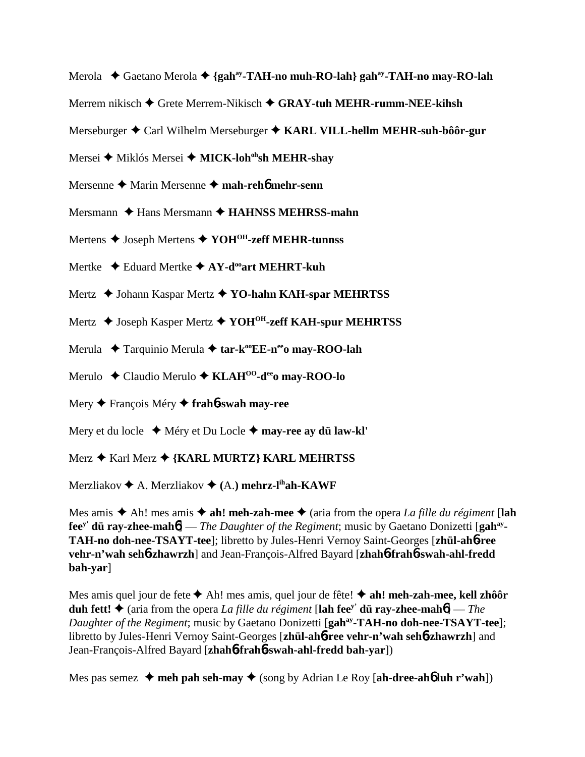Merola ◆ Gaetano Merola ◆ {gah<sup>ay</sup>-TAH-no muh-RO-lah} gah<sup>ay</sup>-TAH-no may-RO-lah

Merrem nikisch Grete Merrem-Nikisch **GRAY-tuh MEHR-rumm-NEE-kihsh**

Merseburger Carl Wilhelm Merseburger **KARL VILL-hellm MEHR-suh-bôôr-gur**

Mersei **→** Miklós Mersei ◆ MICK-loh<sup>oh</sup>sh MEHR-shay

Mersenne ◆ Marin Mersenne ◆ mah-reh**6** mehr-senn

Mersmann ◆ Hans Mersmann **◆ HAHNSS MEHRSS-mahn** 

Mertens **→** Joseph Mertens **→ YOH<sup>OH</sup>-zeff MEHR-tunnss** 

Mertke  **←** Eduard Mertke **← AY-d<sup>oo</sup>art MEHRT-kuh** 

Mertz  **◆** Johann Kaspar Mertz ◆ YO-hahn KAH-spar MEHRTSS

Mertz  **◆** Joseph Kasper Mertz **◆ YOH<sup>OH</sup>-zeff KAH-spur MEHRTSS** 

Merula ◆ Tarquinio Merula ◆ tar-k<sup>oo</sup>EE-n<sup>ee</sup>o may-ROO-lah

Merulo ◆ Claudio Merulo ◆ KLAH<sup>00</sup>-d<sup>ee</sup>o may-ROO-lo

Mery François Méry **frah**6**-swah may-ree**

Mery et du locle Méry et Du Locle **may-ree ay dü law-kl'**

Merz ◆ Karl Merz ◆ {KARL MURTZ} KARL MEHRTSS

Merzliakov A. Merzliakov **(**A.**) mehrz-lihah-KAWF**

Mes amis  $\triangle$  Ah! mes amis  $\triangle$  ah! meh-zah-mee  $\triangle$  (aria from the opera *La fille du régiment* [lah **fee<sup>y</sup>** dü ray-zhee-mah $6$ ] — *The Daughter of the Regiment*; music by Gaetano Donizetti [gah<sup>ay</sup>-**TAH-no doh-nee-TSAYT-tee**]; libretto by Jules-Henri Vernoy Saint-Georges [**zhül-ah**6**-ree vehr-n'wah seh**6**-zhawrzh**] and Jean-François-Alfred Bayard [**zhah**6**-frah**6**-swah-ahl-fredd bah-yar**]

Mes amis quel jour de fete **◆** Ah! mes amis, quel jour de fête! **◆ ah! meh-zah-mee, kell zhôôr duh fett!**  $\triangle$  (aria from the opera *La fille du régiment* [lah fee<sup>y'</sup> dü ray-zhee-mah $\phi$ ] — *The Daughter of the Regiment*; music by Gaetano Donizetti [gah<sup>ay</sup>-TAH-no doh-nee-TSAYT-tee]; libretto by Jules-Henri Vernoy Saint-Georges [**zhül-ah**6**-ree vehr-n'wah seh**6**-zhawrzh**] and Jean-François-Alfred Bayard [**zhah**6**-frah**6**-swah-ahl-fredd bah-yar**])

Mes pas semez  $\rightarrow$  meh pah seh-may  $\rightarrow$  (song by Adrian Le Roy [ah-dree-ah**6** luh r'wah])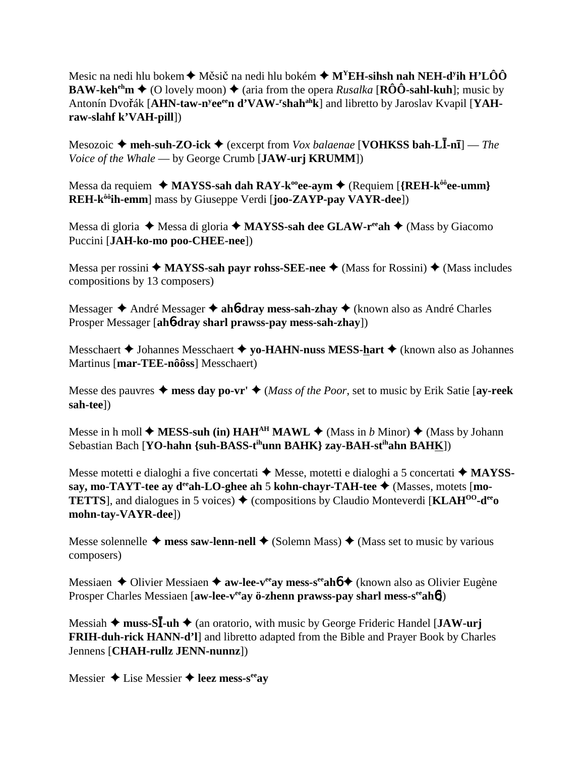Mesic na nedi hlu bokem ♦ Měsič na nedi hlu bokém ♦ M<sup>Y</sup>EH-s**ihsh nah NEH-d<sup>y</sup>ih H'LÔÔ BAW-keh<sup>eh</sup>m**  $\triangleq$  (O lovely moon)  $\triangleq$  (aria from the opera *Rusalka* [**RÔÔ-sahl-kuh**]; music by Antonín Dvořák [A**HN-taw-n<sup>y</sup>ee<sup>ee</sup>n d'VAW-<sup>r</sup>shah<sup>ah</sup>k**] and libretto by Jaroslav Kvapil [YAH**raw-slahf k'VAH-pill**])

Mesozoic ◆ meh-suh-ZO-ick ◆ (excerpt from *Vox balaenae* [**VOHKSS bah-LĪ-nī**] — *The Voice of the Whale* — by George Crumb [**JAW-urj KRUMM**])

Messa da requiem  $\triangleleft$  MAYSS-sah dah RAY-k<sup>oo</sup>ee-aym  $\triangleq$  (Requiem [{REH-k<sup>ôô</sup>ee-umm} **REH-kôôih-emm**] mass by Giuseppe Verdi [**joo-ZAYP-pay VAYR-dee**])

Messa di gloria  $\blacklozenge$  Messa di gloria  $\blacklozenge$  **MAYSS-sah dee GLAW-r<sup>ee</sup>ah**  $\blacklozenge$  (Mass by Giacomo Puccini [**JAH-ko-mo poo-CHEE-nee**])

Messa per rossini  $\triangleq$  **MAYSS-sah payr rohss-SEE-nee**  $\triangleq$  (Mass for Rossini)  $\triangleq$  (Mass includes compositions by 13 composers)

Messager **→** André Messager **→ ah6-dray mess-sah-zhay** → (known also as André Charles Prosper Messager [**ah**6**-dray sharl prawss-pay mess-sah-zhay**])

Messchaert **→** Johannes Messchaert **→ yo-HAHN-nuss MESS-hart** → (known also as Johannes Martinus [**mar-TEE-nôôss**] Messchaert)

Messe des pauvres  $\triangle$  mess day po-vr'  $\triangle$  (*Mass of the Poor*, set to music by Erik Satie [av-reek] **sah-tee**])

Messe in h moll  $\blacklozenge$  **MESS-suh (in) HAH<sup>AH</sup> MAWL**  $\blacklozenge$  (Mass in *b* Minor)  $\blacklozenge$  (Mass by Johann Sebastian Bach [**YO-hahn {suh-BASS-tihunn BAHK} zay-BAH-stihahn BAHK**])

Messe motetti e dialoghi a five concertati  $\triangle$  Messe, motetti e dialoghi a 5 concertati  $\triangle$  MAYSS**say, mo-TAYT-tee ay d<sup>ee</sup>ah-LO-ghee ah 5 kohn-chayr-TAH-tee ♦ (Masses, motets [mo-TETTS**, and dialogues in 5 voices)  $\triangle$  (compositions by Claudio Monteverdi [**KLAH<sup>00</sup>-d<sup>ee</sup>o**] **mohn-tay-VAYR-dee**])

Messe solennelle  $\triangleq$  mess saw-lenn-nell  $\triangleq$  (Solemn Mass)  $\triangleq$  (Mass set to music by various composers)

Messiaen **→** Olivier Messiaen → **aw-lee-v<sup>ee</sup>ay mess-s<sup>ee</sup>ahó →** (known also as Olivier Eugène Prosper Charles Messiaen [aw-lee-v<sup>ee</sup>ay ö-zhenn prawss-pay sharl mess-s<sup>ee</sup>ah**6**])

Messiah ◆ muss-S**Ī**-uh ◆ (an oratorio, with music by George Frideric Handel [JAW-urj **FRIH-duh-rick HANN-d'l**] and libretto adapted from the Bible and Prayer Book by Charles Jennens [**CHAH-rullz JENN-nunnz**])

Messier **→** Lise Messier **→ leez mess-s<sup>ee</sup>av**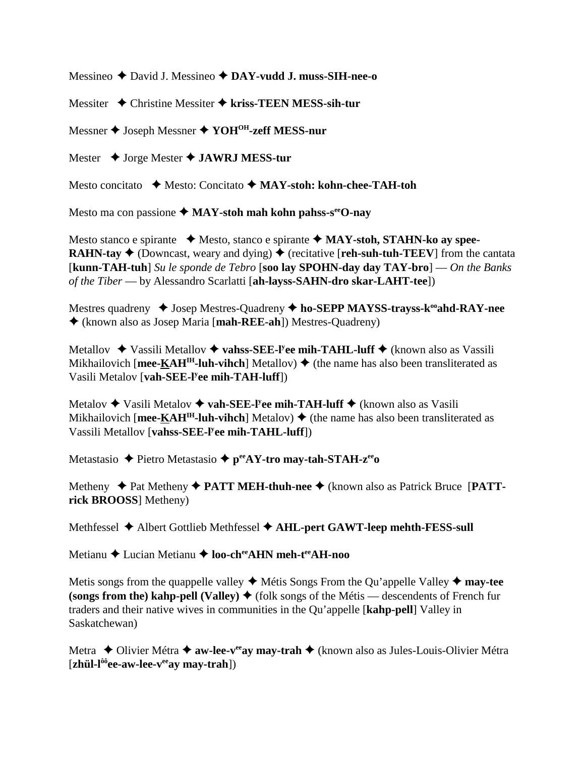Messineo David J. Messineo **DAY-vudd J. muss-SIH-nee-o**

Messiter Christine Messiter **kriss-TEEN MESS-sih-tur**

Messner **→** Joseph Messner **→ YOH<sup>OH</sup>-zeff MESS-nur** 

Mester **→** Jorge Mester **→ JAWRJ MESS-tur** 

Mesto concitato ◆ Mesto: Concitato ◆ MAY-stoh: kohn-chee-TAH-toh

Mesto ma con passione  $\triangle$  MAY-stoh mah kohn pahss-s<sup>ee</sup>O-nay

Mesto stanco e spirante **→** Mesto, stanco e spirante ◆ **MAY-stoh, STAHN-ko ay spee-RAHN-tay**  $\blacklozenge$  (Downcast, weary and dying)  $\blacklozenge$  (recitative [**reh-suh-tuh-TEEV**] from the cantata [**kunn-TAH-tuh**] *Su le sponde de Tebro* [**soo lay SPOHN-day day TAY-bro**] — *On the Banks of the Tiber* — by Alessandro Scarlatti [**ah-layss-SAHN-dro skar-LAHT-tee**])

Mestres quadreny  $\triangleleft$  Josep Mestres-Quadreny  $\triangleleft$  ho-SEPP MAYSS-trayss-k<sup>oo</sup>ahd-RAY-nee (known also as Josep Maria [**mah-REE-ah**]) Mestres-Quadreny)

Metallov ◆ Vassili Metallov ◆ vahss-SEE-l<sup>y</sup>ee mih-TAHL-luff ◆ (known also as Vassili Mikhailovich [mee- $\underline{K}AH^H$ -luh-vihch] Metallov)  $\blacklozenge$  (the name has also been transliterated as Vasili Metalov [**vah-SEE-ly ee mih-TAH-luff**])

Metalov ◆ Vasili Metalov ◆ **vah-SEE-l<sup>y</sup>ee mih-TAH-luff** ◆ (known also as Vasili Mikhailovich [mee-KAH<sup>IH</sup>-luh-vihch] Metalov)  $\triangleq$  (the name has also been transliterated as Vassili Metallov [**vahss-SEE-ly ee mih-TAHL-luff**])

Metastasio **→** Pietro Metastasio → p<sup>ee</sup>AY-tro may-tah-STAH-z<sup>ee</sup>o

Metheny ◆ Pat Metheny ◆ PATT MEH-thuh-nee ◆ (known also as Patrick Bruce [PATT**rick BROOSS**] Metheny)

Methfessel **→** Albert Gottlieb Methfessel → AHL-pert GAWT-leep mehth-FESS-sull

Metianu **→** Lucian Metianu → loo-ch<sup>ee</sup>AHN meh-t<sup>ee</sup>AH-noo

Metis songs from the quappelle valley  $\triangleleft$  Métis Songs From the Qu'appelle Valley  $\triangleleft$  may-tee **(songs from the) kahp-pell (Valley)**  $\blacklozenge$  (folk songs of the Métis — descendents of French fur traders and their native wives in communities in the Qu'appelle [**kahp-pell**] Valley in Saskatchewan)

Metra ◆ Olivier Métra ◆ aw-lee-v<sup>ee</sup>ay may-trah ◆ (known also as Jules-Louis-Olivier Métra [**zhül-lôôee-aw-lee-veeay may-trah**])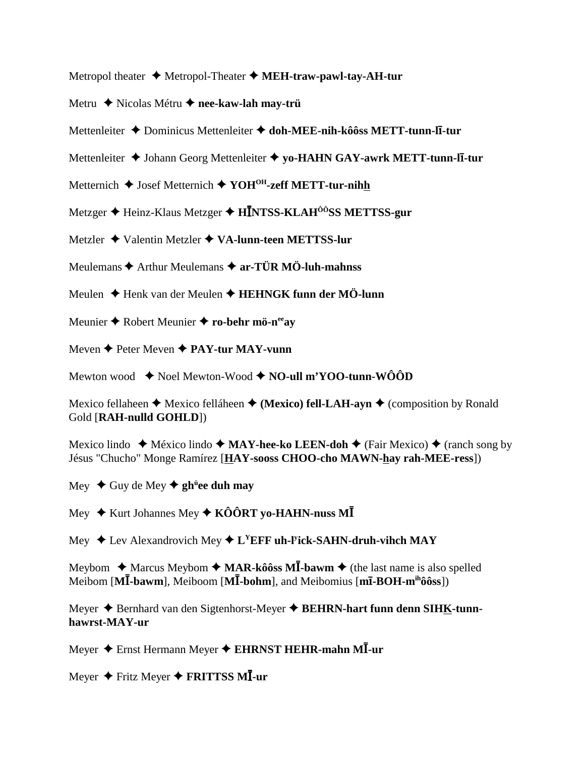Metropol theater Metropol-Theater **MEH-traw-pawl-tay-AH-tur**

- Metru **→** Nicolas Métru **→ nee-kaw-lah may-trü**
- Mettenleiter Dominicus Mettenleiter  **doh-MEE-nih-kôôss METT-tunn-l-tur**
- Mettenleiter Johann Georg Mettenleiter **yo-HAHN GAY-awrk METT-tunn-l-tur**
- Metternich **→** Josef Metternich **→ YOH<sup>OH</sup>-zeff METT-tur-nihh**
- Metzger ◆ Heinz-Klaus Metzger ◆ **HĪNTSS-KLAH<sup>ôô</sup>SS METTSS-gur**
- Metzler **→** Valentin Metzler ◆ VA-lunn-teen METTSS-lur
- Meulemans **→** Arthur Meulemans → ar-TÜR MÖ-luh-mahnss
- Meulen **→** Henk van der Meulen **→ HEHNGK funn der MÖ-lunn**
- Meunier **◆** Robert Meunier ◆ ro-behr mö-n<sup>ee</sup>ay
- Meven **→** Peter Meven **→ PAY-tur MAY-vunn**

Mewton wood  $\rightarrow$  Noel Mewton-Wood  $\rightarrow$  NO-ull m'YOO-tunn-WÔÔD

Mexico fellaheen  $\blacklozenge$  Mexico felláheen  $\blacklozenge$  (**Mexico**) fell-LAH-ayn  $\blacklozenge$  (composition by Ronald Gold [**RAH-nulld GOHLD**])

Mexico lindo  $\blacklozenge$  México lindo  $\blacklozenge$  **MAY-hee-ko LEEN-doh**  $\blacklozenge$  (Fair Mexico)  $\blacklozenge$  (ranch song by Jésus "Chucho" Monge Ramírez [**HAY-sooss CHOO-cho MAWN-hay rah-MEE-ress**])

Mey ◆ Guy de Mey ◆ gh<sup>ü</sup>ee duh may

Mey ♦ Kurt Johannes Mey ♦ KÔÔRT yo-HAHN-nuss MĪ

Mey ◆ Lev Alexandrovich Mey ◆ L<sup>Y</sup>EFF uh-l<sup>y</sup>ick-SAHN-druh-vihch MAY

Meybom ◆ Marcus Meybom ◆ MAR-kôôss M**I**-bawm ◆ (the last name is also spelled Meibom [**M**-**-bawm**], Meiboom [**M**-**-bohm**], and Meibomius [**m-BOH-mihôôss**])

Meyer Bernhard van den Sigtenhorst-Meyer **BEHRN-hart funn denn SIHK-tunnhawrst-MAY-ur**

Meyer ♦ Ernst Hermann Meyer ♦ EHRNST HEHR-mahn MĪ-ur

 $M$ eyer ◆ Fritz Meyer ◆ FRITTSS MĪ-ur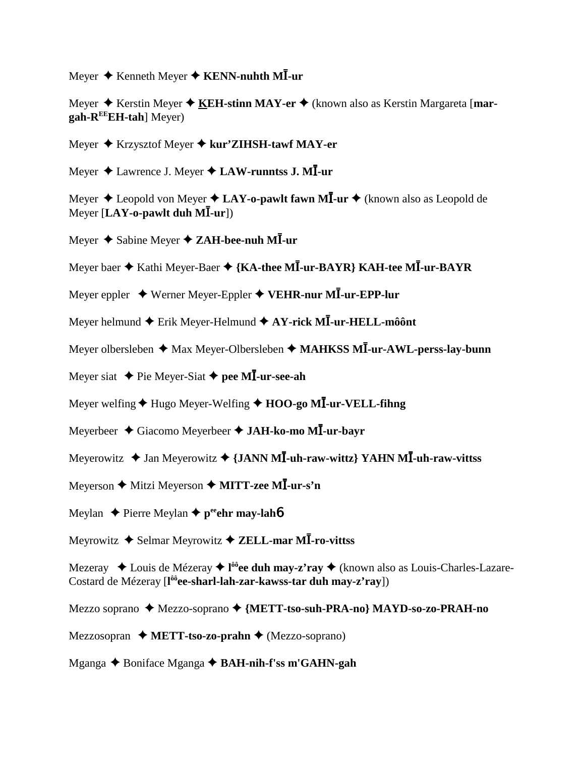Meyer ♦ Kenneth Meyer ♦ **KENN-nuhth MĪ-ur** 

Meyer **→** Kerstin Meyer **→ KEH-stinn MAY-er** → (known also as Kerstin Margareta [mar**gah-REEEH-tah**] Meyer)

Meyer Krzysztof Meyer **kur'ZIHSH-tawf MAY-er**

Meyer ♦ Lawrence J. Meyer ♦ **LAW-runntss J. MĪ-ur** 

Meyer ♦ Leopold von Meyer ♦ LA**Y-o-pawlt fawn MĪ-ur ♦** (known also as Leopold de Meyer [LAY-o-pawlt duh MĪ-ur])

Meyer ◆ Sabine Meyer ◆ ZAH-bee-nuh M**I**-ur

Meyer baer  $\blacklozenge$  Kathi Meyer-Baer  $\blacklozenge$  {KA-thee M**I**-ur-BAYR} KAH-tee MI-ur-BAYR

Meyer eppler ◆ Werner Meyer-Eppler ◆ VEHR-nur MĪ-ur-EPP-lur

Meyer helmund ◆ Erik Meyer-Helmund ◆ **AY-rick MĪ-ur-HELL-môônt** 

Meyer olbersleben ◆ Max Meyer-Olbersleben ◆ MAHKSS MI-ur-AWL-perss-lay-bunn

Meyer siat **↓** Pie Meyer-Siat **↓** pee MI-ur-see-ah

Meyer welfing ♦ Hugo Meyer-Welfing ♦ **HOO-go MĪ-ur-VELL-fihng** 

Meyerbeer ◆ Giacomo Meyerbeer ◆ JAH-ko-mo MI-ur-bayr

Meyerowitz ◆ Jan Meyerowitz ◆ {JANN M**I**-uh-raw-wittz} YAHN MI-uh-raw-vittss

 $M$ eyerson ♦ Mitzi Meyerson ♦ MITT-z<mark>ee MĪ-ur-s'n</mark>

Meylan **←** Pierre Meylan ← peehr may-lah**6** 

Meyrowitz ◆ Selmar Meyrowitz ◆ ZELL-mar MĪ-ro-vittss

Mezeray ◆ Louis de Mézeray ◆ l<sup>ôô</sup>ee duh may-z'ray ◆ (known also as Louis-Charles-Lazare-Costard de Mézeray [**l ôôee-sharl-lah-zar-kawss-tar duh may-z'ray**])

Mezzo soprano Mezzo-soprano **{METT-tso-suh-PRA-no} MAYD-so-zo-PRAH-no**

Mezzosopran **→ METT-tso-zo-prahn →** (Mezzo-soprano)

Mganga Boniface Mganga **BAH-nih-f'ss m'GAHN-gah**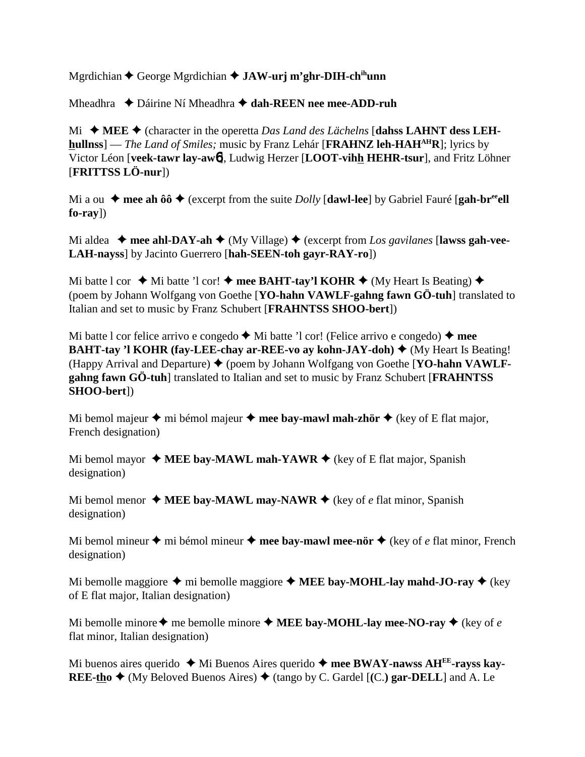Mgrdichian **←** George Mgrdichian **← JAW-urj m'ghr-DIH-ch<sup>ih</sup>unn** 

Mheadhra ◆ Dáirine Ní Mheadhra **◆ dah-REEN nee mee-ADD-ruh** 

Mi  $\blacklozenge$  MEE  $\blacklozenge$  (character in the operetta *Das Land des Lächelns* [dahss LAHNT dess LEH**hullnss**] — *The Land of Smiles*; music by Franz Lehár [**FRAHNZ** leh-HAH<sup>AH</sup>R]; lyrics by Victor Léon [**veek-tawr lay-aw**6], Ludwig Herzer [**LOOT-vihh HEHR-tsur**], and Fritz Löhner [**FRITTSS LÖ-nur**])

Mi a ou  $\bullet$  mee ah ôô  $\bullet$  (excerpt from the suite *Dolly* [dawl-lee] by Gabriel Fauré [gah-br<sup>ee</sup>ell] **fo-ray**])

Mi aldea  $\blacklozenge$  mee ahl-DAY-ah  $\blacklozenge$  (My Village)  $\blacklozenge$  (excerpt from *Los gavilanes* [lawss gah-vee-**LAH-nayss**] by Jacinto Guerrero [**hah-SEEN-toh gayr-RAY-ro**])

Mi batte l cor  $\triangleleft$  Mi batte 'l cor!  $\triangleleft$  mee BAHT-tay'l KOHR  $\triangleleft$  (My Heart Is Beating)  $\triangleleft$ (poem by Johann Wolfgang von Goethe [**YO-hahn VAWLF-gahng fawn GÖ-tuh**] translated to Italian and set to music by Franz Schubert [**FRAHNTSS SHOO-bert**])

Mi batte l cor felice arrivo e congedo  $\blacklozenge$  Mi batte 'l cor! (Felice arrivo e congedo)  $\blacklozenge$  mee **BAHT-tay 'l KOHR (fay-LEE-chay ar-REE-vo ay kohn-JAY-doh) ♦ (My Heart Is Beating!** (Happy Arrival and Departure) (poem by Johann Wolfgang von Goethe [**YO-hahn VAWLFgahng fawn GÖ-tuh**] translated to Italian and set to music by Franz Schubert [**FRAHNTSS SHOO-bert**])

Mi bemol majeur  $\triangle$  mi bémol majeur  $\triangle$  mee bay-mawl mah-zhör  $\triangle$  (key of E flat major, French designation)

Mi bemol mayor  $\triangle$  **MEE bay-MAWL mah-YAWR**  $\triangle$  (key of E flat major, Spanish designation)

Mi bemol menor  $\triangle$  **MEE bay-MAWL may-NAWR**  $\triangle$  (key of *e* flat minor, Spanish designation)

Mi bemol mineur  $\triangle$  mi bémol mineur  $\triangle$  mee bay-mawl mee-nör  $\triangle$  (key of *e* flat minor, French designation)

Mi bemolle maggiore  $\triangle$  mi bemolle maggiore  $\triangle$  **MEE bay-MOHL-lay mahd-JO-ray**  $\triangle$  (key of E flat major, Italian designation)

Mi bemolle minore  $\blacklozenge$  me bemolle minore  $\blacklozenge$  **MEE bay-MOHL-lay mee-NO-ray**  $\blacklozenge$  (key of *e* flat minor, Italian designation)

Mi buenos aires querido ◆ Mi Buenos Aires querido ◆ mee BWAY-nawss AH<sup>EE</sup>-rayss kay-**REE-tho**  $\blacklozenge$  (My Beloved Buenos Aires)  $\blacklozenge$  (tango by C. Gardel  $[(C.)$  gar-DELL and A. Le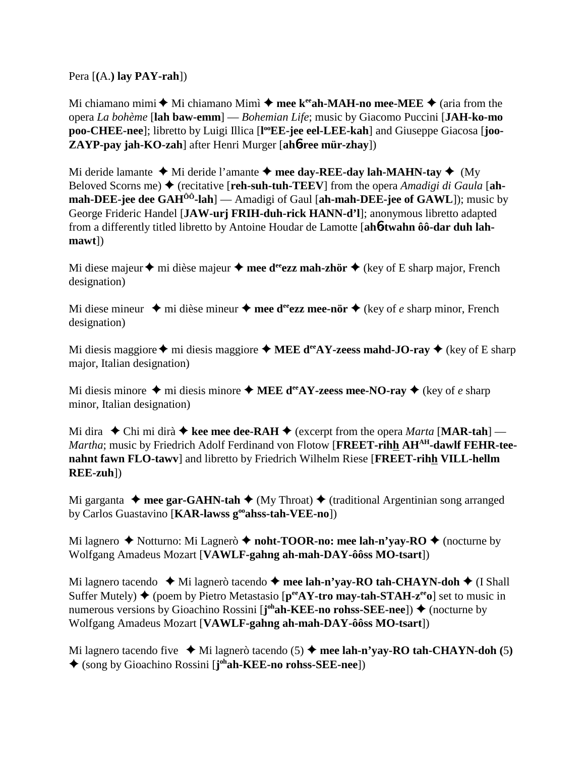Pera [**(**A.**) lay PAY-rah**])

Mi chiamano mimi  $\blacklozenge$  Mi chiamano Mimì  $\blacklozenge$  mee k<sup>ee</sup>ah-MAH-no mee-MEE  $\blacklozenge$  (aria from the opera *La bohème* [**lah baw-emm**] — *Bohemian Life*; music by Giacomo Puccini [**JAH-ko-mo** poo-CHEE-nee]; libretto by Luigi Illica [l<sup>oo</sup>EE-jee eel-LEE-kah] and Giuseppe Giacosa [joo-**ZAYP-pay jah-KO-zah**] after Henri Murger [**ah**6**-ree mür-zhay**])

Mi deride lamante  $\triangleleft$  Mi deride l'amante  $\triangleleft$  mee day-REE-day lah-MAHN-tay  $\triangleleft$  (My Beloved Scorns me)  $\triangle$  (recitative [**reh-suh-tuh-TEEV**] from the opera *Amadigi di Gaula* [ah**mah-DEE-jee dee GAHÔÔ-lah**] — Amadigi of Gaul [**ah-mah-DEE-jee of GAWL**]); music by George Frideric Handel [**JAW-urj FRIH-duh-rick HANN-d'l**]; anonymous libretto adapted from a differently titled libretto by Antoine Houdar de Lamotte [**ah**6**-twahn ôô-dar duh lahmawt**])

Mi diese majeur  $\triangle$  mi dièse majeur  $\triangle$  mee d<sup>ee</sup>ezz mah-zhör  $\triangle$  (key of E sharp major, French designation)

Mi diese mineur  $\triangleq$  mi dièse mineur  $\triangleq$  mee d<sup>ee</sup>ezz mee-nör  $\triangleq$  (key of *e* sharp minor, French designation)

Mi diesis maggiore  $\triangle$  mi diesis maggiore  $\triangle$  **MEE d<sup>ee</sup>AY-zeess mahd-JO-ray**  $\triangle$  (key of E sharp major, Italian designation)

Mi diesis minore  $\triangle$  mi diesis minore  $\triangle$  MEE d<sup>ee</sup>AY-zeess mee-NO-ray  $\triangle$  (key of *e* sharp minor, Italian designation)

Mi dira  $\blacklozenge$  Chi mi dirà  $\blacklozenge$  kee mee dee-RAH  $\blacklozenge$  (excerpt from the opera *Marta* [MAR-tah] — Martha; music by Friedrich Adolf Ferdinand von Flotow [FREET-rihh AH<sup>AH</sup>-dawlf FEHR-tee**nahnt fawn FLO-tawv**] and libretto by Friedrich Wilhelm Riese [**FREET-rihh VILL-hellm REE-zuh**])

Mi garganta  $\triangle$  mee gar-GAHN-tah  $\triangle$  (My Throat)  $\triangle$  (traditional Argentinian song arranged by Carlos Guastavino [**KAR-lawss gooahss-tah-VEE-no**])

Mi lagnero  $\blacklozenge$  Notturno: Mi Lagnerò  $\blacklozenge$  noht-TOOR-no: mee lah-n'yay-RO  $\blacklozenge$  (nocturne by Wolfgang Amadeus Mozart [**VAWLF-gahng ah-mah-DAY-ôôss MO-tsart**])

Mi lagnero tacendo  $\blacklozenge$  Mi lagnerò tacendo  $\blacklozenge$  mee lah-n'yay-RO tah-CHAYN-doh  $\blacklozenge$  (I Shall Suffer Mutely)  $\blacklozenge$  (poem by Pietro Metastasio [ $p^{ee}AY$ -tro may-tah-STAH- $z^{ee}$ o] set to music in numerous versions by Gioachino Rossini [**j**<sup>oh</sup>**ah-KEE-no rohss-SEE-nee**]) ♦ (nocturne by Wolfgang Amadeus Mozart [**VAWLF-gahng ah-mah-DAY-ôôss MO-tsart**])

Mi lagnero tacendo five  $\blacklozenge$  Mi lagnerò tacendo (5)  $\blacklozenge$  mee lah-n'yay-RO tah-CHAYN-doh (5) (song by Gioachino Rossini [**j ohah-KEE-no rohss-SEE-nee**])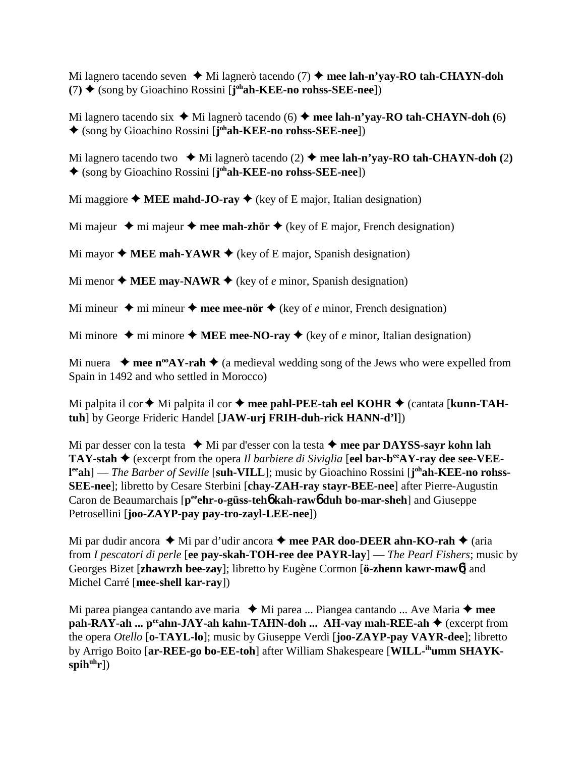Mi lagnero tacendo seven  $\blacklozenge$  Mi lagnerò tacendo (7)  $\blacklozenge$  mee lah-n'yay-RO tah-CHAYN-doh **(**7**)** (song by Gioachino Rossini [**j ohah-KEE-no rohss-SEE-nee**])

Mi lagnero tacendo six  $\blacklozenge$  Mi lagnerò tacendo (6)  $\blacklozenge$  mee lah-n'yay-RO tah-CHAYN-doh (6) (song by Gioachino Rossini [**j ohah-KEE-no rohss-SEE-nee**])

Mi lagnero tacendo two  $\blacklozenge$  Mi lagnerò tacendo (2)  $\blacklozenge$  mee lah-n'vay-RO tah-CHAYN-doh (2) (song by Gioachino Rossini [**j ohah-KEE-no rohss-SEE-nee**])

Mi maggiore  $\triangle$  **MEE mahd-JO-ray**  $\triangle$  (key of E major, Italian designation)

Mi majeur  $\rightarrow$  mi majeur  $\rightarrow$  mee mah-zhör  $\rightarrow$  (key of E major, French designation)

Mi mayor  $\triangle$  **MEE mah-YAWR**  $\triangle$  (key of E major, Spanish designation)

Mi menor  $\triangle$  **MEE may-NAWR**  $\triangle$  (key of *e* minor, Spanish designation)

Mi mineur  $\triangle$  mi mineur  $\triangle$  mee mee-nör  $\triangle$  (key of *e* minor, French designation)

Mi minore  $\triangle$  mi minore  $\triangle$  MEE mee-NO-ray  $\triangle$  (key of *e* minor, Italian designation)

Mi nuera  $\rightarrow$  mee n<sup>oo</sup>AY-rah  $\rightarrow$  (a medieval wedding song of the Jews who were expelled from Spain in 1492 and who settled in Morocco)

Mi palpita il cor  $\triangle$  Mi palpita il cor  $\triangle$  mee pahl-PEE-tah eel KOHR  $\triangle$  (cantata [kunn-TAH**tuh**] by George Frideric Handel [**JAW-urj FRIH-duh-rick HANN-d'l**])

Mi par desser con la testa **↓** Mi par d'esser con la testa **↓ mee par DAYSS-sayr kohn lah TAY-stah**  $\blacklozenge$  (excerpt from the opera *Il barbiere di Siviglia* [eel **bar-b<sup>ee</sup>AY-ray dee see-VEEl<sup>ee</sup>ah**] — *The Barber of Seville* [suh-VILL]; music by Gioachino Rossini [j<sup>oh</sup>ah-KEE-no rohss-**SEE-nee**]; libretto by Cesare Sterbini [**chay-ZAH-ray stayr-BEE-nee**] after Pierre-Augustin Caron de Beaumarchais [p<sup>ee</sup>ehr-o-güss-teh**6** kah-raw**6** duh bo-mar-sheh] and Giuseppe Petrosellini [**joo-ZAYP-pay pay-tro-zayl-LEE-nee**])

Mi par dudir ancora  $\triangleleft$  Mi par d'udir ancora  $\triangleleft$  mee PAR doo-DEER ahn-KO-rah  $\triangleleft$  (aria from *I pescatori di perle* [**ee pay-skah-TOH-ree dee PAYR-lay**] — *The Pearl Fishers*; music by Georges Bizet [**zhawrzh bee-zay**]; libretto by Eugène Cormon [**ö-zhenn kawr-maw**6] and Michel Carré [**mee-shell kar-ray**])

Mi parea piangea cantando ave maria  $\blacklozenge$  Mi parea ... Piangea cantando ... Ave Maria  $\blacklozenge$  mee **pah-RAY-ah ... p<sup>ee</sup>ahn-JAY-ah kahn-TAHN-doh ... AH-vay mah-REE-ah ♦** (excerpt from the opera *Otello* [**o-TAYL-lo**]; music by Giuseppe Verdi [**joo-ZAYP-pay VAYR-dee**]; libretto by Arrigo Boito [**ar-REE-go bo-EE-toh**] after William Shakespeare [**WILL-ihumm SHAYK**spih<sup>uh</sup>r])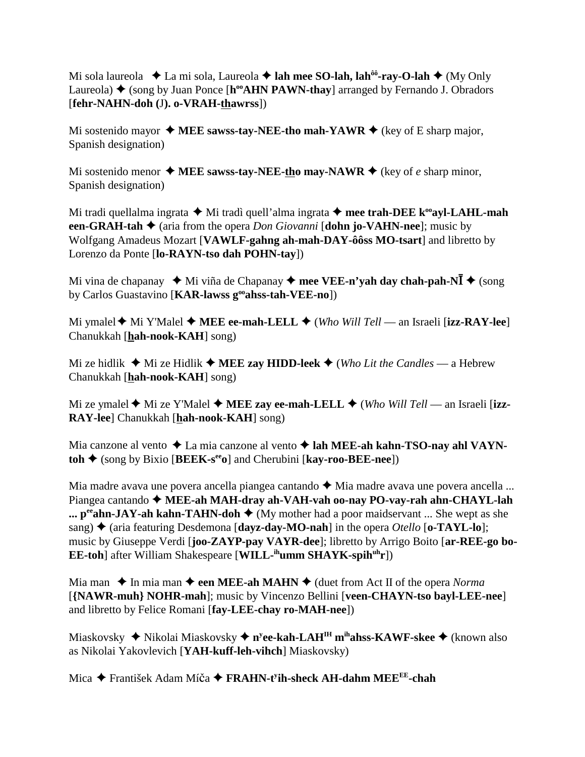Mi sola laureola  $\triangle$  La mi sola, Laureola  $\triangle$  lah mee SO-lah, lah<sup> $\hat{\theta}$ o-ray-O-lah  $\triangle$  (My Only</sup> Laureola)  $\triangle$  (song by Juan Ponce [h<sup>oo</sup>AHN PAWN-thay] arranged by Fernando J. Obradors [**fehr-NAHN-doh (**J**). o-VRAH-thawrss**])

Mi sostenido mayor  $\triangleleft$  MEE sawss-tay-NEE-tho mah-YAWR  $\triangleleft$  (key of E sharp major, Spanish designation)

Mi sostenido menor  $\triangle$  **MEE** sawss-tay-NEE-tho may-NAWR  $\triangle$  (key of *e* sharp minor, Spanish designation)

Mi tradi quellalma ingrata  $\triangle$  Mi tradì quell'alma ingrata  $\triangle$  mee trah-DEE k<sup>oo</sup>ayl-LAHL-mah **een-GRAH-tah**  $\triangleq$  (aria from the opera *Don Giovanni* [**dohn jo-VAHN-nee**]; music by Wolfgang Amadeus Mozart [**VAWLF-gahng ah-mah-DAY-ôôss MO-tsart**] and libretto by Lorenzo da Ponte [**lo-RAYN-tso dah POHN-tay**])

Mi vina de chapanay  $\triangleq$  Mi viña de Chapanay  $\triangleq$  mee VEE-n'yah day chah-pah-N $\overline{I}$   $\triangleq$  (song by Carlos Guastavino [**KAR-lawss gooahss-tah-VEE-no**])

Mi ymalel **◆** Mi Y'Malel ◆ MEE ee-mah-LELL ◆ (*Who Will Tell* — an Israeli [**izz-RAY-lee**] Chanukkah [**hah-nook-KAH**] song)

Mi ze hidlik  $\triangleq$  Mi ze Hidlik  $\triangleq$  **MEE zay HIDD-leek**  $\triangleq$  (*Who Lit the Candles* — a Hebrew Chanukkah [**hah-nook-KAH**] song)

Mi ze ymalel  $\blacklozenge$  Mi ze Y'Malel  $\blacklozenge$  **MEE zay ee-mah-LELL**  $\blacklozenge$  (*Who Will Tell* — an Israeli [**izz-RAY-lee**] Chanukkah [**hah-nook-KAH**] song)

Mia canzone al vento ◆ La mia canzone al vento ◆ lah MEE-ah kahn-TSO-nay ahl VAYN**toh** (song by Bixio [**BEEK-seeo**] and Cherubini [**kay-roo-BEE-nee**])

Mia madre avava une povera ancella piangea cantando  $\triangle$  Mia madre avava une povera ancella ... Piangea cantando **MEE-ah MAH-dray ah-VAH-vah oo-nay PO-vay-rah ahn-CHAYL-lah ...**  $p^{ee}$ **ahn-JAY-ah kahn-TAHN-doh**  $\blacklozenge$  (My mother had a poor maidservant ... She wept as she sang)  $\triangle$  (aria featuring Desdemona [dayz-day-MO-nah] in the opera *Otello* [o-TAYL-lo]; music by Giuseppe Verdi [**joo-ZAYP-pay VAYR-dee**]; libretto by Arrigo Boito [**ar-REE-go bo-EE-toh**] after William Shakespeare [**WILL-ihumm SHAYK-spihuhr**])

Mia man  $\triangle$  In mia man  $\triangle$  een MEE-ah MAHN  $\triangle$  (duet from Act II of the opera *Norma* [**{NAWR-muh} NOHR-mah**]; music by Vincenzo Bellini [**veen-CHAYN-tso bayl-LEE-nee**] and libretto by Felice Romani [**fay-LEE-chay ro-MAH-nee**])

Miaskovsky Nikolai Miaskovsky **ny ee-kah-LAHIH mihahss-KAWF-skee** (known also as Nikolai Yakovlevich [**YAH-kuff-leh-vihch**] Miaskovsky)

Mica ◆ František Adam Mí<mark>ča ◆ FRAHN-t<sup>y</sup>ih-sheck AH-dahm MEE<sup>EE</sup>-chah</mark>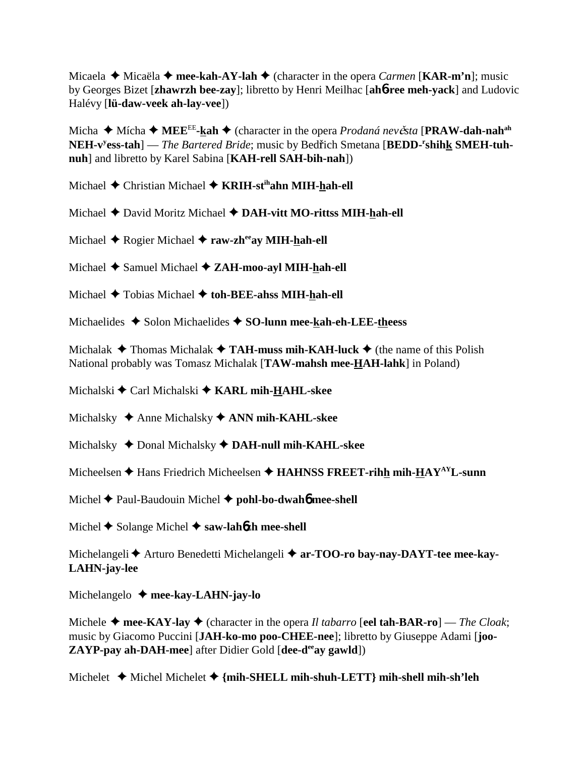Micaela **→** Micaëla → mee-kah-AY-lah → (character in the opera *Carmen* [KAR-m'n]; music by Georges Bizet [**zhawrzh bee-zay**]; libretto by Henri Meilhac [**ah**6**-ree meh-yack**] and Ludovic Halévy [**lü-daw-veek ah-lay-vee**])

Micha ◆ Mícha ◆ MEE<sup>EE</sup>-kah ◆ (character in the opera *Prodaná nevěsta* [PRAW-dah-nah<sup>ah</sup> NEH-v<sup>y</sup>ess-tah] — *The Bartered Bride*; music by Bedřich Smetana [BEDD-<sup>r</sup>shihk SMEH-tuh**nuh**] and libretto by Karel Sabina [**KAH-rell SAH-bih-nah**])

Michael **→** Christian Michael → **KRIH-st<sup>ih</sup>ahn MIH-hah-ell** 

- Michael  $\triangle$  David Moritz Michael  $\triangle$  **DAH-vitt MO-rittss MIH-hah-ell**
- Michael **→** Rogier Michael **→ raw-zh<sup>ee</sup>ay MIH-hah-ell**
- Michael Samuel Michael **ZAH-moo-ayl MIH-hah-ell**
- Michael  $\triangle$  Tobias Michael  $\triangle$  toh-BEE-ahss MIH-hah-ell
- Michaelides  $\triangle$  Solon Michaelides  $\triangle$  SO-lunn mee-kah-eh-LEE-theess

Michalak  $\triangle$  Thomas Michalak  $\triangle$  **TAH-muss mih-KAH-luck**  $\triangle$  (the name of this Polish National probably was Tomasz Michalak [**TAW-mahsh mee-HAH-lahk**] in Poland)

Michalski Carl Michalski **KARL mih-HAHL-skee**

Michalsky **→** Anne Michalsky **→ ANN mih-KAHL-skee** 

Michalsky ◆ Donal Michalsky ◆ DAH-null mih-KAHL-skee

Micheelsen  $\triangle$  Hans Friedrich Micheelsen  $\triangle$  **HAHNSS FREET-rihh mih-HAY<sup>AY</sup>L-sunn** 

Michel Paul-Baudouin Michel **pohl-bo-dwah**6 **mee-shell**

Michel **◆** Solange Michel ◆ saw-lah6**zh mee-shell** 

Michelangeli Arturo Benedetti Michelangeli **ar-TOO-ro bay-nay-DAYT-tee mee-kay-LAHN-jay-lee**

Michelangelo **mee-kay-LAHN-jay-lo**

Michele  $\triangle$  mee-KAY-lay  $\triangle$  (character in the opera *Il tabarro* [eel tah-BAR-ro] — *The Cloak*; music by Giacomo Puccini [**JAH-ko-mo poo-CHEE-nee**]; libretto by Giuseppe Adami [**joo-ZAYP-pay ah-DAH-mee**] after Didier Gold [dee-d<sup>ee</sup>ay gawld])

Michelet Michel Michelet **{mih-SHELL mih-shuh-LETT} mih-shell mih-sh'leh**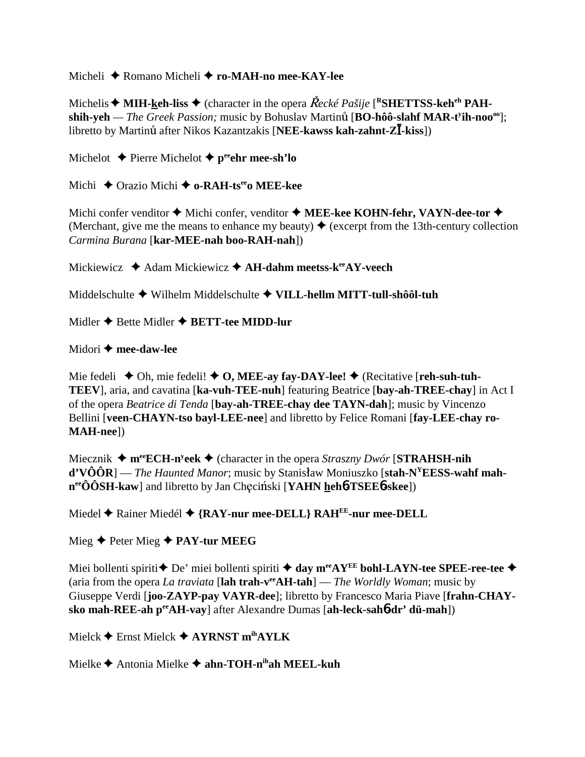Micheli Romano Micheli **ro-MAH-no mee-KAY-lee**

Michelis  $\blacklozenge$  MIH-keh-liss  $\blacklozenge$  (character in the opera *Řecké Pašije* [<sup>R</sup>SHETTSS-keh<sup>eh</sup> PAH- $\mathbf{s}_0$  **shih-yeh** — *The Greek Passion;* music by Bohuslav Martinu [BO-hôô-slahf MAR-t<sup>y</sup>ih-noo<sup>oo</sup>]; libretto by Martinů after Nikos Kazantzakis [NEE-kawss kah-zahnt-Zlakiss])

Michelot **←** Pierre Michelot ← p<sup>ee</sup>ehr mee-sh'lo

Michi  $\triangle$  Orazio Michi  $\triangle$  o-RAH-ts<sup>ee</sup>o MEE-kee

Michi confer venditor  $\triangle$  Michi confer, venditor  $\triangle$  **MEE-kee KOHN-fehr, VAYN-dee-tor**  $\triangle$ (Merchant, give me the means to enhance my beauty)  $\triangle$  (excerpt from the 13th-century collection *Carmina Burana* [**kar-MEE-nah boo-RAH-nah**])

Mickiewicz **→** Adam Mickiewicz **→ AH-dahm meetss-k<sup>ee</sup>AY-veech** 

Middelschulte Wilhelm Middelschulte **VILL-hellm MITT-tull-shôôl-tuh**

Midler  $\triangle$  Bette Midler  $\triangle$  **BETT-tee MIDD-lur** 

## Midori **mee-daw-lee**

Mie fedeli  $\blacklozenge$  Oh, mie fedeli!  $\blacklozenge$  O, MEE-ay fay-DAY-lee!  $\blacklozenge$  (Recitative [**reh-suh-tuh**-**TEEV**], aria, and cavatina [**ka-vuh-TEE-nuh**] featuring Beatrice [**bay-ah-TREE-chay**] in Act I of the opera *Beatrice di Tenda* [**bay-ah-TREE-chay dee TAYN-dah**]; music by Vincenzo Bellini [**veen-CHAYN-tso bayl-LEE-nee**] and libretto by Felice Romani [**fay-LEE-chay ro-MAH-nee**])

Miecznik **meeECH-ny eek** (character in the opera *Straszny Dwór* [**STRAHSH-nih d'VÔÔR**] — *The Haunted Manor*; music by Stanisław Moniuszko [stah-N<sup>Y</sup>EESS-wahf mah**n**ero OSH-kaw and libretto by Jan Checinski [**YAHN hehb-TSEEb-skee**])

Miedel **←** Rainer Miedél ← {RAY-nur mee-DELL} RAH<sup>EE</sup>-nur mee-DELL

Mieg Peter Mieg **PAY-tur MEEG**

Miei bollenti spiriti  $\triangle$  De' miei bollenti spiriti  $\triangle$  day m<sup>ee</sup>AY<sup>EE</sup> bohl-LAYN-tee SPEE-ree-tee  $\triangle$ (aria from the opera *La traviata* [lah trah-v<sup>ee</sup>AH-tah] — *The Worldly Woman*; music by Giuseppe Verdi [**joo-ZAYP-pay VAYR-dee**]; libretto by Francesco Maria Piave [**frahn-CHAYsko mah-REE-ah peeAH-vay**] after Alexandre Dumas [**ah-leck-sah**6**-dr' dü-mah**])

Mielck Ernst Mielck **AYRNST mihAYLK**

Mielke Antonia Mielke **ahn-TOH-nihah MEEL-kuh**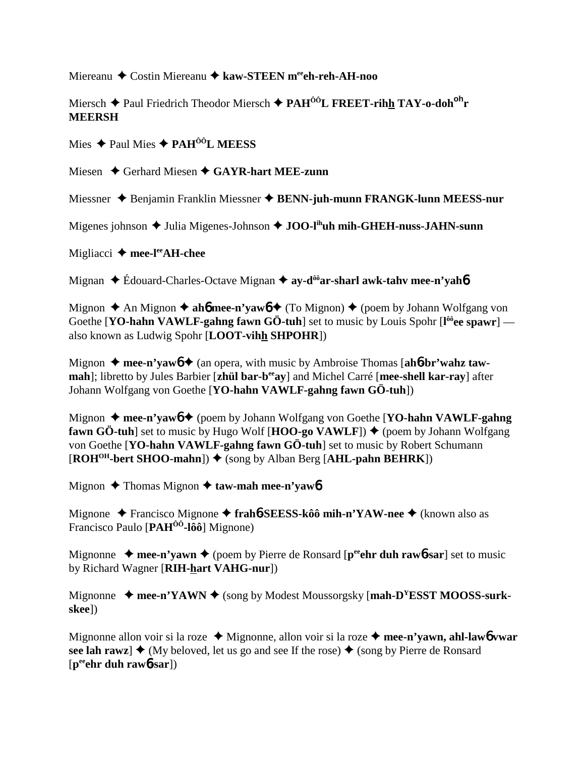Miereanu ◆ Costin Miereanu ◆ kaw-STEEN meech-reh-AH-noo

Miersch Paul Friedrich Theodor Miersch **PAHÔÔL FREET-rihh TAY-o-dohoh r MEERSH**

Mies Paul Mies **PAHÔÔL MEESS**

Miesen **→** Gerhard Miesen **→ GAYR-hart MEE-zunn** 

Miessner Benjamin Franklin Miessner **BENN-juh-munn FRANGK-lunn MEESS-nur**

Migenes johnson ◆ Julia Migenes-Johnson ◆ JOO-l<sup>ih</sup>uh mih-GHEH-nuss-JAHN-sunn

Migliacci **mee-leeAH-chee**

Mignan ◆ Édouard-Charles-Octave Mignan **→ ay-d<sup>ôô</sup>ar-sharl awk-tahv mee-n'yah<sup>6</sup>** 

Mignon  $\triangle$  An Mignon  $\triangle$  ah**6** mee-n'yaw**6**  $\triangle$  (To Mignon)  $\triangle$  (poem by Johann Wolfgang von Goethe [**YO-hahn VAWLF-gahng fawn GÖ-tuh**] set to music by Louis Spohr [**l ôôee spawr**] also known as Ludwig Spohr [**LOOT-vihh SHPOHR**])

Mignon  $\triangle$  mee-n'yawb  $\triangle$  (an opera, with music by Ambroise Thomas [ah6-br'wahz taw**mah**]; libretto by Jules Barbier [zhül bar-b<sup>ee</sup>ay] and Michel Carré [mee-shell kar-ray] after Johann Wolfgang von Goethe [**YO-hahn VAWLF-gahng fawn GÖ-tuh**])

Mignon **← mee-n'yaw6 ←** (poem by Johann Wolfgang von Goethe [**YO-hahn VAWLF-gahng fawn GÖ-tuh**] set to music by Hugo Wolf  $[\text{HOO-go VAWLF}]$   $\blacklozenge$  (poem by Johann Wolfgang von Goethe [**YO-hahn VAWLF-gahng fawn GÖ-tuh**] set to music by Robert Schumann  $[ROH<sup>OH</sup>-bert SHOO-mahn]$ )  $\blacklozenge$  (song by Alban Berg [A**HL-pahn BEHRK**])

Mignon **→** Thomas Mignon **→ taw-mah mee-n'yaw6** 

Mignone Francisco Mignone **frah**6**-SEESS-kôô mih-n'YAW-nee** (known also as Francisco Paulo [**PAHÔÔ-lôô**] Mignone)

Mignonne  $\rightarrow$  mee-n'vawn  $\rightarrow$  (poem by Pierre de Ronsard [p<sup>ee</sup> ehr duh rawb-sar] set to music by Richard Wagner [**RIH-hart VAHG-nur**])

Mignonne  $\blacklozenge$  mee-n'YAWN  $\blacklozenge$  (song by Modest Moussorgsky [mah-D<sup>Y</sup>ESST MOOSS-surk**skee**])

Mignonne allon voir si la roze ◆ Mignonne, allon voir si la roze ◆ mee-n'vawn, ahl-law**6** vwar see lah rawz]  $\blacklozenge$  (My beloved, let us go and see If the rose)  $\blacklozenge$  (song by Pierre de Ronsard [**peeehr duh raw**6**-sar**])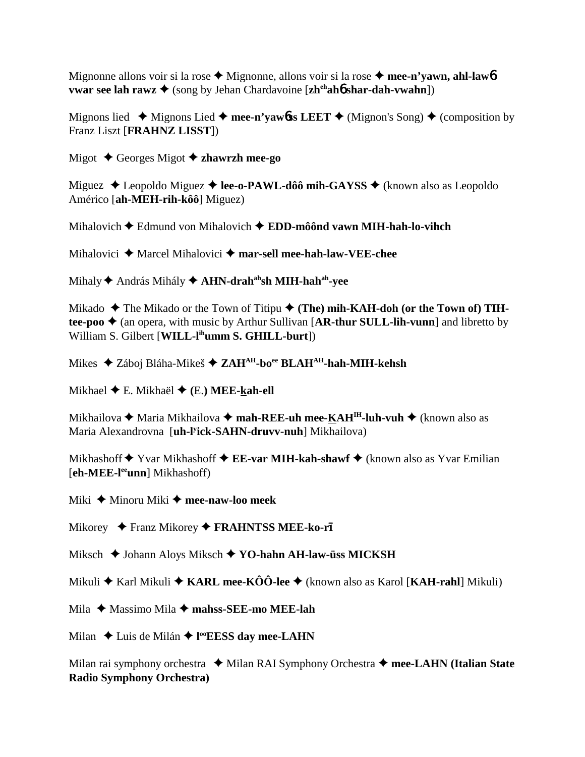Mignonne allons voir si la rose ◆ Mignonne, allons voir si la rose ◆ mee-n'yawn, ahl-law<sup>6</sup> **vwar see lah rawz ♦** (song by Jehan Chardavoine [**zh<sup>eh</sup>ahb shar-dah-vwahn**])

Mignons lied  $\blacklozenge$  Mignons Lied  $\blacklozenge$  mee-n'yawbss LEET  $\blacklozenge$  (Mignon's Song)  $\blacklozenge$  (composition by Franz Liszt [**FRAHNZ LISST**])

Migot Georges Migot **zhawrzh mee-go**

Miguez  $\triangle$  Leopoldo Miguez  $\triangle$  **lee-o-PAWL-dôô mih-GAYSS**  $\triangle$  (known also as Leopoldo Américo [**ah-MEH-rih-kôô**] Miguez)

Mihalovich Edmund von Mihalovich **EDD-môônd vawn MIH-hah-lo-vihch**

Mihalovici ♦ Marcel Mihalovici ♦ mar-sell mee-hah-law-VEE-chee

Mihaly **↑** András Mihály ◆ **AHN-drah<sup>ah</sup>sh MIH-hah<sup>ah</sup>-vee** 

Mikado  $\blacklozenge$  The Mikado or the Town of Titipu  $\blacklozenge$  (The) mih-KAH-doh (or the Town of) TIH**tee-poo**  $\triangle$  (an opera, with music by Arthur Sullivan [AR-thur SULL-lih-vunn] and libretto by William S. Gilbert [**WILL-lihumm S. GHILL-burt**])

Mikes ◆ Záboj Bláha-Mikeš ◆ ZAH<sup>AH</sup>-bo<sup>ee</sup> BLAH<sup>AH</sup>-hah-MIH-kehsh

Mikhael E. Mikhaël **(**E.**) MEE-kah-ell**

Mikhailova **→** Maria Mikhailova → mah-REE-uh mee-KAH<sup>IH</sup>-luh-vuh → (known also as Maria Alexandrovna [**uh-ly ick-SAHN-druvv-nuh**] Mikhailova)

Mikhashoff **◆** Yvar Mikhashoff ◆ EE-var MIH-kah-shawf ◆ (known also as Yvar Emilian [**eh-MEE-leeunn**] Mikhashoff)

Miki ◆ Minoru Miki ◆ mee-naw-loo meek

Mikorey ◆ Franz Mikorey ◆ FRAHNTSS MEE-ko-r**ī** 

Miksch ◆ Johann Aloys Miksch ◆ YO-hahn AH-law-üss MICKSH

Mikuli Karl Mikuli **KARL mee-KÔÔ-lee** (known also as Karol [**KAH-rahl**] Mikuli)

Mila ◆ Massimo Mila **◆ mahss-SEE-mo MEE-lah** 

Milan ◆ Luis de Milán ◆ l<sup>oo</sup>EESS day mee-LAHN

Milan rai symphony orchestra **↓** Milan RAI Symphony Orchestra **→ mee-LAHN (Italian State Radio Symphony Orchestra)**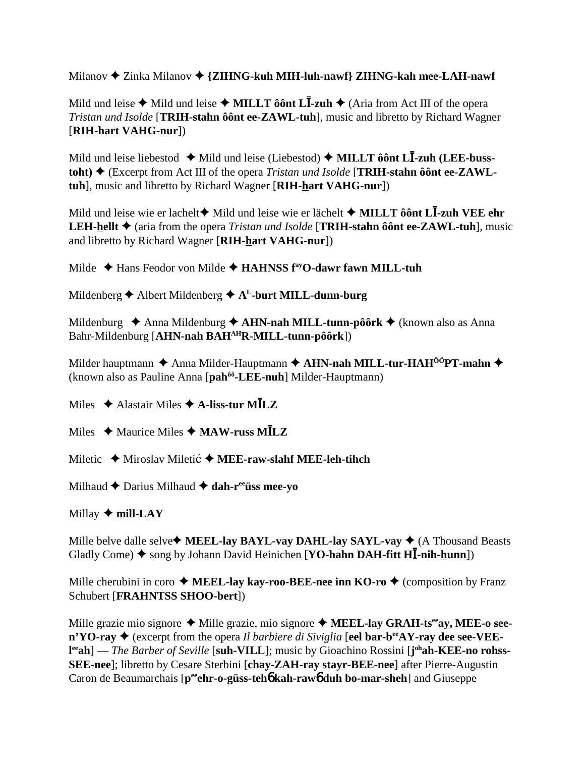Milanov  $\triangle$  Zinka Milanov  $\triangle$  {ZIHNG-kuh MIH-luh-nawf} ZIHNG-kah mee-LAH-nawf

Mild und leise  $\triangle$  Mild und leise  $\triangle$  MILLT ô ont L<sup>1</sup>-zuh  $\triangle$  (Aria from Act III of the opera Tristan und Isolde [TRIH-stahn ôônt ee-ZAWL-tuh], music and libretto by Richard Wagner [RIH-hart VAHG-nur])

Mild und leise liebestod  $\triangle$  Mild und leise (Liebestod)  $\triangle$  MILLT ôônt L**I**-zuh (LEE-busstoht)  $\triangle$  (Excerpt from Act III of the opera *Tristan und Isolde* [TRIH-stahn ôont ee-ZAWLtuh], music and libretto by Richard Wagner [RIH-hart VAHG-nur])

Mild und leise wie er lachelt $\blacklozenge$  Mild und leise wie er lächelt  $\blacklozenge$  MILLT ô ont L<sup>1</sup>-zuh VEE ehr LEH-hellt ♦ (aria from the opera Tristan und Isolde [TRIH-stahn ôônt ee-ZAWL-tuh], music and libretto by Richard Wagner [RIH-hart VAHG-nur])

Milde  $\triangleleft$  Hans Feodor von Milde  $\triangleleft$  HAHNSS f<sup>ay</sup>O-dawr fawn MILL-tuh

Mildenberg  $\triangle$  Albert Mildenberg  $\triangle$  A<sup>L</sup>-burt MILL-dunn-burg

Mildenburg  $\triangle$  Anna Mildenburg  $\triangle$  AHN-nah MILL-tunn-pôôrk  $\triangle$  (known also as Anna Bahr-Mildenburg [AHN-nah BAHAHR-MILL-tunn-pôôrk])

Milder hauptmann  $\triangle$  Anna Milder-Hauptmann  $\triangle$  AHN-nah MILL-tur-HAH<sup>ôô</sup>PT-mahn  $\triangle$ (known also as Pauline Anna [pah<sup>ôo</sup>-LEE-nuh] Milder-Hauptmann)

Miles  $\triangleleft$  Alastair Miles  $\triangleleft$  A-liss-tur M $\overline{ILZ}$ 

Miles  $\triangle$  Maurice Miles  $\triangle$  MAW-russ M $\overline{ILZ}$ 

Miletic  $\triangle$  Miroslav Miletić  $\triangle$  MEE-raw-slahf MEE-leh-tihch

Milhaud  $\triangle$  Darius Milhaud  $\triangle$  dah-r<sup>ee</sup> uss mee-yo

Millay  $\blacklozenge$  mill-LAY

Mille belve dalle selve  $\blacklozenge$  MEEL-lay BAYL-vay DAHL-lay SAYL-vay  $\blacklozenge$  (A Thousand Beasts Gladly Come)  $\blacklozenge$  song by Johann David Heinichen [YO-hahn DAH-fitt HI-nih-hunn])

Mille cherubini in coro  $\triangle$  MEEL-lay kay-roo-BEE-nee inn KO-ro  $\triangle$  (composition by Franz Schubert [FRAHNTSS SHOO-bert])

Mille grazie mio signore ◆ Mille grazie, mio signore ◆ MEEL-lay GRAH-ts<sup>ee</sup>ay, MEE-o see- $\mathbf{n}$ <sup>'</sup>YO-ray  $\blacklozenge$  (excerpt from the opera *Il barbiere di Siviglia* [eel bar-b<sup>ee</sup>AY-ray dee see-VEElee ah] — The Barber of Seville [suh-VILL]; music by Gioachino Rossini [johah-KEE-no rohss-SEE-nee]; libretto by Cesare Sterbini [chay-ZAH-ray stayr-BEE-nee] after Pierre-Augustin Caron de Beaumarchais [p<sup>ee</sup>ehr-o-güss-teho kah-rawo duh bo-mar-sheh] and Giuseppe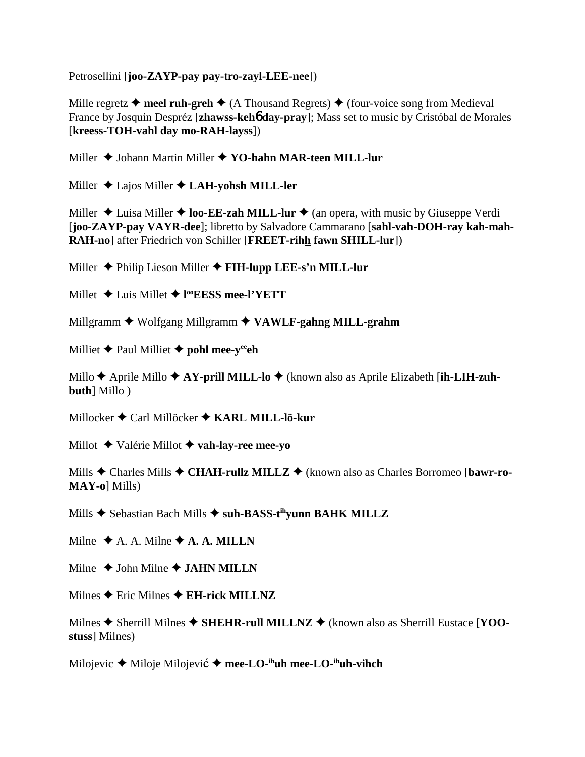Petrosellini [**joo-ZAYP-pay pay-tro-zayl-LEE-nee**])

Mille regretz  $\triangle$  meel ruh-greh  $\triangle$  (A Thousand Regrets)  $\triangle$  (four-voice song from Medieval France by Josquin Despréz [**zhawss-keh**6 **day-pray**]; Mass set to music by Cristóbal de Morales [**kreess-TOH-vahl day mo-RAH-layss**])

Miller  $\triangle$  Johann Martin Miller  $\triangle$  YO-hahn MAR-teen MILL-lur

Miller Lajos Miller **LAH-yohsh MILL-ler**

Miller  $\triangle$  Luisa Miller  $\triangle$  **loo-EE-zah MILL-lur**  $\triangle$  (an opera, with music by Giuseppe Verdi [**joo-ZAYP-pay VAYR-dee**]; libretto by Salvadore Cammarano [**sahl-vah-DOH-ray kah-mah-RAH-no**] after Friedrich von Schiller [**FREET-rihh fawn SHILL-lur**])

Miller Philip Lieson Miller **FIH-lupp LEE-s'n MILL-lur**

Millet Luis Millet **l ooEESS mee-l'YETT**

Millgramm Wolfgang Millgramm **VAWLF-gahng MILL-grahm**

Milliet  $\triangle$  Paul Milliet  $\triangle$  pohl mee-y<sup>ee</sup>eh

Millo **↑** Aprile Millo **↑ AY-prill MILL-lo ↑** (known also as Aprile Elizabeth [ih-LIH-zuh**buth**] Millo )

Millocker Carl Millöcker **KARL MILL-lö-kur**

Millot Valérie Millot **vah-lay-ree mee-yo**

Mills ◆ Charles Mills ◆ CHAH-rullz MILLZ ◆ (known also as Charles Borromeo [bawr-ro-**MAY-o**] Mills)

Mills **↑** Sebastian Bach Mills **↑ suh-BASS-t<sup>ih</sup>yunn BAHK MILLZ** 

Milne  $\triangle$  A. A. Milne  $\triangle$  A. A. MILLN

Milne  $\triangle$  John Milne  $\triangle$  **JAHN MILLN** 

Milnes  $\triangle$  Eric Milnes  $\triangle$  EH-rick MILLNZ

Milnes ◆ Sherrill Milnes ◆ SHEHR-rull MILLNZ ◆ (known also as Sherrill Eustace [YOO**stuss**] Milnes)

Milojevic **→** Miloje Milojević → mee-LO-<sup>ih</sup>uh mee-LO-<sup>ih</sup>uh-vihch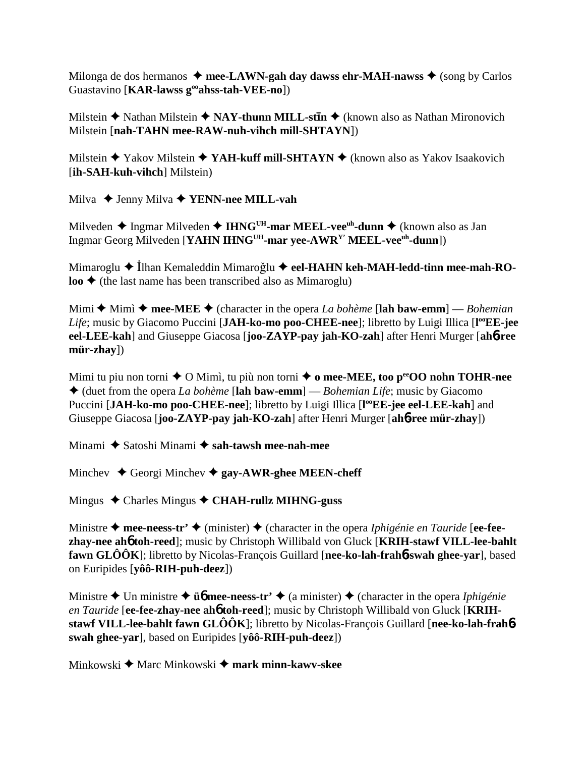Milonga de dos hermanos  $\triangle$  mee-LAWN-gah day dawss ehr-MAH-nawss  $\triangle$  (song by Carlos Guastavino [**KAR-lawss gooahss-tah-VEE-no**])

Milstein **◆** Nathan Milstein ◆ NAY-thunn MILL-st**In** ◆ (known also as Nathan Mironovich Milstein [**nah-TAHN mee-RAW-nuh-vihch mill-SHTAYN**])

Milstein **◆** Yakov Milstein ◆ YAH-kuff mill-SHTAYN ◆ (known also as Yakov Isaakovich [**ih-SAH-kuh-vihch**] Milstein)

Milva **→** Jenny Milva **→ YENN-nee MILL-vah** 

Milveden **→** Ingmar Milveden → **IHNG<sup>UH</sup>-mar MEEL-vee<sup>uh</sup>-dunn** → (known also as Jan Ingmar Georg Milveden [**YAHN IHNGUH-mar yee-AWRY' MEEL-veeuh-dunn**])

Mimaroglu ◆ İlhan Kemaleddin Mimaroğlu ◆ eel-HAHN keh-MAH-ledd-tinn mee-mah-RO**loo**  $\triangle$  (the last name has been transcribed also as Mimaroglu)

Mimi  $\triangle$  Mimì  $\triangle$  mee-MEE  $\triangle$  (character in the opera *La bohème* [lah baw-emm] — *Bohemian* Life; music by Giacomo Puccini [JAH-ko-mo poo-CHEE-nee]; libretto by Luigi Illica [l<sup>oo</sup>EE-jee **eel-LEE-kah**] and Giuseppe Giacosa [**joo-ZAYP-pay jah-KO-zah**] after Henri Murger [**ah**6**-ree mür-zhay**])

Mimi tu piu non torni ◆ O Mimì, tu più non torni ◆ o mee-MEE, too perOO nohn TOHR-nee (duet from the opera *La bohème* [**lah baw-emm**] — *Bohemian Life*; music by Giacomo Puccini [JAH-ko-mo poo-CHEE-nee]; libretto by Luigi Illica [l<sup>oo</sup>EE-jee eel-LEE-kah] and Giuseppe Giacosa [**joo-ZAYP-pay jah-KO-zah**] after Henri Murger [**ah**6**-ree mür-zhay**])

Minami ◆ Satoshi Minami ◆ sah-tawsh mee-nah-mee

Minchev  $\triangle$  Georgi Minchev  $\triangle$  gay-AWR-ghee MEEN-cheff

Mingus Charles Mingus **CHAH-rullz MIHNG-guss**

Ministre **→ mee-neess-tr'** ◆ (minister) ◆ (character in the opera *Iphigénie en Tauride* [ee-fee**zhay-nee ah**6 **toh-reed**]; music by Christoph Willibald von Gluck [**KRIH-stawf VILL-lee-bahlt fawn GLÔÔK**]; libretto by Nicolas-François Guillard [**nee-ko-lah-frah**6**-swah ghee-yar**], based on Euripides [**yôô-RIH-puh-deez**])

Ministre  $\triangle$  Un ministre  $\triangle$  **ü** $\phi$  **mee-neess-tr'**  $\triangle$  (a minister)  $\triangle$  (character in the opera *Iphigénie en Tauride* [**ee-fee-zhay-nee ah**6 **toh-reed**]; music by Christoph Willibald von Gluck [**KRIHstawf VILL-lee-bahlt fawn GLÔÔK**]; libretto by Nicolas-François Guillard [**nee-ko-lah-frah**6 **swah ghee-yar**], based on Euripides [**yôô-RIH-puh-deez**])

Minkowski **→** Marc Minkowski → mark minn-kawv-skee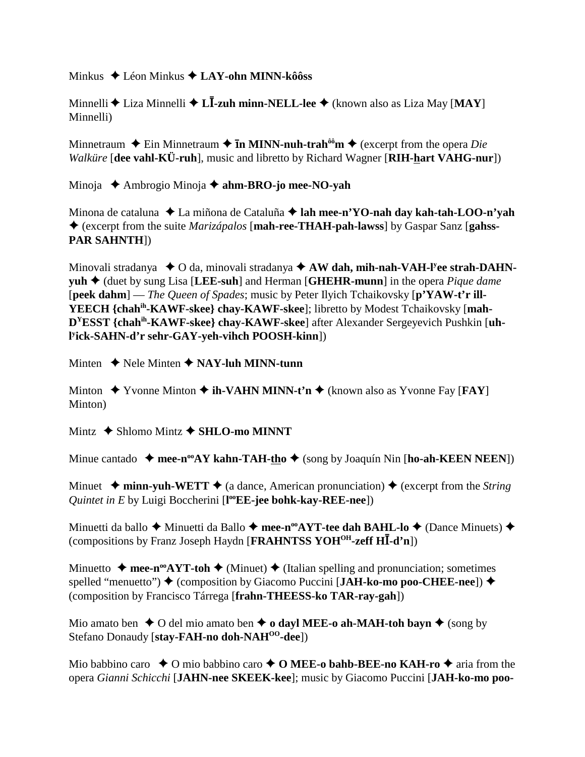Minkus Léon Minkus **LAY-ohn MINN-kôôss**

Minnelli Liza Minnelli **L**-**-zuh minn-NELL-lee** (known also as Liza May [**MAY**] Minnelli)

Minnetraum  $\triangle$  Ein Minnetraum  $\triangle$  **In MINN-nuh-trah<sup>ôô</sup>m**  $\triangle$  (excerpt from the opera *Die Walküre* [**dee vahl-KÜ-ruh**], music and libretto by Richard Wagner [**RIH-hart VAHG-nur**])

Minoja Ambrogio Minoja **ahm-BRO-jo mee-NO-yah**

Minona de cataluna La miñona de Cataluña **lah mee-n'YO-nah day kah-tah-LOO-n'yah** (excerpt from the suite *Marizápalos* [**mah-ree-THAH-pah-lawss**] by Gaspar Sanz [**gahss-PAR SAHNTH**])

Minovali stradanya  $\bullet$  O da, minovali stradanya  $\bullet$  AW dah, mih-nah-VAH-l<sup>y</sup>ee strah-DAHN**yuh** (duet by sung Lisa [**LEE-suh**] and Herman [**GHEHR-munn**] in the opera *Pique dame* [**peek dahm**] — *The Queen of Spades*; music by Peter Ilyich Tchaikovsky [**p'YAW-t'r ill-YEECH {chahih-KAWF-skee} chay-KAWF-skee**]; libretto by Modest Tchaikovsky [**mah-DYESST {chahih-KAWF-skee} chay-KAWF-skee**] after Alexander Sergeyevich Pushkin [**uhl y ick-SAHN-d'r sehr-GAY-yeh-vihch POOSH-kinn**])

Minten  $\triangle$  Nele Minten  $\triangle$  **NAY-luh MINN-tunn** 

Minton  $\blacklozenge$  Yvonne Minton  $\blacklozenge$  **ih-VAHN MINN-t'n**  $\blacklozenge$  (known also as Yvonne Fay [**FAY**] Minton)

Mintz **→ Shlomo Mintz → SHLO-mo MINNT** 

Minue cantado  $\rightarrow$  mee-n<sup>oo</sup>AY kahn-TAH-tho $\rightarrow$  (song by Joaquín Nin [ho-ah-KEEN NEEN])

Minuet  $\triangleq$  minn-yuh-WETT  $\triangleq$  (a dance, American pronunciation)  $\triangleq$  (excerpt from the *String Quintet in E* by Luigi Boccherini [**l ooEE-jee bohk-kay-REE-nee**])

Minuetti da ballo ◆ Minuetti da Ballo ◆ mee-n<sup>oo</sup>AYT-tee dah BAHL-lo ◆ (Dance Minuets) ◆ (compositions by Franz Joseph Haydn [FRAHNTSS YOH<sup>OH</sup>-zeff HI-d'n])

Minuetto  $\triangle$  mee-n<sup>oo</sup>AYT-toh  $\triangle$  (Minuet)  $\triangle$  (Italian spelling and pronunciation; sometimes spelled "menuetto")  $\blacklozenge$  (composition by Giacomo Puccini [**JAH-ko-mo poo-CHEE-nee**])  $\blacklozenge$ (composition by Francisco Tárrega [**frahn-THEESS-ko TAR-ray-gah**])

Mio amato ben  $\triangle$  O del mio amato ben  $\triangle$  **o dayl MEE-o ah-MAH-toh bayn**  $\triangle$  (song by Stefano Donaudy [stay-FAH-no doh-NAH<sup>00</sup>-dee])

Mio babbino caro  $\triangle$  O mio babbino caro  $\triangle$  O MEE-o bahb-BEE-no KAH-ro  $\triangle$  aria from the opera *Gianni Schicchi* [**JAHN-nee SKEEK-kee**]; music by Giacomo Puccini [**JAH-ko-mo poo-**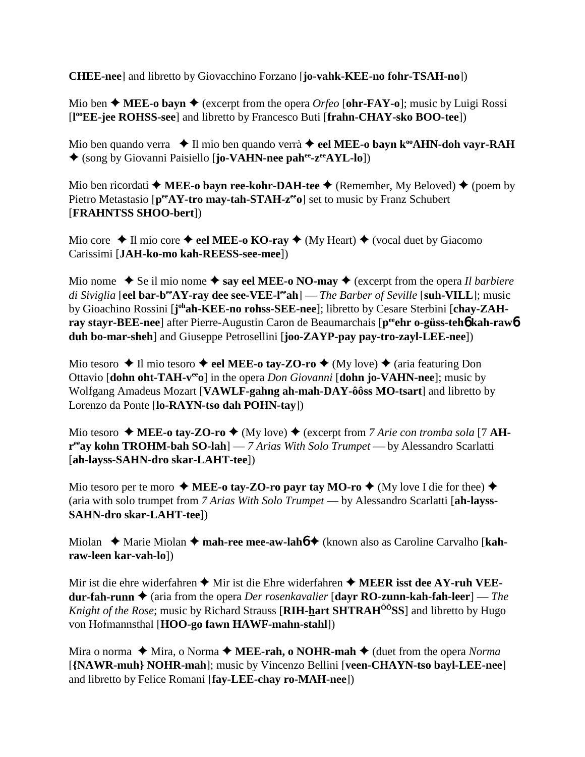**CHEE-nee**] and libretto by Giovacchino Forzano [**jo-vahk-KEE-no fohr-TSAH-no**])

Mio ben  $\triangle$  **MEE-o bayn**  $\triangle$  (excerpt from the opera *Orfeo* [**ohr-FAY-o**]; music by Luigi Rossi [**l ooEE-jee ROHSS-see**] and libretto by Francesco Buti [**frahn-CHAY-sko BOO-tee**])

Mio ben quando verra  $\blacklozenge$  Il mio ben quando verrà  $\blacklozenge$  **eel MEE-o bayn k<sup>oo</sup>AHN-doh vayr-RAH** (song by Giovanni Paisiello [**jo-VAHN-nee pahee-zeeAYL-lo**])

Mio ben ricordati  $\triangle$  **MEE-o bayn ree-kohr-DAH-tee**  $\triangle$  (Remember, My Beloved)  $\triangle$  (poem by Pietro Metastasio [ $p^{ee}AY$ -tro may-tah-STAH-z<sup>ee</sup>o] set to music by Franz Schubert [**FRAHNTSS SHOO-bert**])

Mio core  $\triangle$  Il mio core  $\triangle$  eel MEE-o KO-ray  $\triangle$  (My Heart)  $\triangle$  (vocal duet by Giacomo Carissimi [**JAH-ko-mo kah-REESS-see-mee**])

Mio nome  $\blacklozenge$  Se il mio nome  $\blacklozenge$  say eel MEE-o NO-may  $\blacklozenge$  (excerpt from the opera *Il barbiere di Siviglia* [**eel bar-beeAY-ray dee see-VEE-leeah**] — *The Barber of Seville* [**suh-VILL**]; music by Gioachino Rossini [joh**ah-KEE-no rohss-SEE-nee**]; libretto by Cesare Sterbini [chay-ZAH**ray stayr-BEE-nee**] after Pierre-Augustin Caron de Beaumarchais [p<sup>ee</sup>ehr o-güss-teh6 kah-raw6 **duh bo-mar-sheh**] and Giuseppe Petrosellini [**joo-ZAYP-pay pay-tro-zayl-LEE-nee**])

Mio tesoro  $\triangle$  Il mio tesoro  $\triangle$  eel MEE-o tay-ZO-ro  $\triangle$  (My love)  $\triangle$  (aria featuring Don Ottavio [**dohn oht-TAH-veeo**] in the opera *Don Giovanni* [**dohn jo-VAHN-nee**]; music by Wolfgang Amadeus Mozart [**VAWLF-gahng ah-mah-DAY-ôôss MO-tsart**] and libretto by Lorenzo da Ponte [**lo-RAYN-tso dah POHN-tay**])

Mio tesoro  $\triangleleft$  **MEE-o tay-ZO-ro**  $\triangleleft$  (My love)  $\triangleleft$  (excerpt from *7 Arie con tromba sola* [7 **AHreeay kohn TROHM-bah SO-lah**] — *7 Arias With Solo Trumpet* — by Alessandro Scarlatti [**ah-layss-SAHN-dro skar-LAHT-tee**])

Mio tesoro per te moro  $\triangle$  **MEE-o tay-ZO-ro payr tay MO-ro**  $\triangle$  (My love I die for thee)  $\triangle$ (aria with solo trumpet from *7 Arias With Solo Trumpet* — by Alessandro Scarlatti [**ah-layss-SAHN-dro skar-LAHT-tee**])

Miolan ◆ Marie Miolan ◆ mah-ree mee-aw-lah**6** ◆ (known also as Caroline Carvalho [**kahraw-leen kar-vah-lo**])

Mir ist die ehre widerfahren  $\triangle$  Mir ist die Ehre widerfahren  $\triangle$  **MEER isst dee AY-ruh VEEdur-fah-runn ♦** (aria from the opera *Der rosenkavalier* [**dayr RO-zunn-kah-fah-leer**] — *The Knight of the Rose*; music by Richard Strauss [**RIH-hart SHTRAH<sup>ôô</sup>SS**] and libretto by Hugo von Hofmannsthal [**HOO-go fawn HAWF-mahn-stahl**])

Mira o norma  $\blacklozenge$  Mira, o Norma  $\blacklozenge$  **MEE-rah, o NOHR-mah**  $\blacklozenge$  (duet from the opera *Norma* [**{NAWR-muh} NOHR-mah**]; music by Vincenzo Bellini [**veen-CHAYN-tso bayl-LEE-nee**] and libretto by Felice Romani [**fay-LEE-chay ro-MAH-nee**])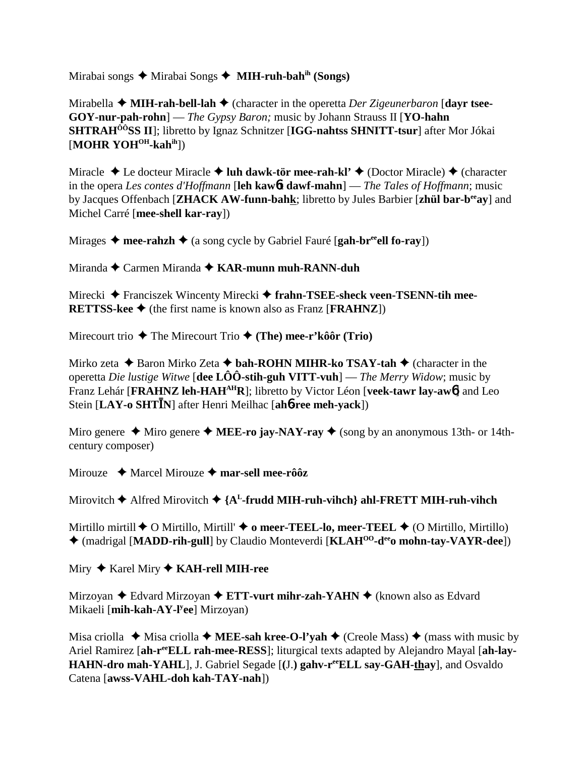Mirabai songs Mirabai Songs **MIH-ruh-bahih (Songs)**

Mirabella **→ MIH-rah-bell-lah →** (character in the operetta *Der Zigeunerbaron* [dayr tsee-**GOY-nur-pah-rohn**] — *The Gypsy Baron;* music by Johann Strauss II [**YO-hahn SHTRAHÔÔSS II**]; libretto by Ignaz Schnitzer [**IGG-nahtss SHNITT-tsur**] after Mor Jókai [**MOHR YOH<sup>OH</sup>-kah<sup>ih</sup>]**)

Miracle  $\triangle$  Le docteur Miracle  $\triangle$  luh dawk-tör mee-rah-kl'  $\triangle$  (Doctor Miracle)  $\triangle$  (character in the opera *Les contes d'Hoffmann* [**leh kaw**6**t dawf-mahn**] — *The Tales of Hoffmann*; music by Jacques Offenbach [**ZHACK AW-funn-bahk**; libretto by Jules Barbier [**zhül bar-beeay**] and Michel Carré [**mee-shell kar-ray**])

Mirages  $\triangleleft$  mee-rahzh  $\triangleleft$  (a song cycle by Gabriel Fauré [**gah-br<sup>ee</sup>ell fo-ray**])

Miranda Carmen Miranda **KAR-munn muh-RANN-duh**

Mirecki Franciszek Wincenty Mirecki  **frahn-TSEE-sheck veen-TSENN-tih mee-RETTSS-kee**  $\blacklozenge$  (the first name is known also as Franz [**FRAHNZ**])

Mirecourt trio  $\triangle$  The Mirecourt Trio  $\triangle$  (The) mee-r'kôôr (Trio)

Mirko zeta **→** Baron Mirko Zeta **→ bah-ROHN MIHR-ko TSAY-tah →** (character in the operetta *Die lustige Witwe* [**dee LÔÔ-stih-guh VITT-vuh**] — *The Merry Widow*; music by Franz Lehár [**FRAHNZ leh-HAHAHR**]; libretto by Victor Léon [**veek-tawr lay-aw**6] and Leo Stein [LAY-o SHTIN] after Henri Meilhac [ah6-ree meh-yack])

Miro genere  $\triangle$  Miro genere  $\triangle$  **MEE-ro jay-NAY-ray**  $\triangle$  (song by an anonymous 13th- or 14thcentury composer)

Mirouze **→** Marcel Mirouze → mar-sell mee-rôôz

Mirovitch  $\triangle$  Alfred Mirovitch  $\triangle$  {A<sup>L</sup>-frudd MIH-ruh-vihch} ahl-FRETT MIH-ruh-vihch

Mirtillo mirtill  $\blacklozenge$  O Mirtillo, Mirtill'  $\blacklozenge$  o meer-TEEL-lo, meer-TEEL  $\blacklozenge$  (O Mirtillo, Mirtillo) (madrigal [**MADD-rih-gull**] by Claudio Monteverdi [**KLAHOO-deeo mohn-tay-VAYR-dee**])

Miry Karel Miry **KAH-rell MIH-ree**

Mirzoyan **←** Edvard Mirzoyan ← **ETT-vurt mihr-zah-YAHN** ← (known also as Edvard Mikaeli [**mih-kah-AY-ly ee**] Mirzoyan)

Misa criolla  $\blacklozenge$  Misa criolla  $\blacklozenge$  **MEE-sah kree-O-l'yah**  $\blacklozenge$  (Creole Mass)  $\blacklozenge$  (mass with music by Ariel Ramirez [ah-r<sup>ee</sup>ELL rah-mee-RESS]; liturgical texts adapted by Alejandro Mayal [ah-lay-**HAHN-dro mah-YAHL**], J. Gabriel Segade [**(**J.**) gahv-reeELL say-GAH-thay**], and Osvaldo Catena [**awss-VAHL-doh kah-TAY-nah**])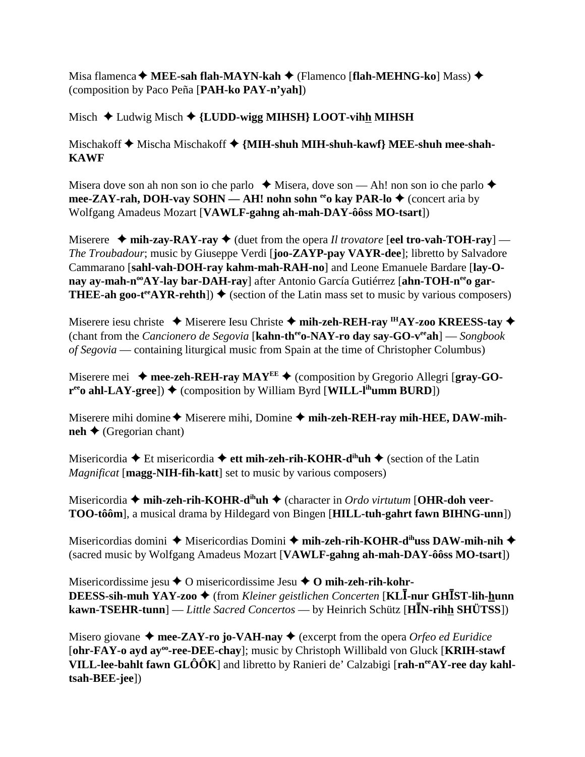Misa flamenca **MEE-sah flah-MAYN-kah** (Flamenco [**flah-MEHNG-ko**] Mass) (composition by Paco Peña [**PAH-ko PAY-n'yah]**)

Misch ◆ Ludwig Misch ◆ {LUDD-wigg MIHSH} LOOT-vihh MIHSH

Mischakoff  $\blacklozenge$  Mischa Mischakoff  $\blacklozenge$  {MIH-shuh MIH-shuh-kawf} MEE-shuh mee-shah-**KAWF**

Misera dove son ah non son io che parlo  $\triangle$  Misera, dove son — Ah! non son io che parlo  $\triangle$ **mee-ZAY-rah, DOH-vay SOHN — AH! nohn sohn <sup>ee</sup>o kay PAR-lo ♦ (concert aria by** Wolfgang Amadeus Mozart [**VAWLF-gahng ah-mah-DAY-ôôss MO-tsart**])

Miserere  $\blacklozenge$  mih-zay-RAY-ray  $\blacklozenge$  (duet from the opera *Il trovatore* [**eel tro-vah-TOH-ray**] — *The Troubadour*; music by Giuseppe Verdi [**joo-ZAYP-pay VAYR-dee**]; libretto by Salvadore Cammarano [**sahl-vah-DOH-ray kahm-mah-RAH-no**] and Leone Emanuele Bardare [**lay-O**nay ay-mah-n<sup>oo</sup>AY-lay bar-DAH-ray] after Antonio García Gutiérrez [ahn-TOH-n<sup>ee</sup>o gar-**THEE-ah goo-t<sup>ee</sup>AYR-rehth**])  $\blacklozenge$  (section of the Latin mass set to music by various composers)

Miserere iesu christe **→** Miserere Iesu Christe → mih-zeh-REH-ray <sup>IH</sup>AY-zoo KREESS-tay → (chant from the *Cancionero de Segovia* [**kahn-theeo-NAY-ro day say-GO-veeah**] — *Songbook of Segovia* — containing liturgical music from Spain at the time of Christopher Columbus)

Miserere mei  $\rightarrow$  mee-zeh-REH-ray MAY<sup>EE</sup>  $\rightarrow$  (composition by Gregorio Allegri [gray-GO- $\mathbf{r}^{\text{ee}}$ **o ahl-LAY-gree**])  $\blacklozenge$  (composition by William Byrd [**WILL-l<sup>ih</sup>umm BURD**])

Miserere mihi domine  $\triangle$  Miserere mihi, Domine  $\triangle$  mih-zeh-REH-ray mih-HEE, DAW-mih- $\mathbf{neh} \leftarrow (\text{Gregorian} \text{ chant})$ 

Misericordia **→** Et misericordia → ett mih-zeh-rih-KOHR-d<sup>ih</sup>uh → (section of the Latin *Magnificat* [**magg-NIH-fih-katt**] set to music by various composers)

Misericordia **← mih-zeh-rih-KOHR-d<sup>ih</sup>uh ←** (character in *Ordo virtutum* [**OHR-doh veer-TOO-tôôm**], a musical drama by Hildegard von Bingen [**HILL-tuh-gahrt fawn BIHNG-unn**])

Misericordias domini ◆ Misericordias Domini ◆ mih-zeh-rih-KOHR-d<sup>ih</sup>uss DAW-mih-nih ◆ (sacred music by Wolfgang Amadeus Mozart [**VAWLF-gahng ah-mah-DAY-ôôss MO-tsart**])

Misericordissime jesu **→** O misericordissime Jesu ◆ O mih-zeh-rih-kohr-**DEESS-sih-muh YAY-zoo ♦** (from *Kleiner geistlichen Concerten* [**KLĪ-nur GHĪST-lih-<u>h</u>unn**  $k$ **awn-TSEHR-tunn**] — *Little Sacred Concertos* — by Heinrich Schütz [HIN-rihh SHÜTSS])

Misero giovane  $\triangle$  mee-ZAY-ro jo-VAH-nay  $\triangle$  (excerpt from the opera *Orfeo ed Euridice* [**ohr-FAY-o ayd ayoo-ree-DEE-chay**]; music by Christoph Willibald von Gluck [**KRIH-stawf VILL-lee-bahlt fawn GLÔÔK**] and libretto by Ranieri de' Calzabigi [rah-n<sup>ee</sup>AY-ree day kahl**tsah-BEE-jee**])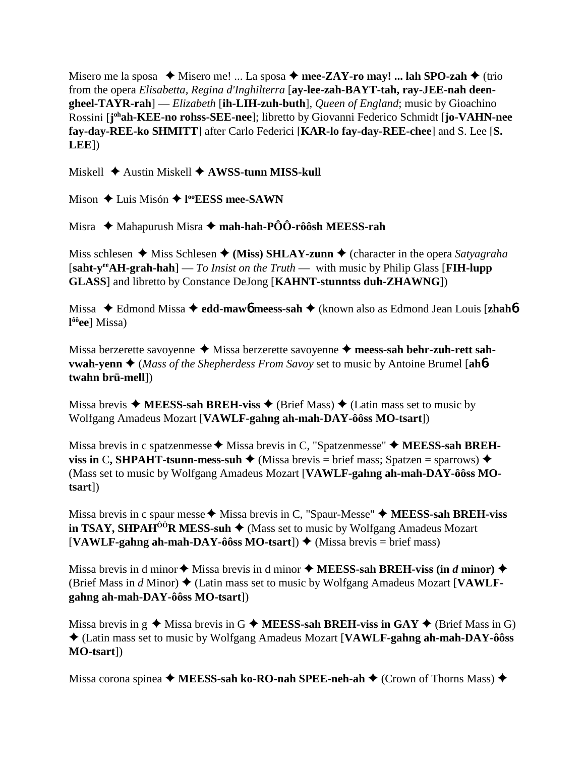Misero me la sposa  $\triangleleft$  Misero me! ... La sposa  $\triangleleft$  mee-ZAY-ro may! ... lah SPO-zah  $\triangleleft$  (trio from the opera *Elisabetta, Regina d'Inghilterra* [**ay-lee-zah-BAYT-tah, ray-JEE-nah deengheel-TAYR-rah**] — *Elizabeth* [**ih-LIH-zuh-buth**]*, Queen of England*; music by Gioachino Rossini [**j ohah-KEE-no rohss-SEE-nee**]; libretto by Giovanni Federico Schmidt [**jo-VAHN-nee fay-day-REE-ko SHMITT**] after Carlo Federici [**KAR-lo fay-day-REE-chee**] and S. Lee [**S. LEE**])

Miskell **→** Austin Miskell **→ AWSS-tunn MISS-kull** 

Mison Luis Misón **l ooEESS mee-SAWN**

Misra  $\rightarrow$  Mahapurush Misra  $\rightarrow$  **mah-hah-PÔÔ-rôôsh MEESS-rah** 

Miss schlesen  $\triangleq$  Miss Schlesen  $\triangleq$  (Miss) SHLAY-zunn  $\triangleq$  (character in the opera *Satyagraha* [**saht-yeeAH-grah-hah**] — *To Insist on the Truth* — with music by Philip Glass [**FIH-lupp GLASS**] and libretto by Constance DeJong [**KAHNT-stunntss duh-ZHAWNG**])

Missa Edmond Missa **edd-maw**6 **meess-sah** (known also as Edmond Jean Louis [**zhah**6 **l ôôee**] Missa)

Missa berzerette savoyenne ◆ Missa berzerette savoyenne ◆ meess-sah behr-zuh-rett sah**vwah-yenn ♦** (*Mass of the Shepherdess From Savoy* set to music by Antoine Brumel [ah**6twahn brü-mell**])

Missa brevis  $\triangle$  **MEESS-sah BREH-viss**  $\triangle$  (Brief Mass)  $\triangle$  (Latin mass set to music by Wolfgang Amadeus Mozart [**VAWLF-gahng ah-mah-DAY-ôôss MO-tsart**])

Missa brevis in c spatzenmesse  $\blacklozenge$  Missa brevis in C, "Spatzenmesse"  $\blacklozenge$  **MEESS-sah BREHviss in C, SHPAHT-tsunn-mess-suh**  $\triangleleft$  (Missa brevis = brief mass; Spatzen = sparrows)  $\triangleleft$ (Mass set to music by Wolfgang Amadeus Mozart [**VAWLF-gahng ah-mah-DAY-ôôss MOtsart**])

Missa brevis in c spaur messe  $\triangle$  Missa brevis in C, "Spaur-Messe"  $\triangle$  **MEESS-sah BREH-viss in TSAY, SHPAH<sup>** $\hat{O}$ **OR MESS-suh**  $\blacklozenge$  (Mass set to music by Wolfgang Amadeus Mozart</sup>  $[VAWLF-gahng ah-mah-DAY-ôôss MO-tsart]$   $\blacklozenge$  (Missa brevis = brief mass)

Missa brevis in d minor  $\triangle$  Missa brevis in d minor  $\triangle$  **MEESS-sah BREH-viss (in** *d* **minor)** (Brief Mass in  $d$  Minor)  $\blacklozenge$  (Latin mass set to music by Wolfgang Amadeus Mozart [VAWLF**gahng ah-mah-DAY-ôôss MO-tsart**])

Missa brevis in  $g \triangleleft M$ issa brevis in G  $\triangleleft M$ **EESS-sah BREH-viss in GAY**  $\triangleleft (B$  (Brief Mass in G) (Latin mass set to music by Wolfgang Amadeus Mozart [**VAWLF-gahng ah-mah-DAY-ôôss MO-tsart**])

Missa corona spinea **→ MEESS-sah ko-RO-nah SPEE-neh-ah →** (Crown of Thorns Mass) ◆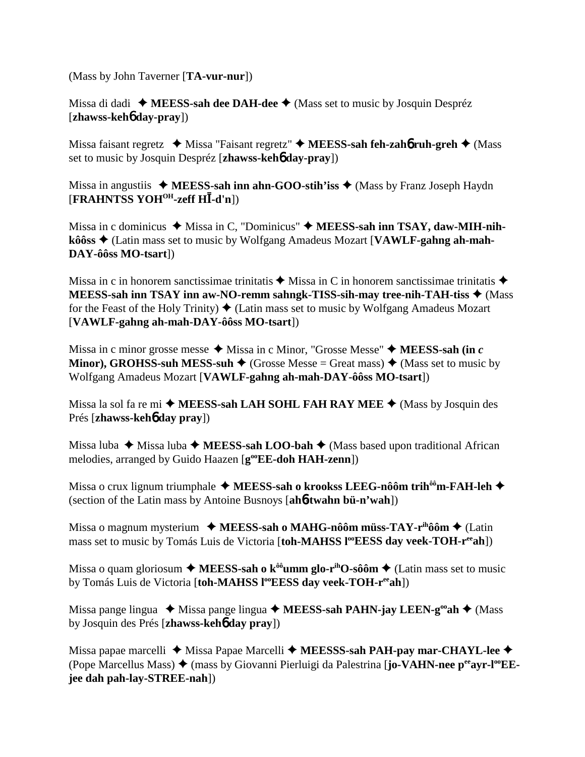(Mass by John Taverner [**TA-vur-nur**])

Missa di dadi **MEESS-sah dee DAH-dee** (Mass set to music by Josquin Despréz [**zhawss-keh**6 **day-pray**])

Missa faisant regretz  **→** Missa "Faisant regretz" **→ MEESS-sah feh-zah6 ruh-greh →** (Mass set to music by Josquin Despréz [**zhawss-keh**6 **day-pray**])

Missa in angustiis  $\triangleleft$  MEESS-sah inn ahn-GOO-stih'iss  $\triangleleft$  (Mass by Franz Joseph Haydn [FRAHNTSS YOH<sup>OH</sup>-zeff HI-d'n])

Missa in c dominicus  $\blacklozenge$  Missa in C, "Dominicus"  $\blacklozenge$  **MEESS-sah inn TSAY, daw-MIH-nihkôôss** (Latin mass set to music by Wolfgang Amadeus Mozart [**VAWLF-gahng ah-mah-DAY-ôôss MO-tsart**])

Missa in c in honorem sanctissimae trinitatis  $\triangle$  Missa in C in honorem sanctissimae trinitatis  $\triangle$ **MEESS-sah inn TSAY inn aw-NO-remm sahngk-TISS-sih-may tree-nih-TAH-tiss** (Mass for the Feast of the Holy Trinity)  $\triangleleft$  (Latin mass set to music by Wolfgang Amadeus Mozart [**VAWLF-gahng ah-mah-DAY-ôôss MO-tsart**])

Missa in c minor grosse messe  $\triangleleft$  Missa in c Minor, "Grosse Messe"  $\triangleleft$  **MEESS-sah (in** *c*) **Minor), GROHSS-suh MESS-suh**  $\blacklozenge$  (Grosse Messe = Great mass)  $\blacklozenge$  (Mass set to music by Wolfgang Amadeus Mozart [**VAWLF-gahng ah-mah-DAY-ôôss MO-tsart**])

Missa la sol fa re mi ◆ MEESS-sah LAH SOHL FAH RAY MEE ◆ (Mass by Josquin des Prés [**zhawss-keh**6 **day pray**])

Missa luba  $\blacklozenge$  Missa luba  $\blacklozenge$  **MEESS-sah LOO-bah**  $\blacklozenge$  (Mass based upon traditional African melodies, arranged by Guido Haazen [ $g^{\omega}EE$ -doh HAH-zenn])

Missa o crux lignum triumphale ◆ MEESS-sah o krookss LEEG-nôôm trih<sup>ôô</sup>m-FAH-leh ◆ (section of the Latin mass by Antoine Busnoys [**ah**6**-twahn bü-n'wah**])

Missa o magnum mysterium ◆ MEESS-sah o MAHG-nôôm müss-TAY-r<sup>ih</sup>ôôm ◆ (Latin mass set to music by Tomás Luis de Victoria [toh-MAHSS l<sup>oo</sup>EESS day veek-TOH-r<sup>ee</sup>ah])

Missa o quam gloriosum  $\triangle$  **MEESS-sah o k<sup>** $\hat{\theta}$ **o umm glo-r**<sup>ih</sup>O-sôôm  $\triangle$  (Latin mass set to music</sup> by Tomás Luis de Victoria [toh-MAHSS l<sup>oo</sup>EESS day veek-TOH-r<sup>ee</sup>ah])

Missa pange lingua ◆ Missa pange lingua ◆ MEESS-sah PAHN-jay LEEN-g<sup>oo</sup>ah ◆ (Mass by Josquin des Prés [**zhawss-keh**6 **day pray**])

Missa papae marcelli ◆ Missa Papae Marcelli ◆ MEESSS-sah PAH-pay mar-CHAYL-lee ◆ (Pope Marcellus Mass) ◆ (mass by Giovanni Pierluigi da Palestrina [jo-VA**HN-nee p<sup>ee</sup>ayr-l<sup>oo</sup>EEjee dah pah-lay-STREE-nah**])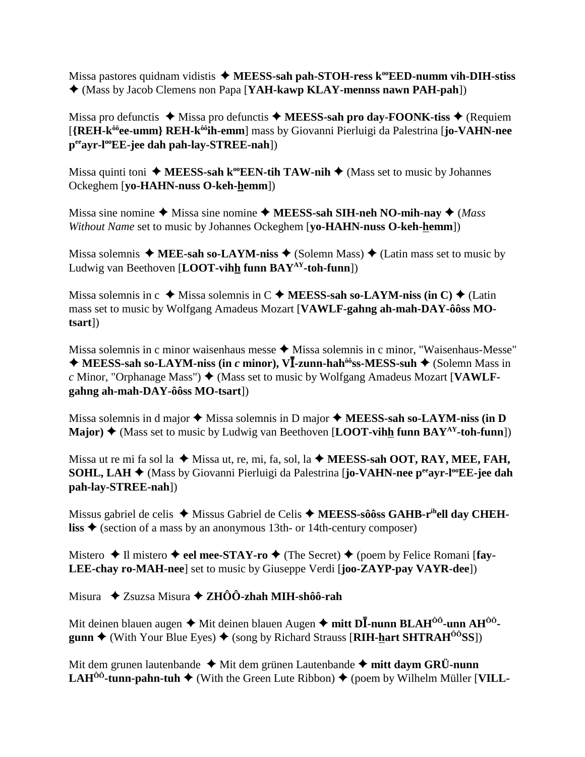Missa pastores quidnam vidistis  $\triangle$  MEESS-sah pah-STOH-ress k<sup>oo</sup>EED-numm vih-DIH-stiss (Mass by Jacob Clemens non Papa [**YAH-kawp KLAY-mennss nawn PAH-pah**])

Missa pro defunctis  $\triangleq$  Missa pro defunctis  $\triangleq$  MEESS-sah pro day-FOONK-tiss  $\triangleq$  (Requiem [**{REH-kôôee-umm} REH-kôôih-emm**] mass by Giovanni Pierluigi da Palestrina [**jo-VAHN-nee peeayr-looEE-jee dah pah-lay-STREE-nah**])

Missa quinti toni  $\triangle$  **MEESS-sah k<sup>oo</sup>EEN-tih TAW-nih**  $\triangle$  (Mass set to music by Johannes Ockeghem [**yo-HAHN-nuss O-keh-hemm**])

Missa sine nomine  $\triangle$  Missa sine nomine  $\triangle$  **MEESS-sah SIH-neh NO-mih-nay**  $\triangle$  *(Mass*) *Without Name* set to music by Johannes Ockeghem [**yo-HAHN-nuss O-keh-hemm**])

Missa solemnis  $\blacklozenge$  **MEE-sah so-LAYM-niss**  $\blacklozenge$  (Solemn Mass)  $\blacklozenge$  (Latin mass set to music by Ludwig van Beethoven [**LOOT-vihh funn BAYAY-toh-funn**])

Missa solemnis in  $c \triangleleft M$ issa solemnis in  $C \triangleleft M$ **EESS-sah so-LAYM-niss (in C)**  $\triangleleft$  (Latin mass set to music by Wolfgang Amadeus Mozart [**VAWLF-gahng ah-mah-DAY-ôôss MOtsart**])

Missa solemnis in c minor waisenhaus messe  $\blacklozenge$  Missa solemnis in c minor, "Waisenhaus-Messe" ◆ MEESS-sah so-LAYM-niss (in *c* minor), V<sup>I</sup>-zunn-hah<sup>ôô</sup>ss-MESS-suh ◆ (Solemn Mass in *c* Minor, "Orphanage Mass") ♦ (Mass set to music by Wolfgang Amadeus Mozart [VAWLF**gahng ah-mah-DAY-ôôss MO-tsart**])

Missa solemnis in d major  $\triangle$  Missa solemnis in D major  $\triangle$  **MEESS-sah so-LAYM-niss (in D Major)**  $\triangle$  (Mass set to music by Ludwig van Beethoven [**LOOT-vihh funn BAY**<sup>AY</sup>-toh-funn])

Missa ut re mi fa sol la  $\blacklozenge$  Missa ut, re, mi, fa, sol, la  $\blacklozenge$  **MEESS-sah OOT, RAY, MEE, FAH, SOHL, LAH ♦** (Mass by Giovanni Pierluigi da Palestrina [**jo-VAHN-nee** p<sup>ee</sup>ayr-l<sup>oo</sup>EE-jee dah **pah-lay-STREE-nah**])

Missus gabriel de celis ◆ Missus Gabriel de Celis ◆ MEESS-sôôss GAHB-r<sup>ih</sup>ell day CHEH**liss**  $\triangle$  (section of a mass by an anonymous 13th- or 14th-century composer)

Mistero  $\triangle$  Il mistero  $\triangle$  eel mee-STAY-ro  $\triangle$  (The Secret)  $\triangle$  (poem by Felice Romani [fay-**LEE-chay ro-MAH-nee**] set to music by Giuseppe Verdi [**joo-ZAYP-pay VAYR-dee**])

Misura Zsuzsa Misura **ZHÔÔ-zhah MIH-shôô-rah**

Mit deinen blauen augen ◆ Mit deinen blauen Augen ◆ **mitt DĪ-nunn BLAH<sup>ôô</sup>-unn AH<sup>ôô</sup>gunn**  $\triangle$  (With Your Blue Eyes)  $\triangle$  (song by Richard Strauss [RIH-hart SHTRAH<sup> $\hat{0}$ o<sup>2</sup>SS])</sup>

Mit dem grunen lautenbande  $\triangleleft$  Mit dem grünen Lautenbande  $\triangleleft$  mitt daym GRÜ-nunn **LAH<sup>ôô</sup>-tunn-pahn-tuh**  $\blacklozenge$  (With the Green Lute Ribbon)  $\blacklozenge$  (poem by Wilhelm Müller [**VILL**-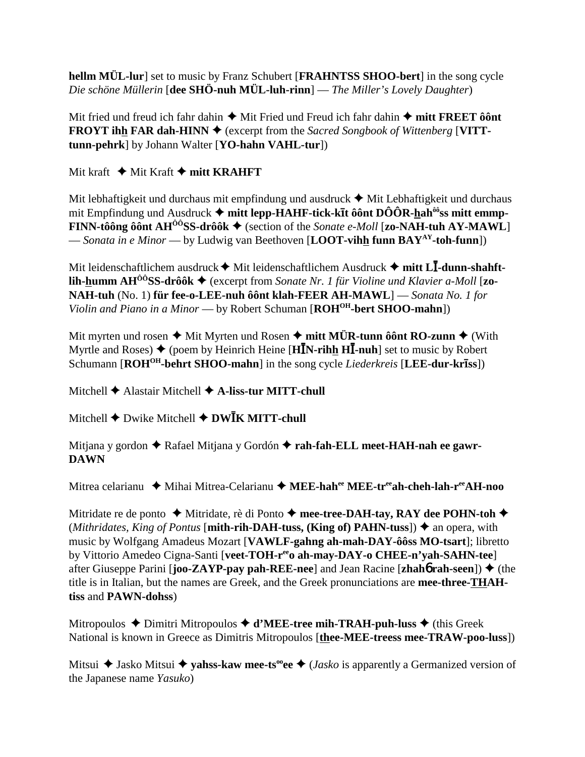hellm MÜL-lur] set to music by Franz Schubert [FRAHNTSS SHOO-bert] in the song cycle Die schöne Müllerin [dee SHÖ-nuh MÜL-luh-rinn] — The Miller's Lovely Daughter)

Mit fried und freud ich fahr dahin  $\triangleq$  Mit Fried und Freud ich fahr dahin  $\triangleq$  mitt FREET ôont **FROYT ihh FAR dah-HINN**  $\blacklozenge$  (excerpt from the Sacred Songbook of Wittenberg [VITTtunn-pehrk] by Johann Walter [YO-hahn VAHL-tur])

Mit kraft  $\blacklozenge$  Mit Kraft  $\blacklozenge$  mitt KRAHFT

Mit lebhaftigkeit und durchaus mit empfindung und ausdruck  $\blacklozenge$  Mit Lebhaftigkeit und durchaus mit Empfindung und Ausdruck  $\triangleq$  mitt lepp-HAHF-tick-kīt ôônt DÔÔR-hah<sup>ôô</sup>ss mitt emmp-**FINN-tôông ôônt AH<sup>** $\hat{O}$ **ôSS-drôôk**  $\blacklozenge$  (section of the *Sonate e-Moll* [zo-NAH-tuh AY-MAWL]</sup> — Sonata in e Minor — by Ludwig van Beethoven [LOOT-vihh funn  $BAY^{AY}$ -toh-funn])

Mit leidenschaftlichem ausdruck  $\blacklozenge$  Mit leidenschaftlichem Ausdruck  $\blacklozenge$  mitt LI-dunn-shahft**lih-humm AH<sup>00</sup>SS-drôôk**  $\blacklozenge$  (excerpt from Sonate Nr. 1 für Violine und Klavier a-Moll [**zo-**NAH-tuh (No. 1) für fee-o-LEE-nuh ôônt klah-FEER AH-MAWL] — Sonata No. 1 for Violin and Piano in a Minor — by Robert Schuman [ROH<sup>OH</sup>-bert SHOO-mahn])

Mit myrten und rosen  $\blacklozenge$  Mit Myrten und Rosen  $\blacklozenge$  mitt MÜR-tunn ô ônt RO-zunn  $\blacklozenge$  (With Myrtle and Roses)  $\triangleq$  (poem by Heinrich Heine [H**IN-rihh HI-nuh**] set to music by Robert Schumann [ROH<sup>OH</sup>-behrt SHOO-mahn] in the song cycle *Liederkreis* [LEE-dur-kr**iss**])

Mitchell  $\blacklozenge$  Alastair Mitchell  $\blacklozenge$  A-liss-tur MITT-chull

Mitchell  $\blacklozenge$  Dwike Mitchell  $\blacklozenge$  DW $\bar{\text{IK}}$  MITT-chull

Mitjana y gordon ◆ Rafael Mitjana y Gordón ◆ rah-fah-ELL meet-HAH-nah ee gawr-**DAWN** 

Mitrea celarianu ◆ Mihai Mitrea-Celarianu ◆ MEE-hahee MEE-tree ah-cheh-lah-ree AH-noo

Mitridate re de ponto  $\triangle$  Mitridate, rè di Ponto  $\triangle$  mee-tree-DAH-tay, RAY dee POHN-toh  $\triangle$ (Mithridates, King of Pontus [mith-rih-DAH-tuss, (King of) PAHN-tuss])  $\triangle$  an opera, with music by Wolfgang Amadeus Mozart [VAWLF-gahng ah-mah-DAY-ôôss MO-tsart]; libretto by Vittorio Amedeo Cigna-Santi [veet-TOH-reco ah-may-DAY-o CHEE-n'yah-SAHN-tee] after Giuseppe Parini [**joo-ZAYP-pay pah-REE-nee**] and Jean Racine [**zhaho rah-seen**])  $\blacklozenge$  (the title is in Italian, but the names are Greek, and the Greek pronunciations are mee-three-THAHtiss and PAWN-dohss)

Mitropoulos  $\triangle$  Dimitri Mitropoulos  $\triangle$  d'MEE-tree mih-TRAH-puh-luss  $\triangle$  (this Greek National is known in Greece as Dimitris Mitropoulos [thee-MEE-treess mee-TRAW-poo-luss])

Mitsui  $\triangle$  Jasko Mitsui  $\triangle$  yahss-kaw mee-ts<sup>oo</sup>ee  $\triangle$  (*Jasko* is apparently a Germanized version of the Japanese name *Yasuko*)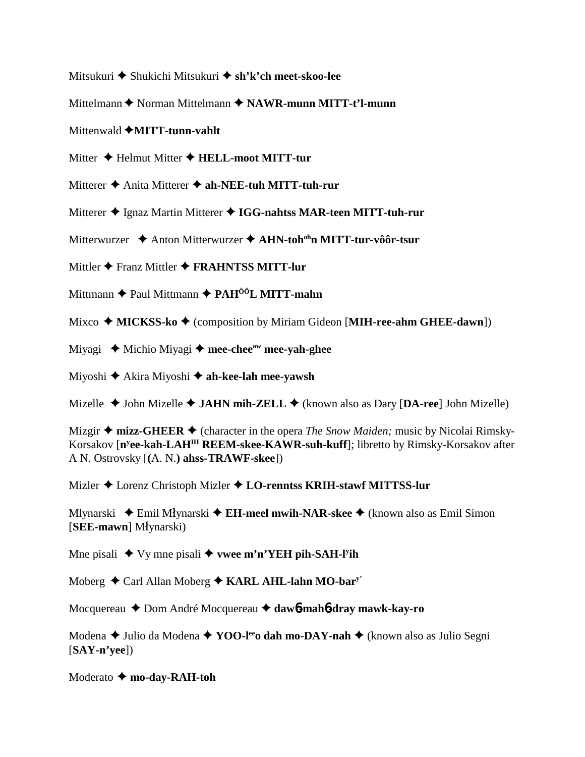- Mitsukuri Shukichi Mitsukuri **sh'k'ch meet-skoo-lee**
- Mittelmann  $\triangle$  Norman Mittelmann  $\triangle$  **NAWR-munn MITT-t'l-munn**
- Mittenwald  $\triangle$ MITT-tunn-vahlt
- Mitter ◆ Helmut Mitter ◆ **HELL-moot MITT-tur**
- Mitterer **→** Anita Mitterer **→ ah-NEE-tuh MITT-tuh-rur**
- Mitterer  $\triangle$  Ignaz Martin Mitterer  $\triangle$  IGG-nahtss MAR-teen MITT-tuh-rur
- Mitterwurzer ◆ Anton Mitterwurzer ◆ A**HN-toh<sup>oh</sup>n MITT-tur-vôôr-tsur**
- Mittler **←** Franz Mittler ← FRAHNTSS MITT-lur
- Mittmann **→** Paul Mittmann **→ PAH<sup>ôô</sup>L MITT-mahn**
- Mixco **→ MICKSS-ko →** (composition by Miriam Gideon [**MIH-ree-ahm GHEE-dawn**])
- Miyagi **→** Michio Miyagi → mee-chee<sup>aw</sup> mee-yah-ghee
- Miyoshi Akira Miyoshi **ah-kee-lah mee-yawsh**
- Mizelle  $\triangle$  John Mizelle  $\triangle$  **JAHN mih-ZELL**  $\triangle$  (known also as Dary [DA-ree] John Mizelle)
- Mizgir  $\triangleq$  mizz-GHEER  $\triangleq$  (character in the opera *The Snow Maiden;* music by Nicolai Rimsky-Korsakov [**ny ee-kah-LAHIH REEM-skee-KAWR-suh-kuff**]; libretto by Rimsky-Korsakov after A N. Ostrovsky [**(**A. N.**) ahss-TRAWF-skee**])
- Mizler Lorenz Christoph Mizler **LO-renntss KRIH-stawf MITTSS-lur**
- Mlynarski ◆ Emil Młynarski **◆ EH-meel mwih-NAR-skee ◆** (known also as Emil Simon [SEE-mawn] Młynarski)
- Mne pisali  $\blacklozenge$  Vy mne pisali  $\blacklozenge$  wee m'n'YEH pih-SAH-l<sup>y</sup>ih
- Moberg Carl Allan Moberg **KARL AHL-lahn MO-bary'**
- Mocquereau Dom André Mocquereau **daw**6**-mah**6**-dray mawk-kay-ro**
- Modena ◆ Julio da Modena ◆ **YOO-l<sup>ee</sup>o dah mo-DAY-nah** ◆ (known also as Julio Segni [**SAY-n'yee**])
- Moderato **← mo-day-RAH-toh**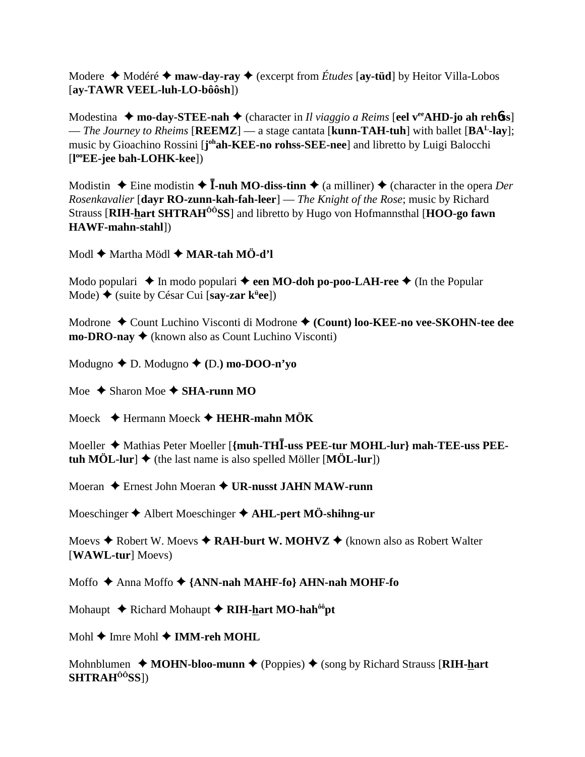Modere  $\triangleleft$  Modéré  $\triangleleft$  maw-day-ray  $\triangleleft$  (excerpt from *Études* [ay-tüd] by Heitor Villa-Lobos  $[ay-TAWR VEEL-luh-LO-bôôsh])$ 

Modestina  $\triangle$  mo-day-STEE-nah  $\triangle$  (character in *Il viaggio a Reims* [eel v<sup>ee</sup>AHD-jo ah rehoss] — The Journey to Rheims [REEMZ] — a stage cantata [kunn-TAH-tuh] with ballet [BA<sup>L</sup>-lay]; music by Gioachino Rossini [j<sup>oh</sup>ah-KEE-no rohss-SEE-nee] and libretto by Luigi Balocchi  $[1^{\circ}E$ -jee bah-LOHK-kee])

Modistin  $\triangle$  Eine modistin  $\triangle$  **I-nuh MO-diss-tinn**  $\triangle$  (a milliner)  $\triangle$  (character in the opera *Der* Rosenkavalier [dayr RO-zunn-kah-fah-leer] — The Knight of the Rose; music by Richard Strauss [RIH-hart SHTRAH<sup>00</sup>SS] and libretto by Hugo von Hofmannsthal [HOO-go fawn **HAWF-mahn-stahll**)

Modl  $\triangle$  Martha Mödl  $\triangle$  MAR-tah MÖ-d'l

Modo populari  $\triangle$  In modo populari  $\triangle$  een MO-doh po-poo-LAH-ree  $\triangle$  (In the Popular Mode)  $\triangle$  (suite by César Cui [say-zar k<sup>ii</sup>ee])

Modrone ◆ Count Luchino Visconti di Modrone ◆ (Count) loo-KEE-no vee-SKOHN-tee dee  $mo\text{-}DRO\text{-}nay \blacklozenge$  (known also as Count Luchino Visconti)

Modugno  $\blacklozenge$  D. Modugno  $\blacklozenge$  (D.) mo-DOO-n'yo

Moe  $\triangle$  Sharon Moe  $\triangle$  SHA-runn MO

Moeck  $\triangle$  Hermann Moeck  $\triangle$  HEHR-mahn MÖK

Moeller  $\triangleleft$  Mathias Peter Moeller [{muh-THI-uss PEE-tur MOHL-lur} mah-TEE-uss PEEtuh MÖL-lur]  $\blacklozenge$  (the last name is also spelled Möller [MÖL-lur])

Moeran  $\triangle$  Ernest John Moeran  $\triangle$  UR-nusst JAHN MAW-runn

Moeschinger  $\triangle$  Albert Moeschinger  $\triangle$  AHL-pert MÖ-shihng-ur

Moevs  $\triangle$  Robert W. Moevs  $\triangle$  RAH-burt W. MOHVZ  $\triangle$  (known also as Robert Walter [WAWL-tur] Moevs)

Moffo ◆ Anna Moffo ◆ {ANN-nah MAHF-fo} AHN-nah MOHF-fo

Mohaupt  $\triangle$  Richard Mohaupt  $\triangle$  RIH-hart MO-hah<sup> $\delta \hat{o}$ pt</sup>

Mohl  $\triangle$  Imre Mohl  $\triangle$  IMM-reh MOHL

Mohnblumen  $\rightarrow$  MOHN-bloo-munn  $\rightarrow$  (Poppies)  $\rightarrow$  (song by Richard Strauss [RIH-hart  $SHTRAH<sup>ÔÔ</sup>SS$ ])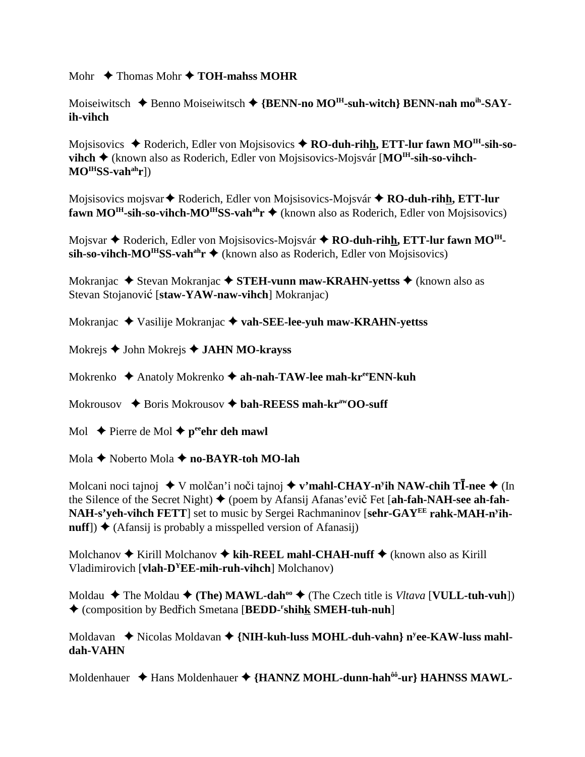Mohr  $\rightarrow$  Thomas Mohr  $\rightarrow$  TOH-mahss MOHR

Moiseiwitsch  $\blacklozenge$  Benno Moiseiwitsch  $\blacklozenge$  {**BENN-no MO<sup>IH</sup>-suh-witch**} **BENN-nah mo<sup>ih</sup>-SAYih-vihch**

Mojsisovics ◆ Roderich, Edler von Mojsisovics ◆ **RO-duh-rihh, ETT-lur fawn MO<sup>IH</sup>-sih-so**vihch ◆ (known also as Roderich, Edler von Mojsisovics-Mojsvár [MO<sup>IH</sup>-sih-so-vihch-**MOIHSS-vahahr**])

Mojsisovics mojsvar **◆** Roderich, Edler von Mojsisovics-Mojsvár ◆ **RO-duh-rihh, ETT-lur fawn MO<sup>IH</sup>-sih-so-vihch-MO<sup>IH</sup>SS-vah<sup>ah</sup>r ♦ (known also as Roderich, Edler von Mojsisovics)** 

Mojsvar ◆ Roderich, Edler von Mojsisovics-Mojsvár ◆ RO-duh-rihh, ETT-lur fawn MO<sup>IH</sup>- $\sin$ -so-vihch-MO<sup>IH</sup>SS-vah<sup>ah</sup>r  $\triangleq$  (known also as Roderich, Edler von Mojsisovics)

Mokranjac ◆ Stevan Mokranjac ◆ STEH-vunn maw-KRAHN-yettss ◆ (known also as Stevan Stojanović [staw-YAW-naw-vihch] Mokranjac)

Mokranjac Vasilije Mokranjac **vah-SEE-lee-yuh maw-KRAHN-yettss**

Mokrejs John Mokrejs **JAHN MO-krayss**

Mokrenko ◆ Anatoly Mokrenko ◆ ah-nah-TAW-lee mah-kr<sup>ee</sup>ENN-kuh

Mokrousov **→** Boris Mokrousov → bah-REESS mah-kr<sup>aw</sup>OO-suff

Mol  $\rightarrow$  Pierre de Mol  $\rightarrow$  p<sup>ee</sup>ehr deh mawl

Mola ◆ Noberto Mola ◆ no-BAYR-toh MO-lah

Molcani noci tajnoj ◆ V molčan'i noči tajnoj ◆ **v'mahl-CHAY-n'ih NAW-chih TĪ-nee ◆** (In the Silence of the Secret Night) ♦ (poem by Afansij Afanas'evič Fet [ah-fah-NAH-see ah-fah-**NAH-s'yeh-vihch FETT**] set to music by Sergei Rachmaninov [**sehr-GAYEE rahk-MAH-ny ih-** $\textbf{nuff}$ )  $\blacklozenge$  (Afansij is probably a misspelled version of Afanasij)

Molchanov **→** Kirill Molchanov **→ kih-REEL mahl-CHAH-nuff** → (known also as Kirill Vladimirovich [**vlah-DYEE-mih-ruh-vihch**] Molchanov)

Moldau  $\blacklozenge$  The Moldau  $\blacklozenge$  (The) MAWL-dah<sup>oo</sup>  $\blacklozenge$  (The Czech title is *Vltava* [**VULL-tuh-vuh**]) (composition by Bedich Smetana [**BEDD-r shihk SMEH-tuh-nuh**]

Moldavan  $\triangle$  Nicolas Moldavan  $\triangle$  {**NIH-kuh-luss MOHL-duh-vahn**} n<sup>y</sup>ee-KAW-luss mahl**dah-VAHN**

Moldenhauer  $\triangleq$  Hans Moldenhauer  $\triangleq$  {HANNZ MOHL-dunn-hah<sup>ôô</sup>-ur} HAHNSS MAWL-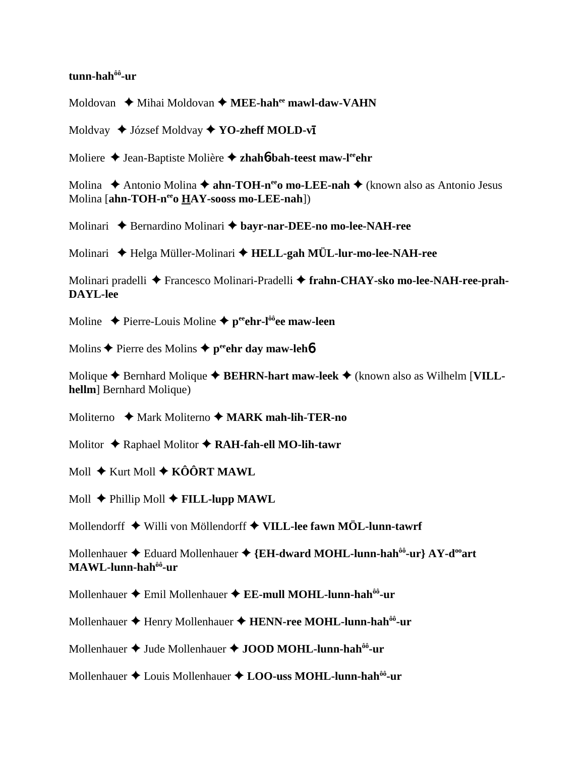## **tunn-hahôô-ur**

Moldovan ♦ Mihai Moldovan ♦ MEE-hah<sup>ee</sup> mawl-daw-VAHN

Moldvay ◆ József Moldvay ◆ **YO-zheff MOLD-vī** 

Moliere ◆ Jean-Baptiste Molière ◆ zhah**6**-bah-teest maw-l<sup>ee</sup>ehr

Molina ◆ Antonio Molina ◆ **ahn-TOH-n<sup>ee</sup>o mo-LEE-nah** ◆ (known also as Antonio Jesus Molina [**ahn-TOH-neeo HAY-sooss mo-LEE-nah**])

Molinari **→** Bernardino Molinari → bayr-nar-DEE-no mo-lee-NAH-ree

Molinari Helga Müller-Molinari **HELL-gah MÜL-lur-mo-lee-NAH-ree**

Molinari pradelli Francesco Molinari-Pradelli **frahn-CHAY-sko mo-lee-NAH-ree-prah-DAYL-lee**

Moline  $\triangle$  Pierre-Louis Moline  $\triangle$  p<sup>ee</sup>ehr-l<sup>ôô</sup>ee maw-leen

Molins **◆** Pierre des Molins ◆ p<sup>ee</sup>ehr day maw-leh**6** 

Molique  $\triangle$  Bernhard Molique  $\triangle$  **BEHRN-hart maw-leek**  $\triangle$  (known also as Wilhelm [VILL**hellm** Bernhard Molique)

Moliterno **→** Mark Moliterno → **MARK mah-lih-TER-no** 

Molitor **↓** Raphael Molitor **◆ RAH-fah-ell MO-lih-tawr** 

Moll **→** Kurt Moll **→ KÔÔRT MAWL** 

Moll **← Phillip Moll ← FILL-lupp MAWL** 

Mollendorff Willi von Möllendorff **VILL-lee fawn MÖL-lunn-tawrf**

Mollenhauer ♦ Eduard Mollenhauer ♦ {EH-dward MOHL-lunn-hah<sup>ôô</sup>-ur} AY-d<sup>oo</sup>art **MAWL-lunn-hahôô-ur**

Mollenhauer Emil Mollenhauer **EE-mull MOHL-lunn-hahôô-ur**

Mollenhauer ◆ Henry Mollenhauer ◆ HENN-ree MOHL-lunn-hah<sup>ôô</sup>-ur

Mollenhauer  $\triangleq$  Jude Mollenhauer  $\triangleq$  JOOD MOHL-lunn-hah<sup>ôô</sup>-ur

Mollenhauer ◆ Louis Mollenhauer ◆ LOO-uss MOHL-lunn-hah<sup>ôô</sup>-ur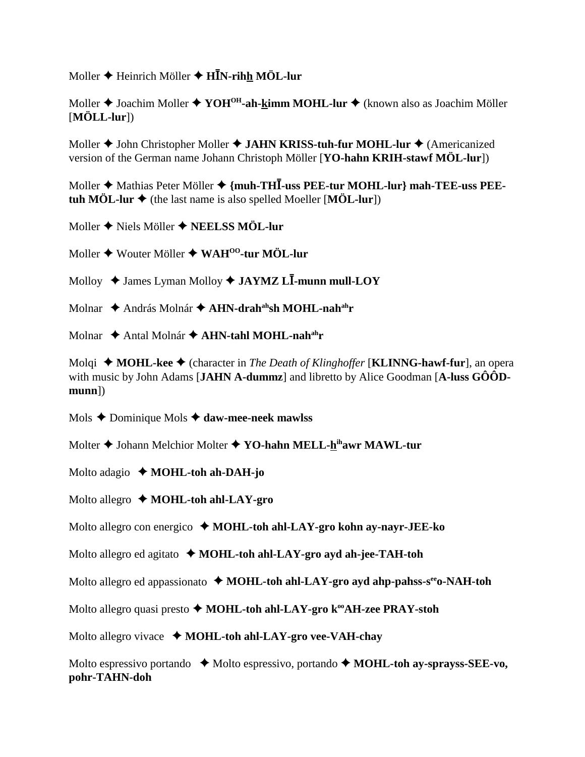Moller ♦ Heinrich Möller ♦ **HĪN-rih<u>h</u> MÖL-lur** 

Moller ◆ Joachim Moller ◆ YOH<sup>OH</sup>-ah-kimm MOHL-lur ◆ (known also as Joachim Möller [**MÖLL-lur**])

Moller **◆** John Christopher Moller ◆ JAHN KRISS-tuh-fur MOHL-lur ◆ (Americanized version of the German name Johann Christoph Möller [**YO-hahn KRIH-stawf MÖL-lur**])

Moller  $\blacklozenge$  Mathias Peter Möller  $\blacklozenge$  {muh-THI-uss PEE-tur MOHL-lur} mah-TEE-uss PEE**tuh MÖL-lur**  $\blacklozenge$  (the last name is also spelled Moeller [**MÖL-lur**])

Moller  $\triangle$  Niels Möller  $\triangle$  **NEELSS MÖL-lur** 

Moller Wouter Möller **WAHOO-tur MÖL-lur**

Molloy ◆ James Lyman Molloy ◆ **JAYMZ LĪ-munn mull-LOY** 

Molnar  $\triangle$  András Molnár  $\triangle$  AHN-drah<sup>ah</sup>sh MOHL-nah<sup>ah</sup>r

Molnar ◆ Antal Molnár ◆ AHN-tahl MOHL-nah<sup>ah</sup>r

Molqi ◆ **MOHL-kee** ◆ (character in *The Death of Klinghoffer* [**KLINNG-hawf-fur**], an opera with music by John Adams [**JAHN A-dummz**] and libretto by Alice Goodman [**A-luss GÔÔDmunn**])

Mols Dominique Mols **daw-mee-neek mawlss**

Molter **◆** Johann Melchior Molter ◆ YO-hahn MELL-hihawr MAWL-tur

Molto adagio **MOHL-toh ah-DAH-jo**

Molto allegro  $\triangle$  **MOHL-toh ahl-LAY-gro** 

Molto allegro con energico **MOHL-toh ahl-LAY-gro kohn ay-nayr-JEE-ko**

Molto allegro ed agitato **♦ MOHL-toh ahl-LAY-gro ayd ah-jee-TAH-toh** 

Molto allegro ed appassionato  $\triangleleft$  MOHL-toh ahl-LAY-gro ayd ahp-pahss-s<sup>ee</sup>o-NAH-toh

Molto allegro quasi presto  $\blacklozenge$  **MOHL-toh ahl-LAY-gro k<sup>oo</sup>AH-zee PRAY-stoh** 

Molto allegro vivace  $\triangleleft$  **MOHL-toh ahl-LAY-gro vee-VAH-chay** 

Molto espressivo portando **→** Molto espressivo, portando ◆ **MOHL-toh ay-sprayss-SEE-vo**, **pohr-TAHN-doh**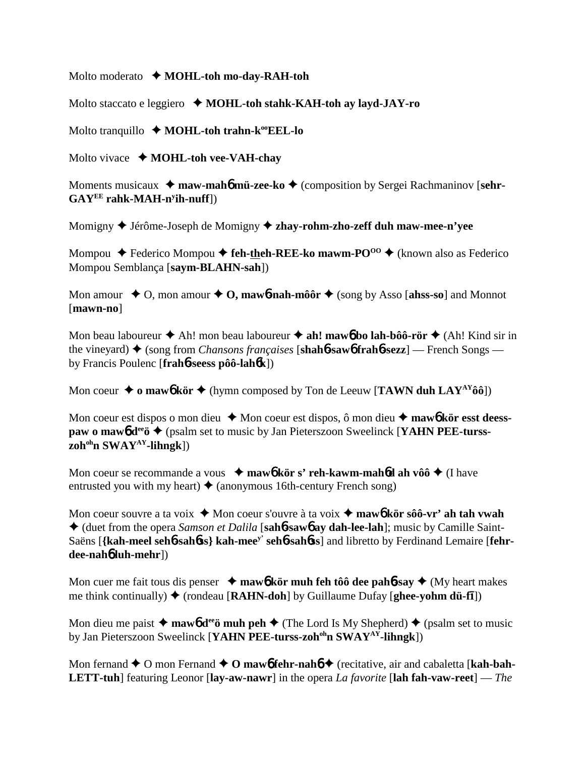Molto moderato **↓ MOHL-toh mo-day-RAH-toh** 

Molto staccato e leggiero **→ MOHL-toh stahk-KAH-toh ay layd-JAY-ro** 

Molto tranquillo ◆ MOHL-toh trahn-k<sup>oo</sup>EEL-lo

Molto vivace  $\triangle$  **MOHL-toh vee-VAH-chay** 

Moments musicaux **→ maw-mah<sup>6</sup> mü-zee-ko →** (composition by Sergei Rachmaninov [sehr-**GAYEE rahk-MAH-ny ih-nuff**])

Momigny Jérôme-Joseph de Momigny  **zhay-rohm-zho-zeff duh maw-mee-n'yee**

Mompou  $\blacklozenge$  Federico Mompou  $\blacklozenge$  feh-theh-REE-ko mawm-PO<sup>oo</sup>  $\blacklozenge$  (known also as Federico Mompou Semblança [**saym-BLAHN-sah**])

Mon amour  $\triangle$  O, mon amour  $\triangle$  O, mawb-nah-môôr  $\triangle$  (song by Asso [ahss-so] and Monnot [**mawn-no**]

Mon beau laboureur  $\triangle$  Ah! mon beau laboureur  $\triangle$  ah! maw**6** bo lah-bôô-rör  $\triangle$  (Ah! Kind sir in the vineyard) ♦ (song from *Chansons françaises* [**shahb-sawb frahb-sezz**] — French Songs by Francis Poulenc [**frah**6**-seess pôô-lah**6**k**])

Mon coeur  $\triangleq$  **o** maw**6** kör  $\triangleq$  (hymn composed by Ton de Leeuw [**TAWN duh LAY**<sup>AY</sup>ôô])

Mon coeur est dispos o mon dieu  $\triangle$  Mon coeur est dispos, ô mon dieu  $\triangle$  maw**6** kör esst deess**paw o maw<sub>6</sub> d<sup>ee</sup>ö ♦** (psalm set to music by Jan Pieterszoon Sweelinck [**YAHN PEE-tursszohohn SWAYAY-lihngk**])

Mon coeur se recommande a vous  $\rightarrow \text{maw6 kör s' reh-kawm-mah6d ah vôô}$  (I have entrusted you with my heart)  $\triangleq$  (anonymous 16th-century French song)

Mon coeur souvre a ta voix ◆ Mon coeur s'ouvre à ta voix ◆ maw**6** kör sôô-vr' ah tah vwah (duet from the opera *Samson et Dalila* [**sah**6**-saw**6 **ay dah-lee-lah**]; music by Camille Saint-Saëns [**{kah-meel seh**6**-sah**6**ss} kah-meey' seh**6**-sah**6**ss**] and libretto by Ferdinand Lemaire [**fehrdee-nah**6 **luh-mehr**])

Mon cuer me fait tous dis penser  $\rightarrow$  **maw6** kör muh feh tôô dee pah**6**-say  $\rightarrow$  (My heart makes me think continually) ♦ (rondeau [**RAHN-doh**] by Guillaume Dufay [**ghee-yohm dü-f**]])

Mon dieu me paist  $\triangle$  mawb d<sup>ee</sup> muh peh  $\triangle$  (The Lord Is My Shepherd)  $\triangle$  (psalm set to music by Jan Pieterszoon Sweelinck [**YAHN PEE-turss-zoh<sup>oh</sup>n SWAY<sup>AY</sup>-lihngk**])

Mon fernand  $\blacklozenge$  O mon Fernand  $\blacklozenge$  O mawb fehr-nahb  $\blacklozenge$  (recitative, air and cabaletta [kah-bah-**LETT-tuh**] featuring Leonor [**lay-aw-nawr**] in the opera *La favorite* [**lah fah-vaw-reet**] — *The*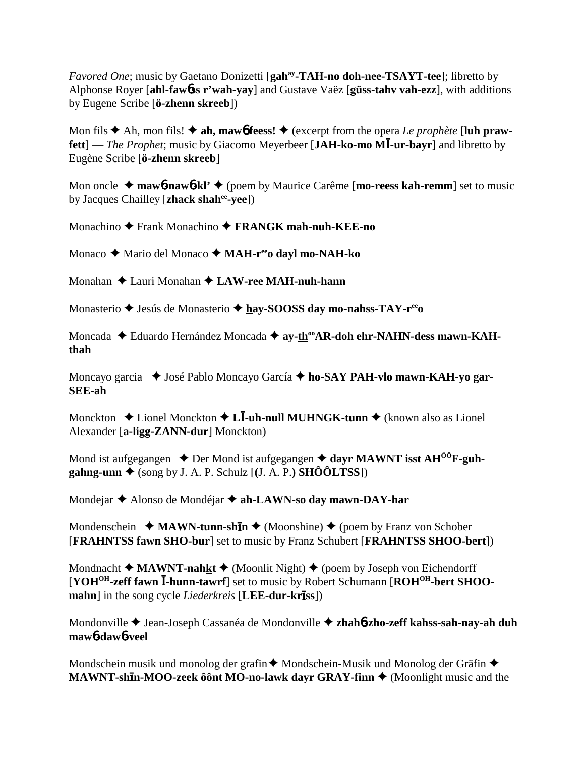*Favored One*; music by Gaetano Donizetti [gah<sup>ay</sup>-TAH-no doh-nee-TSAYT-tee]; libretto by Alphonse Royer [ahl-fawbss r'wah-yay] and Gustave Vaëz [güss-tahv vah-ezz], with additions by Eugene Scribe [ö-zhenn skreeb])

Mon fils  $\blacklozenge$  Ah, mon fils!  $\blacklozenge$  ah, mawb feess!  $\blacklozenge$  (excerpt from the opera *Le prophète* [luh praw**fett**] — *The Prophet*; music by Giacomo Meyerbeer [JAH-ko-mo MI-ur-bayr] and libretto by Eugène Scribe [ö-zhenn skreeb]

Mon oncle  $\triangleq$  mawb-nawb-kl'  $\triangleq$  (poem by Maurice Carême [mo-reess kah-remm] set to music by Jacques Chailley [zhack shah<sup>ee</sup>-yee])

Monachino  $\blacklozenge$  Frank Monachino  $\blacklozenge$  FRANGK mah-nuh-KEE-no

Monaco ◆ Mario del Monaco ◆ MAH-r<sup>ee</sup>o dayl mo-NAH-ko

Monahan  $\triangle$  Lauri Monahan  $\triangle$  LAW-ree MAH-nuh-hann

Monasterio  $\triangle$  Jesús de Monasterio  $\triangle$  hay-SOOSS day mo-nahss-TAY-r<sup>ee</sup>o

Moncada ◆ Eduardo Hernández Moncada ◆ ay-th<sup>oo</sup>AR-doh ehr-NAHN-dess mawn-KAHthah

Moncayo garcia ◆ José Pablo Moncayo García ◆ ho-SAY PAH-vlo mawn-KAH-yo gar-**SEE-ah** 

Monckton  $\triangle$  Lionel Monckton  $\triangle$  L**I**-uh-null MUHNGK-tunn  $\triangle$  (known also as Lionel Alexander [a-ligg-ZANN-dur] Monckton)

Mond ist aufgegangen  $\triangle$  Der Mond ist aufgegangen  $\triangle$  dayr MAWNT isst AH<sup>00</sup>F-guh- $\mathbf{gahng-unn}$  (song by J. A. P. Schulz [(J. A. P.) SHÔÔLTSS])

Mondejar ◆ Alonso de Mondéjar ◆ ah-LAWN-so day mawn-DAY-har

Mondenschein  $\triangleleft$  MAWN-tunn-shin  $\triangleleft$  (Moonshine)  $\triangleleft$  (poem by Franz von Schober [FRAHNTSS fawn SHO-bur] set to music by Franz Schubert [FRAHNTSS SHOO-bert])

Mondnacht  $\triangleleft$  MAWNT-nahkt  $\triangleleft$  (Moonlit Night)  $\triangleleft$  (poem by Joseph von Eichendorff [YOH<sup>OH</sup>-zeff fawn I-hunn-tawrf] set to music by Robert Schumann [ROH<sup>OH</sup>-bert SHOOmahn] in the song cycle *Liederkreis* [LEE-dur-kriss])

Mondonville ♦ Jean-Joseph Cassanéa de Mondonville ♦ zhahó-zho-zeff kahss-sah-nay-ah duh maw<sub>b</sub>-daw<sub>b-veel</sub>

Mondschein musik und monolog der grafin ♦ Mondschein-Musik und Monolog der Gräfin ♦ MAWNT-shin-MOO-zeek ô ônt MO-no-lawk dayr GRAY-finn ♦ (Moonlight music and the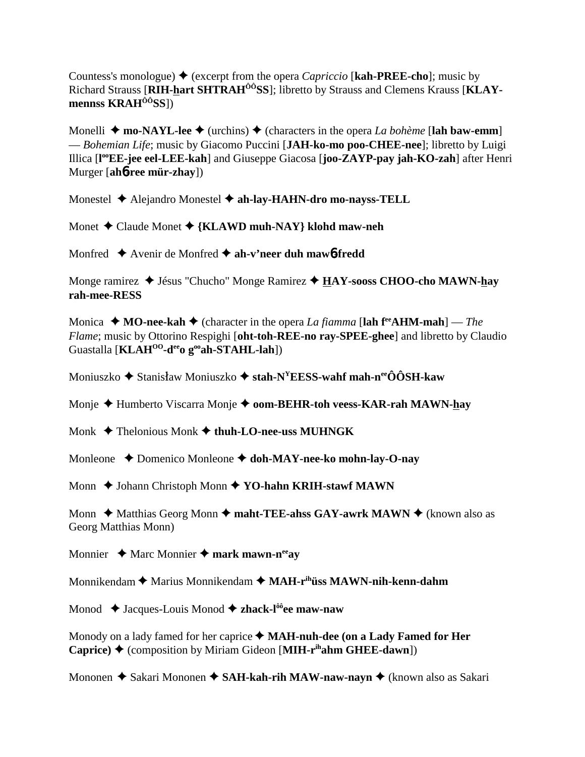Countess's monologue)  $\blacklozenge$  (excerpt from the opera *Capriccio* [**kah-PREE-cho**]; music by Richard Strauss [**RIH-hart SHTRAHÔÔSS**]; libretto by Strauss and Clemens Krauss [**KLAYmennss KRAHÔÔSS**])

Monelli  $\triangle$  **mo-NAYL-lee**  $\triangle$  (urchins)  $\triangle$  (characters in the opera *La bohème* [lah baw-emm] — *Bohemian Life*; music by Giacomo Puccini [**JAH-ko-mo poo-CHEE-nee**]; libretto by Luigi Illica [**l ooEE-jee eel-LEE-kah**] and Giuseppe Giacosa [**joo-ZAYP-pay jah-KO-zah**] after Henri Murger [**ah**6**-ree mür-zhay**])

Monestel Alejandro Monestel **ah-lay-HAHN-dro mo-nayss-TELL**

Monet Claude Monet **{KLAWD muh-NAY} klohd maw-neh**

Monfred **→** Avenir de Monfred **→ ah-v'neer duh maw6-fredd** 

Monge ramirez  $\triangleleft$  Jésus "Chucho" Monge Ramirez  $\triangleleft$  HAY-sooss CHOO-cho MAWN-hay **rah-mee-RESS**

Monica  $\triangle$  **MO-nee-kah**  $\triangle$  (character in the opera *La fiamma* [lah f<sup>re</sup>**AHM-mah**] — *The Flame*; music by Ottorino Respighi [**oht-toh-REE-no ray-SPEE-ghee**] and libretto by Claudio Guastalla [**KLAH<sup>00</sup>-d<sup>ee</sup>0 g<sup>oo</sup>ah-STAHL-lah**])

Moniuszko ♦ Stanisław Moniuszko ♦ **stah-N<sup>Y</sup>EESS-wahf mah-n<sup>ee</sup>ÔÔSH-kaw** 

Monje ◆ Humberto Viscarra Monje ◆ **oom-BEHR-toh veess-KAR-rah MAWN-hay** 

Monk  $\triangle$  Thelonious Monk  $\triangle$  thuh-LO-nee-uss MUHNGK

Monleone **→** Domenico Monleone → doh-MAY-nee-ko mohn-lay-O-nay

Monn  $\triangle$  Johann Christoph Monn  $\triangle$  YO-hahn KRIH-stawf MAWN

Monn ◆ Matthias Georg Monn ◆ maht-TEE-ahss GAY-awrk MAWN ◆ (known also as Georg Matthias Monn)

Monnier  $\triangle$  Marc Monnier  $\triangle$  mark mawn-n<sup>ee</sup>ay

Monnikendam ◆ Marius Monnikendam ◆ MAH-r<sup>ih</sup>**üss MAWN-nih-kenn-dahm** 

Monod ◆ Jacques-Louis Monod ◆ zhack-l<sup>ôô</sup>ee maw-naw

Monody on a lady famed for her caprice  $\blacklozenge$  **MAH-nuh-dee (on a Lady Famed for Her Caprice) ♦ (composition by Miriam Gideon [MIH-r<sup>ih</sup>ahm GHEE-dawn])** 

Mononen ◆ Sakari Mononen ◆ SAH-kah-rih MAW-naw-nayn ◆ (known also as Sakari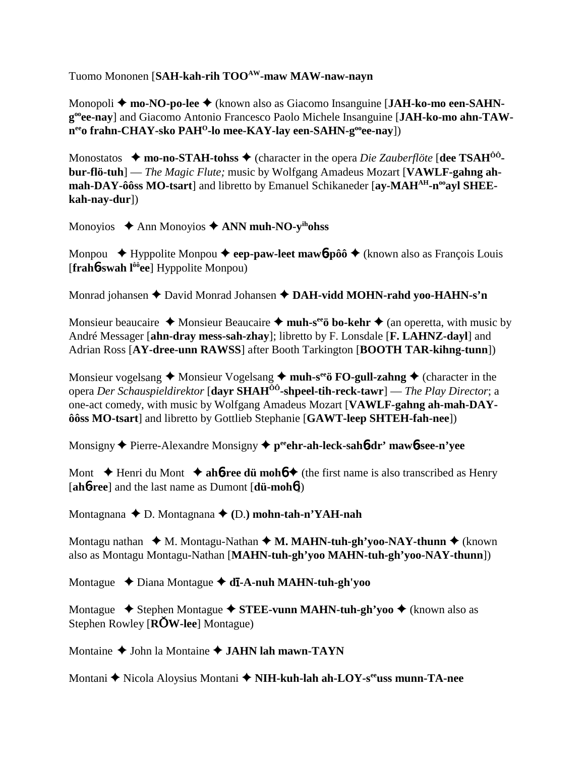Tuomo Mononen [**SAH-kah-rih TOOAW-maw MAW-naw-nayn**

Monopoli **← mo-NO-po-lee ←** (known also as Giacomo Insanguine [JAH-ko-mo een-SAHN**gooee-nay**] and Giacomo Antonio Francesco Paolo Michele Insanguine [**JAH-ko-mo ahn-TAW**n<sup>ee</sup>o frahn-CHAY-sko PAH<sup>O</sup>-lo mee-KAY-lay een-SAHN-g<sup>oo</sup>ee-nay])

Monostatos  $\rightarrow$  **mo-no-STAH-tohss**  $\rightarrow$  (character in the opera *Die Zauberflöte* [dee TSAH<sup>00</sup>**bur-flö-tuh**] — *The Magic Flute;* music by Wolfgang Amadeus Mozart [**VAWLF-gahng ah**mah-DAY-ôôss MO-tsart] and libretto by Emanuel Schikaneder [ay-MAH<sup>AH</sup>-n<sup>oo</sup>ayl SHEE**kah-nay-dur**])

Monoyios **→** Ann Monoyios ◆ **ANN muh-NO-y<sup>ih</sup>ohss** 

Monpou  $\blacklozenge$  Hyppolite Monpou  $\blacklozenge$  eep-paw-leet mawb-pôô  $\blacklozenge$  (known also as François Louis [**frah**6**-swah lôôee**] Hyppolite Monpou)

Monrad johansen  $\triangle$  David Monrad Johansen  $\triangle$  **DAH-vidd MOHN-rahd yoo-HAHN-s'n** 

Monsieur beaucaire  $\triangle$  Monsieur Beaucaire  $\triangle$  **muh-s<sup>ee</sup>ö bo-kehr**  $\triangle$  (an operetta, with music by André Messager [**ahn-dray mess-sah-zhay**]; libretto by F. Lonsdale [**F. LAHNZ-dayl**] and Adrian Ross [**AY-dree-unn RAWSS**] after Booth Tarkington [**BOOTH TAR-kihng-tunn**])

Monsieur vogelsang  $\triangle$  Monsieur Vogelsang  $\triangle$  muh-s<sup>ee</sup>ö FO-gull-zahng  $\triangle$  (character in the opera *Der Schauspieldirektor* [**dayr SHAHÔÔ-shpeel-tih-reck-tawr**] — *The Play Director*; a one-act comedy, with music by Wolfgang Amadeus Mozart [**VAWLF-gahng ah-mah-DAYôôss MO-tsart**] and libretto by Gottlieb Stephanie [**GAWT-leep SHTEH-fah-nee**])

Monsigny ♦ Pierre-Alexandre Monsigny ♦ peehr-ah-leck-sah**6-dr' maw6-see-n'yee** 

Mont  $\blacklozenge$  Henri du Mont  $\blacklozenge$  **ah<sup>6</sup>-ree dü moh<sup>6</sup>**  $\blacklozenge$  (the first name is also transcribed as Henry [**ah**6**-ree**] and the last name as Dumont [**dü-moh**6])

Montagnana D. Montagnana **(**D.**) mohn-tah-n'YAH-nah**

Montagu nathan  $\triangleleft M$ . Montagu-Nathan  $\triangleleft M$ . MAHN-tuh-gh'yoo-NAY-thunn  $\triangleq$  (known also as Montagu Montagu-Nathan [**MAHN-tuh-gh'yoo MAHN-tuh-gh'yoo-NAY-thunn**])

Montague Diana Montague **d-A-nuh MAHN-tuh-gh'yoo**

Montague **→** Stephen Montague → STEE-vunn MAHN-tuh-gh'yoo → (known also as Stephen Rowley [**RW-lee**] Montague)

Montaine  $\triangle$  John la Montaine  $\triangle$  **JAHN lah mawn-TAYN** 

Montani ◆ Nicola Aloysius Montani ◆ NIH-kuh-lah ah-LOY-s<sup>ee</sup>uss munn-TA-nee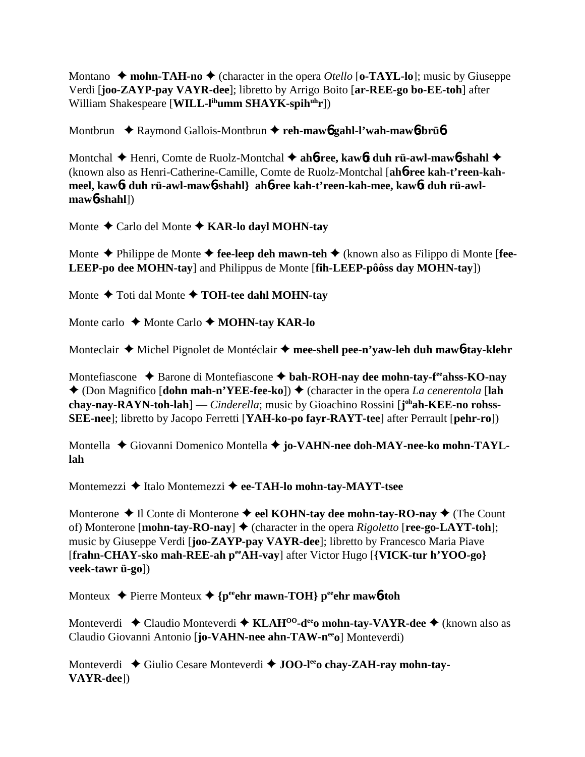Montano  $\rightarrow$  **mohn-TAH-no**  $\rightarrow$  (character in the opera *Otello* [**o-TAYL-lo**]; music by Giuseppe Verdi [**joo-ZAYP-pay VAYR-dee**]; libretto by Arrigo Boito [**ar-REE-go bo-EE-toh**] after William Shakespeare [**WILL-l<sup>ih</sup>umm SHAYK-spih<sup>uh</sup>r**])

Montbrun **→** Raymond Gallois-Montbrun → reh-mawb gahl-l'wah-mawb-brüb

Montchal ♦ Henri, Comte de Ruolz-Montchal ♦ ah6-ree, kaw6t duh rü-awl-maw6-shahl ♦ (known also as Henri-Catherine-Camille, Comte de Ruolz-Montchal [**ah**6**-ree kah-t'reen-kah**meel, kaw6**t** duh rü-awl-maw6-shahl} ah6-ree kah-t'reen-kah-mee, kaw6t duh rü-awl**maw**6**-shahl**])

Monte Carlo del Monte **KAR-lo dayl MOHN-tay**

Monte **→** Philippe de Monte → fee-leep deh mawn-teh → (known also as Filippo di Monte [fee-**LEEP-po dee MOHN-tay**] and Philippus de Monte [**fih-LEEP-pôôss day MOHN-tay**])

Monte  $\triangle$  Toti dal Monte  $\triangle$  **TOH-tee dahl MOHN-tay** 

Monte carlo **↓** Monte Carlo **✦ MOHN-tay KAR-lo** 

Monteclair **→** Michel Pignolet de Montéclair → mee-shell pee-n'yaw-leh duh maw6-tay-klehr

Montefiascone ◆ Barone di Montefiascone ◆ bah-ROH-nay dee mohn-tay-f<sup>ee</sup>ahss-KO-nay  $\triangle$  (Don Magnifico [**dohn mah-n'YEE-fee-ko**])  $\triangle$  (character in the opera *La cenerentola* [**lah chay-nay-RAYN-toh-lah**] — *Cinderella*; music by Gioachino Rossini [**j ohah-KEE-no rohss-SEE-nee**]; libretto by Jacopo Ferretti [**YAH-ko-po fayr-RAYT-tee**] after Perrault [**pehr-ro**])

Montella ◆ Giovanni Domenico Montella ◆ jo-VAHN-nee doh-MAY-nee-ko mohn-TAYL**lah**

Montemezzi **→** Italo Montemezzi → ee-TAH-lo mohn-tay-MAYT-tsee

Monterone  $\triangle$  Il Conte di Monterone  $\triangle$  eel KOHN-tay dee mohn-tay-RO-nay  $\triangle$  (The Count of) Monterone  $[\text{mohn-tay-RO-nay}]$   $\blacklozenge$  (character in the opera *Rigoletto*  $[\text{ree-go-LATT-toh}]$ ; music by Giuseppe Verdi [**joo-ZAYP-pay VAYR-dee**]; libretto by Francesco Maria Piave [**frahn-CHAY-sko mah-REE-ah peeAH-vay**] after Victor Hugo [**{VICK-tur h'YOO-go} veek-tawr ü-go**])

Monteux  $\rightarrow$  Pierre Monteux  $\rightarrow$  {perior mawn-TOH} perior mawb-toh

Monteverdi ◆ Claudio Monteverdi ◆ KLAH<sup>00</sup>-d<sup>ee</sup>o mohn-tay-VAYR-dee ◆ (known also as Claudio Giovanni Antonio [**jo-VAHN-nee ahn-TAW-n<sup>ee</sup>o**] Monteverdi)

Monteverdi ◆ Giulio Cesare Monteverdi ◆ **JOO-l<sup>ee</sup>o chay-ZAH-ray mohn-tay-VAYR-dee**])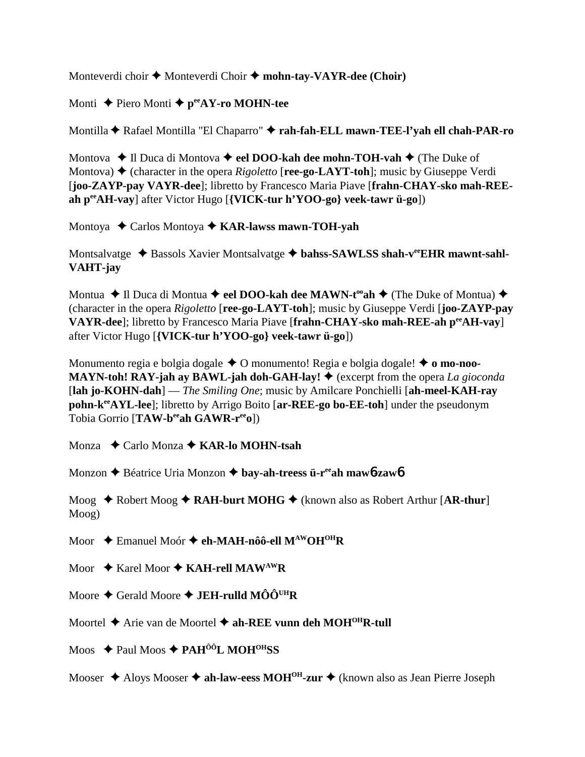Monteverdi choir  $\triangle$  Monteverdi Choir  $\triangle$  mohn-tay-VAYR-dee (Choir)

Monti ◆ Piero Monti **◆ p<sup>ee</sup>AY-ro MOHN-tee** 

Montilla Rafael Montilla "El Chaparro" **rah-fah-ELL mawn-TEE-l'yah ell chah-PAR-ro**

Montova ◆ Il Duca di Montova ◆ eel **DOO-kah dee mohn-TOH-vah** ◆ (The Duke of Montova)  $\triangle$  (character in the opera *Rigoletto* [**ree-go-LAYT-toh**]; music by Giuseppe Verdi [**joo-ZAYP-pay VAYR-dee**]; libretto by Francesco Maria Piave [**frahn-CHAY-sko mah-REEah peeAH-vay**] after Victor Hugo [**{VICK-tur h'YOO-go} veek-tawr ü-go**])

Montoya ◆ Carlos Montoya ◆ **KAR-lawss mawn-TOH-yah** 

Montsalvatge ◆ Bassols Xavier Montsalvatge ◆ bahss-SAWLSS shah-v<sup>ee</sup>EHR mawnt-sahl-**VAHT-jay**

Montua ◆ Il Duca di Montua ◆ eel DOO-kah dee MAWN-t<sup>oo</sup>ah ◆ (The Duke of Montua) ◆ (character in the opera *Rigoletto* [**ree-go-LAYT-toh**]; music by Giuseppe Verdi [**joo-ZAYP-pay VAYR-dee**]; libretto by Francesco Maria Piave [**frahn-CHAY-sko mah-REE-ah peeAH-vay**] after Victor Hugo [**{VICK-tur h'YOO-go} veek-tawr ü-go**])

Monumento regia e bolgia dogale **→** O monumento! Regia e bolgia dogale! ◆ **o mo-noo-MAYN-toh! RAY-jah ay BAWL-jah doh-GAH-lay!**  $\blacklozenge$  (excerpt from the opera *La gioconda* [**lah jo-KOHN-dah**] — *The Smiling One*; music by Amilcare Ponchielli [**ah-meel-KAH-ray pohn-keeAYL-lee**]; libretto by Arrigo Boito [**ar-REE-go bo-EE-toh**] under the pseudonym Tobia Gorrio [TAW-b<sup>ee</sup>ah GAWR-r<sup>ee</sup>o])

Monza  **←** Carlo Monza ← **KAR-lo MOHN-tsah** 

Monzon Béatrice Uria Monzon **bay-ah-treess ü-reeah maw**6**-zaw**6

Moog ◆ Robert Moog ◆ **RAH-burt MOHG** ◆ (known also as Robert Arthur [**AR-thur**] Moog)

Moor **← Emanuel Moór ← eh-MAH-nôô-ell M<sup>AW</sup>OH<sup>OH</sup>R** 

Moor ◆ Karel Moor ◆ KAH-rell MAW<sup>AW</sup>R

Moore  $\triangle$  Gerald Moore  $\triangle$  **JEH-rulld MÔÔ<sup>UH</sup>R** 

Moortel  $\triangle$  Arie van de Moortel  $\triangle$  ah-REE vunn deh MOH<sup>OH</sup>R-tull

Moos  $\triangle$  Paul Moos  $\triangle$  PAH<sup>ÔÔ</sup>L MOH<sup>OH</sup>SS

Mooser  $\triangle$  Aloys Mooser  $\triangle$  ah-law-eess MOH<sup>OH</sup>-zur  $\triangle$  (known also as Jean Pierre Joseph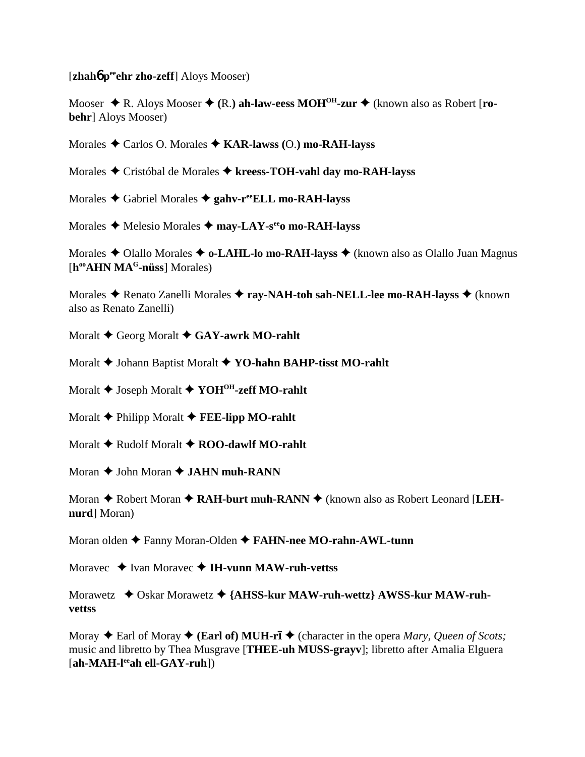[**zhah<sup>6</sup> p<sup>ee</sup>ehr zho-zeff**] Aloys Mooser)

Mooser  $\triangle$  R. Aloys Mooser  $\triangle$  (R.) **ah-law-eess MOH<sup>OH</sup>-zur**  $\triangle$  (known also as Robert [ro**behr**] Aloys Mooser)

Morales Carlos O. Morales **KAR-lawss (**O.**) mo-RAH-layss**

Morales Cristóbal de Morales **kreess-TOH-vahl day mo-RAH-layss**

Morales Gabriel Morales **gahv-reeELL mo-RAH-layss**

Morales **→** Melesio Morales → may-LAY-s<sup>ee</sup>o mo-RAH-layss

Morales ◆ Olallo Morales ◆ **o-LAHL-lo mo-RAH-layss** ◆ (known also as Olallo Juan Magnus [**hooAHN MAG-nüss**] Morales)

Morales ◆ Renato Zanelli Morales ◆ ray-NAH-toh sah-NELL-lee mo-RAH-layss ◆ (known also as Renato Zanelli)

Moralt **↓** Georg Moralt **◆ GAY-awrk MO-rahlt** 

Moralt  $\blacklozenge$  Johann Baptist Moralt  $\blacklozenge$  YO-hahn BAHP-tisst MO-rahlt

Moralt  $\blacklozenge$  Joseph Moralt  $\blacklozenge$  YOH<sup>OH</sup>-zeff MO-rahlt

Moralt **← Philipp Moralt ← FEE-lipp MO-rahlt** 

Moralt **↓** Rudolf Moralt **✦ ROO-dawlf MO-rahlt** 

Moran  $\triangle$  John Moran  $\triangle$  **JAHN muh-RANN** 

Moran ◆ Robert Moran ◆ RAH-burt muh-RANN ◆ (known also as Robert Leonard [LEH**nurd**] Moran)

Moran olden Fanny Moran-Olden **FAHN-nee MO-rahn-AWL-tunn**

Moravec ◆ Ivan Moravec ◆ **IH-vunn MAW-ruh-vettss** 

Morawetz  $\rightarrow$  Oskar Morawetz  $\rightarrow$  {AHSS-kur MAW-ruh-wettz} AWSS-kur MAW-ruh**vettss**

Moray  $\triangle$  Earl of Moray  $\triangle$  (**Earl of) MUH-rī**  $\triangle$  (character in the opera *Mary, Queen of Scots*; music and libretto by Thea Musgrave [**THEE-uh MUSS-grayv**]; libretto after Amalia Elguera [**ah-MAH-leeah ell-GAY-ruh**])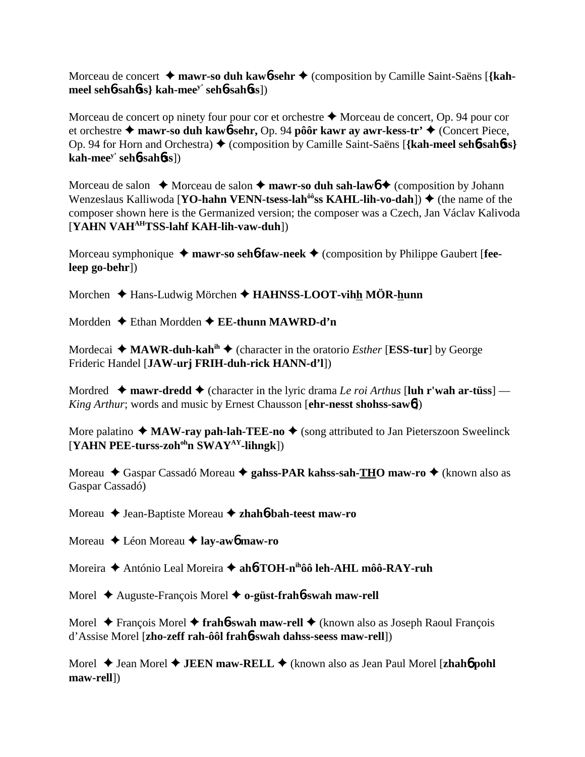Morceau de concert **→ mawr-so duh kaw6-sehr →** (composition by Camille Saint-Saëns [{kah**meel seh**6**-sah**6**ss} kah-meey' seh**6**-sah**6**ss**])

Morceau de concert op ninety four pour cor et orchestre  $\triangle$  Morceau de concert, Op. 94 pour cor et orchestre  **mawr-so duh kaw**6**-sehr,** Op. 94 **pôôr kawr ay awr-kess-tr'** (Concert Piece, Op. 94 for Horn and Orchestra) (composition by Camille Saint-Saëns [**{kah-meel seh**6**-sah**6**ss} kah-meey' seh**6**-sah**6**ss**])

Morceau de salon  $\rightarrow$  Morceau de salon  $\rightarrow$  **mawr-so duh sah-law** $\rightarrow$  (composition by Johann Wenzeslaus Kalliwoda [**YO-hahn VENN-tsess-lah<sup>ôô</sup>ss KAHL-lih-vo-dah**]) ♦ (the name of the composer shown here is the Germanized version; the composer was a Czech, Jan Václav Kalivoda [**YAHN VAHAHTSS-lahf KAH-lih-vaw-duh**])

Morceau symphonique  $\rightarrow$  mawr-so seh**6-faw-neek**  $\rightarrow$  (composition by Philippe Gaubert [fee**leep go-behr**])

Morchen **→** Hans-Ludwig Mörchen → **HAHNSS-LOOT-vihh MÖR-hunn** 

Mordden Ethan Mordden **EE-thunn MAWRD-d'n**

Mordecai  $\triangleleft$  **MAWR-duh-kah<sup>ih</sup>**  $\triangleleft$  (character in the oratorio *Esther* [**ESS-tur**] by George Frideric Handel [**JAW-urj FRIH-duh-rick HANN-d'l**])

Mordred  $\rightarrow$  **mawr-dredd**  $\rightarrow$  (character in the lyric drama *Le roi Arthus* [**luh r'wah ar-tüss**] — *King Arthur*; words and music by Ernest Chausson [**ehr-nesst shohss-saw**6])

More palatino  $\triangleleft$  **MAW-ray pah-lah-TEE-no**  $\triangleleft$  (song attributed to Jan Pieterszoon Sweelinck [**YAHN PEE-turss-zohohn SWAYAY-lihngk**])

Moreau ◆ Gaspar Cassadó Moreau ◆ gahss-PAR kahss-sah-THO maw-ro ◆ (known also as Gaspar Cassadó)

Moreau ◆ Jean-Baptiste Moreau ◆ zhah**6**-bah-teest maw-ro

Moreau Léon Moreau **lay-aw**6 **maw-ro**

Moreira António Leal Moreira **ah**6**-TOH-nihôô leh-AHL môô-RAY-ruh**

Morel Auguste-François Morel **o-güst-frah**6**-swah maw-rell**

Morel **→** François Morel → frah**6-swah maw-rell** → (known also as Joseph Raoul François d'Assise Morel [**zho-zeff rah-ôôl frah**6**-swah dahss-seess maw-rell**])

Morel  $\triangle$  Jean Morel  $\triangle$  **JEEN maw-RELL**  $\triangle$  (known also as Jean Paul Morel [**zhah**6 pohl **maw-rell**])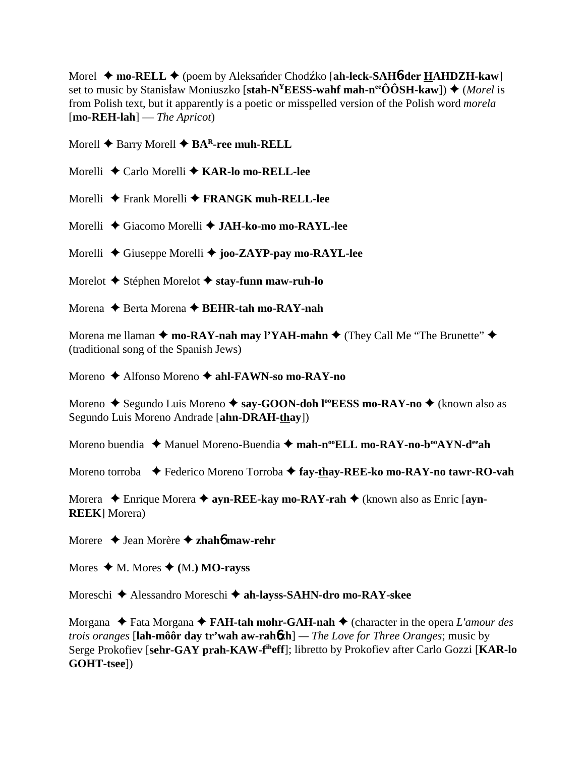Morel ◆ **mo-RELL** ◆ (poem by Aleksander Chodzko [ah-leck-SAH6-der HAHDZH-kaw] set to music by Stanisław Moniuszko [stah-N<sup>Y</sup>EESS-wahf mah-n<sup>ee</sup>ÔÔSH-kaw]) ◆ (*Morel* is from Polish text, but it apparently is a poetic or misspelled version of the Polish word *morela* [**mo-REH-lah**] — *The Apricot*)

Morell **◆** Barry Morell ◆ **BA<sup>R</sup>-ree muh-RELL** 

Morelli Carlo Morelli **KAR-lo mo-RELL-lee**

Morelli Frank Morelli **FRANGK muh-RELL-lee**

Morelli Giacomo Morelli **JAH-ko-mo mo-RAYL-lee**

Morelli Giuseppe Morelli **joo-ZAYP-pay mo-RAYL-lee**

Morelot Stéphen Morelot **stay-funn maw-ruh-lo**

Morena Berta Morena **BEHR-tah mo-RAY-nah**

Morena me Ilaman  $\triangleq$  mo-RAY-nah may l'YAH-mahn  $\triangleq$  (They Call Me "The Brunette"  $\triangleq$ (traditional song of the Spanish Jews)

Moreno Alfonso Moreno **ahl-FAWN-so mo-RAY-no**

Moreno ◆ Segundo Luis Moreno ◆ say-GOON-doh l<sup>oo</sup>EESS mo-RAY-no ◆ (known also as Segundo Luis Moreno Andrade [**ahn-DRAH-thay**])

Moreno buendia  $\triangleq$  Manuel Moreno-Buendia  $\triangleq$  mah-n<sup>oo</sup>ELL mo-RAY-no-b<sup>oo</sup>AYN-d<sup>ee</sup>ah

Moreno torroba Federico Moreno Torroba **fay-thay-REE-ko mo-RAY-no tawr-RO-vah**

Morera  **← Enrique Morera ← ayn-REE-kay mo-RAY-rah ←** (known also as Enric [ayn-**REEK**] Morera)

Morere Jean Morère **zhah**6 **maw-rehr**

Mores  $\triangleleft$  M. Mores  $\triangleleft$  (M.) **MO-rayss** 

Moreschi Alessandro Moreschi **ah-layss-SAHN-dro mo-RAY-skee**

Morgana ◆ Fata Morgana ◆ **FAH-tah mohr-GAH-nah** ◆ (character in the opera *L'amour des trois oranges* [**lah-môôr day tr'wah aw-rah**6**zh**] *— The Love for Three Oranges*; music by Serge Prokofiev [**sehr-GAY prah-KAW-fiheff**]; libretto by Prokofiev after Carlo Gozzi [**KAR-lo GOHT-tsee**])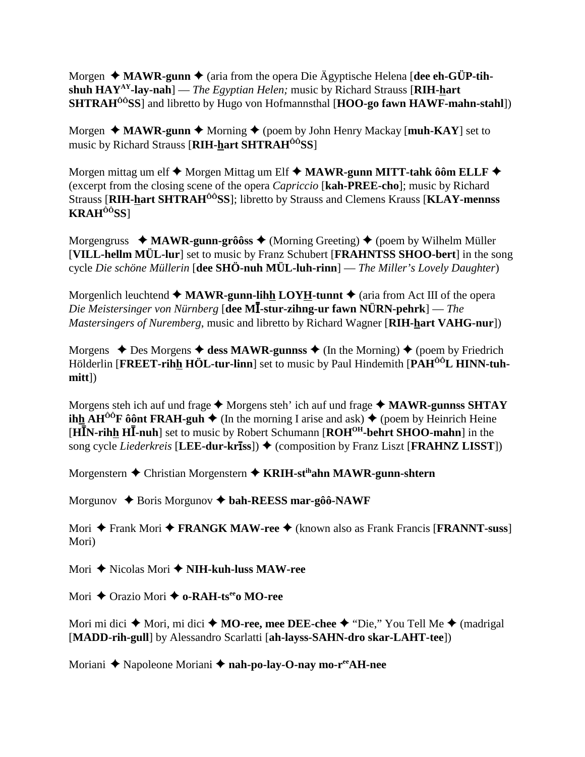Morgen  $\triangleleft$  MAWR-gunn  $\triangleleft$  (aria from the opera Die Ägyptische Helena [dee ch-GÜP-tihshuh  $HAY^{AY}$ -lay-nah] — The Egyptian Helen; music by Richard Strauss [RIH-hart] **SHTRAH<sup>** $00$ **</sup>SS**] and libretto by Hugo von Hofmannsthal [HOO-go fawn HAWF-mahn-stahl])

Morgen  $\triangleq$  MAWR-gunn  $\triangleq$  Morning  $\triangleq$  (poem by John Henry Mackay [muh-KAY] set to music by Richard Strauss [RIH-hart SHTRAH<sup>00</sup>SS]

Morgen mittag um elf  $\blacklozenge$  Morgen Mittag um Elf  $\blacklozenge$  MAWR-gunn MITT-tahk ôôm ELLF  $\blacklozenge$ (excerpt from the closing scene of the opera *Capriccio* [kah-PREE-cho]; music by Richard Strauss [RIH-hart SHTRAH<sup>00</sup>SS]; libretto by Strauss and Clemens Krauss [KLAY-mennss]  $KRAH^{00}SS$ ]

Morgengruss  $\triangleleft$  MAWR-gunn-grôôss  $\triangleleft$  (Morning Greeting)  $\triangleleft$  (poem by Wilhelm Müller [VILL-hellm MÜL-lur] set to music by Franz Schubert [FRAHNTSS SHOO-bert] in the song cycle Die schöne Müllerin [dee SHÖ-nuh MÜL-luh-rinn] — The Miller's Lovely Daughter)

Morgenlich leuchtend  $\triangleleft$  MAWR-gunn-lihh LOYH-tunnt  $\triangleleft$  (aria from Act III of the opera Die Meistersinger von Nürnberg [dee MI-stur-zihng-ur fawn NÜRN-pehrk] — The Mastersingers of Nuremberg, music and libretto by Richard Wagner [RIH-hart VAHG-nur])

Morgens  $\triangle$  Des Morgens  $\triangle$  dess MAWR-gunnss  $\triangle$  (In the Morning)  $\triangle$  (poem by Friedrich Hölderlin [FREET-rihh HÖL-tur-linn] set to music by Paul Hindemith [PAH<sup>ÔÔ</sup>L HINN-tuh- $\text{mitt}$ ])

Morgens steh ich auf und frage  $\triangle$  Morgens steh' ich auf und frage  $\triangle$  MAWR-gunnss SHTAY **ihh AH<sup>** $\hat{O}^{\hat{O}}$ **F**  $\hat{O}$ **ônt FRAH-guh**  $\blacklozenge$  (In the morning I arise and ask)  $\blacklozenge$  (poem by Heinrich Heine</sup> [HIN-rihh HI-nuh] set to music by Robert Schumann [ROH<sup>OH</sup>-behrt SHOO-mahn] in the song cycle Liederkreis [LEE-dur-kriss]) ♦ (composition by Franz Liszt [FRAHNZ LISST])

Morgenstern  $\triangle$  Christian Morgenstern  $\triangle$  KRIH-st<sup>ih</sup>ahn MAWR-gunn-shtern

Morgunov  $\triangle$  Boris Morgunov  $\triangle$  bah-REESS mar-gôô-NAWF

Mori  $\triangle$  Frank Mori  $\triangle$  FRANGK MAW-ree  $\triangle$  (known also as Frank Francis [FRANNT-suss] Mori)

Mori  $\triangle$  Nicolas Mori  $\triangle$  NIH-kuh-luss MAW-ree

Mori  $\triangle$  Orazio Mori  $\triangle$  o-RAH-ts<sup>ee</sup>o MO-ree

Mori mi dici  $\triangle$  Mori, mi dici  $\triangle$  MO-ree, mee DEE-chee  $\triangle$  "Die," You Tell Me  $\triangle$  (madrigal [MADD-rih-gull] by Alessandro Scarlatti [ah-layss-SAHN-dro skar-LAHT-tee])

Moriani ◆ Napoleone Moriani ◆ nah-po-lay-O-nay mo-r<sup>ee</sup>AH-nee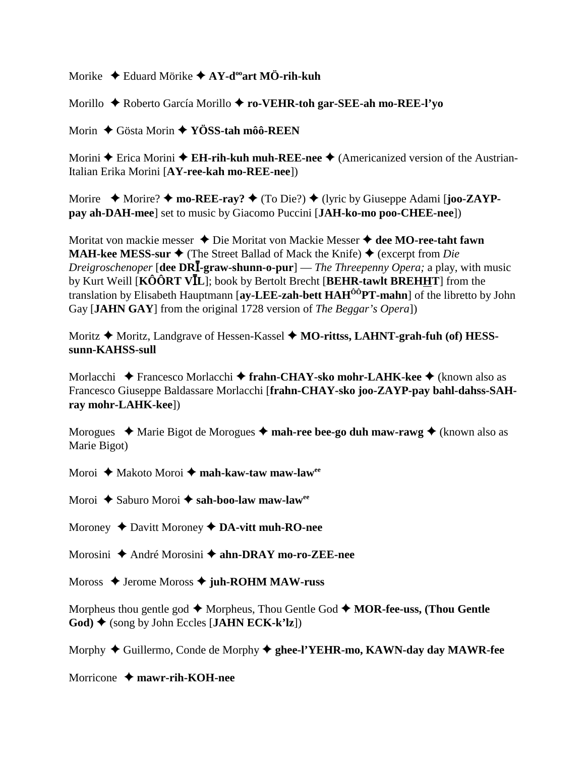Morike Eduard Mörike **AY-dooart MÖ-rih-kuh**

Morillo Roberto García Morillo **ro-VEHR-toh gar-SEE-ah mo-REE-l'yo**

Morin Gösta Morin **YÖSS-tah môô-REEN**

Morini **◆** Erica Morini ◆ **EH-rih-kuh muh-REE-nee** ◆ (Americanized version of the Austrian-Italian Erika Morini [**AY-ree-kah mo-REE-nee**])

Morire  $\triangle$  Morire?  $\triangle$  mo-REE-ray?  $\triangle$  (To Die?)  $\triangle$  (lyric by Giuseppe Adami [**joo-ZAYPpay ah-DAH-mee**] set to music by Giacomo Puccini [**JAH-ko-mo poo-CHEE-nee**])

Moritat von mackie messer **→** Die Moritat von Mackie Messer **→ dee MO-ree-taht fawn MAH-kee MESS-sur**  $\triangleleft$  (The Street Ballad of Mack the Knife)  $\triangleq$  (excerpt from *Die Dreigroschenoper* [**dee DR**-**-graw-shunn-o-pur**] — *The Threepenny Opera;* a play, with music by Kurt Weill **[KÔÔRT VĪL**]; book by Bertolt Brecht [BEHR-tawlt BREHHT] from the translation by Elisabeth Hauptmann [**ay-LEE-zah-bett HAHÔÔPT-mahn**] of the libretto by John Gay [**JAHN GAY**] from the original 1728 version of *The Beggar's Opera*])

Moritz ◆ Moritz, Landgrave of Hessen-Kassel ◆ MO-rittss, LAHNT-grah-fuh (of) HESS**sunn-KAHSS-sull**

Morlacchi **◆** Francesco Morlacchi ◆ frahn-CHAY-sko mohr-LAHK-kee ◆ (known also as Francesco Giuseppe Baldassare Morlacchi [**frahn-CHAY-sko joo-ZAYP-pay bahl-dahss-SAHray mohr-LAHK-kee**])

Morogues  $\triangleleft$  Marie Bigot de Morogues  $\triangleleft$  mah-ree bee-go duh maw-rawg  $\triangleleft$  (known also as Marie Bigot)

Moroi ◆ Makoto Moroi ◆ mah-kaw-taw maw-law<sup>ee</sup>

Moroi ◆ Saburo Moroi **◆ sah-boo-law maw-law**<sup>ee</sup>

Moroney  $\triangle$  Davitt Moroney  $\triangle$  **DA-vitt muh-RO-nee** 

Morosini André Morosini **ahn-DRAY mo-ro-ZEE-nee**

Moross ♦ Jerome Moross ♦ juh-ROHM MAW-russ

Morpheus thou gentle god  $\blacklozenge$  Morpheus, Thou Gentle God  $\blacklozenge$  **MOR-fee-uss, (Thou Gentle** God)  $\blacklozenge$  (song by John Eccles [**JAHN ECK-k'lz**])

Morphy  $\triangle$  Guillermo, Conde de Morphy  $\triangle$  ghee-l'YEHR-mo, KAWN-day day MAWR-fee

Morricone **mawr-rih-KOH-nee**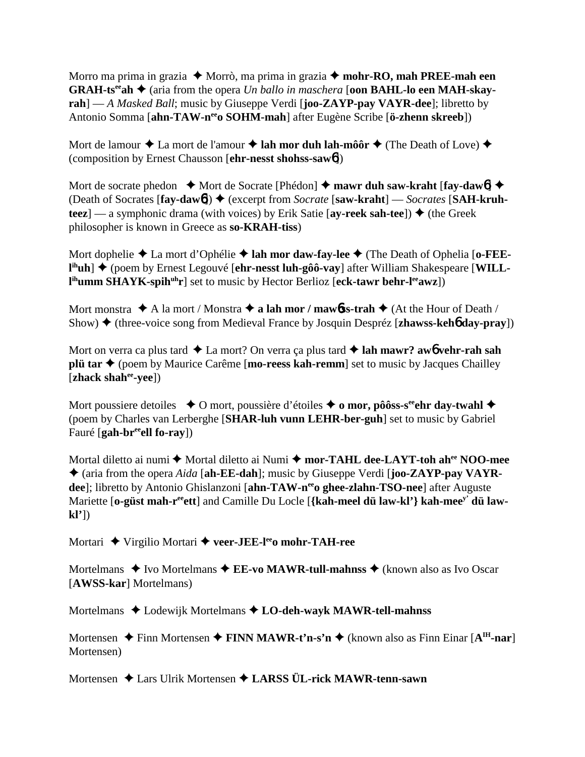Morro ma prima in grazia  $\triangle$  Morrò, ma prima in grazia  $\triangle$  mohr-RO, mah PREE-mah een **GRAH-ts<sup>ee</sup> ah**  $\triangle$  (aria from the opera *Un ballo in maschera* [**oon BAHL-lo een MAH-skayrah**] — *A Masked Ball*; music by Giuseppe Verdi [**joo-ZAYP-pay VAYR-dee**]; libretto by Antonio Somma [**ahn-TAW-neeo SOHM-mah**] after Eugène Scribe [**ö-zhenn skreeb**])

Mort de lamour  $\triangle$  La mort de l'amour  $\triangle$  lah mor duh lah-môôr  $\triangle$  (The Death of Love)  $\triangle$ (composition by Ernest Chausson [**ehr-nesst shohss-saw**6])

Mort de socrate phedon  $\rightarrow$  Mort de Socrate [Phédon]  $\rightarrow$  mawr duh saw-kraht [fay-daw6]  $\rightarrow$ (Death of Socrates [fay-dawb]) ♦ (excerpt from *Socrate* [saw-kraht] — *Socrates* [SAH-kruh**teez**] — a symphonic drama (with voices) by Erik Satie  $[ay\text{-reek}$  sah-tee])  $\blacklozenge$  (the Greek philosopher is known in Greece as **so-KRAH-tiss**)

Mort dophelie  $\triangle$  La mort d'Ophélie  $\triangle$  lah mor daw-fay-lee  $\triangle$  (The Death of Ophelia [o-FEEl<sup>ih</sup>uh] ◆ (poem by Ernest Legouvé [ehr-nesst luh-gôô-vay] after William Shakespeare [WILLl<sup>ih</sup>umm SHAYK-spih<sup>uh</sup>r] set to music by Hector Berlioz [eck-tawr behr-l<sup>ee</sup>awz])

Mort monstra  $\triangle$  A la mort / Monstra  $\triangle$  **a lah mor / mawbss-trah**  $\triangle$  (At the Hour of Death / Show) ♦ (three-voice song from Medieval France by Josquin Despréz [**zhawss-keh<sup>6</sup> day-pray**])

Mort on verra ca plus tard  $\triangle$  La mort? On verra ça plus tard  $\triangle$  lah mawr? aw**6** vehr-rah sah **plü tar**  $\triangle$  (poem by Maurice Carême [**mo-reess kah-remm**] set to music by Jacques Chailley [**zhack shahee-yee**])

Mort poussiere detoiles  $\bullet$  O mort, poussière d'étoiles  $\bullet$  o mor, pôôss-s<sup>ee</sup>ehr day-twahl  $\bullet$ (poem by Charles van Lerberghe [**SHAR-luh vunn LEHR-ber-guh**] set to music by Gabriel Fauré [**gah-breeell fo-ray**])

Mortal diletto ai numi ◆ Mortal diletto ai Numi ◆ mor-TAHL dee-LAYT-toh ah<sup>ee</sup> NOO-mee (aria from the opera *Aida* [**ah-EE-dah**]; music by Giuseppe Verdi [**joo-ZAYP-pay VAYR**dee]; libretto by Antonio Ghislanzoni [ahn-TAW-n<sup>ee</sup>o ghee-zlahn-TSO-nee] after Auguste Mariette [o-güst mah-r<sup>ee</sup>ett] and Camille Du Locle [{kah-meel dü law-kl'} kah-mee<sup>y'</sup> dü law**kl'**])

Mortari ◆ Virgilio Mortari ◆ veer-JEE-l<sup>ee</sup>o mohr-TAH-ree

Mortelmans  $\triangle$  Ivo Mortelmans  $\triangle$  **EE-vo MAWR-tull-mahnss**  $\triangle$  (known also as Ivo Oscar [**AWSS-kar**] Mortelmans)

Mortelmans ◆ Lodewijk Mortelmans ◆ LO-deh-wayk MAWR-tell-mahnss

Mortensen **→** Finn Mortensen → FINN MAWR-t'n-s'n → (known also as Finn Einar [A<sup>IH</sup>-nar] Mortensen)

Mortensen Lars Ulrik Mortensen **LARSS ÜL-rick MAWR-tenn-sawn**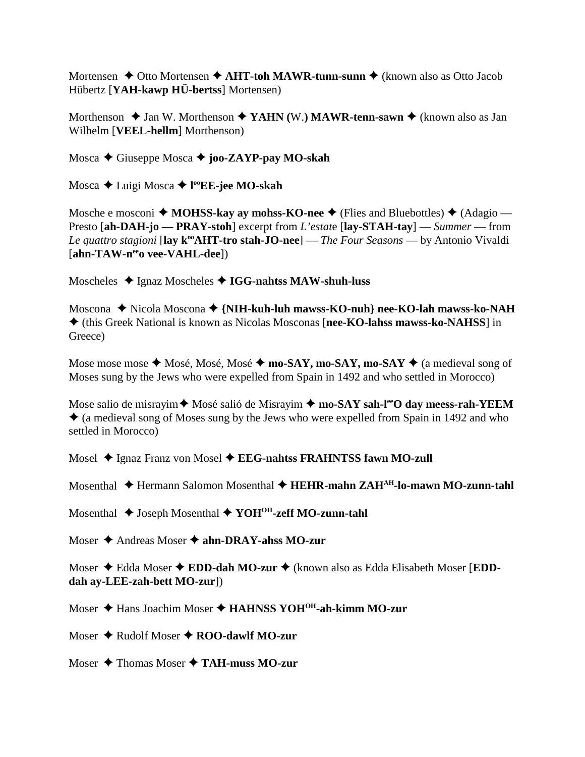Mortensen  $\triangle$  Otto Mortensen  $\triangle$  AHT-toh MAWR-tunn-sunn  $\triangle$  (known also as Otto Jacob Hübertz [YAH-kawp HÜ-bertss] Mortensen)

Morthenson  $\triangle$  Jan W. Morthenson  $\triangle$  YAHN (W.) MAWR-tenn-sawn  $\triangle$  (known also as Jan Wilhelm [VEEL-hellm] Morthenson)

Mosca  $\triangle$  Giuseppe Mosca  $\triangle$  joo-ZAYP-pay MO-skah

Mosca  $\triangle$  Luigi Mosca  $\triangle$  l<sup>oo</sup>EE-jee MO-skah

Mosche e mosconi  $\triangle$  MOHSS-kay ay mohss-KO-nee  $\triangle$  (Flies and Bluebottles)  $\triangle$  (Adagio — Presto [ah-DAH-jo — PRAY-stoh] excerpt from L'estate [lay-STAH-tay] — Summer — from Le quattro stagioni [lay  $k^{\omega}$ AHT-tro stah-JO-nee] — The Four Seasons — by Antonio Vivaldi [ahn-TAW-n<sup>ee</sup>o vee-VAHL-dee])

Moscheles  $\triangleleft$  Ignaz Moscheles  $\triangleleft$  IGG-nahts MAW-shuh-luss

Moscona ◆ Nicola Moscona ◆ {NIH-kuh-luh mawss-KO-nuh} nee-KO-lah mawss-ko-NAH ♦ (this Greek National is known as Nicolas Mosconas [nee-KO-lahss mawss-ko-NAHSS] in Greece)

Mose mose mose  $\triangle$  Mosé, Mosé, Mosé  $\triangle$  mo-SAY, mo-SAY, mo-SAY  $\triangle$  (a medieval song of Moses sung by the Jews who were expelled from Spain in 1492 and who settled in Morocco)

Mose salio de misrayim ★ Mosé salió de Misrayim ★ mo-SAY sah-leo day meess-rah-YEEM  $\triangle$  (a medieval song of Moses sung by the Jews who were expelled from Spain in 1492 and who settled in Morocco)

Mosel  $\triangle$  Ignaz Franz von Mosel  $\triangle$  EEG-nahtss FRAHNTSS fawn MO-zull

Mosenthal  $\triangle$  Hermann Salomon Mosenthal  $\triangle$  HEHR-mahn ZAH<sup>AH</sup>-lo-mawn MO-zunn-tahl

Mosenthal  $\triangle$  Joseph Mosenthal  $\triangle$  YOH<sup>OH</sup>-zeff MO-zunn-tahl

Moser  $\triangle$  Andreas Moser  $\triangle$  ahn-DRAY-ahss MO-zur

Moser  $\triangle$  Edda Moser  $\triangle$  EDD-dah MO-zur  $\triangle$  (known also as Edda Elisabeth Moser [EDDdah ay-LEE-zah-bett MO-zur])

Moser ♦ Hans Joachim Moser ♦ HAHNSS YOH<sup>OH</sup>-ah-kimm MO-zur

Moser  $\triangle$  Rudolf Moser  $\triangle$  ROO-dawlf MO-zur

Moser  $\triangle$  Thomas Moser  $\triangle$  TAH-muss MO-zur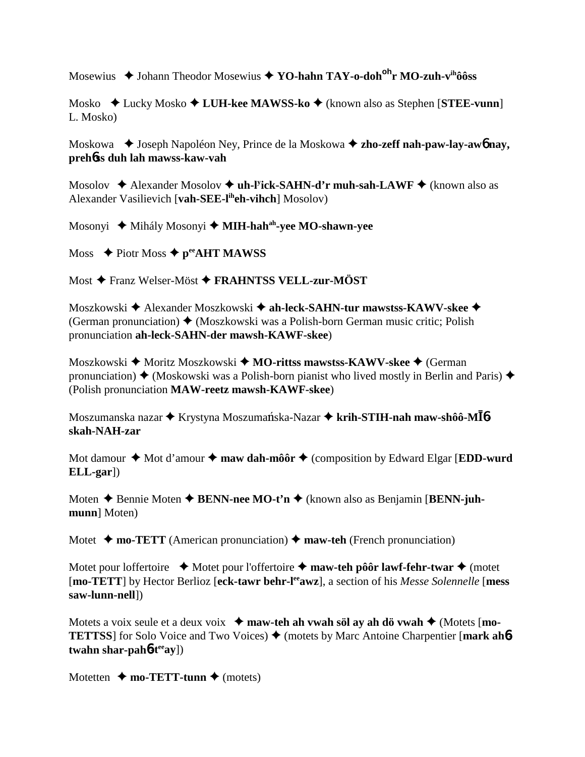Mosewius  $\triangleq$  Johann Theodor Mosewius  $\triangleq$  YO-hahn TAY-o-doh<sup>oh</sup>r MO-zuh-v<sup>ih</sup>ôôss

Mosko  $\triangle$  Lucky Mosko  $\triangle$  LUH-kee MAWSS-ko  $\triangle$  (known also as Stephen [STEE-vunn] L. Mosko)

Moskowa → Joseph Napoléon Ney, Prince de la Moskowa → zho-zeff nah-paw-lay-awo nay, prehoss duh lah mawss-kaw-vah

Mosolov  $\triangleq$  Alexander Mosolov  $\triangleq$  uh-Fick-SAHN-d'r muh-sah-LAWF  $\triangleq$  (known also as Alexander Vasilievich [vah-SEE-l<sup>ih</sup>eh-vihch] Mosolov)

Mosonyi ◆ Mihály Mosonyi ◆ MIH-hah<sup>ah</sup>-yee MO-shawn-yee

Moss  $\triangle$  Piotr Moss  $\triangle$  p<sup>ec</sup>AHT MAWSS

Most  $\triangle$  Franz Welser-Möst  $\triangle$  FRAHNTSS VELL-zur-MÖST

Moszkowski  $\triangleq$  Alexander Moszkowski  $\triangleq$  ah-leck-SAHN-tur mawstss-KAWV-skee  $\triangleq$ (German pronunciation)  $\triangleleft$  (Moszkowski was a Polish-born German music critic; Polish pronunciation ah-leck-SAHN-der mawsh-KAWF-skee)

Moszkowski ◆ Moritz Moszkowski ◆ MO-rittss mawstss-KAWV-skee ◆ (German pronunciation)  $\blacklozenge$  (Moskowski was a Polish-born pianist who lived mostly in Berlin and Paris)  $\blacklozenge$ (Polish pronunciation MAW-reetz mawsh-KAWF-skee)

Moszumanska nazar ◆ Krystyna Moszumańska-Nazar ◆ krih-STIH-nah maw-shôô-MĪ6skah-NAH-zar

Mot damour  $\triangle$  Mot d'amour  $\triangle$  maw dah-môôr  $\triangle$  (composition by Edward Elgar [EDD-wurd]  $ELL\text{-}gar$ )

Moten  $\triangle$  Bennie Moten  $\triangle$  BENN-nee MO-t'n  $\triangle$  (known also as Benjamin [BENN-juhmunn] Moten)

Motet  $\blacklozenge$  mo-TETT (American pronunciation)  $\blacklozenge$  maw-teh (French pronunciation)

Motet pour loffertoire  $\rightarrow$  Motet pour l'offertoire  $\rightarrow$  maw-teh pôôr lawf-fehr-twar  $\rightarrow$  (motet [mo-TETT] by Hector Berlioz [eck-tawr behr-leawz], a section of his Messe Solennelle [mess] saw-lunn-nell])

Motets a voix seule et a deux voix  $\rightarrow$  maw-teh ah vwah söl av ah dö vwah  $\rightarrow$  (Motets [mo-**TETTSS** for Solo Voice and Two Voices  $\triangle$  (motets by Marc Antoine Charpentier [mark ahotwahn shar-pah $6-t^{eq}$ ay])

Motetten  $\blacklozenge$  mo-TETT-tunn  $\blacklozenge$  (motets)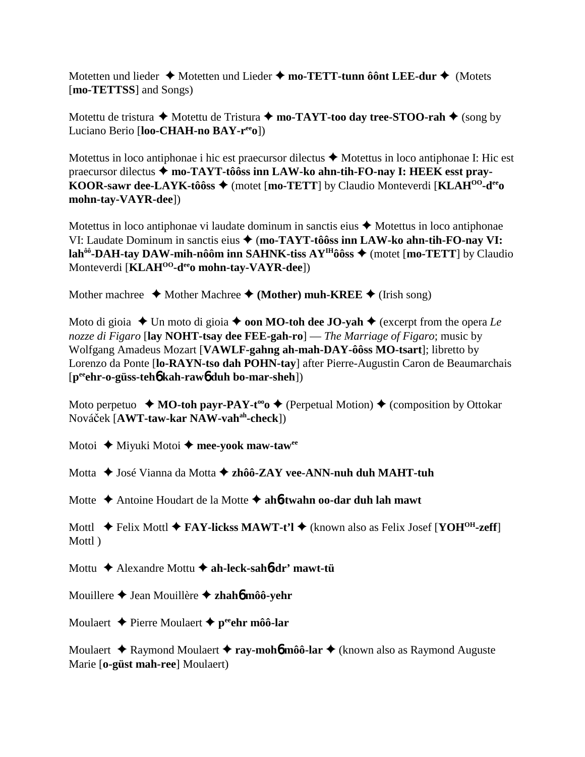Motetten und lieder ◆ Motetten und Lieder ◆ mo-TETT-tunn ôônt LEE-dur ◆ (Motets [**mo-TETTSS**] and Songs)

Motettu de tristura  $\blacklozenge$  Motettu de Tristura  $\blacklozenge$  **mo-TAYT-too day tree-STOO-rah**  $\blacklozenge$  (song by Luciano Berio [**loo-CHAH-no BAY-reeo**])

Motettus in loco antiphonae i hic est praecursor dilectus  $\triangle$  Motettus in loco antiphonae I: Hic est praecursor dilectus  $\triangle$  mo-TAYT-tôôss inn LAW-ko ahn-tih-FO-nay I: HEEK esst pray-**KOOR-sawr dee-LAYK-tôôss ♦** (motet [**mo-TETT**] by Claudio Monteverdi [**KLAH<sup>OO</sup>-d<sup>ee</sup>o mohn-tay-VAYR-dee**])

Motettus in loco antiphonae vi laudate dominum in sanctis eius  $\triangle$  Motettus in loco antiphonae VI: Laudate Dominum in sanctis eius  $\triangle$  (mo-TAYT-tôôss inn LAW-ko ahn-tih-FO-nay VI: **lah<sup>ôô</sup>-DAH-tay DAW-mih-nôôm inn SAHNK-tiss AY<sup>IH</sup>ôôss ♦ (motet [mo-TETT] by Claudio** Monteverdi [**KLAHOO-deeo mohn-tay-VAYR-dee**])

Mother machree  $\triangleleft$  Mother Machree  $\triangleleft$  (Mother) muh-KREE  $\triangleleft$  (Irish song)

Moto di gioia  $\triangle$  Un moto di gioia  $\triangle$  **oon MO-toh dee JO-yah**  $\triangle$  (excerpt from the opera *Le nozze di Figaro* [**lay NOHT-tsay dee FEE-gah-ro**] — *The Marriage of Figaro*; music by Wolfgang Amadeus Mozart [**VAWLF-gahng ah-mah-DAY-ôôss MO-tsart**]; libretto by Lorenzo da Ponte [**lo-RAYN-tso dah POHN-tay**] after Pierre-Augustin Caron de Beaumarchais [**peeehr-o-güss-teh**6 **kah-raw**6 **duh bo-mar-sheh**])

Moto perpetuo  $\bullet$  **MO-toh payr-PAY-t<sup>oo</sup>o**  $\bullet$  (Perpetual Motion)  $\bullet$  (composition by Ottokar Nováek [**AWT-taw-kar NAW-vahah-check**])

Motoi ◆ Miyuki Motoi ◆ mee-yook maw-taw<sup>ee</sup>

Motta ◆ José Vianna da Motta ◆ zhôô-ZAY vee-ANN-nuh duh MAHT-tuh

Motte Antoine Houdart de la Motte **ah**6**-twahn oo-dar duh lah mawt**

Mottl **→** Felix Mottl **→ FAY-lickss MAWT-t'l →** (known also as Felix Josef [**YOH<sup>OH</sup>-zeff**] Mottl )

Mottu Alexandre Mottu **ah-leck-sah**6**-dr' mawt-tü**

Mouillere Jean Mouillère **zhah**6 **môô-yehr**

Moulaert **↓** Pierre Moulaert **✦ p<sup>ee</sup>ehr môô-lar** 

Moulaert **→** Raymond Moulaert → ray-moho môô-lar → (known also as Raymond Auguste Marie [**o-güst mah-ree**] Moulaert)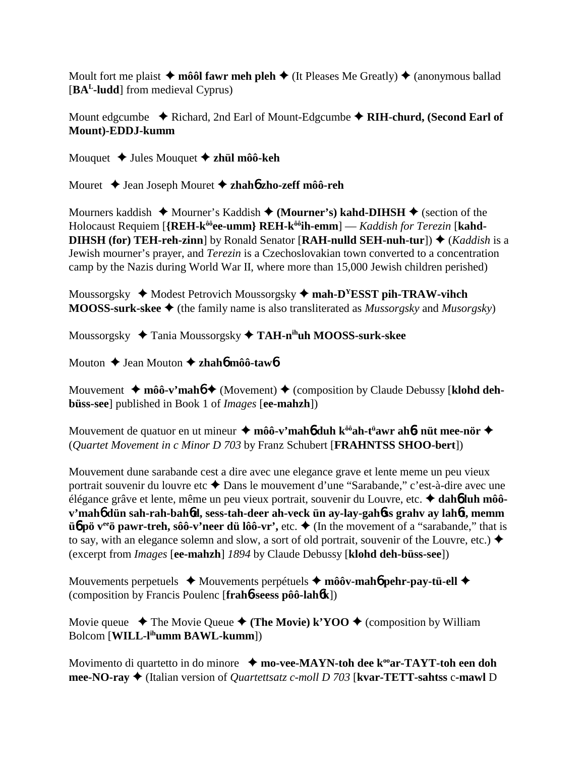Moult fort me plaist  $\triangle$  môôl fawr meh pleh  $\triangle$  (It Pleases Me Greatly)  $\triangle$  (anonymous ballad [**BAL-ludd**] from medieval Cyprus)

Mount edgcumbe **→** Richard, 2nd Earl of Mount-Edgcumbe → RIH-churd, (Second Earl of **Mount)-EDDJ-kumm**

Mouquet **→** Jules Mouquet **→ zhül môô-keh** 

Mouret Jean Joseph Mouret **zhah**6 **zho-zeff môô-reh**

Mourners kaddish  $\triangle$  Mourner's Kaddish  $\triangle$  (Mourner's) kahd-DIHSH  $\triangle$  (section of the Holocaust Requiem [**{REH-kôôee-umm} REH-kôôih-emm**] — *Kaddish for Terezin* [**kahd-DIHSH (for) TEH-reh-zinn**] by Ronald Senator [**RAH-nulld SEH-nuh-tur**])  $\blacklozenge$  (*Kaddish* is a Jewish mourner's prayer, and *Terezin* is a Czechoslovakian town converted to a concentration camp by the Nazis during World War II, where more than 15,000 Jewish children perished)

Moussorgsky ◆ Modest Petrovich Moussorgsky ◆ mah-D<sup>Y</sup>ESST pih-TRAW-vihch **MOOSS-surk-skee**  $\triangleleft$  (the family name is also transliterated as *Mussorgsky* and *Musorgsky*)

Moussorgsky Tania Moussorgsky **TAH-nihuh MOOSS-surk-skee**

Mouton Jean Mouton **zhah**6 **môô-taw**6

Mouvement ◆ môô-v'mah**6 ◆** (Movement) ◆ (composition by Claude Debussy [klohd deh**büss-see**] published in Book 1 of *Images* [**ee-mahzh**])

Mouvement de quatuor en ut mineur **môô-v'mah**6 **duh kôôah-tü awr ah**6**- nüt mee-nör** (*Quartet Movement in c Minor D 703* by Franz Schubert [**FRAHNTSS SHOO-bert**])

Mouvement dune sarabande cest a dire avec une elegance grave et lente meme un peu vieux portrait souvenir du louvre etc  $\triangle$  Dans le mouvement d'une "Sarabande," c'est-à-dire avec une élégance grâve et lente, même un peu vieux portrait, souvenir du Louvre, etc. **dah**6 **luh môôv'mah**6 **dün sah-rah-bah**6**d, sess-tah-deer ah-veck ün ay-lay-gah**6**ss grahv ay lah**6**t, memm üb** pö v<sup>ee</sup> pawr-treh, sôô-v'neer dü lôô-vr', etc.  $\blacklozenge$  (In the movement of a "sarabande," that is to say, with an elegance solemn and slow, a sort of old portrait, souvenir of the Louvre, etc.)  $\blacklozenge$ (excerpt from *Images* [**ee-mahzh**] *1894* by Claude Debussy [**klohd deh-büss-see**])

Mouvements perpetuels **→** Mouvements perpétuels → môôv-mah**6** pehr-pay-tü-ell → (composition by Francis Poulenc [**frah**6**-seess pôô-lah**6**k**])

Movie queue  $\rightarrow$  The Movie Queue  $\rightarrow$  (The Movie) k'YOO  $\rightarrow$  (composition by William Bolcom [**WILL-lihumm BAWL-kumm**])

Movimento di quartetto in do minore  $\rightarrow$  mo-vee-MAYN-toh dee k<sup>oo</sup>ar-TAYT-toh een doh **mee-NO-ray** (Italian version of *Quartettsatz c-moll D 703* [**kvar-TETT-sahtss** c**-mawl** D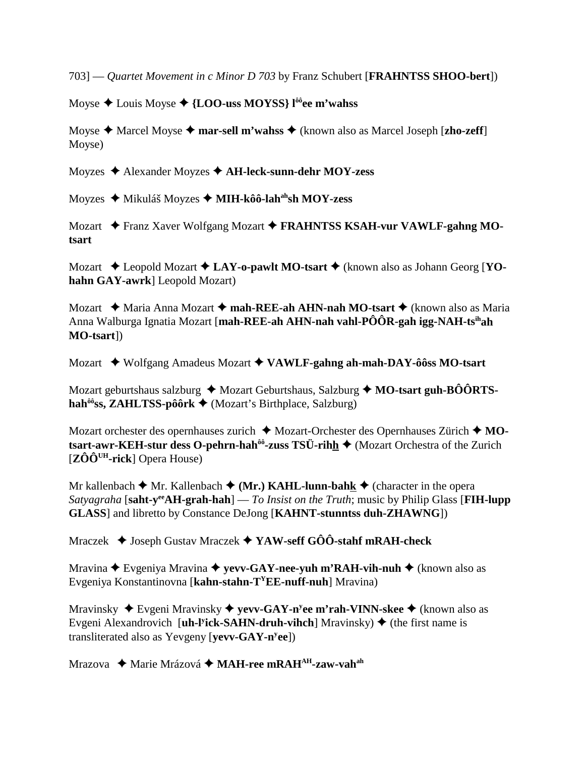7031 — *Ouartet Movement in c Minor D 703* by Franz Schubert [**FRAHNTSS SHOO-bert**])

Moyse  $\triangle$  Louis Moyse  $\triangle$  {LOO-uss MOYSS} l<sup>ôô</sup>ee m'wahss

Moyse  $\triangle$  Marcel Moyse  $\triangle$  mar-sell m'wahss  $\triangle$  (known also as Marcel Joseph [zho-zeff] Moyse)

Moyzes  $\triangle$  Alexander Moyzes  $\triangle$  AH-leck-sunn-dehr MOY-zess

Moyzes ◆ Mikuláš Moyzes ◆ MIH-kôô-lah<sup>ah</sup>sh MOY-zess

Mozart ◆ Franz Xaver Wolfgang Mozart ◆ FRAHNTSS KSAH-vur VAWLF-gahng MOtsart

Mozart  $\triangle$  Leopold Mozart  $\triangle$  LAY-o-pawlt MO-tsart  $\triangle$  (known also as Johann Georg [YOhahn GAY-awrk] Leopold Mozart)

Mozart ◆ Maria Anna Mozart ◆ mah-REE-ah AHN-nah MO-tsart ◆ (known also as Maria Anna Walburga Ignatia Mozart [mah-REE-ah AHN-nah vahl-PÔÔR-gah igg-NAH-ts<sup>ih</sup>ah MO-tsart])

Mozart ◆ Wolfgang Amadeus Mozart ◆ VAWLF-gahng ah-mah-DAY-ôôss MO-tsart

Mozart geburtshaus salzburg  $\triangleleft$  Mozart Geburtshaus, Salzburg  $\triangleleft$  MO-tsart guh-BÔÔRTS- $\mathbf{hah}^{\hat{\theta}\hat{\theta}}$ ss, ZAHLTSS-pôôrk  $\blacklozenge$  (Mozart's Birthplace, Salzburg)

Mozart orchester des opernhauses zurich  $\triangleleft$  Mozart-Orchester des Opernhauses Zürich  $\triangleleft$  MOtsart-awr-KEH-stur dess O-pehrn-hah<sup>ôô</sup>-zuss TSÜ-rihh ◆ (Mozart Orchestra of the Zurich  $[Z\hat{O}\hat{O}^{UH}\text{-rick}]$  Opera House)

Mr kallenbach  $\blacklozenge$  Mr. Kallenbach  $\blacklozenge$  (Mr.) KAHL-lunn-bahk  $\blacklozenge$  (character in the opera Satyagraha [saht-y<sup>ee</sup>AH-grah-hah] — To Insist on the Truth; music by Philip Glass [FIH-lupp] **GLASS**] and libretto by Constance DeJong [KAHNT-stunntss duh-ZHAWNG])

Mraczek  $\blacklozenge$  Joseph Gustav Mraczek  $\blacklozenge$  YAW-seff GÔÔ-stahf mRAH-check

Mravina  $\triangle$  Evgeniya Mravina  $\triangle$  yevv-GAY-nee-yuh m'RAH-vih-nuh  $\triangle$  (known also as Evgeniya Konstantinovna [kahn-stahn- $T^{\gamma}EE$ -nuff-nuh] Mravina)

Mravinsky  $\blacklozenge$  Evgeni Mravinsky  $\blacklozenge$  yevv-GAY-n<sup>y</sup>ee m'rah-VINN-skee  $\blacklozenge$  (known also as Evgeni Alexandrovich [uh-l<sup>y</sup>ick-SAHN-druh-vihch] Mravinsky)  $\blacklozenge$  (the first name is transliterated also as Yevgeny [vevv- $GAY$ -n<sup>y</sup>ee])

Mrazova ◆ Marie Mrázová ◆ MAH-ree mRAH<sup>AH</sup>-zaw-vah<sup>ah</sup>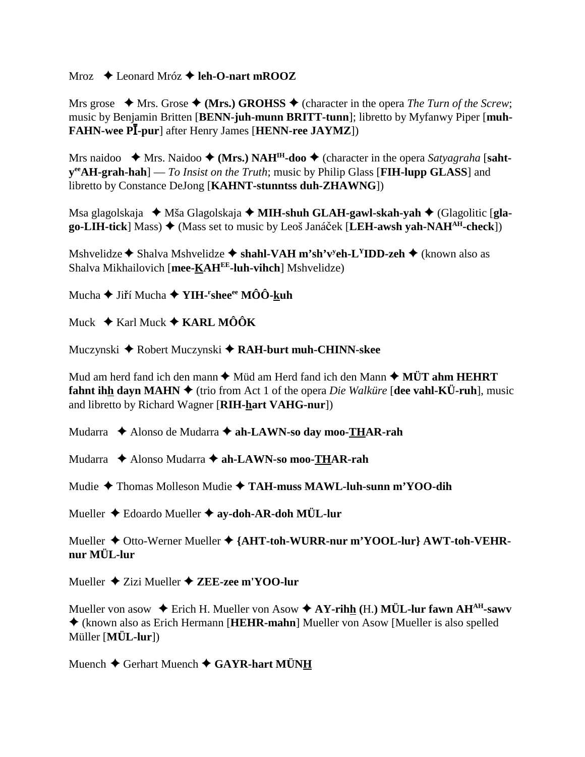Mroz  $\triangle$  Leonard Mróz  $\triangle$  leh-O-nart mROOZ

Mrs grose  $\star$  Mrs. Grose  $\star$  (Mrs.) GROHSS  $\star$  (character in the opera *The Turn of the Screw*; music by Benjamin Britten [BENN-juh-munn BRITT-tunn]; libretto by Myfanwy Piper [muh-**FAHN-wee PI-pur** after Henry James [**HENN-ree JAYMZ**])

Mrs naidoo  $\star$  Mrs. Naidoo  $\star$  (Mrs.) NAH<sup>IH</sup>-doo  $\star$  (character in the opera Satyagraha [saht $y^{\text{ee}}AH\text{-}graph\text{-}hab$  |  $-To$  Insist on the Truth; music by Philip Glass [FIH-lupp GLASS] and libretto by Constance DeJong [KAHNT-stunntss duh-ZHAWNG])

Msa glagolskaja → Mša Glagolskaja → MIH-shuh GLAH-gawl-skah-yah → (Glagolitic [gla- $\mathbf{g}$ o-LIH-tick] Mass)  $\blacklozenge$  (Mass set to music by Leoš Janáček [LEH-awsh vah-NAH<sup>AH</sup>-check])

Mshvelidze  $\triangle$  Shalva Mshvelidze  $\triangle$  shahl-VAH m'sh'v<sup>y</sup>eh-L<sup>Y</sup>IDD-zeh  $\triangle$  (known also as Shalva Mikhailovich [mee-KAHEE-luh-vihch] Mshvelidze)

Mucha  $\blacklozenge$  Jiří Mucha  $\blacklozenge$  YIH-'shee<sup>ee</sup> MÔÔ-kuh

Muck  $\div$  Karl Muck  $\div$  KARL MÔÔK

Muczynski ◆ Robert Muczynski ◆ RAH-burt muh-CHINN-skee

Mud am herd fand ich den mann  $\blacklozenge$  Müd am Herd fand ich den Mann  $\blacklozenge$  MÜT ahm HEHRT **fahnt ihh davn MAHN**  $\blacklozenge$  (trio from Act 1 of the opera *Die Walküre* [dee vahl-KÜ-ruh], music and libretto by Richard Wagner [RIH-hart VAHG-nur])

Mudarra ◆ Alonso de Mudarra ◆ ah-LAWN-so day moo-THAR-rah

Mudarra  $\triangle$  Alonso Mudarra  $\triangle$  ah-LAWN-so moo-THAR-rah

Mudie  $\triangle$  Thomas Molleson Mudie  $\triangle$  TAH-muss MAWL-luh-sunn m'YOO-dih

Mueller  $\triangle$  Edoardo Mueller  $\triangle$  ay-doh-AR-doh MÜL-lur

Mueller ◆ Otto-Werner Mueller ◆ {AHT-toh-WURR-nur m'YOOL-lur} AWT-toh-VEHRnur MÜL-lur

Mueller  $\triangle$  Zizi Mueller  $\triangle$  ZEE-zee m'YOO-lur

Mueller von asow  $\triangle$  Erich H. Mueller von Asow  $\triangle$  AY-rihh (H.) MÜL-lur fawn AH<sup>AH</sup>-sawv ♦ (known also as Erich Hermann [HEHR-mahn] Mueller von Asow [Mueller is also spelled Müller [MÜL-lur])

Muench  $\blacklozenge$  Gerhart Muench  $\blacklozenge$  GAYR-hart MÜNH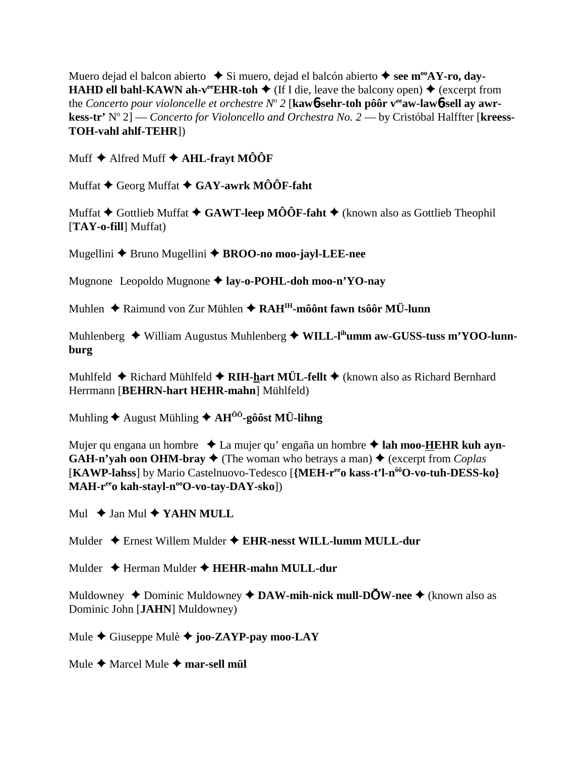Muero dejad el balcon abierto ◆ Si muero, dejad el balcón abierto ◆ see m<sup>oo</sup>AY-ro, dav-**HAHD ell bahl-KAWN ah-v<sup>ee</sup>EHR-toh**  $\blacklozenge$  (If I die, leave the balcony open)  $\blacklozenge$  (excerpt from the Concerto pour violoncelle et orchestre  $N^{\circ}$  2 [kawb-sehr-toh pôôr v<sup>ee</sup>aw-lawb-sell ay awrkess-tr' N° 2] — Concerto for Violoncello and Orchestra No. 2 — by Cristóbal Halffter [kreess-TOH-vahl ahlf-TEHR])

Muff  $\blacklozenge$  Alfred Muff  $\blacklozenge$  AHL-fravt MOOF

Muffat  $\blacklozenge$  Georg Muffat  $\blacklozenge$  GAY-awrk MÔÔF-faht

Muffat  $\blacklozenge$  Gottlieb Muffat  $\blacklozenge$  GAWT-leep MÔÔF-faht  $\blacklozenge$  (known also as Gottlieb Theophil [TAY-o-fill] Muffat)

Mugellini ◆ Bruno Mugellini ◆ BROO-no moo-jayl-LEE-nee

Mugnone Leopoldo Mugnone ♦ lay-o-POHL-doh moo-n'YO-nay

Muhlen  $\triangle$  Raimund von Zur Mühlen  $\triangle$  RAH<sup>IH</sup>-môônt fawn tsôôr MÜ-lunn

Muhlenberg  $\blacklozenge$  William Augustus Muhlenberg  $\blacklozenge$  WILL-I<sup>ih</sup>umm aw-GUSS-tuss m'YOO-lunnburg

Muhlfeld  $\triangle$  Richard Mühlfeld  $\triangle$  RIH-hart MÜL-fellt  $\triangle$  (known also as Richard Bernhard Herrmann [BEHRN-hart HEHR-mahn] Mühlfeld)

Muhling  $\triangle$  August Mühling  $\triangle$  AH<sup> $\hat{0}$ 0-g $\hat{0}$ ôst MÜ-lihng</sup>

Mujer qu engana un hombre ↓ La mujer qu'engaña un hombre ◆ lah moo-HEHR kuh ayn-**GAH-n'vah oon OHM-bray**  $\triangleleft$  (The woman who betrays a man)  $\triangleleft$  (excerpt from *Coplas* [KAWP-lahss] by Mario Castelnuovo-Tedesco [{MEH-r<sup>ee</sup>o kass-t'l-n<sup>ôô</sup>O-vo-tuh-DESS-ko} MAH-r<sup>ee</sup>o kah-stayl-n<sup>oo</sup>O-vo-tay-DAY-sko])

Mul  $\rightarrow$  Jan Mul  $\rightarrow$  YAHN MULL

Mulder  $\triangle$  Ernest Willem Mulder  $\triangle$  EHR-nesst WILL-lumm MULL-dur

Mulder ♦ Herman Mulder ♦ HEHR-mahn MULL-dur

Muldowney  $\triangle$  Dominic Muldowney  $\triangle$  DAW-mih-nick mull-DOW-nee  $\triangle$  (known also as Dominic John [JAHN] Muldowney)

Mule  $\triangle$  Giuseppe Mulè  $\triangle$  joo-ZAYP-pay moo-LAY

Mule  $\triangle$  Marcel Mule  $\triangle$  mar-sell mül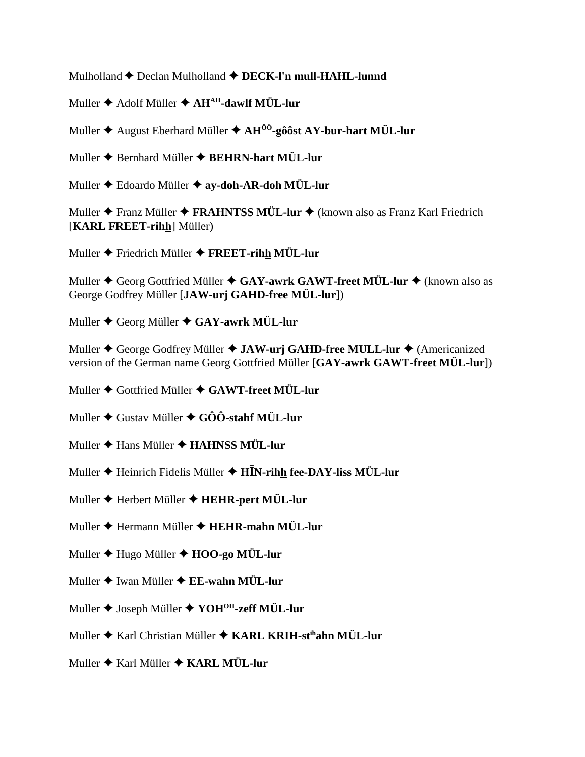Mulholland Declan Mulholland **DECK-l'n mull-HAHL-lunnd**

Muller **◆** Adolf Müller ◆ AH<sup>AH</sup>-dawlf MÜL-lur

Muller August Eberhard Müller **AHÔÔ-gôôst AY-bur-hart MÜL-lur**

Muller Bernhard Müller **BEHRN-hart MÜL-lur**

Muller Edoardo Müller **ay-doh-AR-doh MÜL-lur**

Muller **◆** Franz Müller ◆ FRAHNTSS MÜL-lur ◆ (known also as Franz Karl Friedrich [**KARL FREET-rihh**] Müller)

Muller Friedrich Müller **FREET-rihh MÜL-lur**

Muller **→** Georg Gottfried Müller **→ GAY-awrk GAWT-freet MÜL-lur →** (known also as George Godfrey Müller [**JAW-urj GAHD-free MÜL-lur**])

Muller Georg Müller **GAY-awrk MÜL-lur**

Muller ♦ George Godfrey Müller ♦ **JAW-urj GAHD-free MULL-lur ♦** (Americanized version of the German name Georg Gottfried Müller [**GAY-awrk GAWT-freet MÜL-lur**])

Muller Gottfried Müller **GAWT-freet MÜL-lur**

Muller Gustav Müller **GÔÔ-stahf MÜL-lur**

- Muller **→** Hans Müller **→ HAHNSS MÜL-lur**
- Muller ♦ Heinrich Fidelis Müller ♦ **HĪN-rih<u>h</u> fee-DAY-liss MÜL-lur**
- Muller Herbert Müller **HEHR-pert MÜL-lur**
- Muller Hermann Müller **HEHR-mahn MÜL-lur**
- Muller Hugo Müller **HOO-go MÜL-lur**
- Muller **→** Iwan Müller **→ EE-wahn MÜL-lur**
- Muller ♦ Joseph Müller ♦ YOH<sup>OH</sup>-zeff MÜL-lur
- Muller Karl Christian Müller **KARL KRIH-stihahn MÜL-lur**
- Muller Karl Müller **KARL MÜL-lur**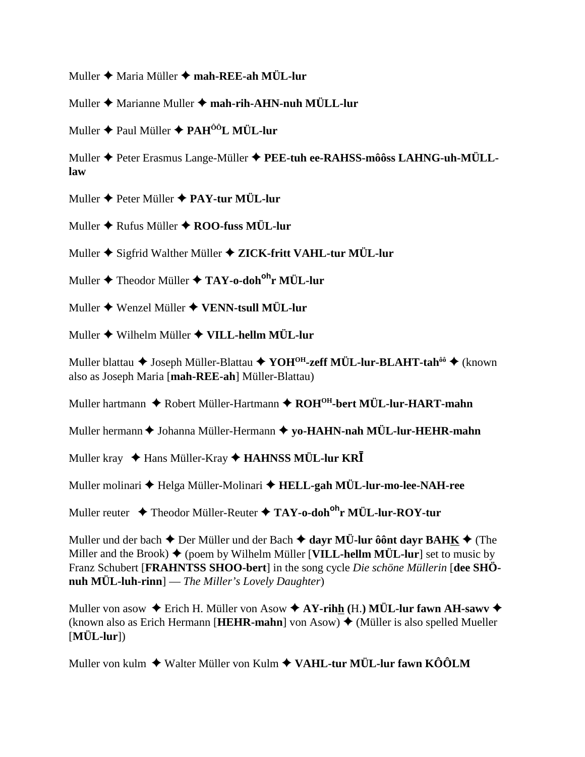Muller Maria Müller **mah-REE-ah MÜL-lur**

Muller **→** Marianne Muller → mah-rih-AHN-nuh MÜLL-lur

Muller Paul Müller **PAHÔÔL MÜL-lur**

Muller Peter Erasmus Lange-Müller **PEE-tuh ee-RAHSS-môôss LAHNG-uh-MÜLLlaw**

Muller Peter Müller **PAY-tur MÜL-lur**

Muller **→** Rufus Müller ◆ **ROO-fuss MÜL-lur** 

Muller Sigfrid Walther Müller **ZICK-fritt VAHL-tur MÜL-lur**

Muller Theodor Müller **TAY-o-dohohr MÜL-lur**

Muller Wenzel Müller **VENN-tsull MÜL-lur**

Muller Wilhelm Müller **VILL-hellm MÜL-lur**

Muller blattau ◆ Joseph Müller-Blattau ◆ YOH<sup>OH</sup>-zeff MÜL-lur-BLAHT-tah<sup>ôô</sup> ◆ (known also as Joseph Maria [**mah-REE-ah**] Müller-Blattau)

Muller hartmann ◆ Robert Müller-Hartmann ◆ ROH<sup>OH</sup>-bert MÜL-lur-HART-mahn

Muller hermann  $\triangle$  Johanna Müller-Hermann  $\triangle$  yo-HAHN-nah MÜL-lur-HEHR-mahn

Muller kray ♦ Hans Müller-Kray ♦ **HAHNSS MÜL-lur KRĪ** 

Muller molinari Helga Müller-Molinari **HELL-gah MÜL-lur-mo-lee-NAH-ree**

Muller reuter Theodor Müller-Reuter **TAY-o-dohohr MÜL-lur-ROY-tur**

Muller und der bach  $\triangle$  Der Müller und der Bach  $\triangle$  dayr MÜ-lur ôônt dayr BAHK  $\triangle$  (The Miller and the Brook)  $\blacklozenge$  (poem by Wilhelm Müller [**VILL-hellm MÜL-lur**] set to music by Franz Schubert [**FRAHNTSS SHOO-bert**] in the song cycle *Die schöne Müllerin* [**dee SHÖnuh MÜL-luh-rinn**] — *The Miller's Lovely Daughter*)

Muller von asow Erich H. Müller von Asow **AY-rihh (**H.**) MÜL-lur fawn AH-sawv** (known also as Erich Hermann [**HEHR-mahn**] von Asow)  $\triangleq$  (Müller is also spelled Mueller [**MÜL-lur**])

Muller von kulm ◆ Walter Müller von Kulm ◆ VAHL-tur MÜL-lur fawn KÔÔLM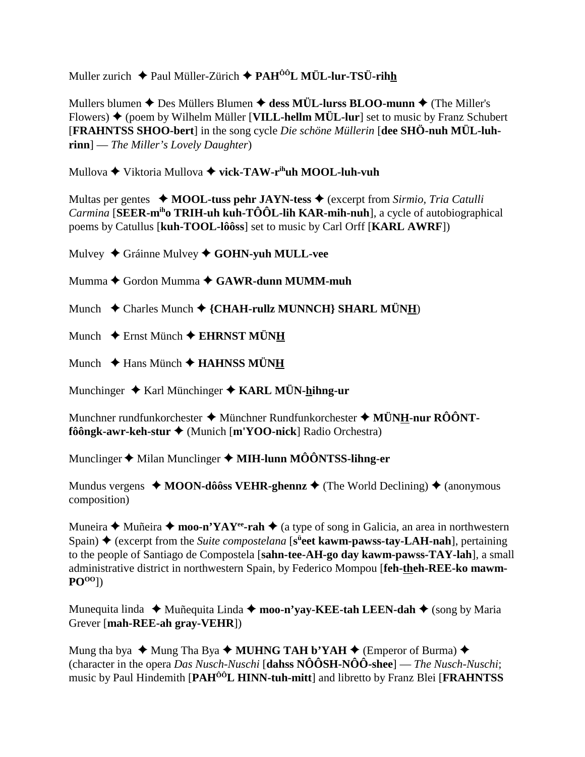Muller zurich  $\triangleq$  Paul Müller-Zürich  $\triangleq$  PAH<sup> $\hat{0}$ ôL MÜL-lur-TSÜ-rihh</sup>

Mullers blumen  $\triangle$  Des Müllers Blumen  $\triangle$  dess MÜL-lurss BLOO-munn  $\triangle$  (The Miller's Flowers)  $\blacklozenge$  (poem by Wilhelm Müller [VILL-hellm MÜL-lur] set to music by Franz Schubert **[FRAHNTSS SHOO-bert]** in the song cycle *Die schöne Müllerin* [dee SHÖ-nuh MÜL-luh- $\text{rinn}$  – The Miller's Lovely Daughter)

Mullova  $\blacklozenge$  Viktoria Mullova  $\blacklozenge$  vick-TAW-r<sup>ih</sup>uh MOOL-luh-vuh

Multas per gentes  $\triangleleft$  MOOL-tuss pehr JAYN-tess  $\triangleleft$  (excerpt from Sirmio, Tria Catulli *Carmina* [SEER- $m<sup>ih</sup>$ <sup>0</sup> TRIH-uh kuh-TÔÔL-lih KAR-mih-nuh], a cycle of autobiographical poems by Catullus [kuh-TOOL-lôôss] set to music by Carl Orff [KARL AWRF])

Mulvey ◆ Gráinne Mulvey ◆ GOHN-yuh MULL-vee

Mumma  $\blacklozenge$  Gordon Mumma  $\blacklozenge$  GAWR-dunn MUMM-muh

Munch ◆ Charles Munch ◆ {CHAH-rullz MUNNCH} SHARL MÜNH)

Munch  $\triangle$  Ernst Münch  $\triangle$  EHRNST MÜNH

Munch  $\triangleq$  Hans Münch  $\triangleq$  HAHNSS MÜNH

Munchinger  $\triangle$  Karl Münchinger  $\triangle$  KARL MÜN-hihng-ur

Munchner rundfunkorchester  $\triangleq$  Münchner Rundfunkorchester  $\triangleq$  MÜNH-nur RÔÔNT $f\hat{o} \hat{o}$ ngk-awr-keh-stur  $\triangleleft$  (Munich [m'YOO-nick] Radio Orchestra)

Munclinger  $\blacklozenge$  Milan Munclinger  $\blacklozenge$  MIH-lunn MÔÔNTSS-lihng-er

Mundus vergens  $\triangleleft$  MOON-dôôss VEHR-ghennz  $\triangleleft$  (The World Declining)  $\triangleleft$  (anonymous composition)

Muneira  $\triangle$  Muñeira  $\triangle$  moo-n'YAY<sup>ee</sup>-rah  $\triangle$  (a type of song in Galicia, an area in northwestern Spain)  $\triangle$  (excerpt from the Suite compostelana [s<sup>ii</sup>eet kawm-pawss-tay-LAH-nah], pertaining to the people of Santiago de Compostela [sahn-tee-AH-go day kawm-pawss-TAY-lah], a small administrative district in northwestern Spain, by Federico Mompou [feh-theh-REE-ko mawm- $PO<sup>00</sup>$ ])

Munequita linda  $\triangleq$  Muñequita Linda  $\triangleq$  moo-n'yay-KEE-tah LEEN-dah  $\triangleq$  (song by Maria Grever [mah-REE-ah gray-VEHR])

Mung tha bya  $\triangleq$  Mung Tha Bya  $\triangleq$  MUHNG TAH b'YAH  $\triangleq$  (Emperor of Burma)  $\triangleq$ (character in the opera *Das Nusch-Nuschi* [dahss  $N\hat{O} \hat{O} S H - N \hat{O} \hat{O}$ -shee] — *The Nusch-Nuschi*; music by Paul Hindemith [PAH<sup>ÔÔ</sup>L HINN-tuh-mitt] and libretto by Franz Blei [FRAHNTSS]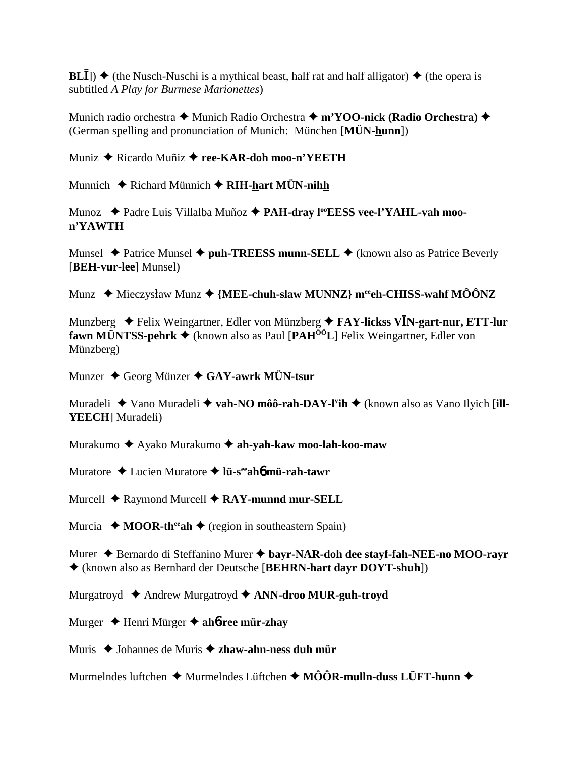$BL\bar{I}$ )  $\blacklozenge$  (the Nusch-Nuschi is a mythical beast, half rat and half alligator)  $\blacklozenge$  (the opera is subtitled A Play for Burmese Marionettes)

Munich radio orchestra ◆ Munich Radio Orchestra ◆ m'YOO-nick (Radio Orchestra) ◆ (German spelling and pronunciation of Munich: München [MÜN-hunn])

Muniz ◆ Ricardo Muñiz ◆ ree-KAR-doh moo-n'YEETH

Munnich  $\triangle$  Richard Münnich  $\triangle$  RIH-hart MÜN-nihh

Munoz ◆ Padre Luis Villalba Muñoz ◆ PAH-dray l<sup>oo</sup>EESS vee-l'YAHL-vah moon'YAWTH

Munsel  $\triangle$  Patrice Munsel  $\triangle$  puh-TREESS munn-SELL  $\triangle$  (known also as Patrice Beverly [BEH-vur-lee] Munsel)

Munz  $\blacklozenge$  Mieczysław Munz  $\blacklozenge$  {MEE-chuh-slaw MUNNZ} m<sup>ee</sup>eh-CHISS-wahf MÔÔNZ

Munzberg  $\triangleq$  Felix Weingartner, Edler von Münzberg  $\triangleq$  FAY-lickss VIN-gart-nur, ETT-lur **fawn MÜNTSS-pehrk**  $\triangle$  (known also as Paul [PAH<sup> $00$ </sup>L] Felix Weingartner, Edler von Münzberg)

Munzer  $\triangle$  Georg Münzer  $\triangle$  GAY-awrk MÜN-tsur

Muradeli  $\triangleq$  Vano Muradeli  $\triangleq$  vah-NO môô-rah-DAY-l<sup>y</sup>ih  $\triangleq$  (known also as Vano Ilyich [ill-**YEECH**] Muradeli)

Murakumo ◆ Ayako Murakumo ◆ ah-yah-kaw moo-lah-koo-maw

Muratore  $\triangle$  Lucien Muratore  $\triangle$  lü-s<sup>ee</sup> ah**omü**-rah-tawr

Murcell  $\triangle$  Raymond Murcell  $\triangle$  RAY-munnd mur-SELL

Murcia  $\bullet$  MOOR-th<sup>ee</sup> ah  $\bullet$  (region in southeastern Spain)

Murer → Bernardo di Steffanino Murer → bayr-NAR-doh dee stayf-fah-NEE-no MOO-rayr ♦ (known also as Bernhard der Deutsche [BEHRN-hart dayr DOYT-shuh])

Murgatroyd  $\triangle$  Andrew Murgatroyd  $\triangle$  ANN-droo MUR-guh-troyd

Murger  $\triangle$  Henri Mürger  $\triangle$  ahb-ree mür-zhay

Muris  $\triangle$  Johannes de Muris  $\triangle$  zhaw-ahn-ness duh mür

Murmelndes luftchen  $\triangleq$  Murmelndes Lüftchen  $\triangleq$  MÔÔR-mulln-duss LÜFT-hunn  $\triangleq$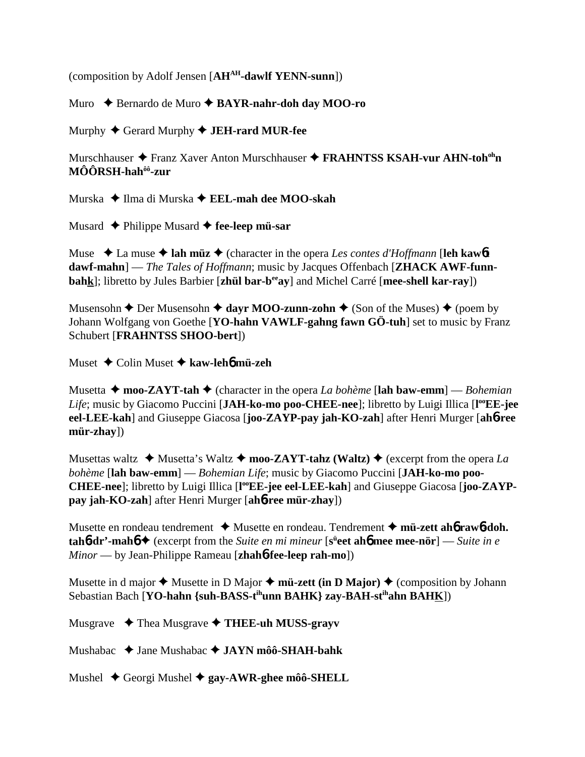(composition by Adolf Jensen [**AHAH-dawlf YENN-sunn**])

Muro Bernardo de Muro **BAYR-nahr-doh day MOO-ro**

Murphy Gerard Murphy **JEH-rard MUR-fee**

Murschhauser ◆ Franz Xaver Anton Murschhauser ◆ FRAHNTSS KSAH-vur AHN-toh<sup>oh</sup>n **MÔÔRSH-hahôô-zur**

Murska ◆ Ilma di Murska ◆ **EEL-mah dee MOO-skah** 

Musard **←** Philippe Musard ← fee-leep mü-sar

Muse  $\triangle$  La muse  $\triangle$  lah müz $\triangle$  (character in the opera *Les contes d'Hoffmann* [leh kaw6**t**] **dawf-mahn**] — *The Tales of Hoffmann*; music by Jacques Offenbach [**ZHACK AWF-funnbahk**]; libretto by Jules Barbier [**zhül bar-beeay**] and Michel Carré [**mee-shell kar-ray**])

Musensohn  $\triangle$  Der Musensohn  $\triangle$  dayr MOO-zunn-zohn  $\triangle$  (Son of the Muses)  $\triangle$  (poem by Johann Wolfgang von Goethe [**YO-hahn VAWLF-gahng fawn GÖ-tuh**] set to music by Franz Schubert [**FRAHNTSS SHOO-bert**])

Muset Colin Muset **kaw-leh**6 **mü-zeh**

Musetta  $\triangle$  moo-ZAYT-tah  $\triangle$  (character in the opera *La bohème* [lah baw-emm] — *Bohemian* Life; music by Giacomo Puccini [JAH-ko-mo poo-CHEE-nee]; libretto by Luigi Illica [l<sup>oo</sup>EE-jee **eel-LEE-kah**] and Giuseppe Giacosa [**joo-ZAYP-pay jah-KO-zah**] after Henri Murger [**ah**6**-ree mür-zhay**])

Musettas waltz  $\triangleleft$  Musetta's Waltz  $\triangleleft$  moo-ZAYT-tahz (Waltz)  $\triangleleft$  (excerpt from the opera *La bohème* [**lah baw-emm**] — *Bohemian Life*; music by Giacomo Puccini [**JAH-ko-mo poo-**CHEE-nee]; libretto by Luigi Illica [l<sup>oo</sup>EE-jee eel-LEE-kah] and Giuseppe Giacosa [joo-ZAYP**pay jah-KO-zah**] after Henri Murger [**ah**6**-ree mür-zhay**])

Musette en rondeau tendrement **→** Musette en rondeau. Tendrement → m**ü-zett ah** $6$  **raw** $6$ **-doh. tah6-dr'-mah6 →** (excerpt from the *Suite en mi mineur* [s<sup>ü</sup>eet ah6 mee mee-nör] — *Suite in e Minor* — by Jean-Philippe Rameau [**zhah**6**-fee-leep rah-mo**])

Musette in d major  $\triangle$  Musette in D Major  $\triangle$  m**ü-zett (in D Major)**  $\triangle$  (composition by Johann Sebastian Bach [**YO-hahn {suh-BASS-tihunn BAHK} zay-BAH-stihahn BAHK**])

Musgrave Thea Musgrave **THEE-uh MUSS-grayv**

Mushabac Jane Mushabac **JAYN môô-SHAH-bahk**

Mushel Georgi Mushel **gay-AWR-ghee môô-SHELL**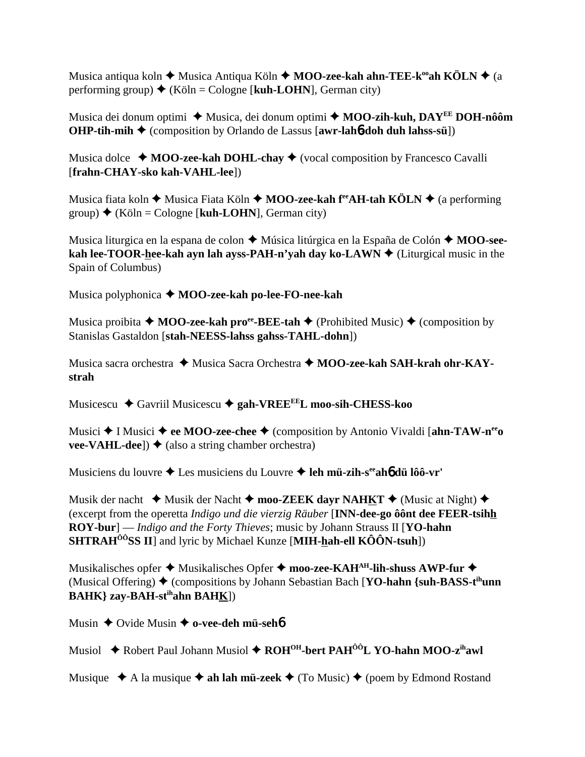Musica antiqua koln **→** Musica Antiqua Köln → **MOO-zee-kah ahn-TEE-k<sup>oo</sup>ah KÖLN** → (a performing group)  $\blacklozenge$  (Köln = Cologne [**kuh-LOHN**], German city)

Musica dei donum optimi ◆ Musica, dei donum optimi ◆ MOO-zih-kuh, DAY<sup>EE</sup> DOH-nôôm **OHP-tih-mih ♦** (composition by Orlando de Lassus [awr-lah**6-doh duh lahss-sü**])

Musica dolce  $\rightarrow$  **MOO-zee-kah DOHL-chay**  $\rightarrow$  (vocal composition by Francesco Cavalli [**frahn-CHAY-sko kah-VAHL-lee**])

Musica fiata koln ♦ Musica Fiata Köln ♦ MOO-zee-kah f<sup>ee</sup>AH-tah KÖLN ♦ (a performing group)  $\triangleq$  (Köln = Cologne [**kuh-LOHN**], German city)

Musica liturgica en la espana de colon ◆ Música litúrgica en la España de Colón ◆ MOO-see**kah lee-TOOR-hee-kah ayn lah ayss-PAH-n'yah day ko-LAWN**  $\blacklozenge$  (Liturgical music in the Spain of Columbus)

Musica polyphonica **MOO-zee-kah po-lee-FO-nee-kah**

Musica proibita  $\triangle$  **MOO-zee-kah pro<sup>ee</sup>-BEE-tah**  $\triangle$  (Prohibited Music)  $\triangle$  (composition by Stanislas Gastaldon [**stah-NEESS-lahss gahss-TAHL-dohn**])

Musica sacra orchestra ◆ Musica Sacra Orchestra ◆ **MOO-zee-kah SAH-krah ohr-KAYstrah**

Musicescu Gavriil Musicescu **gah-VREEEEL moo-sih-CHESS-koo**

Musici **→** I Musici **→ ee MOO-zee-chee** → (composition by Antonio Vivaldi [**ahn-TAW-n<sup>ee</sup>o vee-VAHL-dee**])  $\blacklozenge$  (also a string chamber orchestra)

Musiciens du louvre Les musiciens du Louvre **leh mü-zih-seeah**6 **dü lôô-vr'**

Musik der nacht  $\triangleleft$  Musik der Nacht  $\triangleleft$  moo-ZEEK dayr NAHKT  $\triangleleft$  (Music at Night)  $\triangleleft$ (excerpt from the operetta *Indigo und die vierzig Räuber* [**INN-dee-go ôônt dee FEER-tsihh ROY-bur**] — *Indigo and the Forty Thieves*; music by Johann Strauss II [**YO-hahn SHTRAHÔÔSS II**] and lyric by Michael Kunze [**MIH-hah-ell KÔÔN-tsuh**])

Musikalisches opfer **→** Musikalisches Opfer → moo-zee-KAH<sup>AH</sup>-lih-shuss AWP-fur → (Musical Offering)  $\triangle$  (compositions by Johann Sebastian Bach [**YO-hahn** {suh-**BASS-t<sup>ih</sup>unn BAHK} zay-BAH-stihahn BAHK**])

Musin **→** Ovide Musin **→ o-vee-deh mü-seh**6

Musiol ◆ Robert Paul Johann Musiol ◆ ROH<sup>OH</sup>-bert PAH<sup>ôô</sup>L YO-hahn MOO-z<sup>ih</sup>awl

Musique  $\triangle A$  la musique  $\triangle A$  **ah lah mü-zeek**  $\triangle A$  (To Music)  $\triangle A$  (poem by Edmond Rostand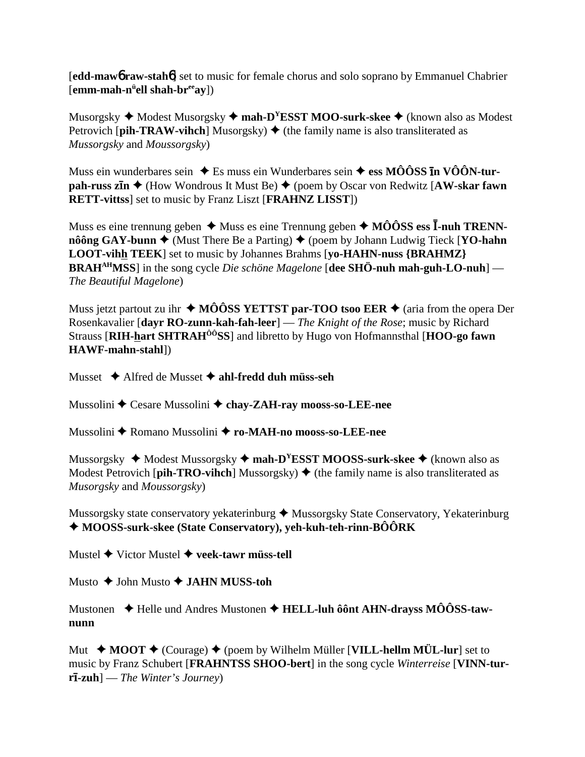**[edd-maw6 raw-stah6]** set to music for female chorus and solo soprano by Emmanuel Chabrier  $[emm\text{-}mah\text{-}n^u$ ell shah-br<sup>ee</sup>ay])

Musorgsky  $\blacklozenge$  Modest Musorgsky  $\blacklozenge$  mah-D<sup>Y</sup>ESST MOO-surk-skee  $\blacklozenge$  (known also as Modest Petrovich [pih-TRAW-vihch] Musorgsky)  $\blacklozenge$  (the family name is also transliterated as Mussorgsky and Moussorgsky)

Muss ein wunderbares sein  $\triangle$  Es muss ein Wunderbares sein  $\triangle$  ess MÔÔSS In VÔÔN-turpah-russ zin  $\triangle$  (How Wondrous It Must Be)  $\triangle$  (poem by Oscar von Redwitz [AW-skar fawn **RETT-vittss** set to music by Franz Liszt [FRAHNZ LISST])

Muss es eine trennung geben  $\triangleq$  Muss es eine Trennung geben  $\triangleq$  MÔÔSS ess I-nuh TRENNnôông GAY-bunn  $\triangle$  (Must There Be a Parting)  $\triangle$  (poem by Johann Ludwig Tieck [YO-hahn LOOT-vihh TEEK] set to music by Johannes Brahms [yo-HAHN-nuss {BRAHMZ} **BRAH<sup>AH</sup>MSS**] in the song cycle *Die schöne Magelone* [dee SHÖ-nuh mah-guh-LO-nuh] — The Beautiful Magelone)

Muss jetzt partout zu ihr  $\triangleleft$  MÔÔSS YETTST par-TOO tsoo EER  $\triangleleft$  (aria from the opera Der Rosenkavalier [dayr RO-zunn-kah-fah-leer] — The Knight of the Rose; music by Richard Strauss [RIH-hart SHTRAH<sup>00</sup>SS] and libretto by Hugo von Hofmannsthal [HOO-go fawn HAWF-mahn-stahl])

Musset  $\triangle$  Alfred de Musset  $\triangle$  ahl-fredd duh müss-seh

Mussolini ♦ Cesare Mussolini ♦ chay-ZAH-ray mooss-so-LEE-nee

Mussolini ◆ Romano Mussolini ◆ ro-MAH-no mooss-so-LEE-nee

Mussorgsky  $\triangleq$  Modest Mussorgsky  $\triangleq$  mah-D<sup>Y</sup>ESST MOOSS-surk-skee  $\triangleq$  (known also as Modest Petrovich [pih-TRO-vihch] Mussorgsky)  $\blacklozenge$  (the family name is also transliterated as Musorgsky and Moussorgsky)

Mussorgsky state conservatory yekaterinburg ◆ Mussorgsky State Conservatory, Yekaterinburg  $\triangle$ MOOSS-surk-skee (State Conservatory), yeh-kuh-teh-rinn-BÔÔRK

Mustel  $\blacklozenge$  Victor Mustel  $\blacklozenge$  veek-tawr müss-tell

Musto  $\bigstar$  John Musto  $\bigstar$  JAHN MUSS-toh

Mustonen → Helle und Andres Mustonen → HELL-luh ôônt AHN-dravss MÔÔSS-tawnunn

Mut  $\triangle$  MOOT  $\triangle$  (Courage)  $\triangle$  (poem by Wilhelm Müller [VILL-hellm MÜL-lur] set to music by Franz Schubert [FRAHNTSS SHOO-bert] in the song cycle Winterreise [VINN-tur $r\bar{1}$ -zuh $]-$ The Winter's Journey)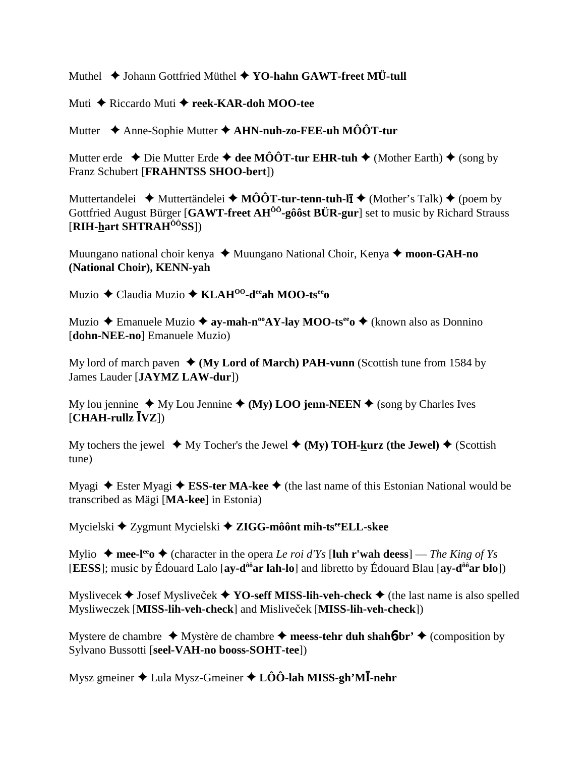Muthel  $\triangle$  Johann Gottfried Müthel  $\triangle$  YO-hahn GAWT-freet MÜ-tull

Muti ◆ Riccardo Muti ◆ reek-KAR-doh MOO-tee

Mutter  $\triangle$  Anne-Sophie Mutter  $\triangle$  AHN-nuh-zo-FEE-uh MÔÔT-tur

Mutter erde  $\triangle$  Die Mutter Erde  $\triangle$  dee MÔÔT-tur EHR-tuh  $\triangle$  (Mother Earth)  $\triangle$  (song by Franz Schubert [FRAHNTSS SHOO-bert])

Muttertandelei  $\rightarrow$  Muttertändelei  $\rightarrow$  MÔÔT-tur-tenn-tuh-lī  $\rightarrow$  (Mother's Talk)  $\rightarrow$  (poem by Gottfried August Bürger [GAWT-freet AH<sup>00</sup>-gôôst BÜR-gur] set to music by Richard Strauss  $[RIH$ -hart SHTRA $H^{00}$ SS]

Muungano national choir kenya  $\triangleq$  Muungano National Choir, Kenya  $\triangleq$  moon-GAH-no (National Choir), KENN-yah

Muzio  $\triangle$  Claudia Muzio  $\triangle$  KLAH<sup>00</sup>-d<sup>ee</sup>ah MOO-ts<sup>ee</sup>

Muzio  $\triangle$  Emanuele Muzio  $\triangle$  ay-mah-n<sup>oo</sup>AY-lay MOO-ts<sup>ee</sup>  $\triangle$  (known also as Donnino [dohn-NEE-no] Emanuele Muzio)

My lord of march paven  $\triangleleft$  (My Lord of March) PAH-vunn (Scottish tune from 1584 by James Lauder [JAYMZ LAW-dur])

My lou jennine  $\triangle$  My Lou Jennine  $\triangle$  (My) LOO jenn-NEEN  $\triangle$  (song by Charles Ives  $[CHAH\text{-}rullz \overline{I} VZ]$ 

My tochers the jewel  $\blacklozenge$  My Tocher's the Jewel  $\blacklozenge$  (My) TOH-kurz (the Jewel)  $\blacklozenge$  (Scottish tune)

Myagi  $\triangle$  Ester Myagi  $\triangle$  ESS-ter MA-kee  $\triangle$  (the last name of this Estonian National would be transcribed as Mägi [MA-kee] in Estonia)

Mycielski  $\triangleq$  Zygmunt Mycielski  $\triangleq$  ZIGG-môônt mih-ts<sup>ee</sup> ELL-skee

Mylio  $\bullet$  mee-l<sup>ee</sup> o  $\bullet$  (character in the opera *Le roi d'Ys* [luh r'wah deess] — *The King of Ys* **[EESS]**; music by Édouard Lalo  $[ay-d^{00}ar \, lah-lo]$  and libretto by Édouard Blau  $[ay-d^{00}ar \, blo]$ 

Myslivecek  $\blacklozenge$  Josef Myslivecek  $\blacklozenge$  YO-seff MISS-lih-veh-check  $\blacklozenge$  (the last name is also spelled Mysliweczek [MISS-lih-veh-check] and Misliveček [MISS-lih-veh-check])

Mystere de chambre  $\rightarrow$  Mystère de chambre  $\rightarrow$  meess-tehr duh shahot-br'  $\rightarrow$  (composition by Sylvano Bussotti [seel-VAH-no booss-SOHT-tee])

Mysz gmeiner  $\triangle$  Lula Mysz-Gmeiner  $\triangle$  LÔÔ-lah MISS-gh'M $\overline{I}$ -nehr